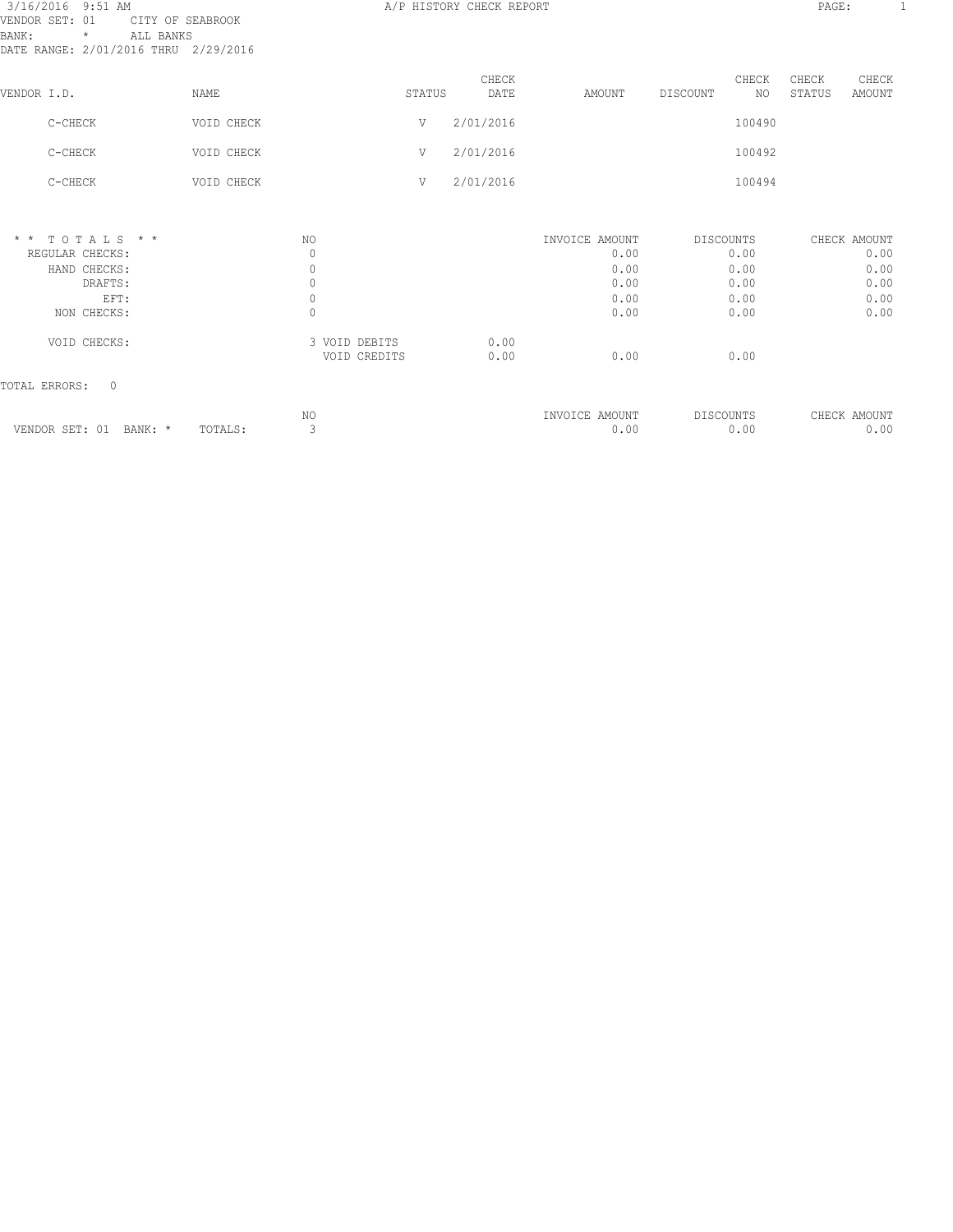| 3/16/2016 9:51 AM<br>VENDOR SET: 01<br>BANK:<br>ALL BANKS<br>$\star$<br>DATE RANGE: 2/01/2016 THRU 2/29/2016 | CITY OF SEABROOK |                               |        | A/P HISTORY CHECK REPORT |                        |                         | PAGE:           |                 |
|--------------------------------------------------------------------------------------------------------------|------------------|-------------------------------|--------|--------------------------|------------------------|-------------------------|-----------------|-----------------|
| VENDOR I.D.                                                                                                  | NAME             |                               | STATUS | CHECK<br>DATE            | AMOUNT                 | CHECK<br>DISCOUNT<br>NO | CHECK<br>STATUS | CHECK<br>AMOUNT |
| C-CHECK                                                                                                      | VOID CHECK       |                               | V      | 2/01/2016                |                        | 100490                  |                 |                 |
| $C-CHECK$                                                                                                    | VOID CHECK       |                               | V      | 2/01/2016                |                        | 100492                  |                 |                 |
| C-CHECK                                                                                                      | VOID CHECK       |                               | V      | 2/01/2016                |                        | 100494                  |                 |                 |
| $*$ * TOTALS * *                                                                                             |                  | NO.                           |        |                          |                        |                         |                 |                 |
| REGULAR CHECKS:                                                                                              |                  | $\mathbf{0}$                  |        |                          | INVOICE AMOUNT<br>0.00 | DISCOUNTS<br>0.00       | CHECK AMOUNT    | 0.00            |
| HAND CHECKS:                                                                                                 |                  | $\mathbb O$                   |        |                          | 0.00                   | 0.00                    |                 | 0.00            |
| DRAFTS:                                                                                                      |                  | $\mathbb O$                   |        |                          | 0.00                   | 0.00                    |                 | 0.00            |
| EFT:                                                                                                         |                  | $\mathbb O$                   |        |                          | 0.00                   | 0.00                    |                 | 0.00            |
| NON CHECKS:                                                                                                  |                  | $\mathbf{0}$                  |        |                          | 0.00                   | 0.00                    |                 | 0.00            |
| VOID CHECKS:                                                                                                 |                  | 3 VOID DEBITS<br>VOID CREDITS |        | 0.00<br>0.00             | 0.00                   | 0.00                    |                 |                 |
| TOTAL ERRORS: 0                                                                                              |                  |                               |        |                          |                        |                         |                 |                 |
|                                                                                                              |                  | NO.                           |        |                          | INVOICE AMOUNT         | DISCOUNTS               | CHECK AMOUNT    |                 |
| VENDOR SET: 01 BANK: *                                                                                       | TOTALS:          | 3                             |        |                          | 0.00                   | 0.00                    |                 | 0.00            |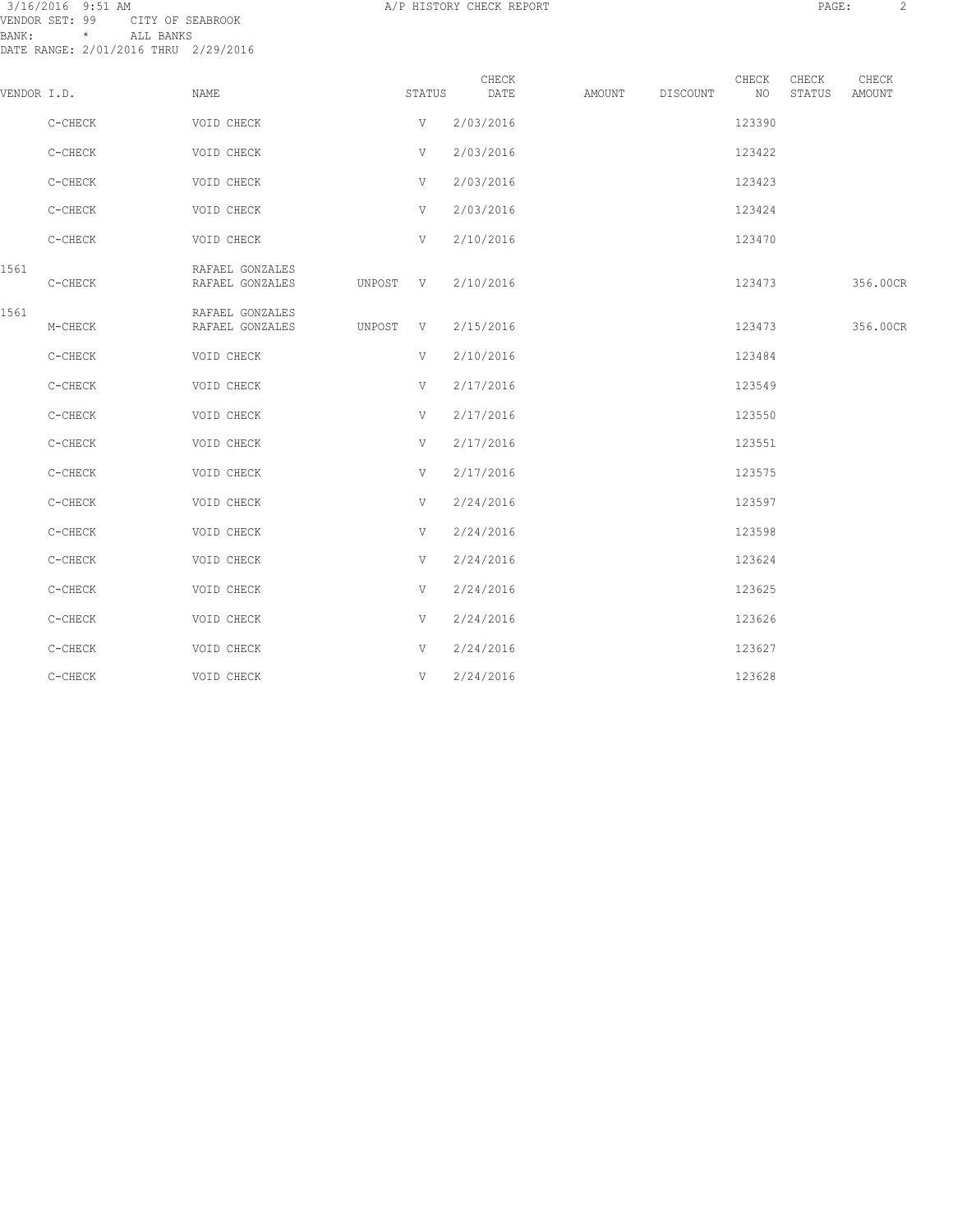#### 3/16/2016 9:51 AM A/P HISTORY CHECK REPORT PAGE: 2 VENDOR SET: 99 CITY OF SEABROOK BANK: \* ALL BANKS DATE RANGE: 2/01/2016 THRU 2/29/2016

| VENDOR I.D. |           | NAME                               |          | STATUS | CHECK<br>DATE | AMOUNT | DISCOUNT | CHECK<br>NO | CHECK<br>STATUS | CHECK<br>AMOUNT |
|-------------|-----------|------------------------------------|----------|--------|---------------|--------|----------|-------------|-----------------|-----------------|
|             | C-CHECK   | VOID CHECK                         |          | V      | 2/03/2016     |        |          | 123390      |                 |                 |
|             | C-CHECK   | VOID CHECK                         |          | V      | 2/03/2016     |        |          | 123422      |                 |                 |
|             | C-CHECK   | VOID CHECK                         |          | V      | 2/03/2016     |        |          | 123423      |                 |                 |
|             | C-CHECK   | VOID CHECK                         |          | V      | 2/03/2016     |        |          | 123424      |                 |                 |
|             | C-CHECK   | VOID CHECK                         |          | V      | 2/10/2016     |        |          | 123470      |                 |                 |
| 1561        | C-CHECK   | RAFAEL GONZALES<br>RAFAEL GONZALES | UNPOST V |        | 2/10/2016     |        |          | 123473      |                 | 356.00CR        |
| 1561        | M-CHECK   | RAFAEL GONZALES<br>RAFAEL GONZALES | UNPOST V |        | 2/15/2016     |        |          | 123473      |                 | 356.00CR        |
|             | C-CHECK   | VOID CHECK                         |          | V      | 2/10/2016     |        |          | 123484      |                 |                 |
|             | C-CHECK   | VOID CHECK                         |          | V      | 2/17/2016     |        |          | 123549      |                 |                 |
|             | C-CHECK   | VOID CHECK                         |          | V      | 2/17/2016     |        |          | 123550      |                 |                 |
|             | C-CHECK   | VOID CHECK                         |          | V      | 2/17/2016     |        |          | 123551      |                 |                 |
|             | C-CHECK   | VOID CHECK                         |          | V      | 2/17/2016     |        |          | 123575      |                 |                 |
|             | C-CHECK   | VOID CHECK                         |          | V      | 2/24/2016     |        |          | 123597      |                 |                 |
|             | C-CHECK   | VOID CHECK                         |          | V      | 2/24/2016     |        |          | 123598      |                 |                 |
|             | C-CHECK   | VOID CHECK                         |          | V      | 2/24/2016     |        |          | 123624      |                 |                 |
|             | C-CHECK   | VOID CHECK                         |          | V      | 2/24/2016     |        |          | 123625      |                 |                 |
|             | C-CHECK   | VOID CHECK                         |          | V      | 2/24/2016     |        |          | 123626      |                 |                 |
|             | C-CHECK   | VOID CHECK                         |          | V      | 2/24/2016     |        |          | 123627      |                 |                 |
|             | $C-CHECK$ | VOID CHECK                         |          | V      | 2/24/2016     |        |          | 123628      |                 |                 |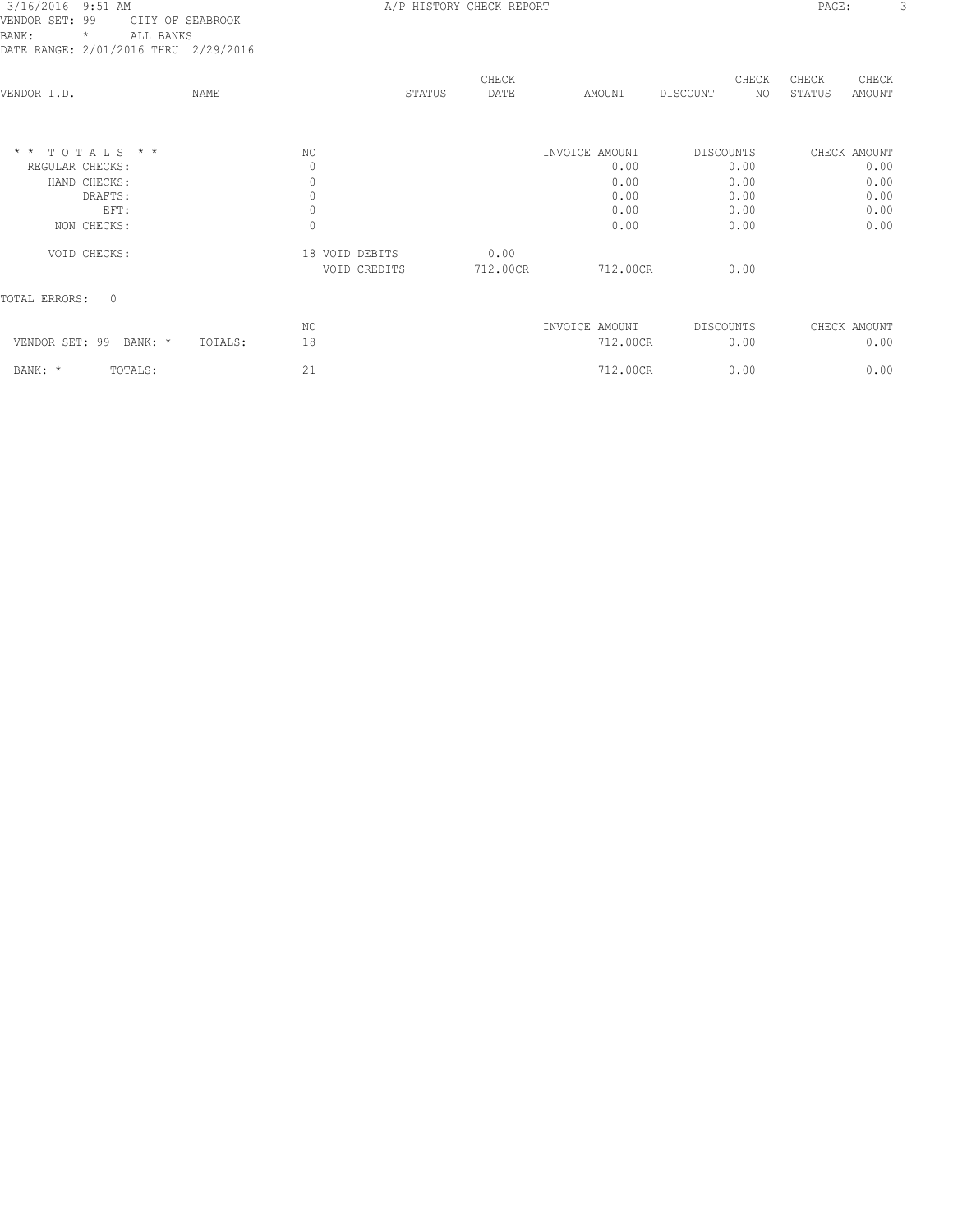| VENDOR I.D.               | NAME           | STATUS | CHECK<br>DATE | AMOUNT         | CHECK<br>NO.<br>DISCOUNT | CHECK<br>CHECK<br>STATUS<br>AMOUNT |
|---------------------------|----------------|--------|---------------|----------------|--------------------------|------------------------------------|
| $*$ * TOTALS * *          | NO             |        |               | INVOICE AMOUNT | DISCOUNTS                | CHECK AMOUNT                       |
| REGULAR CHECKS:           | 0              |        |               | 0.00           | 0.00                     | 0.00                               |
| HAND CHECKS:              | $\mathbb O$    |        |               | 0.00           | 0.00                     | 0.00                               |
| DRAFTS:                   | 0              |        |               | 0.00           | 0.00                     | 0.00                               |
| EFT:                      | $\mathbf{0}$   |        |               | 0.00           | 0.00                     | 0.00                               |
| NON CHECKS:               | $\mathbf{0}$   |        |               | 0.00           | 0.00                     | 0.00                               |
| VOID CHECKS:              | 18 VOID DEBITS |        | 0.00          |                |                          |                                    |
|                           | VOID CREDITS   |        | 712.00CR      | 712.00CR       | 0.00                     |                                    |
| $\Omega$<br>TOTAL ERRORS: |                |        |               |                |                          |                                    |
|                           | NO             |        |               | INVOICE AMOUNT | DISCOUNTS                | CHECK AMOUNT                       |
| VENDOR SET: 99<br>BANK: * | 18<br>TOTALS:  |        |               | 712.00CR       | 0.00                     | 0.00                               |
| BANK: *<br>TOTALS:        | 21             |        |               | 712.00CR       | 0.00                     | 0.00                               |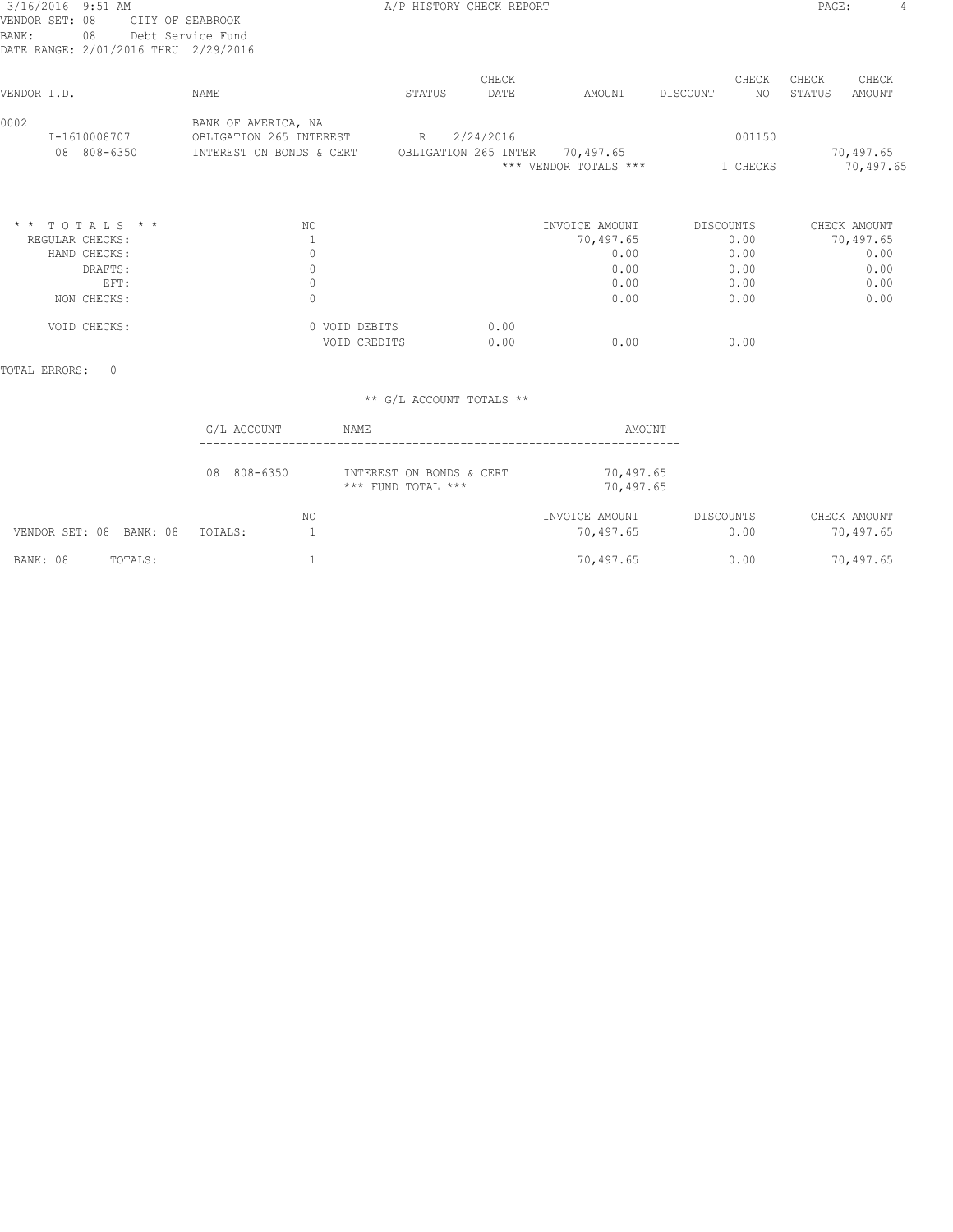#### 3/16/2016 9:51 AM A/P HISTORY CHECK REPORT PAGE: 4 VENDOR SET: 08 CITY OF SEABROOK BANK: 08 Debt Service Fund DATE RANGE: 2/01/2016 THRU 2/29/2016

| VENDOR I.D. |                                | NAME                                                                       | STATUS | CHECK<br>DATE                     | AMOUNT                | DISCOUNT | CHECK<br>NO. | CHECK<br>STATUS | CHECK<br>AMOUNT |
|-------------|--------------------------------|----------------------------------------------------------------------------|--------|-----------------------------------|-----------------------|----------|--------------|-----------------|-----------------|
| 0002        | I-1610008707<br>808-6350<br>08 | BANK OF AMERICA, NA<br>OBLIGATION 265 INTEREST<br>INTEREST ON BONDS & CERT | R      | 2/24/2016<br>OBLIGATION 265 INTER | 70,497.65             |          | 001150       |                 | 70,497.65       |
|             |                                |                                                                            |        |                                   | *** VENDOR TOTALS *** |          | 1 CHECKS     |                 | 70,497.65       |

| $*$ * TOTALS * * | NO            | INVOICE AMOUNT | DISCOUNTS | CHECK AMOUNT |
|------------------|---------------|----------------|-----------|--------------|
| REGULAR CHECKS:  |               | 70,497.65      | 0.00      | 70,497.65    |
| HAND CHECKS:     |               | 0.00           | 0.00      | 0.00         |
| DRAFTS:          |               | 0.00           | 0.00      | 0.00         |
| EFT:             |               | 0.00           | 0.00      | 0.00         |
| NON CHECKS:      |               | 0.00           | 0.00      | 0.00         |
| VOID CHECKS:     | 0 VOID DEBITS | 0.00           |           |              |
|                  | VOID CREDITS  | 0.00<br>0.00   | 0.00      |              |

## TOTAL ERRORS: 0

|                            | G/L ACCOUNT    | NAME                                           | AMOUNT                      |                   |                           |
|----------------------------|----------------|------------------------------------------------|-----------------------------|-------------------|---------------------------|
|                            | 808-6350<br>08 | INTEREST ON BONDS & CERT<br>*** FUND TOTAL *** | 70,497.65<br>70,497.65      |                   |                           |
| VENDOR SET: 08<br>BANK: 08 | NO.<br>TOTALS: |                                                | INVOICE AMOUNT<br>70,497.65 | DISCOUNTS<br>0.00 | CHECK AMOUNT<br>70,497.65 |
| BANK: 08<br>TOTALS:        |                |                                                | 70,497.65                   | 0.00              | 70,497.65                 |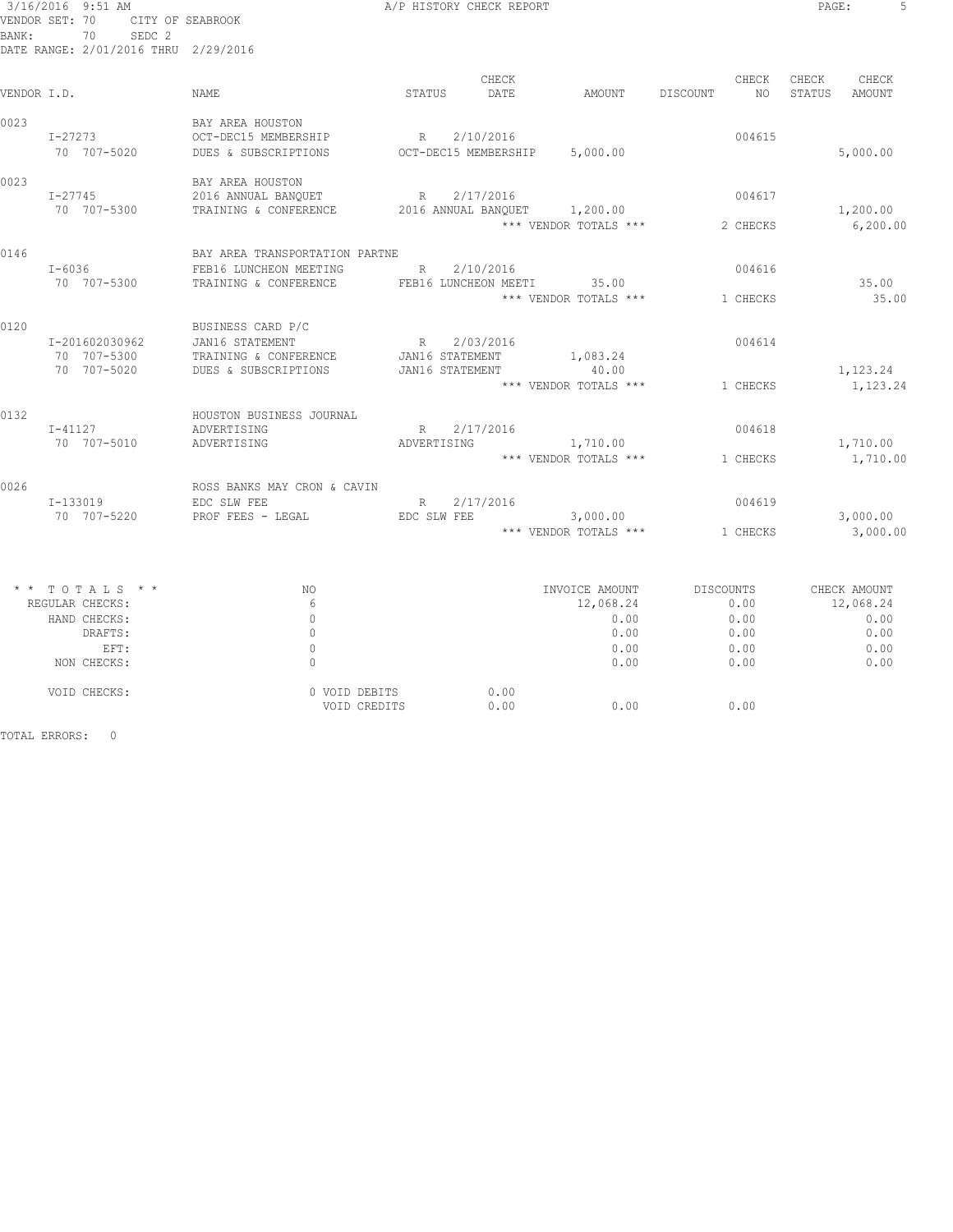| 3/16/2016 9:51 AM                                                                   |                                                                                                              | A/P HISTORY CHECK REPORT                                   |                                                             |                                                   | PAGE:<br>5                                                |
|-------------------------------------------------------------------------------------|--------------------------------------------------------------------------------------------------------------|------------------------------------------------------------|-------------------------------------------------------------|---------------------------------------------------|-----------------------------------------------------------|
| VENDOR SET: 70<br>SEDC <sub>2</sub><br>70<br>BANK:                                  | CITY OF SEABROOK                                                                                             |                                                            |                                                             |                                                   |                                                           |
| DATE RANGE: 2/01/2016 THRU 2/29/2016                                                |                                                                                                              |                                                            |                                                             |                                                   |                                                           |
|                                                                                     |                                                                                                              | CHECK                                                      |                                                             | CHECK                                             | CHECK CHECK                                               |
| VENDOR I.D.                                                                         | NAME                                                                                                         | STATUS DATE                                                |                                                             | AMOUNT DISCOUNT NO                                | STATUS<br>AMOUNT                                          |
| $I - 27273$<br>0023<br>70 707-5020                                                  | BAY AREA HOUSTON<br>OCT-DEC15 MEMBERSHIP<br>DUES & SUBSCRIPTIONS OCT-DEC15 MEMBERSHIP 5,000.00               | R 2/10/2016                                                |                                                             | 004615                                            | 5,000.00                                                  |
| 0023<br>$I - 27745$<br>70 707-5300                                                  | BAY AREA HOUSTON<br>2016 ANNUAL BANQUET<br>TRAINING & CONFERENCE 2016 ANNUAL BANQUET 1,200.00                | R 2/17/2016                                                | *** VENDOR TOTALS ***                                       | 004617<br>2 CHECKS                                | 1,200.00<br>6, 200.00                                     |
| 0146<br>$I - 6036$<br>70 707-5300                                                   | BAY AREA TRANSPORTATION PARTNE<br>FEB16 LUNCHEON MEETING<br>TRAINING & CONFERENCE FEB16 LUNCHEON MEETI 35.00 | R 2/10/2016                                                |                                                             | 004616<br>*** VENDOR TOTALS *** $1$ CHECKS        | 35.00<br>35.00                                            |
| 0120<br>I-201602030962<br>70 707-5300<br>70 707-5020                                | BUSINESS CARD P/C<br>JAN16 STATEMENT<br>TRAINING & CONFERENCE<br>DUES & SUBSCRIPTIONS                        | R 2/03/2016<br>JAN16 STATEMENT 1,083.24<br>JAN16 STATEMENT | 40.00<br>*** VENDOR TOTALS ***                              | 004614<br>1 CHECKS                                | 1,123.24<br>1,123.24                                      |
| 0132<br>$I - 41127$<br>70 707-5010                                                  | HOUSTON BUSINESS JOURNAL<br>ADVERTISING<br>ADVERTISING                                                       | R 2/17/2016<br>ADVERTISING                                 | 1,710.00                                                    | 004618<br>*** VENDOR TOTALS *** 1 CHECKS          | 1,710.00<br>1,710.00                                      |
| 0026<br>I-133019<br>70 707-5220                                                     | ROSS BANKS MAY CRON & CAVIN<br>EDC SLW FEE<br>PROF FEES - LEGAL EDC SLW FEE 3,000.00                         | R 2/17/2016                                                |                                                             | 004619<br>*** VENDOR TOTALS *** 1 CHECKS          | 3,000.00<br>3,000.00                                      |
| * * TOTALS * *<br>REGULAR CHECKS:<br>HAND CHECKS:<br>DRAFTS:<br>EFT:<br>NON CHECKS: | NO<br>6<br>$\circ$<br>$\circ$<br>$\circ$<br>$\mathbf{0}$                                                     |                                                            | INVOICE AMOUNT<br>12,068.24<br>0.00<br>0.00<br>0.00<br>0.00 | DISCOUNTS<br>0.00<br>0.00<br>0.00<br>0.00<br>0.00 | CHECK AMOUNT<br>12,068.24<br>0.00<br>0.00<br>0.00<br>0.00 |
| VOID CHECKS:                                                                        | 0 VOID DEBITS<br>VOID CREDITS                                                                                | 0.00<br>0.00                                               | 0.00                                                        | 0.00                                              |                                                           |

TOTAL ERRORS: 0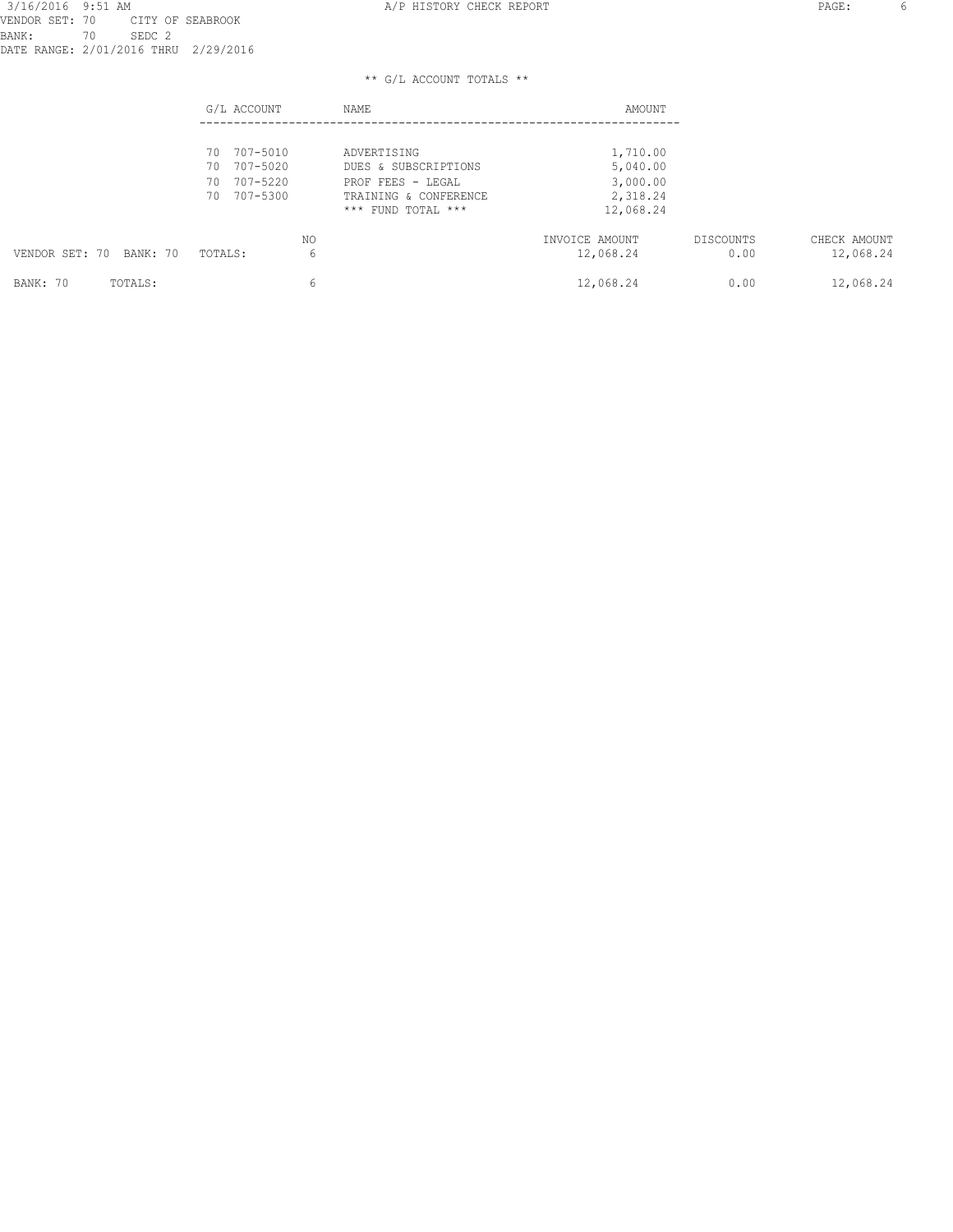|                         | G/L ACCOUNT                                                    |          | NAME                                                                                                    | AMOUNT                                                    |                   |                           |
|-------------------------|----------------------------------------------------------------|----------|---------------------------------------------------------------------------------------------------------|-----------------------------------------------------------|-------------------|---------------------------|
|                         | 707-5010<br>70<br>70 707-5020<br>707-5220<br>70<br>70 707-5300 |          | ADVERTISING<br>DUES & SUBSCRIPTIONS<br>PROF FEES - LEGAL<br>TRAINING & CONFERENCE<br>*** FUND TOTAL *** | 1,710.00<br>5,040.00<br>3,000.00<br>2,318.24<br>12,068.24 |                   |                           |
| VENDOR SET: 70 BANK: 70 | TOTALS:                                                        | NO.<br>6 |                                                                                                         | INVOICE AMOUNT<br>12,068.24                               | DISCOUNTS<br>0.00 | CHECK AMOUNT<br>12,068.24 |
| BANK: 70<br>TOTALS:     |                                                                | 6        |                                                                                                         | 12,068.24                                                 | 0.00              | 12,068.24                 |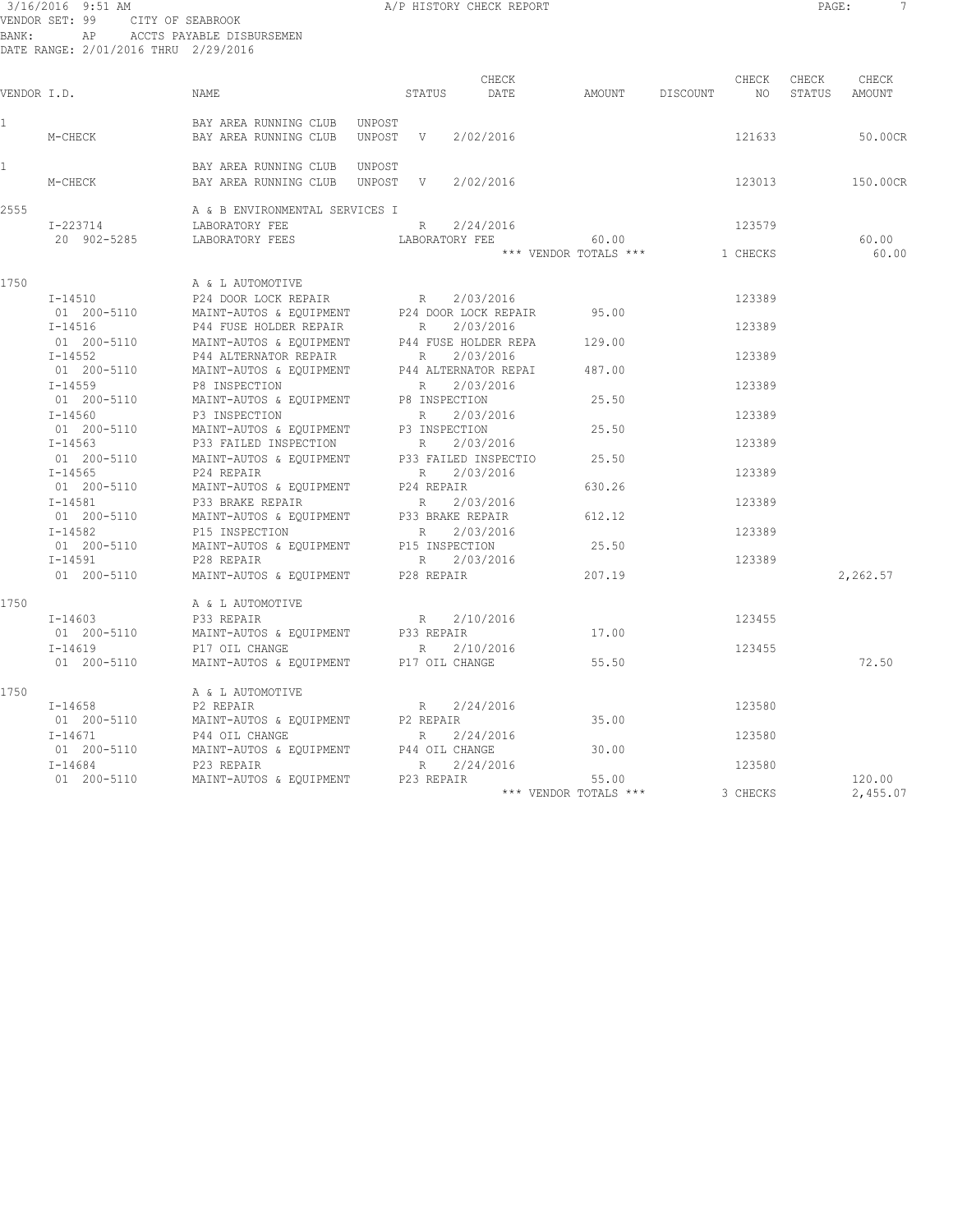#### 3/16/2016 9:51 AM **A**/P HISTORY CHECK REPORT **PAGE:** 7 VENDOR SET: 99 CITY OF SEABROOK BANK: AP ACCTS PAYABLE DISBURSEMEN DATE RANGE: 2/01/2016 THRU 2/29/2016

CHECK CHECK CHECK CHECK CHECK<br>DATE AMOUNT DISCOUNT NO STATUS AMOUNT VENDOR I.D. NAME STATUS DATE AMOUNT DISCOUNT NO STATUS AMOUNT 1 BAY AREA RUNNING CLUB UNPOST M-CHECK BAY AREA RUNNING CLUB UNPOST V 2/02/2016 121633 50.00CR 1 BAY AREA RUNNING CLUB UNPOST M-CHECK BAY AREA RUNNING CLUB UNPOST V 2/02/2016 123013 150.00CR 2555 A & B ENVIRONMENTAL SERVICES I <a><br>I-223714 LABORATORY FEE I-223714 LABORATORY FEE R 2/24/2016 123579 20 902-5285 LABORATORY FEES LABORATORY FEE 60.00 60.00 \*\*\* VENDOR TOTALS \*\*\* 1 CHECKS 1750 **A** & L AUTOMOTIVE I-14510 P24 DOOR LOCK REPAIR R 2/03/2016 123389 01 200-5110 MAINT-AUTOS & EQUIPMENT P24 DOOR LOCK REPAIR 95.00 I-14516 P44 FUSE HOLDER REPAIR R 2/03/2016 123389 01 200-5110 MAINT-AUTOS & EQUIPMENT P44 FUSE HOLDER REPA 129.00 I-14552 P44 ALTERNATOR REPAIR R 2/03/2016 123389 01 200-5110 MAINT-AUTOS & EQUIPMENT P44 ALTERNATOR REPAI 487.00 I-14559 P8 INSPECTION R 2/03/2016 123389 01 200-5110 MAINT-AUTOS & EQUIPMENT P8 INSPECTION 25.50 I-14560 P3 INSPECTION R 2/03/2016 123389 01 200-5110 MAINT-AUTOS & EQUIPMENT P3 INSPECTION 25.50 I-14563 P33 FAILED INSPECTION R 2/03/2016 123389 01 200-5110 MAINT-AUTOS & EQUIPMENT P33 FAILED INSPECTIO 25.50 I-14565 P24 REPAIR R 2/03/2016 123389 01 200-5110 MAINT-AUTOS & EQUIPMENT P24 REPAIR 630.26 I-14581 P33 BRAKE REPAIR R 2/03/2016 123389 01 200-5110 MAINT-AUTOS & EQUIPMENT P33 BRAKE REPAIR 612.12 I-14582 P15 INSPECTION R 2/03/2016 123389 01 200-5110 MAINT-AUTOS & EQUIPMENT P15 INSPECTION 25.50 I-14591 P28 REPAIR R 2/03/2016 123389 01 200-5110 MAINT-AUTOS & EQUIPMENT P28 REPAIR 207.19 2,262.57 1750 <br>1-14603 <br>233 REPATR I-14603 P33 REPAIR R 2/10/2016 123455 01 200-5110 MAINT-AUTOS & EQUIPMENT P33 REPAIR 17.00 I-14619 P17 OIL CHANGE R 2/10/2016 123455 01 200-5110 MAINT-AUTOS & EQUIPMENT P17 OIL CHANGE 55.50 72.50 1750 A & L AUTOMOTIVE I-14658 P2 REPAIR R 2/24/2016 R 20216 123580 R 200-5110 123580 01 200-5110 MAINT-AUTOS & EQUIPMENT P2 REPAIR 35.00 I-14671 P44 OIL CHANGE R 2/24/2016 123580 01 200-5110 MAINT-AUTOS & EQUIPMENT P44 OIL CHANGE 30.00 I-14684 P23 REPAIR R 2/24/2016 123580 01 200-5110 MAINT-AUTOS & EQUIPMENT P23 REPAIR 55.00 120.00 \*\*\* VENDOR TOTALS \*\*\* 3 CHECKS 2,455.07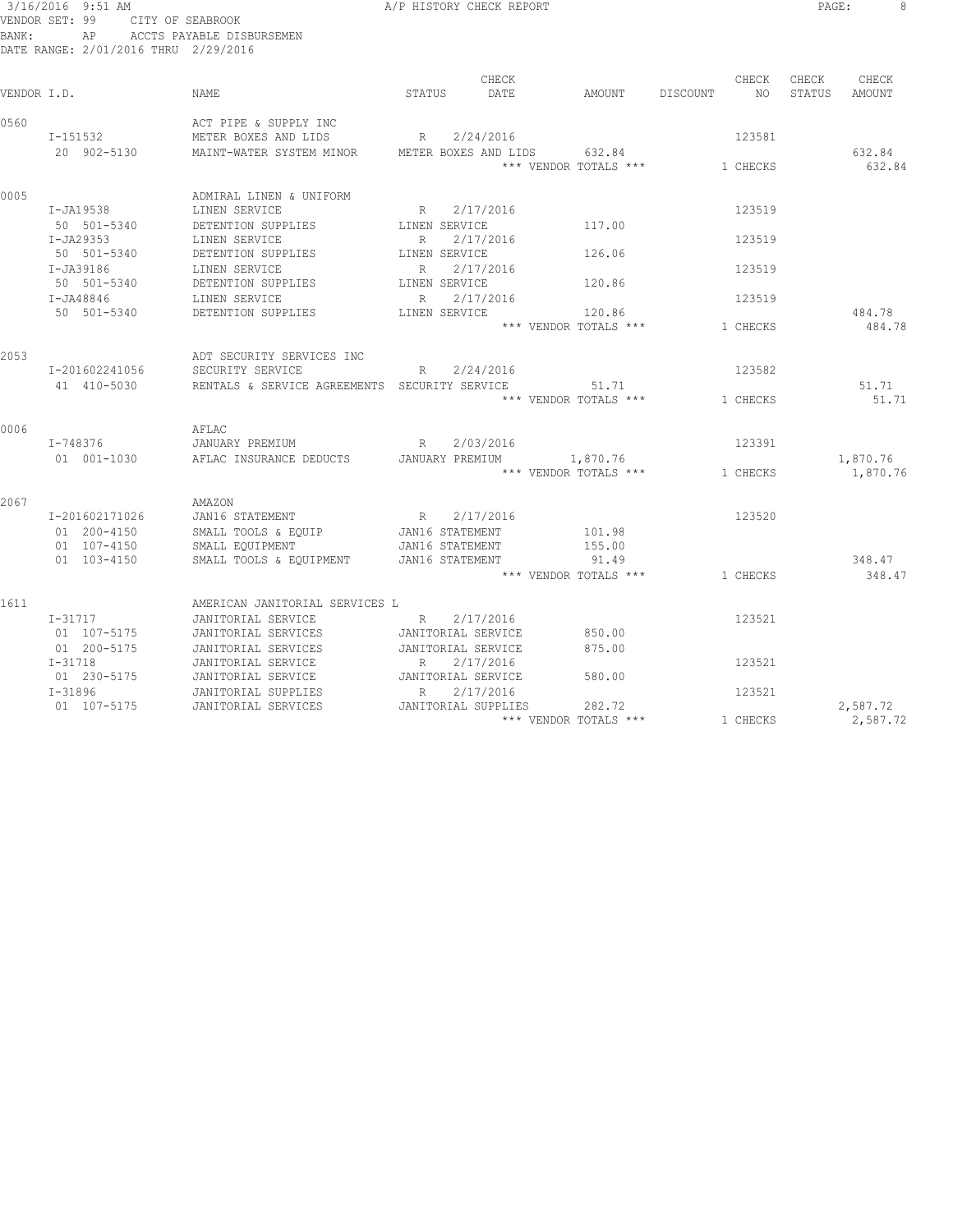#### 3/16/2016 9:51 AM A/P HISTORY CHECK REPORT PAGE: 8 VENDOR SET: 99 CITY OF SEABROOK BANK: AP ACCTS PAYABLE DISBURSEMEN DATE RANGE: 2/01/2016 THRU 2/29/2016

| VENDOR I.D. |                                                                                                   | NAME                                                                                                                                                                                         | CHECK<br>DATE<br>STATUS                                                                                                                     | AMOUNT                                                        | DISCOUNT | CHECK<br>NO.                           | CHECK<br>STATUS | CHECK<br>AMOUNT      |
|-------------|---------------------------------------------------------------------------------------------------|----------------------------------------------------------------------------------------------------------------------------------------------------------------------------------------------|---------------------------------------------------------------------------------------------------------------------------------------------|---------------------------------------------------------------|----------|----------------------------------------|-----------------|----------------------|
| 0560        | I-151532<br>20 902-5130                                                                           | ACT PIPE & SUPPLY INC<br>METER BOXES AND LIDS<br>MAINT-WATER SYSTEM MINOR                                                                                                                    | 2/24/2016<br>R<br>METER BOXES AND LIDS                                                                                                      | 632.84<br>*** VENDOR TOTALS ***                               |          | 123581<br>1 CHECKS                     |                 | 632.84<br>632.84     |
| 0005        | I-JA19538<br>50 501-5340<br>I-JA29353<br>50 501-5340<br>I-JA39186                                 | ADMIRAL LINEN & UNIFORM<br>LINEN SERVICE<br>DETENTION SUPPLIES<br>LINEN SERVICE<br>DETENTION SUPPLIES<br>LINEN SERVICE                                                                       | 2/17/2016<br>R<br>LINEN SERVICE<br>2/17/2016<br>$R_{\parallel}$<br>LINEN SERVICE<br>R<br>2/17/2016                                          | 117.00<br>126.06                                              |          | 123519<br>123519<br>123519             |                 |                      |
|             | 50 501-5340<br>$I-JA48846$<br>50 501-5340                                                         | DETENTION SUPPLIES<br>LINEN SERVICE<br>DETENTION SUPPLIES                                                                                                                                    | LINEN SERVICE<br>2/17/2016<br>$R_{\parallel}$<br>LINEN SERVICE                                                                              | 120.86<br>120.86<br>*** VENDOR TOTALS ***                     |          | 123519<br>1 CHECKS                     |                 | 484.78<br>484.78     |
| 2053        | I-201602241056<br>41 410-5030                                                                     | ADT SECURITY SERVICES INC<br>SECURITY SERVICE<br>RENTALS & SERVICE AGREEMENTS SECURITY SERVICE                                                                                               | 2/24/2016<br>R                                                                                                                              | 51.71<br>*** VENDOR TOTALS ***                                |          | 123582<br>1 CHECKS                     |                 | 51.71<br>51.71       |
| 0006        | I-748376<br>01 001-1030                                                                           | AFLAC<br>JANUARY PREMIUM<br>AFLAC INSURANCE DEDUCTS                                                                                                                                          | 2/03/2016<br>R<br>JANUARY PREMIUM                                                                                                           | 1,870.76<br>*** VENDOR TOTALS ***                             |          | 123391<br>1 CHECKS                     |                 | 1,870.76<br>1,870.76 |
| 2067        | I-201602171026<br>01 200-4150<br>01 107-4150<br>01 103-4150                                       | AMAZON<br>JAN16 STATEMENT<br>SMALL TOOLS & EQUIP<br>SMALL EQUIPMENT<br>SMALL TOOLS & EQUIPMENT                                                                                               | 2/17/2016<br>R<br>JAN16 STATEMENT<br>JAN16 STATEMENT<br>JAN16 STATEMENT                                                                     | 101.98<br>155.00<br>91.49<br>*** VENDOR TOTALS ***            |          | 123520<br>1 CHECKS                     |                 | 348.47<br>348.47     |
| 1611        | I-31717<br>01 107-5175<br>01 200-5175<br>$I - 31718$<br>01 230-5175<br>$I - 31896$<br>01 107-5175 | AMERICAN JANITORIAL SERVICES L<br>JANITORIAL SERVICE<br>JANITORIAL SERVICES<br>JANITORIAL SERVICES<br>JANITORIAL SERVICE<br>JANITORIAL SERVICE<br>JANITORIAL SUPPLIES<br>JANITORIAL SERVICES | 2/17/2016<br>R<br>JANITORIAL SERVICE<br>JANITORIAL SERVICE<br>R<br>2/17/2016<br>JANITORIAL SERVICE<br>2/17/2016<br>R<br>JANITORIAL SUPPLIES | 850.00<br>875.00<br>580.00<br>282.72<br>*** VENDOR TOTALS *** |          | 123521<br>123521<br>123521<br>1 CHECKS |                 | 2,587.72<br>2,587.72 |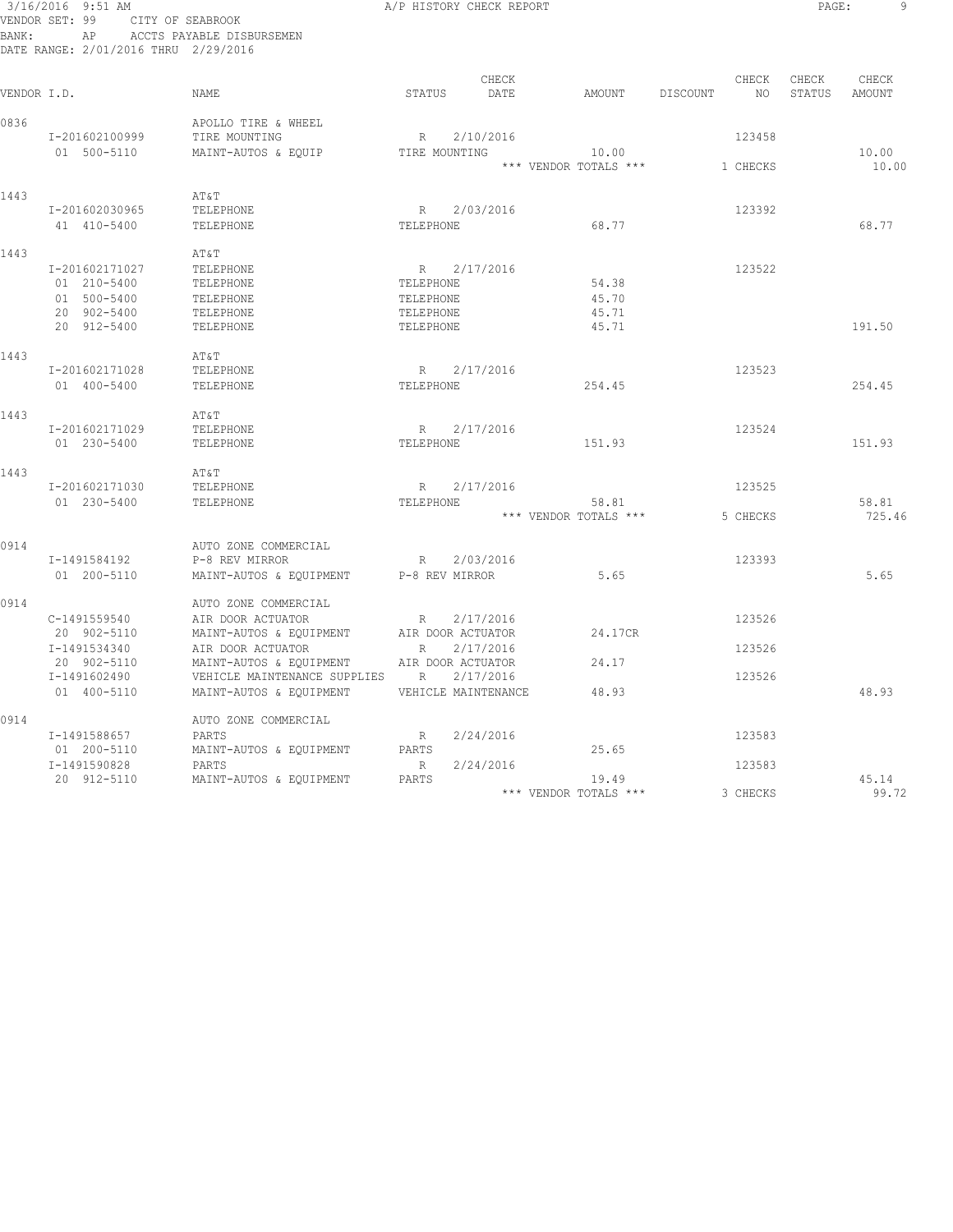#### 3/16/2016 9:51 AM **A/P HISTORY CHECK REPORT PAGE:** 9 VENDOR SET: 99 CITY OF SEABROOK BANK: AP ACCTS PAYABLE DISBURSEMEN DATE RANGE: 2/01/2016 THRU 2/29/2016

CHECK CHECK CHECK CHECK CHECK CHECK CHECK CHECK CHECK CHECK CHECK CHECK CHECK CHECK CHECK AMOUNT VENDOR I.D. NAME STATUS DATE AMOUNT DISCOUNT NO STATUS AMOUNT 0836 **APOLLO TIRE & WHEEL**  I-201602100999 TIRE MOUNTING R 2/10/2016 123458 01 500-5110 MAINT-AUTOS & EQUIP TIRE MOUNTING 10.00 10.00 10.00 \*\*\* VENDOR TOTALS \*\*\* 1 CHECKS 10.00 1443 AT&T I-201602030965 TELEPHONE R 2/03/2016 123392 41 410-5400 TELEPHONE TELEPHONE 68.77 68.77 1443 AT&T I-201602171027 TELEPHONE R 2/17/2016 123522 01 210-5400 TELEPHONE TELEPHONE TELEPHONE 54.38 01 500-5400 TELEPHONE TELEPHONE TELEPHONE 45.70 20 902-5400 TELEPHONE TELEPHONE 45.71 20 912-5400 TELEPHONE TELERTONE TELEPHONE 45.71 191.50 1443 AT&T I-201602171028 TELEPHONE R 2/17/2016 123523 01 400-5400 TELEPHONE TELEPHONE 254.45 254.45 1443 AT&T I-201602171029 TELEPHONE R 2/17/2016 123524 01 230–5400 TELEPHONE TELEPHONE TELEPHONE TELEPHONE 151.93 1443 AT&T<br>
1-201602171030 TELEPHONE<br>
200615100 TELEPHONE I-201602171030 TELEPHONE R 2/17/2016 123525 01 230–5400 TELEPHONE TELEPHONE TELEPHONE 58.81 58.81 58.81 \*\*\* VENDOR TOTALS \*\*\* 5 CHECKS 725.46 0914 AUTO ZONE COMMERCIAL I-1491584192 P-8 REV MIRROR R 2/03/2016 123393 01 200-5110 MAINT-AUTOS & EQUIPMENT P-8 REV MIRROR 5.65 5.65 0914 Quantitative AUTO ZONE COMMERCIAL C-1491559540 AIR DOOR ACTUATOR R 2/17/2016 123526 20 902-5110 MAINT-AUTOS & EQUIPMENT AIR DOOR ACTUATOR 24.17CR I-1491534340 AIR DOOR ACTUATOR R 2/17/2016 123526 20 902-5110 MAINT-AUTOS & EQUIPMENT AIR DOOR ACTUATOR 24.17 I-1491602490 VEHICLE MAINTENANCE SUPPLIES R 2/17/2016 123526 01 400-5110 MAINT-AUTOS & EQUIPMENT VEHICLE MAINTENANCE 48.93 48.93 0914 AUTO ZONE COMMERCIAL I-1491588657 PARTS R 2/24/2016 123583 01 200-5110 MAINT-AUTOS & EQUIPMENT PARTS 25.65 I-1491590828 PARTS R 2/24/2016 123583 20 912-5110 MAINT-AUTOS & EQUIPMENT PARTS 19.49 45.14 \*\*\* VENDOR TOTALS \*\*\* 3 CHECKS 99.72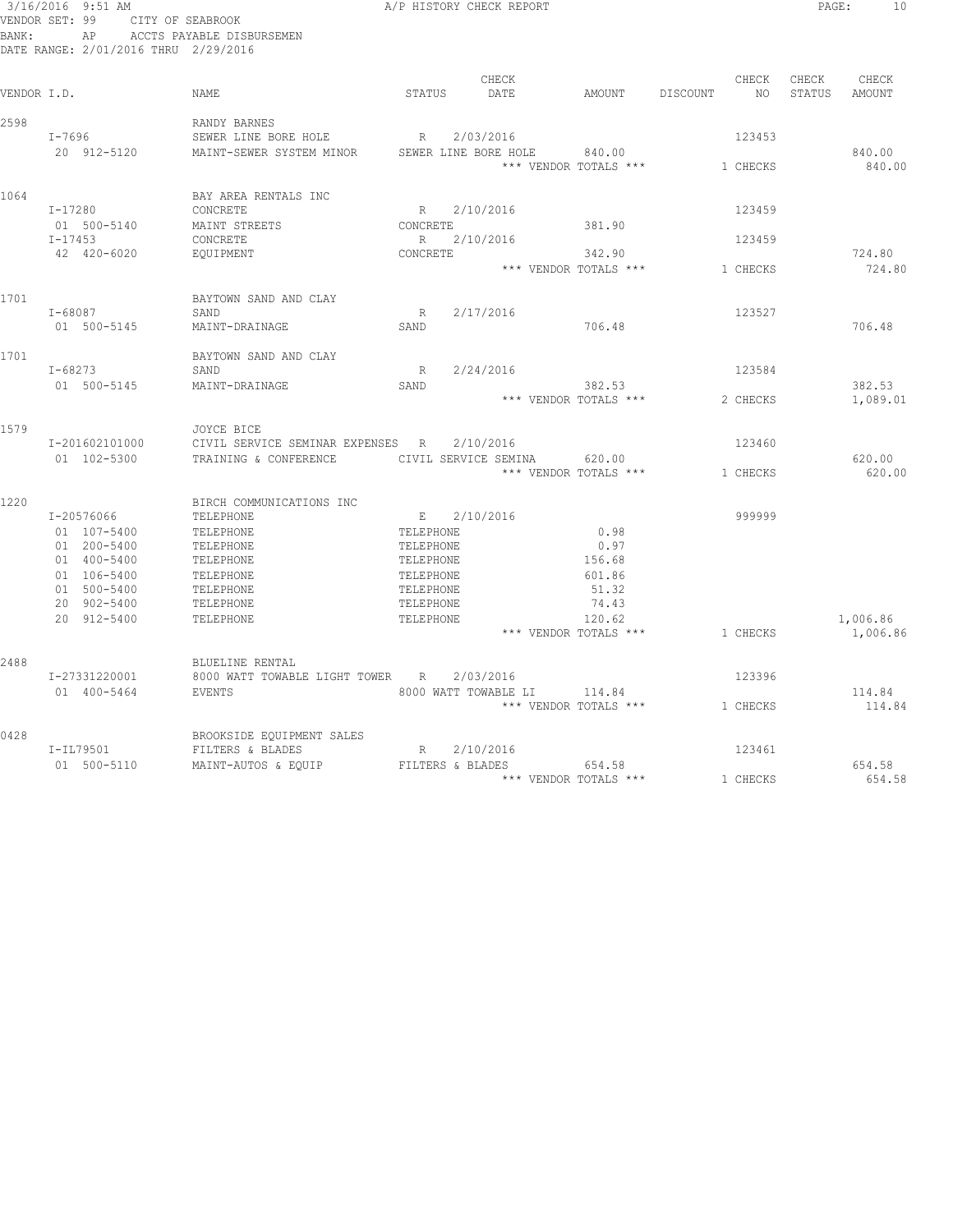3/16/2016 9:51 AM A/P HISTORY CHECK REPORT PAGE: 10 VENDOR SET: 99 CITY OF SEABROOK BANK: AP ACCTS PAYABLE DISBURSEMEN DATE RANGE: 2/01/2016 THRU 2/29/2016

| VENDOR I.D. |                                                                                                                     | NAME                                                                                                                             | STATUS                                                                                       | CHECK<br>DATE          | AMOUNT                                                                                | DISCOUNT | CHECK<br>NO.                 | CHECK<br>STATUS | CHECK<br>AMOUNT      |
|-------------|---------------------------------------------------------------------------------------------------------------------|----------------------------------------------------------------------------------------------------------------------------------|----------------------------------------------------------------------------------------------|------------------------|---------------------------------------------------------------------------------------|----------|------------------------------|-----------------|----------------------|
| 2598        | $I - 7696$<br>20 912-5120                                                                                           | RANDY BARNES<br>SEWER LINE BORE HOLE<br>MAINT-SEWER SYSTEM MINOR                                                                 | R<br>SEWER LINE BORE HOLE                                                                    | 2/03/2016              | 840.00<br>*** VENDOR TOTALS ***                                                       |          | 123453<br>1 CHECKS           |                 | 840.00<br>840.00     |
| 1064        | I-17280<br>01 500-5140<br>$I - 17453$<br>42 420-6020                                                                | BAY AREA RENTALS INC<br>CONCRETE<br>MAINT STREETS<br>CONCRETE<br>EQUIPMENT                                                       | R<br>CONCRETE<br>R<br>CONCRETE                                                               | 2/10/2016<br>2/10/2016 | 381.90<br>342.90<br>*** VENDOR TOTALS ***                                             |          | 123459<br>123459<br>1 CHECKS |                 | 724.80<br>724.80     |
| 1701        | I-68087<br>01 500-5145                                                                                              | BAYTOWN SAND AND CLAY<br>SAND<br>MAINT-DRAINAGE                                                                                  | R<br>SAND                                                                                    | 2/17/2016              | 706.48                                                                                |          | 123527                       |                 | 706.48               |
| 1701        | $I - 68273$<br>01 500-5145                                                                                          | BAYTOWN SAND AND CLAY<br>SAND<br>MAINT-DRAINAGE                                                                                  | R<br>SAND                                                                                    | 2/24/2016              | 382.53<br>*** VENDOR TOTALS ***                                                       |          | 123584<br>2 CHECKS           |                 | 382.53<br>1,089.01   |
| 1579        | I-201602101000<br>01 102-5300                                                                                       | JOYCE BICE<br>CIVIL SERVICE SEMINAR EXPENSES R<br>TRAINING & CONFERENCE                                                          | CIVIL SERVICE SEMINA                                                                         | 2/10/2016              | 620.00<br>*** VENDOR TOTALS ***                                                       |          | 123460<br>1 CHECKS           |                 | 620.00<br>620.00     |
| 1220        | I-20576066<br>01 107-5400<br>01 200-5400<br>01 400-5400<br>01 106-5400<br>01 500-5400<br>20 902-5400<br>20 912-5400 | BIRCH COMMUNICATIONS INC<br>TELEPHONE<br>TELEPHONE<br>TELEPHONE<br>TELEPHONE<br>TELEPHONE<br>TELEPHONE<br>TELEPHONE<br>TELEPHONE | E<br>TELEPHONE<br>TELEPHONE<br>TELEPHONE<br>TELEPHONE<br>TELEPHONE<br>TELEPHONE<br>TELEPHONE | 2/10/2016              | 0.98<br>0.97<br>156.68<br>601.86<br>51.32<br>74.43<br>120.62<br>*** VENDOR TOTALS *** |          | 999999<br>1 CHECKS           |                 | 1,006.86<br>1,006.86 |
| 2488        | I-27331220001<br>01 400-5464                                                                                        | BLUELINE RENTAL<br>8000 WATT TOWABLE LIGHT TOWER<br><b>EVENTS</b>                                                                | R<br>8000 WATT TOWABLE LI                                                                    | 2/03/2016              | 114.84<br>*** VENDOR TOTALS ***                                                       |          | 123396<br>1 CHECKS           |                 | 114.84<br>114.84     |
| 0428        | I-IL79501<br>01 500-5110                                                                                            | BROOKSIDE EQUIPMENT SALES<br>FILTERS & BLADES<br>MAINT-AUTOS & EQUIP                                                             | R<br>FILTERS & BLADES                                                                        | 2/10/2016              | 654.58<br>*** VENDOR TOTALS ***                                                       |          | 123461<br>1 CHECKS           |                 | 654.58<br>654.58     |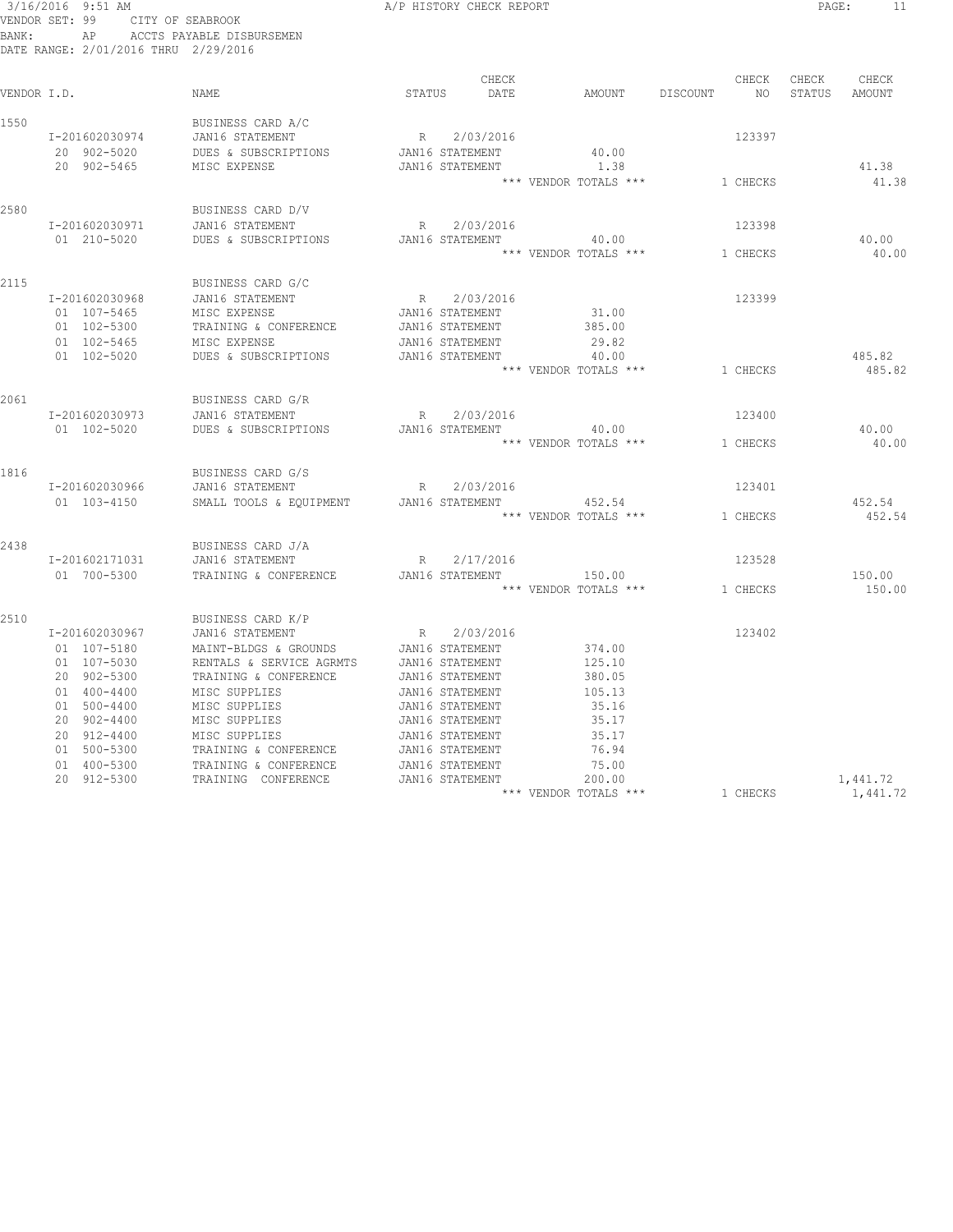#### 3/16/2016 9:51 AM A/P HISTORY CHECK REPORT PAGE: 11 VENDOR SET: 99 CITY OF SEABROOK BANK: AP ACCTS PAYABLE DISBURSEMEN DATE RANGE: 2/01/2016 THRU 2/29/2016

|             |                |                                      |                        | CHECK     |                                 |          | CHECK    | CHECK  | CHECK    |
|-------------|----------------|--------------------------------------|------------------------|-----------|---------------------------------|----------|----------|--------|----------|
| VENDOR I.D. |                | NAME                                 | STATUS                 | DATE      | AMOUNT                          | DISCOUNT | NO.      | STATUS | AMOUNT   |
| 1550        |                | BUSINESS CARD A/C                    |                        |           |                                 |          |          |        |          |
|             | I-201602030974 | JAN16 STATEMENT                      | R                      | 2/03/2016 |                                 |          | 123397   |        |          |
|             | 20 902-5020    | DUES & SUBSCRIPTIONS                 | JAN16 STATEMENT        |           | 40.00                           |          |          |        |          |
|             | 20 902-5465    | MISC EXPENSE                         | JAN16 STATEMENT        |           | 1.38                            |          |          |        | 41.38    |
|             |                |                                      |                        |           | *** VENDOR TOTALS ***           |          | 1 CHECKS |        | 41.38    |
| 2580        |                | BUSINESS CARD D/V                    |                        |           |                                 |          |          |        |          |
|             | I-201602030971 | JAN16 STATEMENT                      | R                      | 2/03/2016 |                                 |          | 123398   |        |          |
|             | 01 210-5020    | DUES & SUBSCRIPTIONS                 | JAN16 STATEMENT        |           | 40.00                           |          |          |        | 40.00    |
|             |                |                                      |                        |           | *** VENDOR TOTALS ***           |          | 1 CHECKS |        | 40.00    |
| 2115        |                | BUSINESS CARD G/C                    |                        |           |                                 |          |          |        |          |
|             | I-201602030968 | JAN16 STATEMENT                      | R                      | 2/03/2016 |                                 |          | 123399   |        |          |
|             | 01 107-5465    | MISC EXPENSE                         | <b>JAN16 STATEMENT</b> |           | 31.00                           |          |          |        |          |
|             | 01 102-5300    | TRAINING & CONFERENCE                | JAN16 STATEMENT        |           | 385.00                          |          |          |        |          |
|             | 01 102-5465    | MISC EXPENSE                         | JAN16 STATEMENT        |           | 29.82                           |          |          |        |          |
|             | 01 102-5020    | DUES & SUBSCRIPTIONS                 | JAN16 STATEMENT        |           | 40.00                           |          |          |        | 485.82   |
|             |                |                                      |                        |           | *** VENDOR TOTALS ***           |          | 1 CHECKS |        | 485.82   |
|             |                |                                      |                        |           |                                 |          |          |        |          |
| 2061        |                | BUSINESS CARD G/R                    |                        |           |                                 |          |          |        |          |
|             | I-201602030973 | <b>JAN16 STATEMENT</b>               | R                      | 2/03/2016 |                                 |          | 123400   |        |          |
|             | 01 102-5020    | DUES & SUBSCRIPTIONS                 | JAN16 STATEMENT        |           | 40.00                           |          |          |        | 40.00    |
|             |                |                                      |                        |           | *** VENDOR TOTALS ***           |          | 1 CHECKS |        | 40.00    |
| 1816        |                | BUSINESS CARD G/S                    |                        |           |                                 |          |          |        |          |
|             | I-201602030966 | JAN16 STATEMENT                      | R                      | 2/03/2016 |                                 |          | 123401   |        |          |
|             | 01 103-4150    | SMALL TOOLS & EQUIPMENT              | JAN16 STATEMENT        |           | 452.54                          |          |          |        | 452.54   |
|             |                |                                      |                        |           | *** VENDOR TOTALS ***           |          | 1 CHECKS |        | 452.54   |
|             |                |                                      |                        |           |                                 |          |          |        |          |
| 2438        | I-201602171031 | BUSINESS CARD J/A<br>JAN16 STATEMENT | R                      | 2/17/2016 |                                 |          | 123528   |        |          |
|             | 01 700-5300    |                                      |                        |           |                                 |          |          |        | 150.00   |
|             |                | TRAINING & CONFERENCE                | JAN16 STATEMENT        |           | 150.00<br>*** VENDOR TOTALS *** |          | 1 CHECKS |        | 150.00   |
|             |                |                                      |                        |           |                                 |          |          |        |          |
| 2510        |                | BUSINESS CARD K/P                    |                        |           |                                 |          |          |        |          |
|             | I-201602030967 | JAN16 STATEMENT                      | R                      | 2/03/2016 |                                 |          | 123402   |        |          |
|             | 01 107-5180    | MAINT-BLDGS & GROUNDS                | JAN16 STATEMENT        |           | 374.00                          |          |          |        |          |
|             | 01 107-5030    | RENTALS & SERVICE AGRMTS             | JAN16 STATEMENT        |           | 125.10                          |          |          |        |          |
|             | 20 902-5300    | TRAINING & CONFERENCE                | JAN16 STATEMENT        |           | 380.05                          |          |          |        |          |
|             | 01 400-4400    | MISC SUPPLIES                        | <b>JAN16 STATEMENT</b> |           | 105.13                          |          |          |        |          |
|             | 01 500-4400    | MISC SUPPLIES                        | JAN16 STATEMENT        |           | 35.16                           |          |          |        |          |
|             | 20 902-4400    | MISC SUPPLIES                        | JAN16 STATEMENT        |           | 35.17                           |          |          |        |          |
|             | 20 912-4400    | MISC SUPPLIES                        | <b>JAN16 STATEMENT</b> |           | 35.17                           |          |          |        |          |
|             | 01 500-5300    | TRAINING & CONFERENCE                | JAN16 STATEMENT        |           | 76.94                           |          |          |        |          |
|             | 01 400-5300    | TRAINING & CONFERENCE                | <b>JAN16 STATEMENT</b> |           | 75.00                           |          |          |        |          |
|             | 20<br>912-5300 | TRAINING CONFERENCE                  | JAN16 STATEMENT        |           | 200.00                          |          |          |        | 1,441.72 |
|             |                |                                      |                        |           | *** VENDOR TOTALS ***           |          | 1 CHECKS |        | 1,441.72 |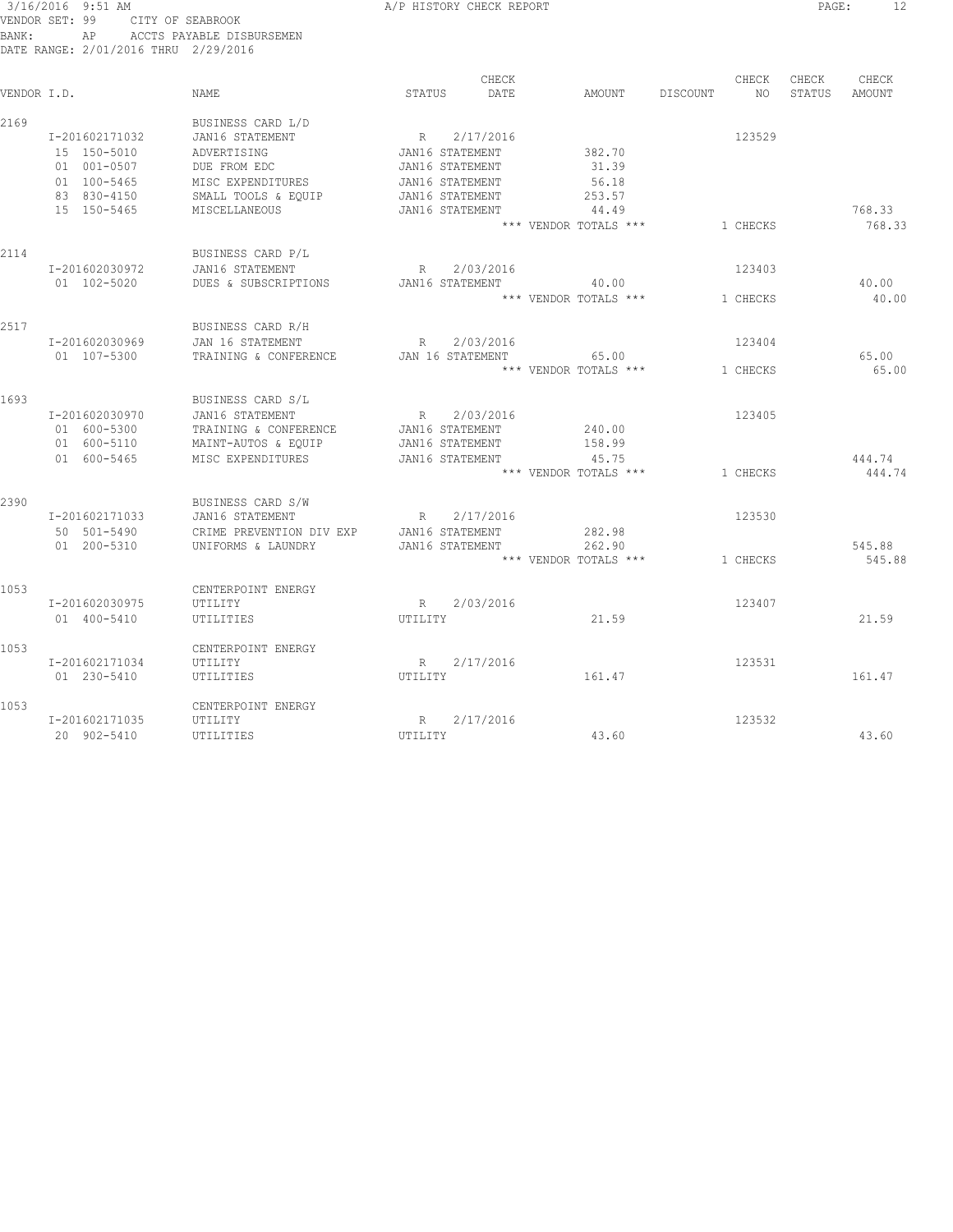#### 3/16/2016 9:51 AM A/P HISTORY CHECK REPORT PAGE: 12 VENDOR SET: 99 CITY OF SEABROOK BANK: AP ACCTS PAYABLE DISBURSEMEN DATE RANGE: 2/01/2016 THRU 2/29/2016

|             |                |                          | CHECK            |                       |          | CHECK    | CHECK  | CHECK         |
|-------------|----------------|--------------------------|------------------|-----------------------|----------|----------|--------|---------------|
| VENDOR I.D. |                | <b>NAME</b>              | DATE<br>STATUS   | AMOUNT                | DISCOUNT | NO.      | STATUS | <b>AMOUNT</b> |
| 2169        |                | BUSINESS CARD L/D        |                  |                       |          |          |        |               |
|             | I-201602171032 | JAN16 STATEMENT          | R 2/17/2016      |                       |          | 123529   |        |               |
|             | 15 150-5010    | ADVERTISING              | JAN16 STATEMENT  | 382.70                |          |          |        |               |
|             | 01 001-0507    | DUE FROM EDC             | JAN16 STATEMENT  | 31.39                 |          |          |        |               |
|             | 01 100-5465    | MISC EXPENDITURES        | JAN16 STATEMENT  | 56.18                 |          |          |        |               |
|             | 83 830-4150    | SMALL TOOLS & EQUIP      | JAN16 STATEMENT  | 253.57                |          |          |        |               |
|             | 15 150-5465    | MISCELLANEOUS            | JAN16 STATEMENT  | 44.49                 |          |          |        | 768.33        |
|             |                |                          |                  | *** VENDOR TOTALS *** |          | 1 CHECKS |        | 768.33        |
| 2114        |                | BUSINESS CARD P/L        |                  |                       |          |          |        |               |
|             | I-201602030972 | JAN16 STATEMENT          | 2/03/2016<br>R   |                       |          | 123403   |        |               |
|             | 01 102-5020    | DUES & SUBSCRIPTIONS     | JAN16 STATEMENT  | 40.00                 |          |          |        | 40.00         |
|             |                |                          |                  | *** VENDOR TOTALS *** |          | 1 CHECKS |        | 40.00         |
| 2517        |                | BUSINESS CARD R/H        |                  |                       |          |          |        |               |
|             | I-201602030969 | JAN 16 STATEMENT         | 2/03/2016<br>R   |                       |          | 123404   |        |               |
|             | 01 107-5300    | TRAINING & CONFERENCE    | JAN 16 STATEMENT | 65.00                 |          |          |        | 65.00         |
|             |                |                          |                  | *** VENDOR TOTALS *** |          | 1 CHECKS |        | 65.00         |
|             |                |                          |                  |                       |          |          |        |               |
| 1693        |                | BUSINESS CARD S/L        |                  |                       |          |          |        |               |
|             | I-201602030970 | JAN16 STATEMENT          | 2/03/2016<br>R   |                       |          | 123405   |        |               |
|             | 01 600-5300    | TRAINING & CONFERENCE    | JAN16 STATEMENT  | 240.00                |          |          |        |               |
|             | 01 600-5110    | MAINT-AUTOS & EQUIP      | JAN16 STATEMENT  | 158.99                |          |          |        |               |
|             | 01 600-5465    | MISC EXPENDITURES        | JAN16 STATEMENT  | 45.75                 |          |          |        | 444.74        |
|             |                |                          |                  | *** VENDOR TOTALS *** |          | 1 CHECKS |        | 444.74        |
| 2390        |                | BUSINESS CARD S/W        |                  |                       |          |          |        |               |
|             | I-201602171033 | JAN16 STATEMENT          | R 2/17/2016      |                       |          | 123530   |        |               |
|             | 50 501-5490    | CRIME PREVENTION DIV EXP | JAN16 STATEMENT  | 282.98                |          |          |        |               |
|             | 01 200-5310    | UNIFORMS & LAUNDRY       | JAN16 STATEMENT  | 262.90                |          |          |        | 545.88        |
|             |                |                          |                  | *** VENDOR TOTALS *** |          | 1 CHECKS |        | 545.88        |
| 1053        |                | CENTERPOINT ENERGY       |                  |                       |          |          |        |               |
|             | I-201602030975 | UTILITY                  | 2/03/2016<br>R   |                       |          | 123407   |        |               |
|             | 01 400-5410    | UTILITIES                | UTILITY          | 21.59                 |          |          |        | 21.59         |
|             |                |                          |                  |                       |          |          |        |               |
| 1053        |                | CENTERPOINT ENERGY       |                  |                       |          |          |        |               |
|             | I-201602171034 | UTILITY                  | 2/17/2016<br>R   |                       |          | 123531   |        |               |
|             | 01 230-5410    | UTILITIES                | UTILITY          | 161.47                |          |          |        | 161.47        |
| 1053        |                | CENTERPOINT ENERGY       |                  |                       |          |          |        |               |
|             | I-201602171035 | UTILITY                  | 2/17/2016<br>R   |                       |          | 123532   |        |               |
|             | 20 902-5410    | UTILITIES                | UTILITY          | 43.60                 |          |          |        | 43.60         |
|             |                |                          |                  |                       |          |          |        |               |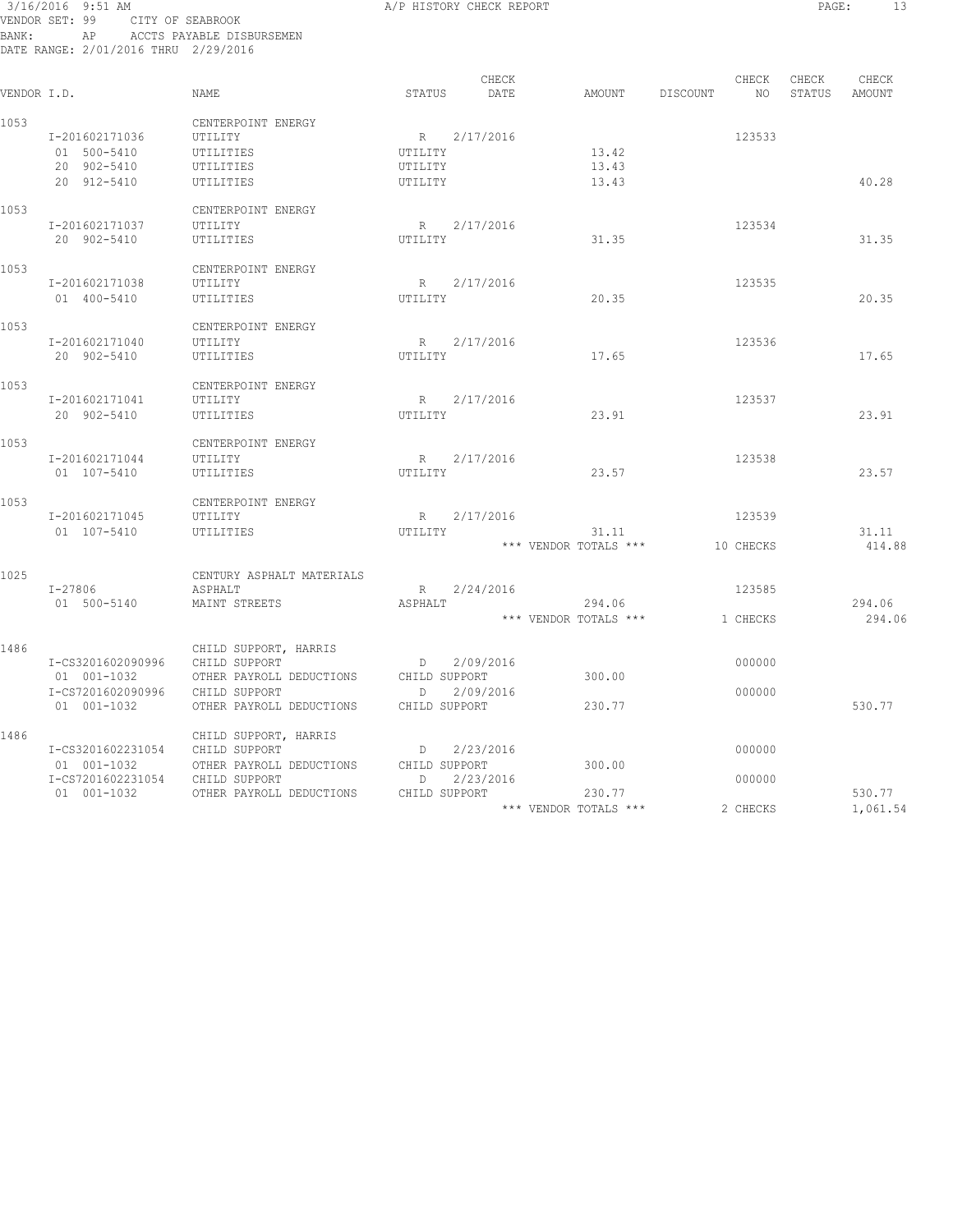#### 3/16/2016 9:51 AM A/P HISTORY CHECK REPORT PAGE: 13 VENDOR SET: 99 CITY OF SEABROOK BANK: AP ACCTS PAYABLE DISBURSEMEN DATE RANGE: 2/01/2016 THRU 2/29/2016

| VENDOR I.D. |                                  | <b>NAME</b>                               | <b>STATUS</b>      | CHECK<br>DATE | AMOUNT                         | DISCOUNT | CHECK<br>NO | CHECK<br>STATUS | CHECK<br>AMOUNT |
|-------------|----------------------------------|-------------------------------------------|--------------------|---------------|--------------------------------|----------|-------------|-----------------|-----------------|
| 1053        |                                  | CENTERPOINT ENERGY                        |                    |               |                                |          |             |                 |                 |
|             | I-201602171036                   | UTILITY                                   | R                  | 2/17/2016     |                                |          | 123533      |                 |                 |
|             | 01 500-5410                      | UTILITIES                                 | UTILITY            |               | 13.42                          |          |             |                 |                 |
|             | 20 902-5410                      | UTILITIES                                 | UTILITY            |               | 13.43                          |          |             |                 |                 |
|             | 20 912-5410                      | UTILITIES                                 | UTILITY            |               | 13.43                          |          |             |                 | 40.28           |
| 1053        |                                  | CENTERPOINT ENERGY                        |                    |               |                                |          |             |                 |                 |
|             | I-201602171037                   | UTILITY                                   | R                  | 2/17/2016     |                                |          | 123534      |                 |                 |
|             | 20 902-5410                      | UTILITIES                                 | UTILITY            |               | 31.35                          |          |             |                 | 31.35           |
| 1053        |                                  | CENTERPOINT ENERGY                        |                    |               |                                |          |             |                 |                 |
|             | I-201602171038                   | UTILITY                                   | R                  | 2/17/2016     |                                |          | 123535      |                 |                 |
|             | 01 400-5410                      | UTILITIES                                 | UTILITY            |               | 20.35                          |          |             |                 | 20.35           |
| 1053        |                                  | CENTERPOINT ENERGY                        |                    |               |                                |          |             |                 |                 |
|             | I-201602171040                   | UTILITY                                   | R                  | 2/17/2016     |                                |          | 123536      |                 |                 |
|             | 20 902-5410                      | UTILITIES                                 | UTILITY            |               | 17.65                          |          |             |                 | 17.65           |
| 1053        |                                  | CENTERPOINT ENERGY                        |                    |               |                                |          |             |                 |                 |
|             | I-201602171041                   | UTILITY                                   | R                  | 2/17/2016     |                                |          | 123537      |                 |                 |
|             | 20 902-5410                      | UTILITIES                                 | UTILITY            |               | 23.91                          |          |             |                 | 23.91           |
| 1053        |                                  | CENTERPOINT ENERGY                        |                    |               |                                |          |             |                 |                 |
|             | I-201602171044                   | UTILITY                                   | R                  | 2/17/2016     |                                |          | 123538      |                 |                 |
|             | 01 107-5410                      | UTILITIES                                 | UTILITY            |               | 23.57                          |          |             |                 | 23.57           |
| 1053        |                                  | CENTERPOINT ENERGY                        |                    |               |                                |          |             |                 |                 |
|             | I-201602171045                   | UTILITY                                   | R                  | 2/17/2016     |                                |          | 123539      |                 |                 |
|             | 01 107-5410                      | UTILITIES                                 | UTILITY            |               | 31.11<br>*** VENDOR TOTALS *** |          | 10 CHECKS   |                 | 31.11<br>414.88 |
|             |                                  |                                           |                    |               |                                |          |             |                 |                 |
| 1025        |                                  | CENTURY ASPHALT MATERIALS                 |                    |               |                                |          |             |                 |                 |
|             | I-27806<br>01 500-5140           | ASPHALT<br>MAINT STREETS                  | R<br>ASPHALT       | 2/24/2016     | 294.06                         |          | 123585      |                 | 294.06          |
|             |                                  |                                           |                    |               | *** VENDOR TOTALS ***          |          | 1 CHECKS    |                 | 294.06          |
|             |                                  |                                           |                    |               |                                |          |             |                 |                 |
| 1486        |                                  | CHILD SUPPORT, HARRIS                     |                    |               |                                |          |             |                 |                 |
|             | I-CS3201602090996                | CHILD SUPPORT                             | $D \qquad \qquad$  | 2/09/2016     |                                |          | 000000      |                 |                 |
|             | 01 001-1032                      | OTHER PAYROLL DEDUCTIONS                  | CHILD SUPPORT      |               | 300.00                         |          |             |                 |                 |
|             | I-CS7201602090996                | CHILD SUPPORT                             | D                  | 2/09/2016     |                                |          | 000000      |                 |                 |
|             | 01 001-1032                      | OTHER PAYROLL DEDUCTIONS                  | CHILD SUPPORT      |               | 230.77                         |          |             |                 | 530.77          |
| 1486        |                                  | CHILD SUPPORT, HARRIS                     |                    |               |                                |          |             |                 |                 |
|             | I-CS3201602231054                | CHILD SUPPORT                             | D                  | 2/23/2016     |                                |          | 000000      |                 |                 |
|             | 01 001-1032<br>I-CS7201602231054 | OTHER PAYROLL DEDUCTIONS<br>CHILD SUPPORT | CHILD SUPPORT<br>D | 2/23/2016     | 300.00                         |          | 000000      |                 |                 |
|             | 01 001-1032                      | OTHER PAYROLL DEDUCTIONS                  | CHILD SUPPORT      |               | 230.77                         |          |             |                 | 530.77          |
|             |                                  |                                           |                    |               | *** VENDOR TOTALS ***          |          | 2 CHECKS    |                 | 1,061.54        |
|             |                                  |                                           |                    |               |                                |          |             |                 |                 |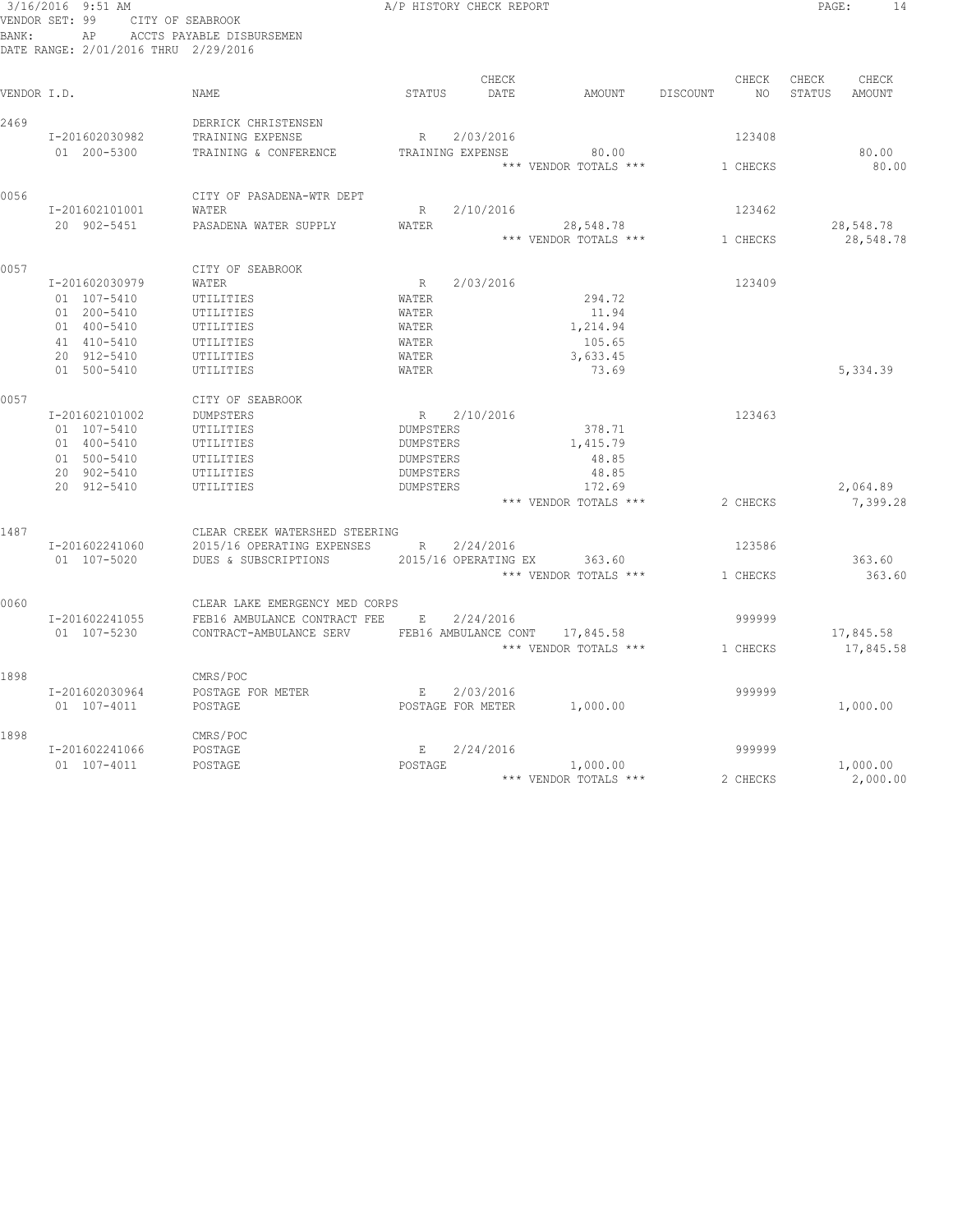| BANK:       | VENDOR SET: 99<br>ΑP                 | CITY OF SEABROOK<br>ACCTS PAYABLE DISBURSEMEN |              |                      |                                    |          |          |        |                        |
|-------------|--------------------------------------|-----------------------------------------------|--------------|----------------------|------------------------------------|----------|----------|--------|------------------------|
|             | DATE RANGE: 2/01/2016 THRU 2/29/2016 |                                               |              |                      |                                    |          |          |        |                        |
|             |                                      |                                               |              | CHECK                |                                    |          | CHECK    | CHECK  | CHECK                  |
| VENDOR I.D. |                                      | NAME                                          | STATUS       | DATE                 | AMOUNT                             | DISCOUNT | NO.      | STATUS | AMOUNT                 |
| 2469        |                                      | DERRICK CHRISTENSEN                           |              |                      |                                    |          |          |        |                        |
|             | I-201602030982                       | TRAINING EXPENSE                              | R            | 2/03/2016            |                                    |          | 123408   |        |                        |
|             | 01 200-5300                          | TRAINING & CONFERENCE                         |              | TRAINING EXPENSE     | 80.00<br>*** VENDOR TOTALS ***     |          | 1 CHECKS |        | 80.00<br>80.00         |
| 0056        |                                      | CITY OF PASADENA-WTR DEPT                     |              |                      |                                    |          |          |        |                        |
|             | I-201602101001                       | WATER                                         | R            | 2/10/2016            |                                    |          | 123462   |        |                        |
|             | 20 902-5451                          | PASADENA WATER SUPPLY                         | WATER        |                      | 28,548.78<br>*** VENDOR TOTALS *** |          | 1 CHECKS |        | 28,548.78<br>28,548.78 |
| 0057        |                                      | CITY OF SEABROOK                              |              |                      |                                    |          |          |        |                        |
|             | I-201602030979                       | WATER                                         | R            | 2/03/2016            |                                    |          | 123409   |        |                        |
|             | 01 107-5410                          | UTILITIES                                     | WATER        |                      | 294.72                             |          |          |        |                        |
|             | 01 200-5410                          | UTILITIES                                     | WATER        |                      | 11.94                              |          |          |        |                        |
|             | 01 400-5410                          | UTILITIES                                     | <b>WATER</b> |                      | 1,214.94                           |          |          |        |                        |
|             | 41 410-5410                          | UTILITIES                                     | WATER        |                      | 105.65                             |          |          |        |                        |
|             | 20 912-5410                          | UTILITIES                                     | <b>WATER</b> |                      | 3,633.45                           |          |          |        |                        |
|             | 01 500-5410                          | UTILITIES                                     | <b>WATER</b> |                      | 73.69                              |          |          |        | 5,334.39               |
| 0057        |                                      | CITY OF SEABROOK                              |              |                      |                                    |          |          |        |                        |
|             | I-201602101002                       | DUMPSTERS                                     | R            | 2/10/2016            |                                    |          | 123463   |        |                        |
|             | 01 107-5410                          | UTILITIES                                     | DUMPSTERS    |                      | 378.71                             |          |          |        |                        |
|             | 01 400-5410                          | UTILITIES                                     | DUMPSTERS    |                      | 1,415.79                           |          |          |        |                        |
|             | 01 500-5410                          | UTILITIES                                     | DUMPSTERS    |                      | 48.85                              |          |          |        |                        |
|             | 20 902-5410                          | UTILITIES                                     | DUMPSTERS    |                      | 48.85                              |          |          |        |                        |
|             | 20 912-5410                          | UTILITIES                                     | DUMPSTERS    |                      | 172.69                             |          |          |        | 2,064.89               |
|             |                                      |                                               |              |                      | *** VENDOR TOTALS ***              |          | 2 CHECKS |        | 7,399.28               |
| 1487        |                                      | CLEAR CREEK WATERSHED STEERING                |              |                      |                                    |          |          |        |                        |
|             | I-201602241060                       | 2015/16 OPERATING EXPENSES                    | R            | 2/24/2016            |                                    |          | 123586   |        |                        |
|             | 01 107-5020                          | DUES & SUBSCRIPTIONS                          |              | 2015/16 OPERATING EX | 363.60                             |          |          |        | 363.60                 |
|             |                                      |                                               |              |                      | *** VENDOR TOTALS ***              |          | 1 CHECKS |        | 363.60                 |
| 0060        |                                      | CLEAR LAKE EMERGENCY MED CORPS                |              |                      |                                    |          |          |        |                        |
|             | I-201602241055                       | FEB16 AMBULANCE CONTRACT FEE                  | Ε            | 2/24/2016            |                                    |          | 999999   |        |                        |
|             | 01 107-5230                          | CONTRACT-AMBULANCE SERV                       |              |                      | FEB16 AMBULANCE CONT 17,845.58     |          |          |        | 17,845.58              |
|             |                                      |                                               |              |                      | *** VENDOR TOTALS ***              |          | 1 CHECKS |        | 17,845.58              |
| 1898        |                                      | CMRS/POC                                      |              |                      |                                    |          |          |        |                        |
|             | I-201602030964                       | POSTAGE FOR METER                             | E            | 2/03/2016            |                                    |          | 999999   |        |                        |
|             | 01 107-4011                          | POSTAGE                                       |              | POSTAGE FOR METER    | 1,000.00                           |          |          |        | 1,000.00               |
| 1898        |                                      | CMRS/POC                                      |              |                      |                                    |          |          |        |                        |
|             | I-201602241066                       | POSTAGE                                       | E            | 2/24/2016            |                                    |          | 999999   |        |                        |
|             | 01 107-4011                          | POSTAGE                                       | POSTAGE      |                      | 1,000.00                           |          |          |        | 1,000.00               |
|             |                                      |                                               |              |                      | *** VENDOR TOTALS ***              |          | 2 CHECKS |        | 2,000.00               |

3/16/2016 9:51 AM A/P HISTORY CHECK REPORT PAGE: 14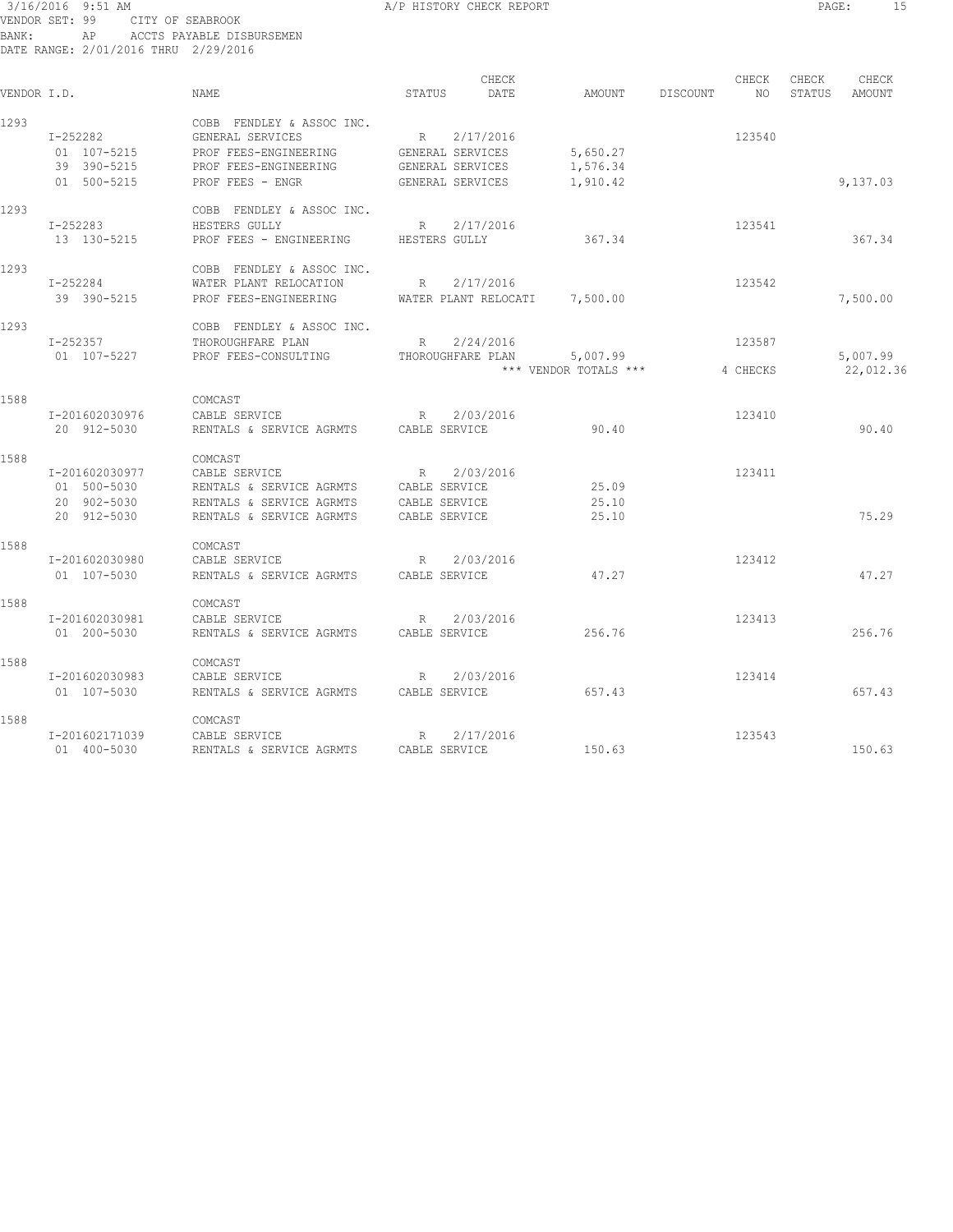#### 3/16/2016 9:51 AM A/P HISTORY CHECK REPORT PAGE: 15 VENDOR SET: 99 CITY OF SEABROOK BANK: AP ACCTS PAYABLE DISBURSEMEN DATE RANGE: 2/01/2016 THRU 2/29/2016

|             |                |                           | CHECK                |                       |          | CHECK    | CHECK  | CHECK         |
|-------------|----------------|---------------------------|----------------------|-----------------------|----------|----------|--------|---------------|
| VENDOR I.D. |                | <b>NAME</b>               | DATE<br>STATUS       | AMOUNT                | DISCOUNT | NO.      | STATUS | <b>AMOUNT</b> |
| 1293        |                | COBB FENDLEY & ASSOC INC. |                      |                       |          |          |        |               |
|             | I-252282       | GENERAL SERVICES          | 2/17/2016<br>R       |                       |          | 123540   |        |               |
|             | 01 107-5215    | PROF FEES-ENGINEERING     | GENERAL SERVICES     | 5,650.27              |          |          |        |               |
|             | 39 390-5215    | PROF FEES-ENGINEERING     | GENERAL SERVICES     | 1,576.34              |          |          |        |               |
|             | 01 500-5215    | PROF FEES - ENGR          | GENERAL SERVICES     | 1,910.42              |          |          |        | 9,137.03      |
| 1293        |                | COBB FENDLEY & ASSOC INC. |                      |                       |          |          |        |               |
|             | I-252283       | HESTERS GULLY             | R<br>2/17/2016       |                       |          | 123541   |        |               |
|             | 13 130-5215    | PROF FEES - ENGINEERING   | HESTERS GULLY        | 367.34                |          |          |        | 367.34        |
| 1293        |                | COBB FENDLEY & ASSOC INC. |                      |                       |          |          |        |               |
|             | I-252284       | WATER PLANT RELOCATION    | 2/17/2016<br>R       |                       |          | 123542   |        |               |
|             | 39 390-5215    | PROF FEES-ENGINEERING     | WATER PLANT RELOCATI | 7,500.00              |          |          |        | 7,500.00      |
| 1293        |                | COBB FENDLEY & ASSOC INC. |                      |                       |          |          |        |               |
|             | I-252357       | THOROUGHFARE PLAN         | 2/24/2016<br>R       |                       |          | 123587   |        |               |
|             | 01 107-5227    | PROF FEES-CONSULTING      | THOROUGHFARE PLAN    | 5,007.99              |          |          |        | 5,007.99      |
|             |                |                           |                      | *** VENDOR TOTALS *** |          | 4 CHECKS |        | 22,012.36     |
| 1588        |                | COMCAST                   |                      |                       |          |          |        |               |
|             | I-201602030976 | CABLE SERVICE             | 2/03/2016<br>R       |                       |          | 123410   |        |               |
|             | 20 912-5030    | RENTALS & SERVICE AGRMTS  | CABLE SERVICE        | 90.40                 |          |          |        | 90.40         |
| 1588        |                | COMCAST                   |                      |                       |          |          |        |               |
|             | I-201602030977 | CABLE SERVICE             | 2/03/2016<br>R       |                       |          | 123411   |        |               |
|             | 01 500-5030    | RENTALS & SERVICE AGRMTS  | CABLE SERVICE        | 25.09                 |          |          |        |               |
|             | 20 902-5030    | RENTALS & SERVICE AGRMTS  | CABLE SERVICE        | 25.10                 |          |          |        |               |
|             | 20 912-5030    | RENTALS & SERVICE AGRMTS  | CABLE SERVICE        | 25.10                 |          |          |        | 75.29         |
| 1588        |                | COMCAST                   |                      |                       |          |          |        |               |
|             | I-201602030980 | CABLE SERVICE             | R<br>2/03/2016       |                       |          | 123412   |        |               |
|             | 01 107-5030    | RENTALS & SERVICE AGRMTS  | CABLE SERVICE        | 47.27                 |          |          |        | 47.27         |
| 1588        |                | COMCAST                   |                      |                       |          |          |        |               |
|             | I-201602030981 | CABLE SERVICE             | 2/03/2016<br>R       |                       |          | 123413   |        |               |
|             | 01 200-5030    | RENTALS & SERVICE AGRMTS  | CABLE SERVICE        | 256.76                |          |          |        | 256.76        |
| 1588        |                | COMCAST                   |                      |                       |          |          |        |               |
|             | I-201602030983 | CABLE SERVICE             | 2/03/2016<br>R       |                       |          | 123414   |        |               |
|             | 01 107-5030    | RENTALS & SERVICE AGRMTS  | CABLE SERVICE        | 657.43                |          |          |        | 657.43        |
| 1588        |                | COMCAST                   |                      |                       |          |          |        |               |
|             | I-201602171039 | CABLE SERVICE             | R<br>2/17/2016       |                       |          | 123543   |        |               |
|             | 01 400-5030    | RENTALS & SERVICE AGRMTS  | CABLE SERVICE        | 150.63                |          |          |        | 150.63        |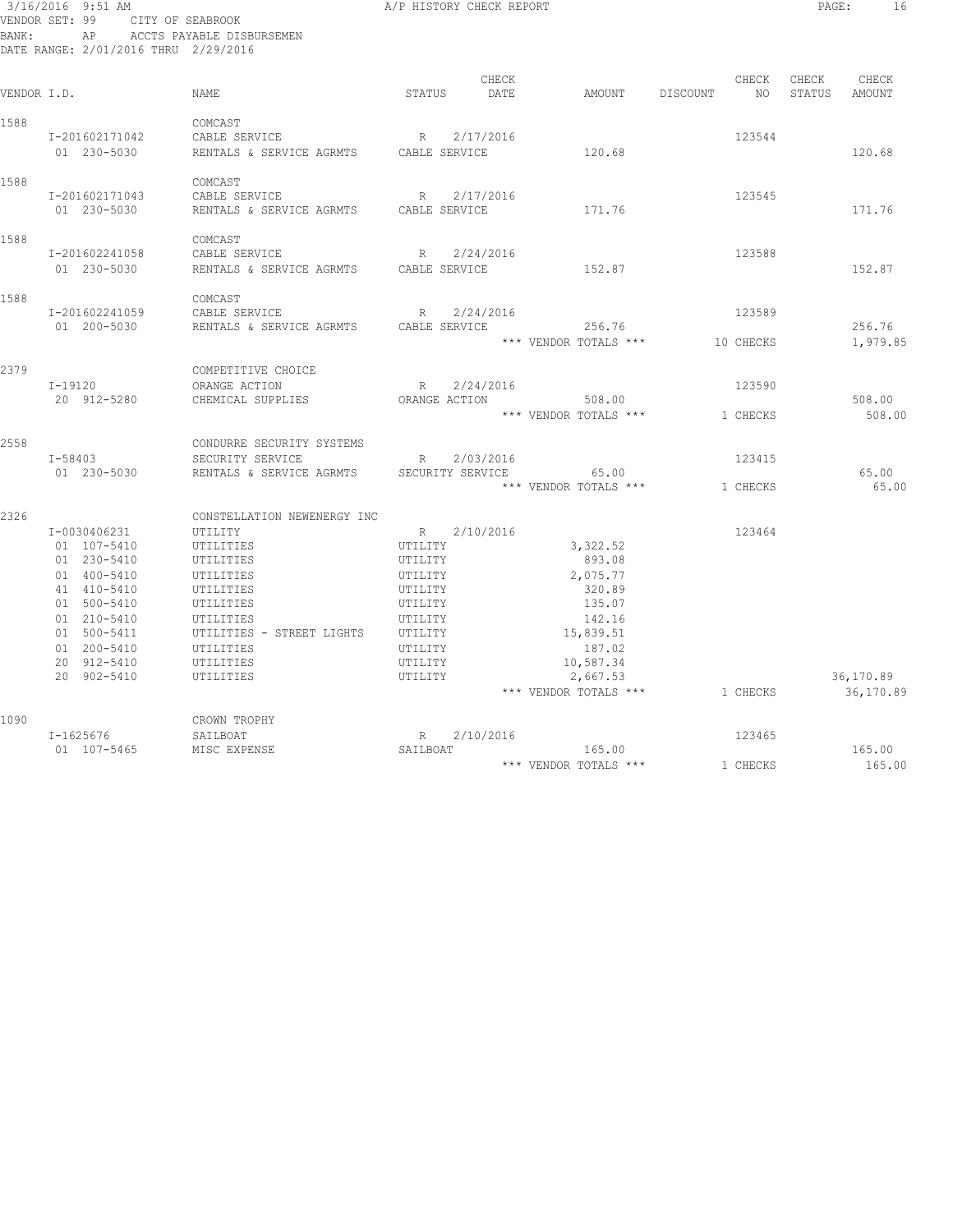#### 3/16/2016 9:51 AM A/P HISTORY CHECK REPORT PAGE: 16 VENDOR SET: 99 CITY OF SEABROOK BANK: AP ACCTS PAYABLE DISBURSEMEN DATE RANGE: 2/01/2016 THRU 2/29/2016

| VENDOR I.D. |                                                                                                                                                                    | NAME                                                                                                                                                                                     | STATUS                                                                                                          | CHECK<br>DATE                 | AMOUNT                                                                                                                                | DISCOUNT | CHECK<br>NO         | CHECK<br>STATUS | CHECK<br>AMOUNT        |
|-------------|--------------------------------------------------------------------------------------------------------------------------------------------------------------------|------------------------------------------------------------------------------------------------------------------------------------------------------------------------------------------|-----------------------------------------------------------------------------------------------------------------|-------------------------------|---------------------------------------------------------------------------------------------------------------------------------------|----------|---------------------|-----------------|------------------------|
| 1588        | I-201602171042<br>01 230-5030                                                                                                                                      | COMCAST<br>CABLE SERVICE<br>RENTALS & SERVICE AGRMTS                                                                                                                                     | R<br>CABLE SERVICE                                                                                              | 2/17/2016                     | 120.68                                                                                                                                |          | 123544              |                 | 120.68                 |
| 1588        | I-201602171043<br>01 230-5030                                                                                                                                      | COMCAST<br>CABLE SERVICE<br>RENTALS & SERVICE AGRMTS                                                                                                                                     | $\mathbb{R}$<br>CABLE SERVICE                                                                                   | 2/17/2016                     | 171.76                                                                                                                                |          | 123545              |                 | 171.76                 |
| 1588        | I-201602241058<br>01 230-5030                                                                                                                                      | COMCAST<br>CABLE SERVICE<br>RENTALS & SERVICE AGRMTS                                                                                                                                     | $\mathbb{R}$<br>CABLE SERVICE                                                                                   | 2/24/2016                     | 152.87                                                                                                                                |          | 123588              |                 | 152.87                 |
| 1588        | I-201602241059<br>01 200-5030                                                                                                                                      | COMCAST<br>CABLE SERVICE<br>RENTALS & SERVICE AGRMTS                                                                                                                                     | R<br>CABLE SERVICE                                                                                              | 2/24/2016                     | 256.76<br>*** VENDOR TOTALS ***                                                                                                       |          | 123589<br>10 CHECKS |                 | 256.76<br>1,979.85     |
| 2379        | I-19120<br>20 912-5280                                                                                                                                             | COMPETITIVE CHOICE<br>ORANGE ACTION<br>CHEMICAL SUPPLIES                                                                                                                                 | R<br>ORANGE ACTION                                                                                              | 2/24/2016                     | 508.00<br>*** VENDOR TOTALS ***                                                                                                       |          | 123590<br>1 CHECKS  |                 | 508.00<br>508.00       |
| 2558        | $I - 58403$<br>01 230-5030                                                                                                                                         | CONDURRE SECURITY SYSTEMS<br>SECURITY SERVICE<br>RENTALS & SERVICE AGRMTS                                                                                                                | R                                                                                                               | 2/03/2016<br>SECURITY SERVICE | 65.00<br>*** VENDOR TOTALS ***                                                                                                        |          | 123415<br>1 CHECKS  |                 | 65.00<br>65.00         |
| 2326        | I-0030406231<br>01 107-5410<br>01 230-5410<br>01 400-5410<br>41 410-5410<br>01 500-5410<br>01 210-5410<br>01 500-5411<br>01 200-5410<br>20 912-5410<br>20 902-5410 | CONSTELLATION NEWENERGY INC<br>UTILITY<br>UTILITIES<br>UTILITIES<br>UTILITIES<br>UTILITIES<br>UTILITIES<br>UTILITIES<br>UTILITIES - STREET LIGHTS<br>UTILITIES<br>UTILITIES<br>UTILITIES | R<br>UTILITY<br>UTILITY<br>UTILITY<br>UTILITY<br>UTILITY<br>UTILITY<br>UTILITY<br>UTILITY<br>UTILITY<br>UTILITY | 2/10/2016                     | 3,322.52<br>893.08<br>2,075.77<br>320.89<br>135.07<br>142.16<br>15,839.51<br>187.02<br>10,587.34<br>2,667.53<br>*** VENDOR TOTALS *** |          | 123464<br>1 CHECKS  |                 | 36,170.89<br>36,170.89 |
| 1090        | I-1625676<br>01 107-5465                                                                                                                                           | CROWN TROPHY<br>SAILBOAT<br>MISC EXPENSE                                                                                                                                                 | R<br>SAILBOAT                                                                                                   | 2/10/2016                     | 165.00<br>*** VENDOR TOTALS ***                                                                                                       |          | 123465<br>1 CHECKS  |                 | 165.00<br>165.00       |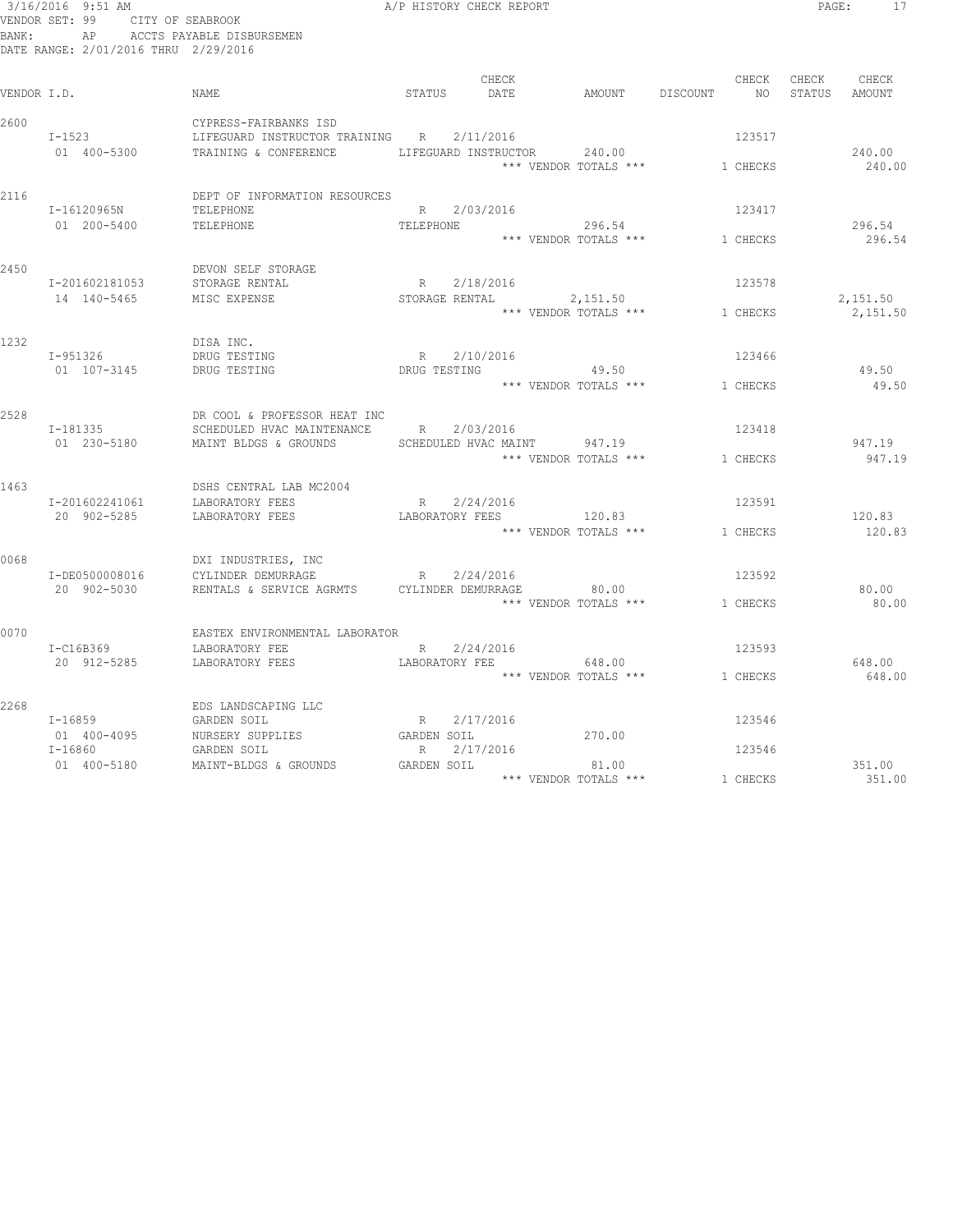3/16/2016 9:51 AM A/P HISTORY CHECK REPORT PAGE: 17 VENDOR SET: 99 CITY OF SEABROOK BANK: AP ACCTS PAYABLE DISBURSEMEN DATE RANGE: 2/01/2016 THRU 2/29/2016

| VENDOR I.D. |                                           | NAME                                                                                                                        | STATUS DATE                               | ${\tt CHECK}$ | AMOUNT DISCOUNT NO                                        | CHECK              | CHECK CHECK<br>STATUS AMOUNT |                      |
|-------------|-------------------------------------------|-----------------------------------------------------------------------------------------------------------------------------|-------------------------------------------|---------------|-----------------------------------------------------------|--------------------|------------------------------|----------------------|
| 2600        | $I-1523$<br>01 400-5300                   | CYPRESS-FAIRBANKS ISD<br>LIFEGUARD INSTRUCTOR TRAINING R 2/11/2016<br>TRAINING & CONFERENCE                                 |                                           |               | LIFEGUARD INSTRUCTOR 240.00<br>*** VENDOR TOTALS ***      | 123517<br>1 CHECKS |                              | 240.00<br>240.00     |
| 2116        | I-16120965N<br>01 200-5400                | DEPT OF INFORMATION RESOURCES<br>TELEPHONE<br>TELEPHONE                                                                     | R 2/03/2016<br>TELEPHONE                  |               | 296.54<br>*** VENDOR TOTALS *** 1 CHECKS                  | 123417             |                              | 296.54<br>296.54     |
| 2450        | I-201602181053<br>14 140-5465             | DEVON SELF STORAGE<br>STORAGE RENTAL<br>MISC EXPENSE                                                                        | R 2/18/2016                               |               | STORAGE RENTAL 2,151.50<br>*** VENDOR TOTALS *** 1 CHECKS | 123578             |                              | 2,151.50<br>2,151.50 |
| 1232        | I-951326<br>01 107-3145                   | DISA INC.<br>DRUG TESTING<br>DRUG TESTING                                                                                   | R 2/10/2016                               |               | DRUG TESTING 49.50<br>*** VENDOR TOTALS *** 1 CHECKS      | 123466             |                              | 49.50<br>49.50       |
| 2528        | I-181335<br>01 230-5180                   | DR COOL & PROFESSOR HEAT INC<br>SCHEDULED HVAC MAINTENANCE R 2/03/2016<br>MAINT BLDGS & GROUNDS SCHEDULED HVAC MAINT 947.19 |                                           |               | *** VENDOR TOTALS *** 1 CHECKS                            | 123418             |                              | 947.19<br>947.19     |
| 1463        | I-201602241061<br>20 902-5285             | DSHS CENTRAL LAB MC2004<br>LABORATORY FEES<br>LABORATORY FEES                                                               | R 2/24/2016                               |               | LABORATORY FEES 120.83<br>*** VENDOR TOTALS *** 1 CHECKS  | 123591             |                              | 120.83<br>120.83     |
| 0068        | I-DE0500008016<br>20 902-5030             | DXI INDUSTRIES, INC<br>CYLINDER DEMURRAGE<br>RENTALS & SERVICE AGRMTS CYLINDER DEMURRAGE                                    | R 2/24/2016                               |               | 80.00<br>*** VENDOR TOTALS *** 1 CHECKS                   | 123592             |                              | 80.00<br>80.00       |
| 0070        | $I - C16B369$<br>20 912-5285              | EASTEX ENVIRONMENTAL LABORATOR<br>LABORATORY FEE<br>LABORATORY FEES LABORATORY FEE                                          | R 2/24/2016                               |               | 648.00<br>x +** VENDOR TOTALS *** 1 CHECKS                | 123593             |                              | 648.00<br>648.00     |
| 2268        | $I - 16859$<br>01 400-4095<br>$I - 16860$ | EDS LANDSCAPING LLC<br>GARDEN SOIL<br>NURSERY SUPPLIES<br>GARDEN SOIL<br>01 400-5180 MAINT-BLDGS & GROUNDS GARDEN SOIL      | R 2/17/2016<br>GARDEN SOIL<br>R 2/17/2016 |               | 270.00<br>81.00                                           | 123546<br>123546   |                              | 351.00               |
|             |                                           |                                                                                                                             |                                           |               | *** VENDOR TOTALS *** 1 CHECKS                            |                    |                              | 351.00               |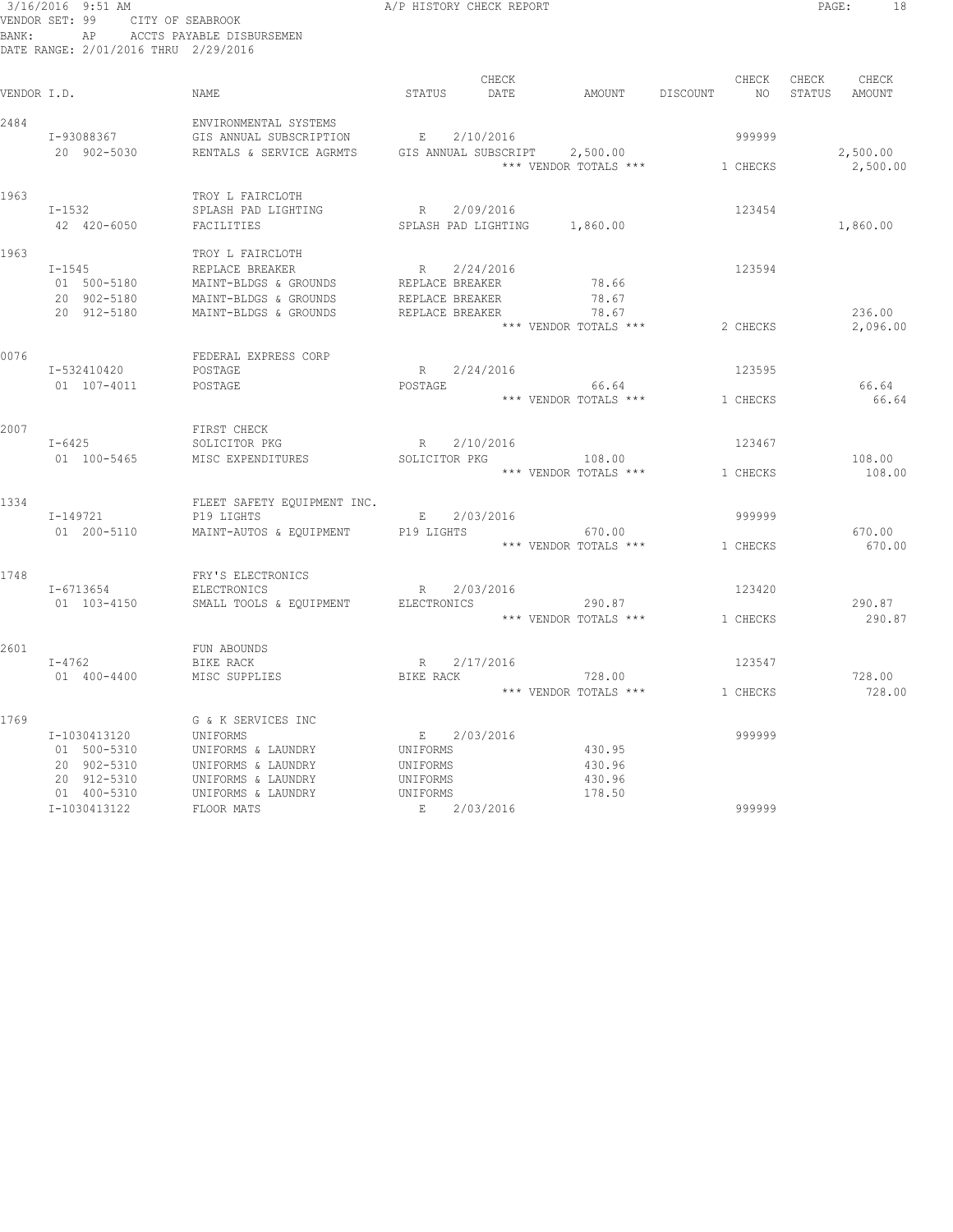3/16/2016 9:51 AM A/P HISTORY CHECK REPORT PAGE: 18 VENDOR SET: 99 CITY OF SEABROOK BANK: AP ACCTS PAYABLE DISBURSEMEN DATE RANGE: 2/01/2016 THRU 2/29/2016

| VENDOR I.D. |                                                                                          | <b>NAME</b>                                                                                                                          | CHECK<br>STATUS<br>DATE<br>AMOUNT                                                                                           | CHECK<br>DISCOUNT<br>NO                                       | CHECK<br>CHECK<br>STATUS<br>AMOUNT |
|-------------|------------------------------------------------------------------------------------------|--------------------------------------------------------------------------------------------------------------------------------------|-----------------------------------------------------------------------------------------------------------------------------|---------------------------------------------------------------|------------------------------------|
| 2484        | I-93088367<br>20 902-5030                                                                | ENVIRONMENTAL SYSTEMS<br>GIS ANNUAL SUBSCRIPTION<br>RENTALS & SERVICE AGRMTS                                                         | $\mathbf{E}$ and $\mathbf{E}$<br>2/10/2016<br>GIS ANNUAL SUBSCRIPT<br>2,500.00                                              | 999999<br>*** VENDOR TOTALS *** 1 CHECKS                      | 2,500.00<br>2,500.00               |
| 1963        | I-1532<br>42 420-6050                                                                    | TROY L FAIRCLOTH<br>SPLASH PAD LIGHTING<br>FACILITIES                                                                                | R 2/09/2016<br>SPLASH PAD LIGHTING 1,860.00                                                                                 | 123454                                                        | 1,860.00                           |
| 1963        | $I - 1545$<br>01 500-5180<br>20 902-5180<br>20 912-5180                                  | TROY L FAIRCLOTH<br>REPLACE BREAKER<br>MAINT-BLDGS & GROUNDS<br>MAINT-BLDGS & GROUNDS<br>MAINT-BLDGS & GROUNDS                       | R<br>2/24/2016<br>REPLACE BREAKER<br>78.66<br>REPLACE BREAKER<br>REPLACE BREAKER                                            | 123594<br>78.67<br>78.67<br>*** VENDOR TOTALS ***<br>2 CHECKS | 236.00<br>2,096.00                 |
| 0076        | I-532410420<br>01 107-4011                                                               | FEDERAL EXPRESS CORP<br>POSTAGE<br>POSTAGE                                                                                           | 2/24/2016<br>R<br>POSTAGE                                                                                                   | 123595<br>66.64<br>*** VENDOR TOTALS ***<br>1 CHECKS          | 66.64<br>66.64                     |
| 2007        | $I-6425$<br>01 100-5465                                                                  | FIRST CHECK<br>SOLICITOR PKG<br>MISC EXPENDITURES                                                                                    | 2/10/2016<br>R<br>SOLICITOR PKG<br>108.00<br>*** VENDOR TOTALS ***                                                          | 123467<br>1 CHECKS                                            | 108.00<br>108.00                   |
| 1334        | I-149721<br>01 200-5110                                                                  | FLEET SAFETY EQUIPMENT INC.<br>P19 LIGHTS<br>MAINT-AUTOS & EQUIPMENT                                                                 | $E$ and $E$<br>2/03/2016<br>P19 LIGHTS                                                                                      | 999999<br>670.00<br>*** VENDOR TOTALS *** 1 CHECKS            | 670.00<br>670.00                   |
| 1748        | I-6713654<br>01 103-4150                                                                 | FRY'S ELECTRONICS<br>ELECTRONICS<br>SMALL TOOLS & EQUIPMENT                                                                          | 2/03/2016<br>R<br>ELECTRONICS<br>290.87                                                                                     | 123420<br>*** VENDOR TOTALS ***<br>1 CHECKS                   | 290.87<br>290.87                   |
| 2601        | $I - 4762$<br>01 400-4400                                                                | FUN ABOUNDS<br>BIKE RACK<br>MISC SUPPLIES                                                                                            | 2/17/2016<br>R<br>BIKE RACK<br>728.00<br>*** VENDOR TOTALS ***                                                              | 123547<br>1 CHECKS                                            | 728.00<br>728.00                   |
| 1769        | I-1030413120<br>01 500-5310<br>20 902-5310<br>20 912-5310<br>01 400-5310<br>I-1030413122 | G & K SERVICES INC<br>UNIFORMS<br>UNIFORMS & LAUNDRY<br>UNIFORMS & LAUNDRY<br>UNIFORMS & LAUNDRY<br>UNIFORMS & LAUNDRY<br>FLOOR MATS | E 2/03/2016<br>430.95<br>UNIFORMS<br>430.96<br>UNIFORMS<br>430.96<br>UNIFORMS<br>178.50<br>UNIFORMS<br>2/03/2016<br>$E = 1$ | 999999<br>999999                                              |                                    |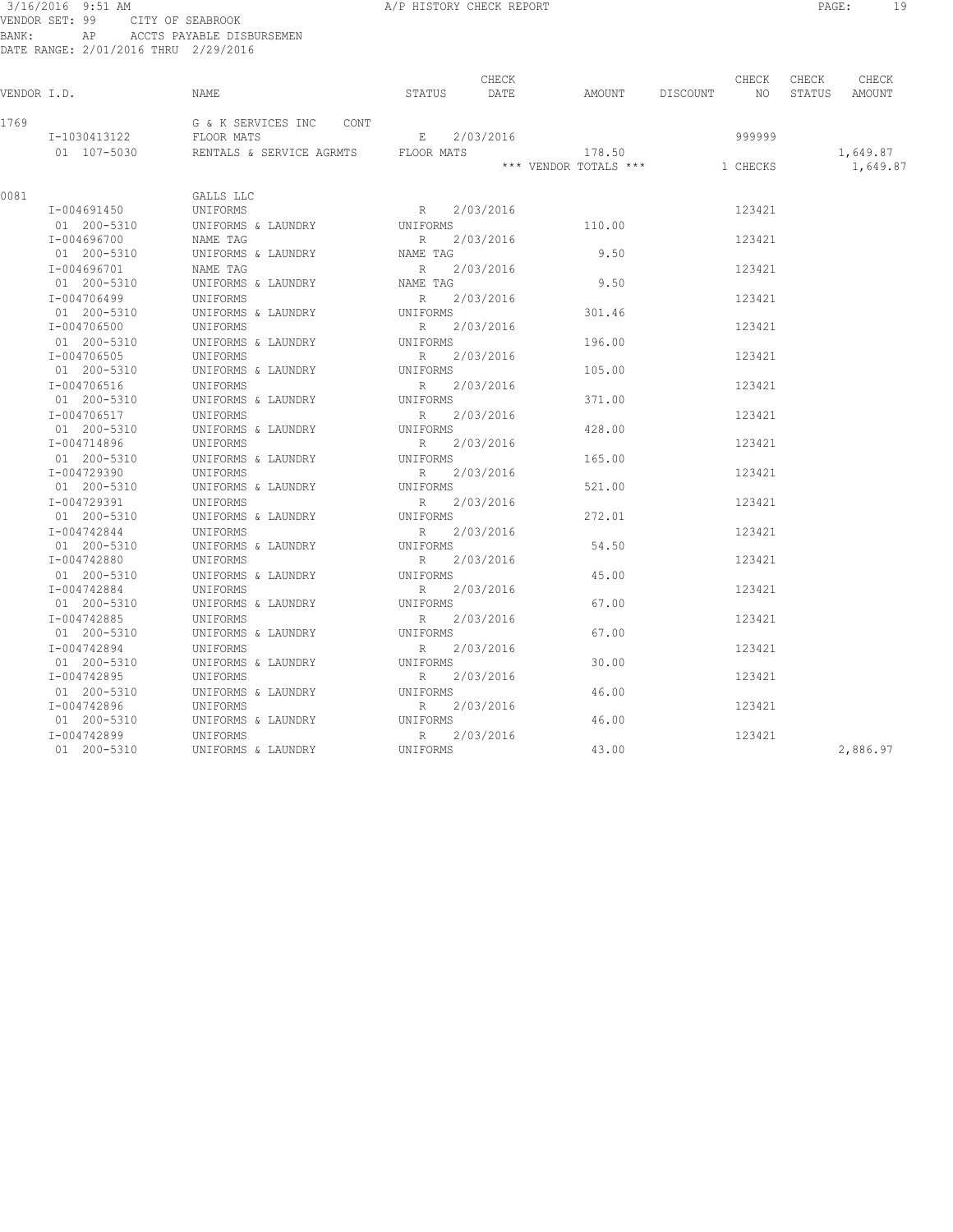#### 3/16/2016 9:51 AM A/P HISTORY CHECK REPORT PAGE: 19 VENDOR SET: 99 CITY OF SEABROOK BANK: AP ACCTS PAYABLE DISBURSEMEN DATE RANGE: 2/01/2016 THRU 2/29/2016

| VENDOR I.D. |                             | NAME                                                                 | STATUS                      | CHECK<br>DATE | AMOUNT                          | DISCOUNT | CHECK<br>NO.       | CHECK<br>STATUS | CHECK<br>AMOUNT      |
|-------------|-----------------------------|----------------------------------------------------------------------|-----------------------------|---------------|---------------------------------|----------|--------------------|-----------------|----------------------|
| 1769        | I-1030413122<br>01 107-5030 | G & K SERVICES INC<br>CONT<br>FLOOR MATS<br>RENTALS & SERVICE AGRMTS | Е<br>FLOOR MATS             | 2/03/2016     | 178.50<br>*** VENDOR TOTALS *** |          | 999999<br>1 CHECKS |                 | 1,649.87<br>1,649.87 |
|             |                             |                                                                      |                             |               |                                 |          |                    |                 |                      |
| 0081        | I-004691450                 | GALLS LLC<br>UNIFORMS                                                | R                           | 2/03/2016     |                                 |          | 123421             |                 |                      |
|             | 01 200-5310<br>I-004696700  | UNIFORMS & LAUNDRY<br>NAME TAG                                       | UNIFORMS<br>R               | 2/03/2016     | 110.00                          |          | 123421             |                 |                      |
|             | 01 200-5310<br>I-004696701  | UNIFORMS & LAUNDRY<br>NAME TAG                                       | NAME TAG<br>$\mathbb{R}$    | 2/03/2016     | 9.50                            |          | 123421             |                 |                      |
|             | 01 200-5310                 | UNIFORMS & LAUNDRY                                                   | NAME TAG                    |               | 9.50                            |          |                    |                 |                      |
|             | I-004706499<br>01 200-5310  | UNIFORMS<br>UNIFORMS & LAUNDRY                                       | R<br>UNIFORMS               | 2/03/2016     | 301.46                          |          | 123421             |                 |                      |
|             | I-004706500<br>01 200-5310  | UNIFORMS<br>UNIFORMS & LAUNDRY                                       | R<br>UNIFORMS               | 2/03/2016     | 196.00                          |          | 123421             |                 |                      |
|             | I-004706505                 | UNIFORMS                                                             | $R_{\parallel}$             | 2/03/2016     |                                 |          | 123421             |                 |                      |
|             | 01 200-5310<br>I-004706516  | UNIFORMS & LAUNDRY<br>UNIFORMS                                       | UNIFORMS<br>R               | 2/03/2016     | 105.00                          |          | 123421             |                 |                      |
|             | 01 200-5310<br>I-004706517  | UNIFORMS & LAUNDRY<br>UNIFORMS                                       | UNIFORMS<br>R               | 2/03/2016     | 371.00                          |          | 123421             |                 |                      |
|             | 01 200-5310<br>I-004714896  | UNIFORMS & LAUNDRY<br>UNIFORMS                                       | UNIFORMS<br>R               | 2/03/2016     | 428.00                          |          | 123421             |                 |                      |
|             | 01 200-5310                 | UNIFORMS & LAUNDRY                                                   | UNIFORMS                    |               | 165.00                          |          |                    |                 |                      |
|             | I-004729390<br>01 200-5310  | UNIFORMS<br>UNIFORMS & LAUNDRY                                       | R<br>UNIFORMS               | 2/03/2016     | 521.00                          |          | 123421             |                 |                      |
|             | I-004729391<br>01 200-5310  | UNIFORMS<br>UNIFORMS & LAUNDRY                                       | R<br>UNIFORMS               | 2/03/2016     | 272.01                          |          | 123421             |                 |                      |
|             | I-004742844                 | UNIFORMS                                                             | R                           | 2/03/2016     |                                 |          | 123421             |                 |                      |
|             | 01 200-5310<br>I-004742880  | UNIFORMS & LAUNDRY<br>UNIFORMS                                       | UNIFORMS<br>$\mathbb{R}$    | 2/03/2016     | 54.50                           |          | 123421             |                 |                      |
|             | 01 200-5310<br>I-004742884  | UNIFORMS & LAUNDRY<br>UNIFORMS                                       | UNIFORMS<br>$R_{\parallel}$ | 2/03/2016     | 45.00                           |          | 123421             |                 |                      |
|             | 01 200-5310<br>I-004742885  | UNIFORMS & LAUNDRY                                                   | UNIFORMS                    | 2/03/2016     | 67.00                           |          | 123421             |                 |                      |
|             | 01 200-5310                 | UNIFORMS<br>UNIFORMS & LAUNDRY                                       | R<br>UNIFORMS               |               | 67.00                           |          |                    |                 |                      |
|             | I-004742894<br>01 200-5310  | UNIFORMS<br>UNIFORMS & LAUNDRY                                       | R<br>UNIFORMS               | 2/03/2016     | 30.00                           |          | 123421             |                 |                      |
|             | I-004742895<br>01 200-5310  | UNIFORMS<br>UNIFORMS & LAUNDRY                                       | R<br>UNIFORMS               | 2/03/2016     | 46.00                           |          | 123421             |                 |                      |
|             | I-004742896                 | UNIFORMS                                                             | $R_{\parallel}$             | 2/03/2016     |                                 |          | 123421             |                 |                      |
|             | 01 200-5310<br>I-004742899  | UNIFORMS & LAUNDRY<br>UNIFORMS                                       | UNIFORMS<br>R               | 2/03/2016     | 46.00                           |          | 123421             |                 |                      |
|             | 01 200-5310                 | UNIFORMS & LAUNDRY                                                   | UNIFORMS                    |               | 43.00                           |          |                    |                 | 2,886.97             |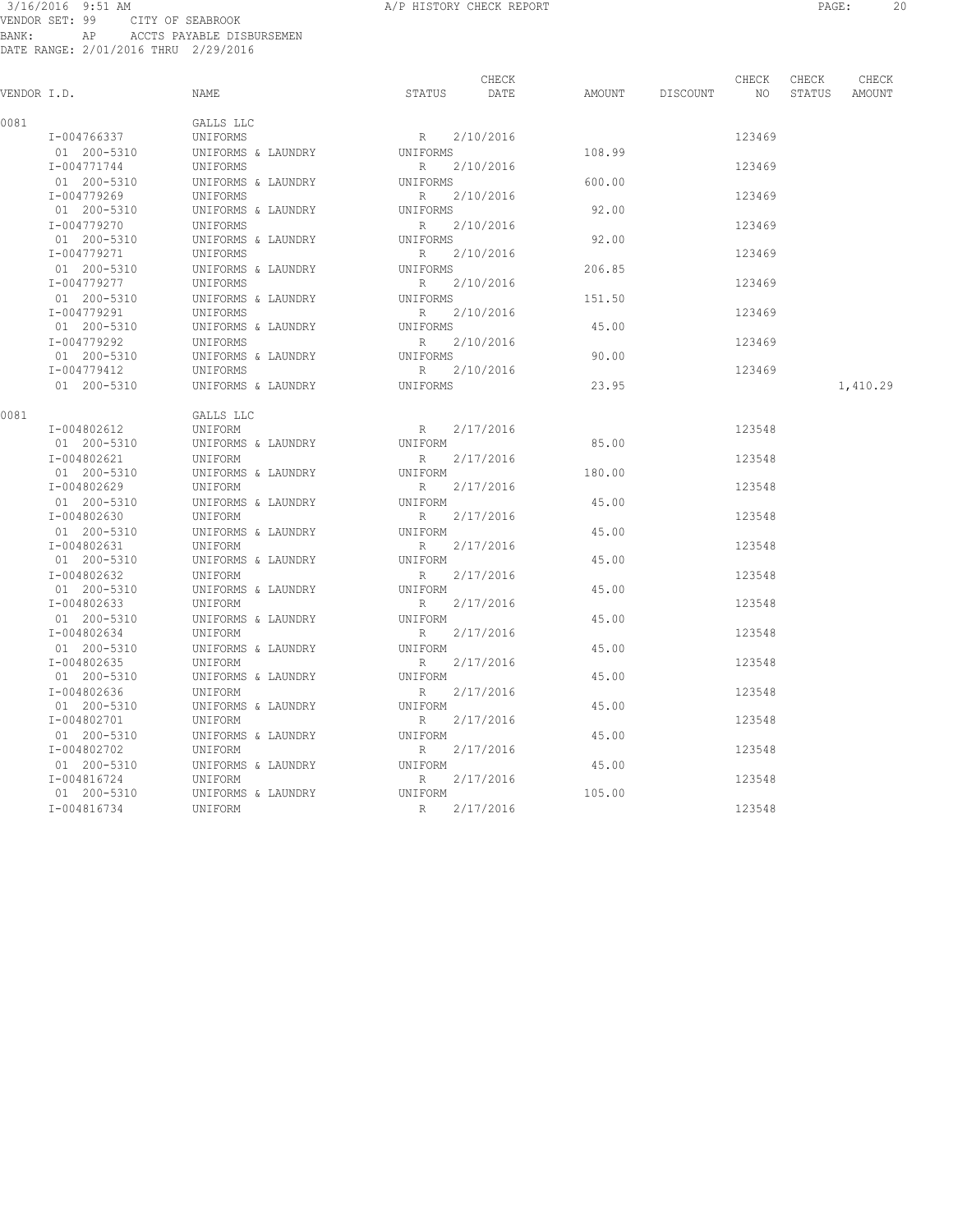#### 3/16/2016 9:51 AM A/P HISTORY CHECK REPORT PAGE: 20 VENDOR SET: 99 CITY OF SEABROOK BANK: AP ACCTS PAYABLE DISBURSEMEN DATE RANGE: 2/01/2016 THRU 2/29/2016

| VENDOR I.D. |             | NAME               | CHECK<br>STATUS<br>DATE   | AMOUNT | DISCOUNT | CHECK<br>NO. | CHECK<br>STATUS | CHECK<br>AMOUNT |
|-------------|-------------|--------------------|---------------------------|--------|----------|--------------|-----------------|-----------------|
| 0081        |             | GALLS LLC          |                           |        |          |              |                 |                 |
|             | I-004766337 | UNIFORMS           | R<br>2/10/2016            |        |          | 123469       |                 |                 |
|             | 01 200-5310 | UNIFORMS & LAUNDRY | UNIFORMS                  | 108.99 |          |              |                 |                 |
|             | I-004771744 | UNIFORMS           | 2/10/2016<br>R            |        |          | 123469       |                 |                 |
|             | 01 200-5310 | UNIFORMS & LAUNDRY | UNIFORMS                  | 600.00 |          |              |                 |                 |
|             | I-004779269 | UNIFORMS           | R<br>2/10/2016            |        |          | 123469       |                 |                 |
|             | 01 200-5310 | UNIFORMS & LAUNDRY | UNIFORMS                  | 92.00  |          |              |                 |                 |
|             | I-004779270 | UNIFORMS           | R<br>2/10/2016            |        |          | 123469       |                 |                 |
|             | 01 200-5310 | UNIFORMS & LAUNDRY | UNIFORMS                  | 92.00  |          |              |                 |                 |
|             | I-004779271 | UNIFORMS           | 2/10/2016<br>R            |        |          | 123469       |                 |                 |
|             | 01 200-5310 | UNIFORMS & LAUNDRY | UNIFORMS                  | 206.85 |          |              |                 |                 |
|             | I-004779277 | UNIFORMS           | 2/10/2016<br>R            |        |          | 123469       |                 |                 |
|             | 01 200-5310 | UNIFORMS & LAUNDRY | UNIFORMS                  | 151.50 |          |              |                 |                 |
|             | I-004779291 | UNIFORMS           | 2/10/2016<br>R            |        |          | 123469       |                 |                 |
|             | 01 200-5310 | UNIFORMS & LAUNDRY | UNIFORMS                  | 45.00  |          |              |                 |                 |
|             | I-004779292 | UNIFORMS           | 2/10/2016<br>R            |        |          | 123469       |                 |                 |
|             | 01 200-5310 | UNIFORMS & LAUNDRY | UNIFORMS                  | 90.00  |          |              |                 |                 |
|             | I-004779412 | UNIFORMS           | 2/10/2016<br>R            |        |          | 123469       |                 |                 |
|             | 01 200-5310 | UNIFORMS & LAUNDRY | UNIFORMS                  | 23.95  |          |              |                 | 1,410.29        |
| 0081        |             | GALLS LLC          |                           |        |          |              |                 |                 |
|             | I-004802612 | UNIFORM            | 2/17/2016<br>R            |        |          | 123548       |                 |                 |
|             | 01 200-5310 | UNIFORMS & LAUNDRY | UNIFORM                   | 85.00  |          |              |                 |                 |
|             | I-004802621 | UNIFORM            | 2/17/2016<br>R            |        |          | 123548       |                 |                 |
|             | 01 200-5310 | UNIFORMS & LAUNDRY | UNIFORM                   | 180.00 |          |              |                 |                 |
|             | I-004802629 | UNIFORM            | 2/17/2016<br>R            |        |          | 123548       |                 |                 |
|             | 01 200-5310 | UNIFORMS & LAUNDRY | UNIFORM                   | 45.00  |          |              |                 |                 |
|             | I-004802630 | UNIFORM            | 2/17/2016<br>R            |        |          | 123548       |                 |                 |
|             | 01 200-5310 | UNIFORMS & LAUNDRY | UNIFORM                   | 45.00  |          |              |                 |                 |
|             | I-004802631 | UNIFORM            | R<br>2/17/2016            |        |          | 123548       |                 |                 |
|             | 01 200-5310 | UNIFORMS & LAUNDRY | UNIFORM                   | 45.00  |          |              |                 |                 |
|             | I-004802632 | UNIFORM            | R<br>2/17/2016            |        |          | 123548       |                 |                 |
|             | 01 200-5310 | UNIFORMS & LAUNDRY | UNIFORM                   | 45.00  |          |              |                 |                 |
|             | I-004802633 | UNIFORM            | 2/17/2016<br>R            |        |          | 123548       |                 |                 |
|             | 01 200-5310 | UNIFORMS & LAUNDRY | UNIFORM                   | 45.00  |          |              |                 |                 |
|             | I-004802634 | UNIFORM            | 2/17/2016<br>R            |        |          | 123548       |                 |                 |
|             | 01 200-5310 | UNIFORMS & LAUNDRY | UNIFORM                   | 45.00  |          |              |                 |                 |
|             | I-004802635 | UNIFORM            | 2/17/2016<br>R            |        |          | 123548       |                 |                 |
|             | 01 200-5310 | UNIFORMS & LAUNDRY | UNIFORM                   | 45.00  |          |              |                 |                 |
|             | I-004802636 | UNIFORM            | 2/17/2016<br>R            |        |          | 123548       |                 |                 |
|             | 01 200-5310 | UNIFORMS & LAUNDRY | UNIFORM                   | 45.00  |          |              |                 |                 |
|             | I-004802701 | UNIFORM            | 2/17/2016<br>R            |        |          | 123548       |                 |                 |
|             | 01 200-5310 | UNIFORMS & LAUNDRY | UNIFORM                   | 45.00  |          |              |                 |                 |
|             | I-004802702 | UNIFORM            | 2/17/2016<br>R            |        |          | 123548       |                 |                 |
|             | 01 200-5310 | UNIFORMS & LAUNDRY | UNIFORM                   | 45.00  |          |              |                 |                 |
|             | I-004816724 | UNIFORM            | R<br>2/17/2016            |        |          | 123548       |                 |                 |
|             | 01 200-5310 | UNIFORMS & LAUNDRY | UNIFORM                   | 105.00 |          |              |                 |                 |
|             | I-004816734 | UNIFORM            | $\mathbb{R}$<br>2/17/2016 |        |          | 123548       |                 |                 |
|             |             |                    |                           |        |          |              |                 |                 |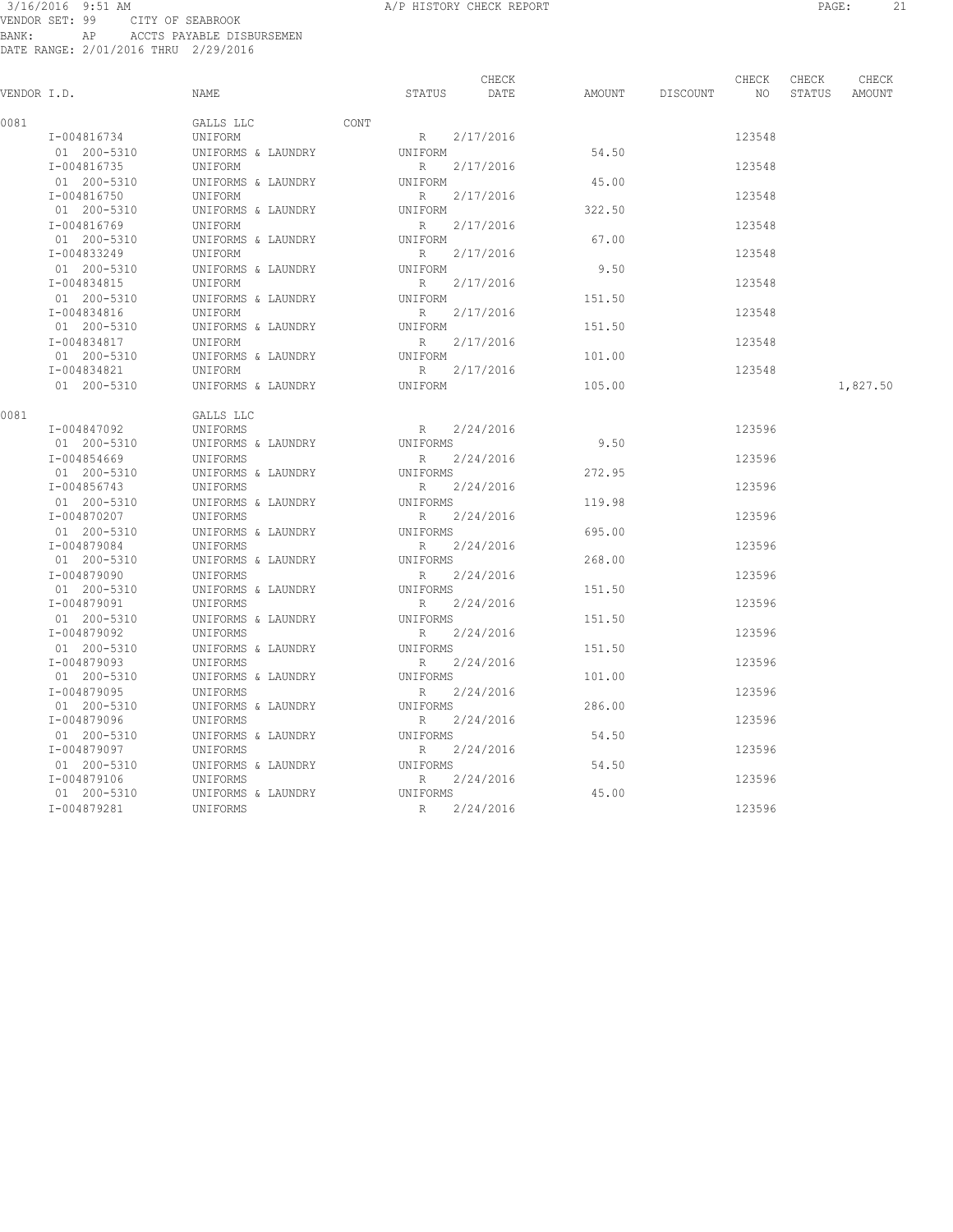#### 3/16/2016 9:51 AM A/P HISTORY CHECK REPORT PAGE: 21 VENDOR SET: 99 CITY OF SEABROOK BANK: AP ACCTS PAYABLE DISBURSEMEN DATE RANGE: 2/01/2016 THRU 2/29/2016

| VENDOR I.D. |                            | NAME                           | STATUS                      | CHECK<br>DATE | AMOUNT | DISCOUNT | CHECK<br>NO | CHECK<br>STATUS | CHECK<br>AMOUNT |
|-------------|----------------------------|--------------------------------|-----------------------------|---------------|--------|----------|-------------|-----------------|-----------------|
| 0081        |                            | GALLS LLC                      | CONT                        |               |        |          |             |                 |                 |
|             | I-004816734                | UNIFORM                        | R                           | 2/17/2016     |        |          | 123548      |                 |                 |
|             | 01 200-5310                | UNIFORMS & LAUNDRY             | UNIFORM                     |               | 54.50  |          |             |                 |                 |
|             | I-004816735                | UNIFORM                        | R                           | 2/17/2016     |        |          | 123548      |                 |                 |
|             | 01 200-5310                | UNIFORMS & LAUNDRY             | UNIFORM                     |               | 45.00  |          |             |                 |                 |
|             | I-004816750                | UNIFORM                        | R                           | 2/17/2016     |        |          | 123548      |                 |                 |
|             | 01 200-5310                | UNIFORMS & LAUNDRY             | UNIFORM                     |               | 322.50 |          |             |                 |                 |
|             | I-004816769                | UNIFORM                        | R                           | 2/17/2016     |        |          | 123548      |                 |                 |
|             | 01 200-5310                | UNIFORMS & LAUNDRY             | UNIFORM                     |               | 67.00  |          |             |                 |                 |
|             | I-004833249                | UNIFORM                        | R                           | 2/17/2016     |        |          | 123548      |                 |                 |
|             | 01 200-5310<br>I-004834815 | UNIFORMS & LAUNDRY<br>UNIFORM  | UNIFORM<br>R                | 2/17/2016     | 9.50   |          | 123548      |                 |                 |
|             |                            |                                |                             |               |        |          |             |                 |                 |
|             | 01 200-5310<br>I-004834816 | UNIFORMS & LAUNDRY<br>UNIFORM  | UNIFORM<br>R                | 2/17/2016     | 151.50 |          | 123548      |                 |                 |
|             | 01 200-5310                | UNIFORMS & LAUNDRY             | UNIFORM                     |               | 151.50 |          |             |                 |                 |
|             | I-004834817                | UNIFORM                        | R                           | 2/17/2016     |        |          | 123548      |                 |                 |
|             | 01 200-5310                | UNIFORMS & LAUNDRY             | UNIFORM                     |               | 101.00 |          |             |                 |                 |
|             | I-004834821                | UNIFORM                        | R                           | 2/17/2016     |        |          | 123548      |                 |                 |
|             | 01 200-5310                | UNIFORMS & LAUNDRY             | UNIFORM                     |               | 105.00 |          |             |                 | 1,827.50        |
|             |                            |                                |                             |               |        |          |             |                 |                 |
| 0081        |                            | GALLS LLC                      |                             |               |        |          |             |                 |                 |
|             | I-004847092                | UNIFORMS                       | R                           | 2/24/2016     |        |          | 123596      |                 |                 |
|             | 01 200-5310                | UNIFORMS & LAUNDRY             | UNIFORMS                    |               | 9.50   |          |             |                 |                 |
|             | I-004854669                | UNIFORMS                       | R                           | 2/24/2016     |        |          | 123596      |                 |                 |
|             | 01 200-5310                | UNIFORMS & LAUNDRY             | UNIFORMS                    |               | 272.95 |          |             |                 |                 |
|             | I-004856743                | UNIFORMS                       | R                           | 2/24/2016     |        |          | 123596      |                 |                 |
|             | 01 200-5310                | UNIFORMS & LAUNDRY             | UNIFORMS                    |               | 119.98 |          |             |                 |                 |
|             | I-004870207                | UNIFORMS                       | R                           | 2/24/2016     |        |          | 123596      |                 |                 |
|             | 01 200-5310                | UNIFORMS & LAUNDRY             | UNIFORMS                    |               | 695.00 |          |             |                 |                 |
|             | I-004879084                | UNIFORMS                       | R                           | 2/24/2016     |        |          | 123596      |                 |                 |
|             | 01 200-5310                | UNIFORMS & LAUNDRY             | UNIFORMS                    |               | 268.00 |          |             |                 |                 |
|             | I-004879090                | UNIFORMS                       | R                           | 2/24/2016     |        |          | 123596      |                 |                 |
|             | 01 200-5310                | UNIFORMS & LAUNDRY             | UNIFORMS                    |               | 151.50 |          |             |                 |                 |
|             | I-004879091                | UNIFORMS                       | R                           | 2/24/2016     |        |          | 123596      |                 |                 |
|             | 01 200-5310<br>I-004879092 | UNIFORMS & LAUNDRY             | UNIFORMS<br>$R_{\parallel}$ | 2/24/2016     | 151.50 |          | 123596      |                 |                 |
|             | 01 200-5310                | UNIFORMS                       |                             |               |        |          |             |                 |                 |
|             | I-004879093                | UNIFORMS & LAUNDRY<br>UNIFORMS | UNIFORMS<br>R               | 2/24/2016     | 151.50 |          | 123596      |                 |                 |
|             | 01 200-5310                | UNIFORMS & LAUNDRY             | UNIFORMS                    |               | 101.00 |          |             |                 |                 |
|             | I-004879095                | UNIFORMS                       | R                           | 2/24/2016     |        |          | 123596      |                 |                 |
|             | 01 200-5310                | UNIFORMS & LAUNDRY             | UNIFORMS                    |               | 286.00 |          |             |                 |                 |
|             | I-004879096                | UNIFORMS                       | R                           | 2/24/2016     |        |          | 123596      |                 |                 |
|             | 01 200-5310                | UNIFORMS & LAUNDRY             | UNIFORMS                    |               | 54.50  |          |             |                 |                 |
|             | I-004879097                | UNIFORMS                       | R                           | 2/24/2016     |        |          | 123596      |                 |                 |
|             | 01 200-5310                | UNIFORMS & LAUNDRY             | UNIFORMS                    |               | 54.50  |          |             |                 |                 |
|             | I-004879106                | UNIFORMS                       | R                           | 2/24/2016     |        |          | 123596      |                 |                 |
|             | 01 200-5310                | UNIFORMS & LAUNDRY             | UNIFORMS                    |               | 45.00  |          |             |                 |                 |
|             | I-004879281                | UNIFORMS                       | $\mathbb{R}$                | 2/24/2016     |        |          | 123596      |                 |                 |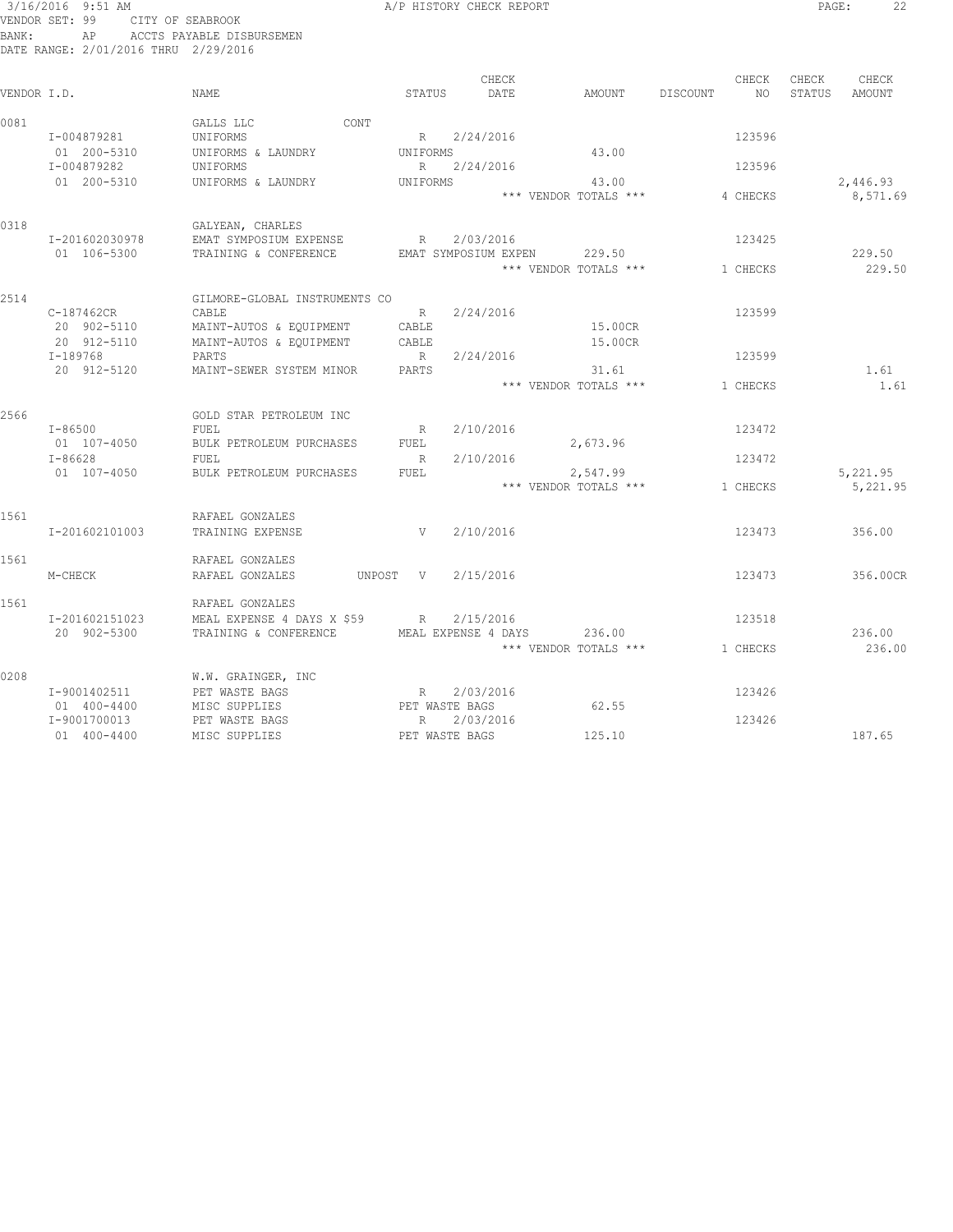#### 3/16/2016 9:51 AM A/P HISTORY CHECK REPORT PAGE: 22 VENDOR SET: 99 CITY OF SEABROOK BANK: AP ACCTS PAYABLE DISBURSEMEN DATE RANGE: 2/01/2016 THRU 2/29/2016

|             |                                                          |                                                                                                       |                                | CHECK                             |                                               |          | CHECK                        | CHECK  | CHECK                |
|-------------|----------------------------------------------------------|-------------------------------------------------------------------------------------------------------|--------------------------------|-----------------------------------|-----------------------------------------------|----------|------------------------------|--------|----------------------|
| VENDOR I.D. |                                                          | NAME                                                                                                  | STATUS                         | DATE                              | AMOUNT                                        | DISCOUNT | NO.                          | STATUS | AMOUNT               |
| 0081        | I-004879281<br>01 200-5310<br>I-004879282<br>01 200-5310 | GALLS LLC<br>CONT<br>UNIFORMS<br>UNIFORMS & LAUNDRY<br>UNIFORMS<br>UNIFORMS & LAUNDRY                 | R<br>UNIFORMS<br>R<br>UNIFORMS | 2/24/2016<br>2/24/2016            | 43.00<br>43.00<br>*** VENDOR TOTALS ***       |          | 123596<br>123596<br>4 CHECKS |        | 2,446.93<br>8,571.69 |
| 0318        | I-201602030978<br>01 106-5300                            | GALYEAN, CHARLES<br>EMAT SYMPOSIUM EXPENSE<br>TRAINING & CONFERENCE                                   | R                              | 2/03/2016<br>EMAT SYMPOSIUM EXPEN | 229.50<br>*** VENDOR TOTALS ***               |          | 123425<br>1 CHECKS           |        | 229.50<br>229.50     |
| 2514        | C-187462CR<br>20 902-5110<br>20 912-5110<br>I-189768     | GILMORE-GLOBAL INSTRUMENTS CO<br>CABLE<br>MAINT-AUTOS & EQUIPMENT<br>MAINT-AUTOS & EQUIPMENT<br>PARTS | R<br>CABLE<br>CABLE<br>R       | 2/24/2016<br>2/24/2016            | 15.00CR<br>15.00CR                            |          | 123599<br>123599             |        |                      |
|             | 20 912-5120                                              | MAINT-SEWER SYSTEM MINOR                                                                              | PARTS                          |                                   | 31.61<br>*** VENDOR TOTALS ***                |          | 1 CHECKS                     |        | 1.61<br>1.61         |
| 2566        | $I - 86500$<br>01 107-4050<br>$I - 86628$<br>01 107-4050 | GOLD STAR PETROLEUM INC<br>FUEL<br>BULK PETROLEUM PURCHASES<br>FUEL<br>BULK PETROLEUM PURCHASES       | R<br>FUEL<br>$\,$ R<br>FUEL    | 2/10/2016<br>2/10/2016            | 2,673.96<br>2,547.99<br>*** VENDOR TOTALS *** |          | 123472<br>123472<br>1 CHECKS |        | 5,221.95<br>5,221.95 |
| 1561        | I-201602101003                                           | RAFAEL GONZALES<br>TRAINING EXPENSE                                                                   | V                              | 2/10/2016                         |                                               |          | 123473                       |        | 356.00               |
| 1561        | M-CHECK                                                  | RAFAEL GONZALES<br>RAFAEL GONZALES<br>UNPOST                                                          | V                              | 2/15/2016                         |                                               |          | 123473                       |        | 356.00CR             |
| 1561        | I-201602151023<br>20 902-5300                            | RAFAEL GONZALES<br>MEAL EXPENSE 4 DAYS X \$59<br>TRAINING & CONFERENCE                                | R<br>MEAL EXPENSE 4 DAYS       | 2/15/2016                         | 236.00<br>*** VENDOR TOTALS ***               |          | 123518<br>1 CHECKS           |        | 236.00<br>236.00     |
| 0208        | I-9001402511<br>01 400-4400<br>I-9001700013              | W.W. GRAINGER, INC<br>PET WASTE BAGS<br>MISC SUPPLIES<br>PET WASTE BAGS                               | R<br>PET WASTE BAGS<br>R       | 2/03/2016<br>2/03/2016            | 62.55                                         |          | 123426<br>123426             |        |                      |
|             | 01 400-4400                                              | MISC SUPPLIES                                                                                         | PET WASTE BAGS                 |                                   | 125.10                                        |          |                              |        | 187.65               |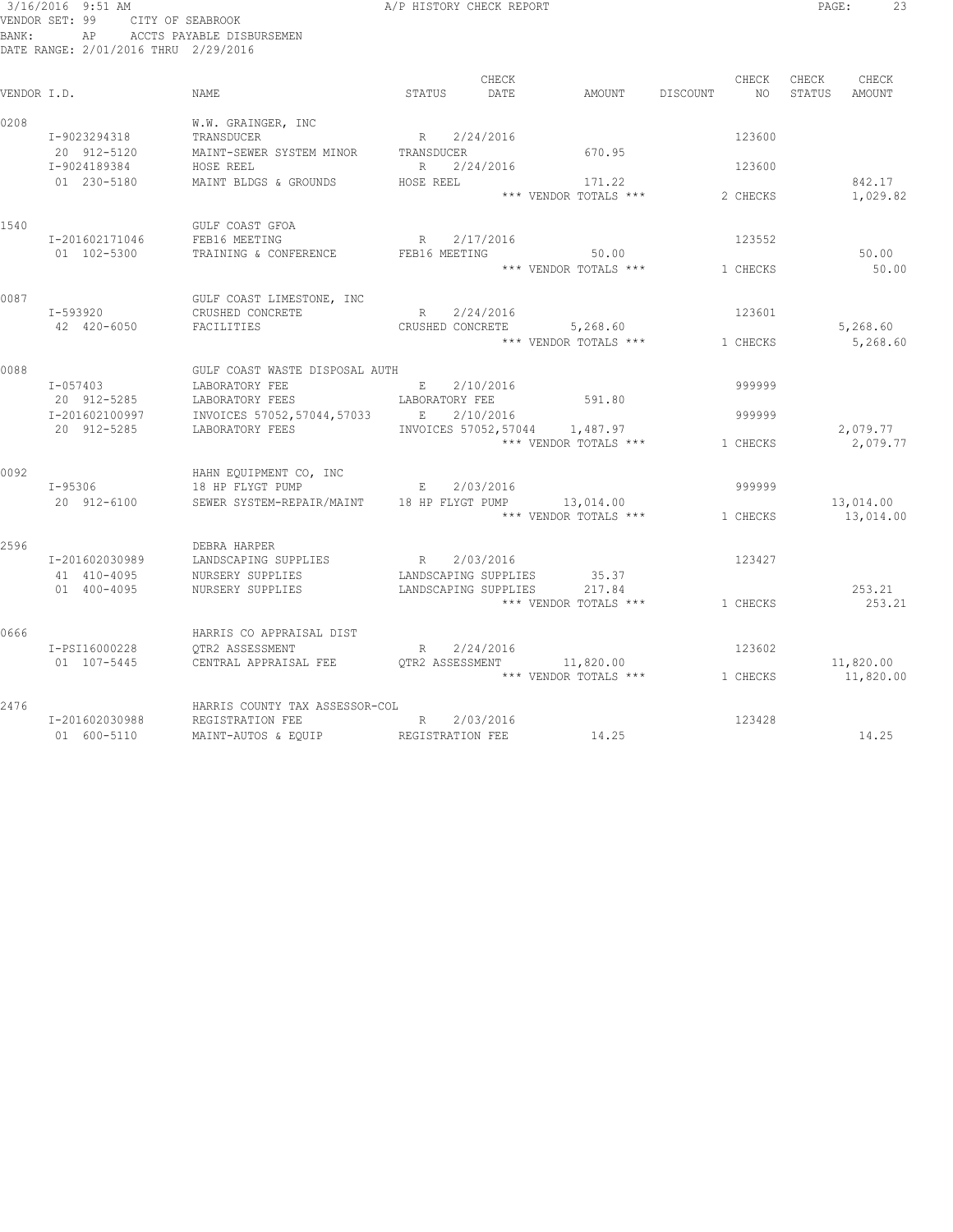#### 3/16/2016 9:51 AM A/P HISTORY CHECK REPORT PAGE: 23 VENDOR SET: 99 CITY OF SEABROOK BANK: AP ACCTS PAYABLE DISBURSEMEN DATE RANGE: 2/01/2016 THRU 2/29/2016

| VENDOR I.D. |                                                              | NAME                                                                                                                 | STATUS                                                      | CHECK<br>DATE          | AMOUNT                                                                                                         | DISCOUNT | CHECK<br>NO <sub>1</sub>     | CHECK<br>STATUS | CHECK<br>AMOUNT        |
|-------------|--------------------------------------------------------------|----------------------------------------------------------------------------------------------------------------------|-------------------------------------------------------------|------------------------|----------------------------------------------------------------------------------------------------------------|----------|------------------------------|-----------------|------------------------|
| 0208        | I-9023294318<br>20 912-5120<br>I-9024189384<br>01 230-5180   | W.W. GRAINGER, INC<br>TRANSDUCER<br>MAINT-SEWER SYSTEM MINOR<br>HOSE REEL<br>MAINT BLDGS & GROUNDS                   | R 2/24/2016<br>TRANSDUCER<br>R 2/24/2016<br>HOSE REEL       |                        | 670.95<br>171.22<br>*** VENDOR TOTALS ***                                                                      |          | 123600<br>123600<br>2 CHECKS |                 | 842.17<br>1,029.82     |
| 1540        | I-201602171046<br>01 102-5300                                | GULF COAST GFOA<br>FEB16 MEETING<br>TRAINING & CONFERENCE FEB16 MEETING                                              | R                                                           | 2/17/2016              | 50.00<br>*** VENDOR TOTALS ***                                                                                 |          | 123552<br>1 CHECKS           |                 | 50.00<br>50.00         |
| 0087        | I-593920<br>42 420-6050                                      | GULF COAST LIMESTONE, INC<br>CRUSHED CONCRETE<br>FACILITIES                                                          | R                                                           | 2/24/2016              | CRUSHED CONCRETE 5,268.60<br>*** VENDOR TOTALS ***                                                             |          | 123601<br>1 CHECKS           |                 | 5,268.60<br>5,268.60   |
| 0088        | $I - 057403$<br>20 912-5285<br>I-201602100997<br>20 912-5285 | GULF COAST WASTE DISPOSAL AUTH<br>LABORATORY FEE<br>LABORATORY FEES<br>INVOICES 57052,57044,57033<br>LABORATORY FEES | E<br>LABORATORY FEE<br>$E = 1$                              | 2/10/2016<br>2/10/2016 | 591.80<br>INVOICES 57052,57044 1,487.97<br>*** VENDOR TOTALS ***                                               |          | 999999<br>999999<br>1 CHECKS |                 | 2,079.77<br>2,079.77   |
| 0092        | I-95306<br>20 912-6100                                       | HAHN EQUIPMENT CO, INC<br>18 HP FLYGT PUMP<br>SEWER SYSTEM-REPAIR/MAINT 18 HP FLYGT PUMP 13,014.00                   | E 2/03/2016                                                 |                        | *** VENDOR TOTALS ***                                                                                          |          | 999999<br>1 CHECKS           |                 | 13,014.00<br>13,014.00 |
| 2596        | I-201602030989<br>41 410-4095<br>01 400-4095                 | DEBRA HARPER<br>LANDSCAPING SUPPLIES<br>NURSERY SUPPLIES<br>NURSERY SUPPLIES                                         | R 2/03/2016<br>LANDSCAPING SUPPLIES<br>LANDSCAPING SUPPLIES |                        | 35.37<br>217.84<br>*** VENDOR TOTALS *** 1 CHECKS                                                              |          | 123427                       |                 | 253.21<br>253.21       |
| 0666        | I-PSI16000228<br>01 107-5445                                 | HARRIS CO APPRAISAL DIST<br>OTR2 ASSESSMENT<br>CENTRAL APPRAISAL FEE                                                 | R                                                           | 2/24/2016              | $\begin{tabular}{lllllll} QTR2 ASSESSMENT & 11,820.00 \\ & *** & VENDOR TOTALS & *** & 1 CHECKS \end{tabular}$ |          | 123602                       |                 | 11,820.00<br>11,820.00 |
| 2476        | I-201602030988<br>01 600-5110                                | HARRIS COUNTY TAX ASSESSOR-COL<br>R<br>REGISTRATION FEE<br>MAINT-AUTOS & EQUIP                                       | REGISTRATION FEE                                            | 2/03/2016              | 14.25                                                                                                          |          | 123428                       |                 | 14.25                  |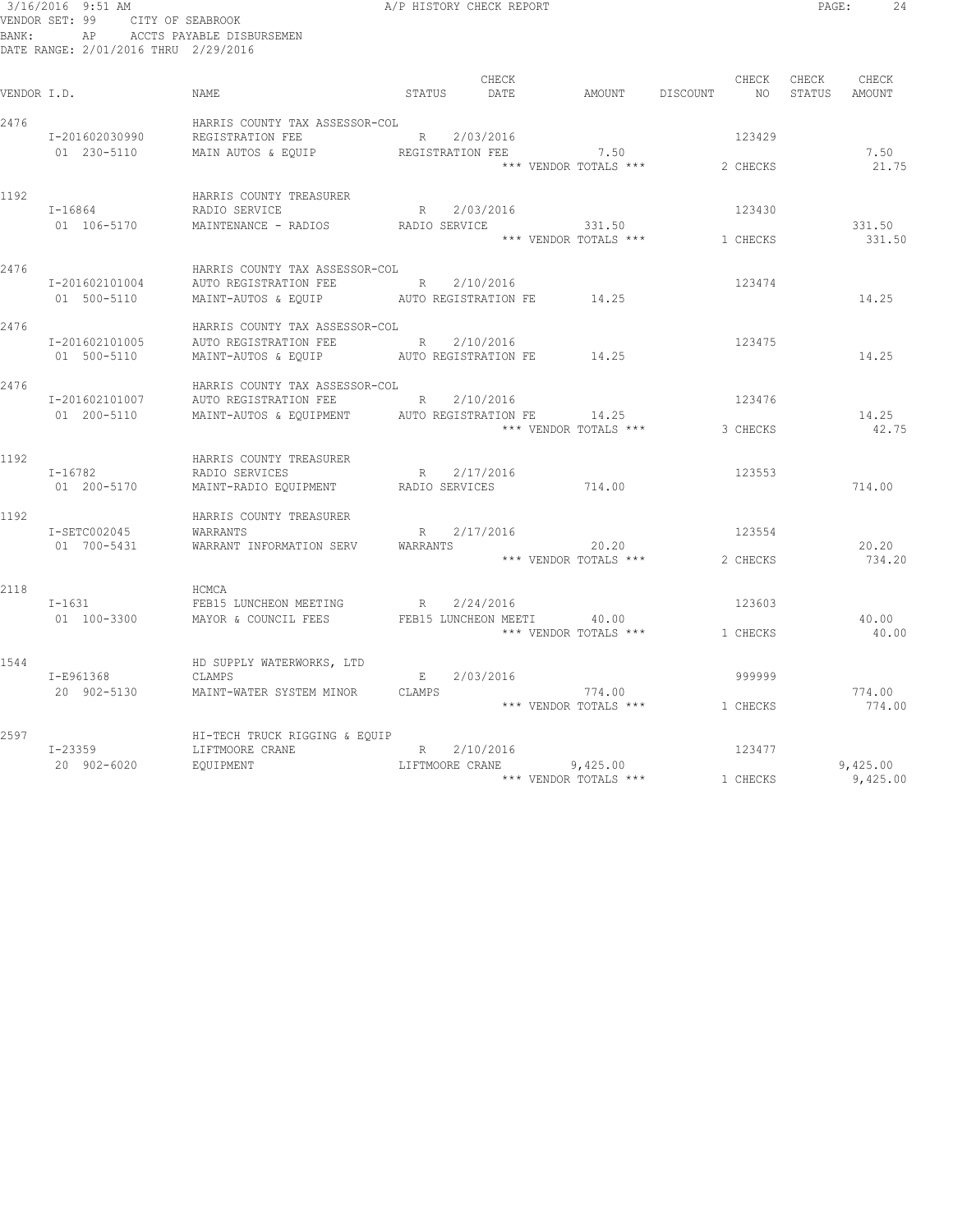#### 3/16/2016 9:51 AM A/P HISTORY CHECK REPORT PAGE: 24 VENDOR SET: 99 CITY OF SEABROOK BANK: AP ACCTS PAYABLE DISBURSEMEN DATE RANGE: 2/01/2016 THRU 2/29/2016

|             |                |                                                |                      | CHECK     |                                |          | CHECK    | CHECK  | CHECK    |
|-------------|----------------|------------------------------------------------|----------------------|-----------|--------------------------------|----------|----------|--------|----------|
| VENDOR I.D. |                | NAME.                                          | STATUS               | DATE      | AMOUNT                         | DISCOUNT | N()      | STATUS | AMOUNT   |
| 2476        |                | HARRIS COUNTY TAX ASSESSOR-COL                 |                      |           |                                |          |          |        |          |
|             | I-201602030990 | REGISTRATION FEE RESERVED BY                   |                      | 2/03/2016 |                                |          | 123429   |        |          |
|             | 01 230-5110    | MAIN AUTOS & EQUIP REGISTRATION FEE            |                      |           | 7.50                           |          |          |        | 7.50     |
|             |                |                                                |                      |           | $***$ VENDOR TOTALS $***$      |          | 2 CHECKS |        | 21.75    |
| 1192        |                | HARRIS COUNTY TREASURER                        |                      |           |                                |          |          |        |          |
|             | $I - 16864$    | RADIO SERVICE                                  | R 2/03/2016          |           |                                |          | 123430   |        |          |
|             | 01 106-5170    | MAINTENANCE - RADIOS                           | RADIO SERVICE        |           | 331.50                         |          |          |        | 331.50   |
|             |                |                                                |                      |           | *** VENDOR TOTALS *** 1 CHECKS |          |          |        | 331.50   |
| 2476        |                | HARRIS COUNTY TAX ASSESSOR-COL                 |                      |           |                                |          |          |        |          |
|             | I-201602101004 | AUTO REGISTRATION FEE                          | R                    | 2/10/2016 |                                |          | 123474   |        |          |
|             | 01 500-5110    | MAINT-AUTOS & EQUIP                            | AUTO REGISTRATION FE |           | 14.25                          |          |          |        | 14.25    |
| 2476        |                | HARRIS COUNTY TAX ASSESSOR-COL                 |                      |           |                                |          |          |        |          |
|             | I-201602101005 | AUTO REGISTRATION FEE                          | R 2/10/2016          |           |                                |          | 123475   |        |          |
|             | 01 500-5110    | MAINT-AUTOS & EQUIP AUTO REGISTRATION FE 14.25 |                      |           |                                |          |          |        | 14.25    |
| 2476        |                | HARRIS COUNTY TAX ASSESSOR-COL                 |                      |           |                                |          |          |        |          |
|             | I-201602101007 | AUTO REGISTRATION FEE                          | R                    | 2/10/2016 |                                |          | 123476   |        |          |
|             | 01 200-5110    | MAINT-AUTOS & EQUIPMENT AUTO REGISTRATION FE   |                      |           | 14.25                          |          |          |        | 14.25    |
|             |                |                                                |                      |           | *** VENDOR TOTALS *** 3 CHECKS |          |          |        | 42.75    |
| 1192        |                | HARRIS COUNTY TREASURER                        |                      |           |                                |          |          |        |          |
|             | I-16782        | RADIO SERVICES                                 | R                    | 2/17/2016 |                                |          | 123553   |        |          |
|             | 01 200-5170    | MAINT-RADIO EQUIPMENT RADIO SERVICES           |                      |           | 714.00                         |          |          |        | 714.00   |
| 1192        |                | HARRIS COUNTY TREASURER                        |                      |           |                                |          |          |        |          |
|             | I-SETC002045   | WARRANTS                                       | R                    | 2/17/2016 |                                |          | 123554   |        |          |
|             | 01 700-5431    | WARRANT INFORMATION SERV                       | WARRANTS             |           | 20.20                          |          |          |        | 20.20    |
|             |                |                                                |                      |           | *** VENDOR TOTALS ***          |          | 2 CHECKS |        | 734.20   |
| 2118        |                | HCMCA                                          |                      |           |                                |          |          |        |          |
|             | I-1631         | FEB15 LUNCHEON MEETING                         | R                    | 2/24/2016 |                                |          | 123603   |        |          |
|             | 01 100-3300    | MAYOR & COUNCIL FEES                           | FEB15 LUNCHEON MEETI |           | 40.00                          |          |          |        | 40.00    |
|             |                |                                                |                      |           | *** VENDOR TOTALS ***          |          | 1 CHECKS |        | 40.00    |
| 1544        |                | HD SUPPLY WATERWORKS, LTD                      |                      |           |                                |          |          |        |          |
|             | I-E961368      | CLAMPS                                         | $E = 1$              | 2/03/2016 |                                |          | 999999   |        |          |
|             | 20 902-5130    | MAINT-WATER SYSTEM MINOR                       | CLAMPS               |           | 774.00                         |          |          |        | 774.00   |
|             |                |                                                |                      |           | *** VENDOR TOTALS *** 1 CHECKS |          |          |        | 774.00   |
| 2597        |                | HI-TECH TRUCK RIGGING & EQUIP                  |                      |           |                                |          |          |        |          |
|             | I-23359        | LIFTMOORE CRANE                                | R 2/10/2016          |           |                                |          | 123477   |        |          |
|             | 20 902-6020    | LIFTMOORE CRANE<br>EOUIPMENT                   |                      |           | 9,425.00                       |          |          |        | 9,425.00 |
|             |                |                                                |                      |           | *** VENDOR TOTALS *** 1 CHECKS |          |          |        | 9,425.00 |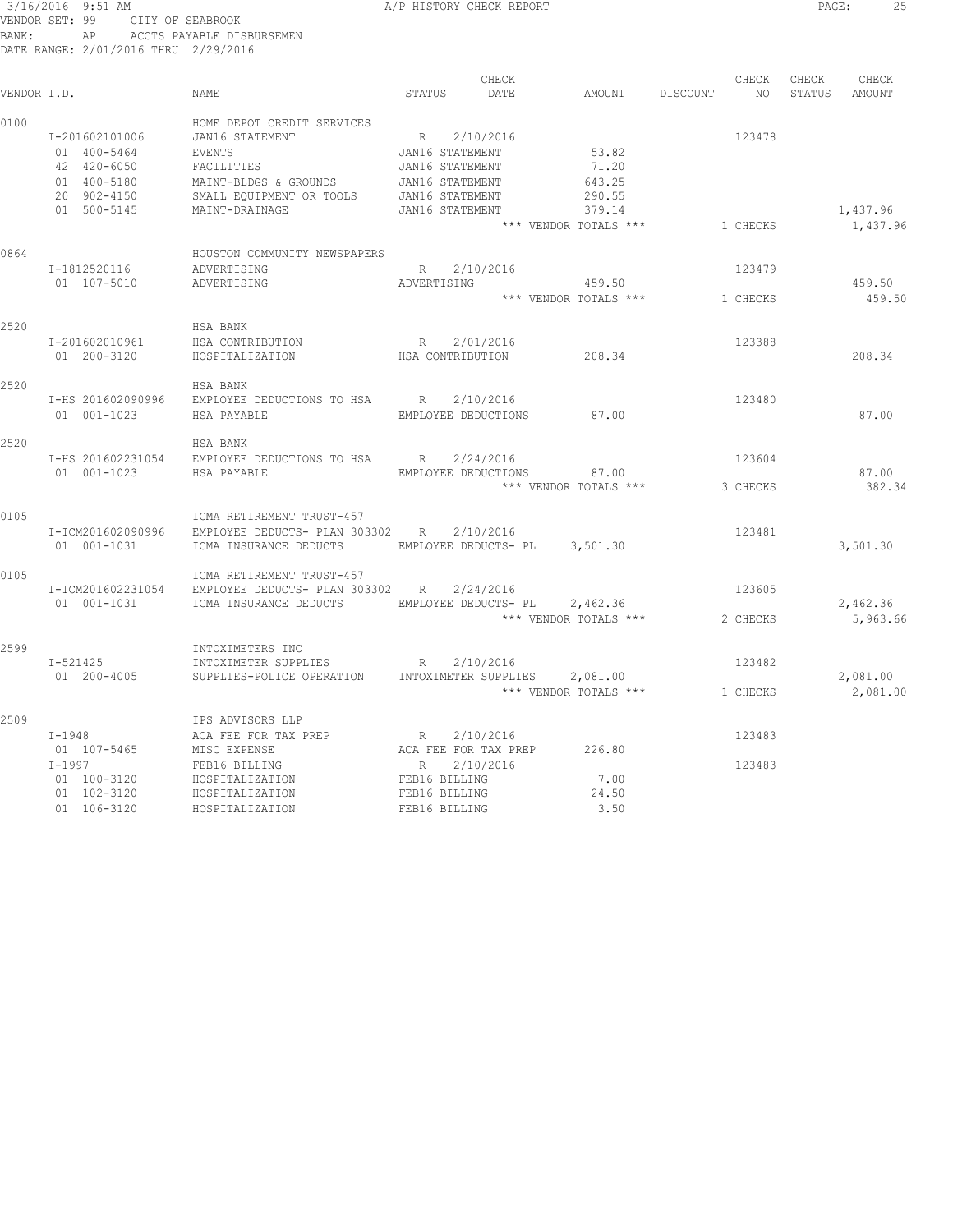#### 3/16/2016 9:51 AM A/P HISTORY CHECK REPORT PAGE: 25 VENDOR SET: 99 CITY OF SEABROOK BANK: AP ACCTS PAYABLE DISBURSEMEN DATE RANGE: 2/01/2016 THRU 2/29/2016

|             |                   |                                               |                  | CHECK                |                       |          | CHECK    | CHECK  | CHECK    |
|-------------|-------------------|-----------------------------------------------|------------------|----------------------|-----------------------|----------|----------|--------|----------|
| VENDOR I.D. |                   | NAME                                          | STATUS           | DATE                 | <b>AMOUNT</b>         | DISCOUNT | NO.      | STATUS | AMOUNT   |
| 0100        | I-201602101006    | HOME DEPOT CREDIT SERVICES<br>JAN16 STATEMENT | R                | 2/10/2016            |                       |          | 123478   |        |          |
|             | 01 400-5464       | <b>EVENTS</b>                                 | JAN16 STATEMENT  |                      | 53.82                 |          |          |        |          |
|             | 42 420-6050       | FACILITIES                                    | JAN16 STATEMENT  |                      | 71.20                 |          |          |        |          |
|             | 01 400-5180       | MAINT-BLDGS & GROUNDS                         | JAN16 STATEMENT  |                      | 643.25                |          |          |        |          |
|             | 20 902-4150       | SMALL EQUIPMENT OR TOOLS                      | JAN16 STATEMENT  |                      | 290.55                |          |          |        |          |
|             | 01 500-5145       | MAINT-DRAINAGE                                | JAN16 STATEMENT  |                      | 379.14                |          |          |        | 1,437.96 |
|             |                   |                                               |                  |                      | *** VENDOR TOTALS *** |          | 1 CHECKS |        | 1,437.96 |
| 0864        |                   | HOUSTON COMMUNITY NEWSPAPERS                  |                  |                      |                       |          |          |        |          |
|             | I-1812520116      | ADVERTISING                                   | R                | 2/10/2016            |                       |          | 123479   |        |          |
|             | 01 107-5010       | ADVERTISING                                   | ADVERTISING      |                      | 459.50                |          |          |        | 459.50   |
|             |                   |                                               |                  |                      | *** VENDOR TOTALS *** |          | 1 CHECKS |        | 459.50   |
| 2520        |                   | HSA BANK                                      |                  |                      |                       |          |          |        |          |
|             | I-201602010961    | HSA CONTRIBUTION                              | R                | 2/01/2016            |                       |          | 123388   |        |          |
|             | 01 200-3120       | HOSPITALIZATION                               | HSA CONTRIBUTION |                      | 208.34                |          |          |        | 208.34   |
| 2520        |                   | HSA BANK                                      |                  |                      |                       |          |          |        |          |
|             | I-HS 201602090996 | EMPLOYEE DEDUCTIONS TO HSA                    | R                | 2/10/2016            |                       |          | 123480   |        |          |
|             | 01 001-1023       | HSA PAYABLE                                   |                  | EMPLOYEE DEDUCTIONS  | 87.00                 |          |          |        | 87.00    |
|             |                   |                                               |                  |                      |                       |          |          |        |          |
| 2520        | I-HS 201602231054 | HSA BANK<br>EMPLOYEE DEDUCTIONS TO HSA        | R                | 2/24/2016            |                       |          | 123604   |        |          |
|             | 01 001-1023       | HSA PAYABLE                                   |                  | EMPLOYEE DEDUCTIONS  | 87.00                 |          |          |        | 87.00    |
|             |                   |                                               |                  |                      | *** VENDOR TOTALS *** |          | 3 CHECKS |        | 382.34   |
|             |                   |                                               |                  |                      |                       |          |          |        |          |
| 0105        |                   | ICMA RETIREMENT TRUST-457                     |                  |                      |                       |          |          |        |          |
|             | I-ICM201602090996 | EMPLOYEE DEDUCTS- PLAN 303302 R               |                  | 2/10/2016            |                       |          | 123481   |        |          |
|             | 01 001-1031       | ICMA INSURANCE DEDUCTS                        |                  | EMPLOYEE DEDUCTS- PL | 3,501.30              |          |          |        | 3,501.30 |
| 0105        |                   | ICMA RETIREMENT TRUST-457                     |                  |                      |                       |          |          |        |          |
|             | I-ICM201602231054 | EMPLOYEE DEDUCTS- PLAN 303302                 | R                | 2/24/2016            |                       |          | 123605   |        |          |
|             | 01 001-1031       | ICMA INSURANCE DEDUCTS                        |                  | EMPLOYEE DEDUCTS- PL | 2,462.36              |          |          |        | 2,462.36 |
|             |                   |                                               |                  |                      | *** VENDOR TOTALS *** |          | 2 CHECKS |        | 5,963.66 |
| 2599        |                   | INTOXIMETERS INC                              |                  |                      |                       |          |          |        |          |
|             | I-521425          | INTOXIMETER SUPPLIES                          | $\mathbb R$      | 2/10/2016            |                       |          | 123482   |        |          |
|             | 01 200-4005       | SUPPLIES-POLICE OPERATION                     |                  | INTOXIMETER SUPPLIES | 2,081.00              |          |          |        | 2,081.00 |
|             |                   |                                               |                  |                      | *** VENDOR TOTALS *** |          | 1 CHECKS |        | 2,081.00 |
| 2509        |                   | IPS ADVISORS LLP                              |                  |                      |                       |          |          |        |          |
|             | $I - 1948$        | ACA FEE FOR TAX PREP                          | R                | 2/10/2016            |                       |          | 123483   |        |          |
|             | 01 107-5465       | MISC EXPENSE                                  |                  | ACA FEE FOR TAX PREP | 226.80                |          |          |        |          |
|             | $I - 1997$        | FEB16 BILLING                                 | R                | 2/10/2016            |                       |          | 123483   |        |          |
|             | 01 100-3120       | HOSPITALIZATION                               | FEB16 BILLING    |                      | 7.00                  |          |          |        |          |
|             | 01 102-3120       | HOSPITALIZATION                               | FEB16 BILLING    |                      | 24.50                 |          |          |        |          |
|             | 01 106-3120       | HOSPITALIZATION                               | FEB16 BILLING    |                      | 3.50                  |          |          |        |          |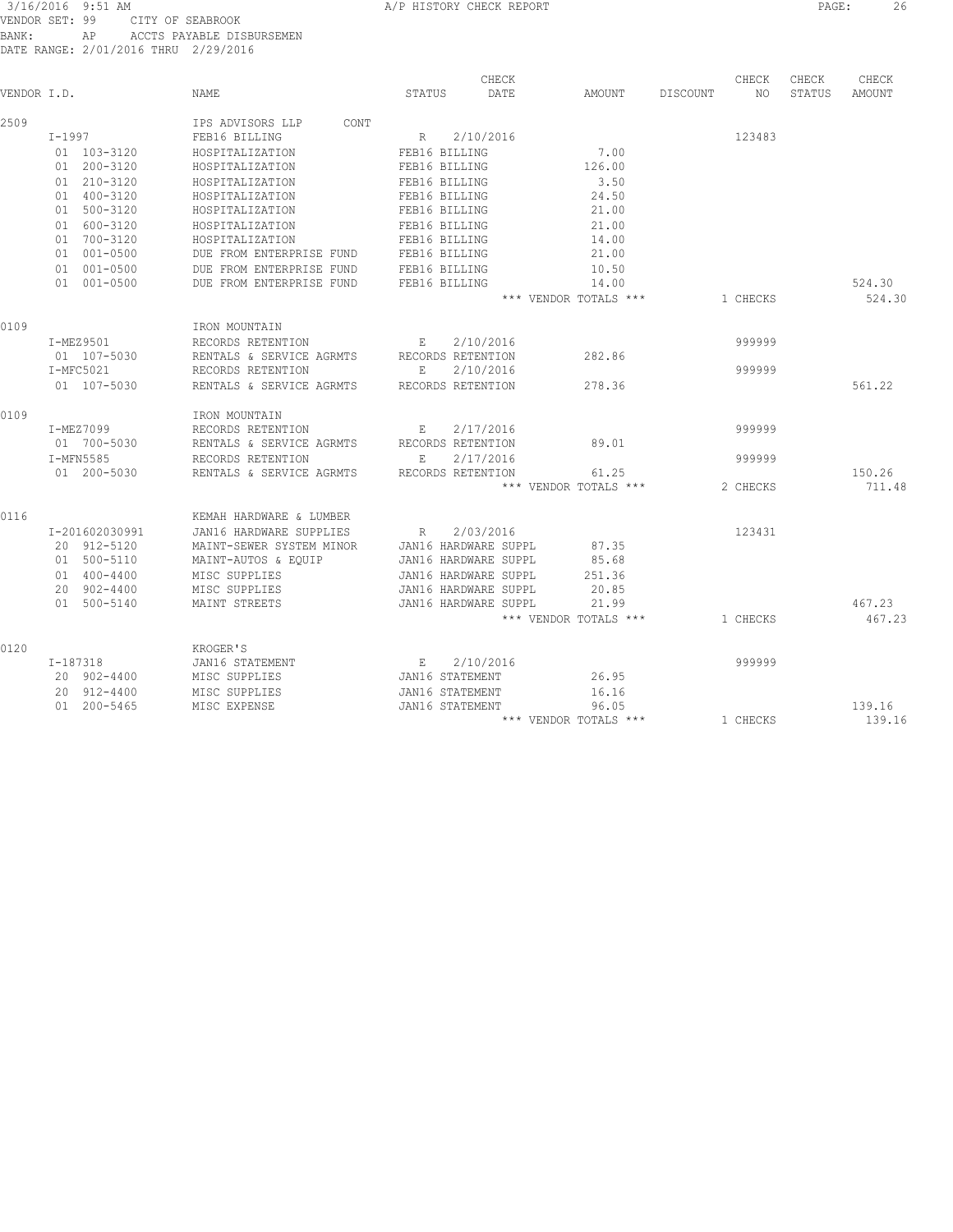#### 3/16/2016 9:51 AM A/P HISTORY CHECK REPORT PAGE: 26 VENDOR SET: 99 CITY OF SEABROOK BANK: AP ACCTS PAYABLE DISBURSEMEN DATE RANGE: 2/01/2016 THRU 2/29/2016

|             |                |                          | CHECK                       |                       |          | CHECK    | CHECK  | CHECK  |
|-------------|----------------|--------------------------|-----------------------------|-----------------------|----------|----------|--------|--------|
| VENDOR I.D. |                | NAME                     | STATUS<br>DATE              | AMOUNT                | DISCOUNT | NO       | STATUS | AMOUNT |
| 2509        |                | IPS ADVISORS LLP<br>CONT |                             |                       |          |          |        |        |
|             | I-1997         | FEB16 BILLING            | 2/10/2016<br>R              |                       |          | 123483   |        |        |
|             | 01 103-3120    | HOSPITALIZATION          | FEB16 BILLING               | 7.00                  |          |          |        |        |
|             | 01 200-3120    | HOSPITALIZATION          | FEB16 BILLING               | 126.00                |          |          |        |        |
|             | 01 210-3120    | HOSPITALIZATION          | FEB16 BILLING               | 3.50                  |          |          |        |        |
|             | 01 400-3120    | HOSPITALIZATION          | FEB16 BILLING               | 24.50                 |          |          |        |        |
|             | 01 500-3120    | HOSPITALIZATION          | FEB16 BILLING               | 21.00                 |          |          |        |        |
|             | 01 600-3120    | HOSPITALIZATION          | FEB16 BILLING               | 21.00                 |          |          |        |        |
|             | 01 700-3120    | HOSPITALIZATION          | FEB16 BILLING               | 14.00                 |          |          |        |        |
|             | 01 001-0500    | DUE FROM ENTERPRISE FUND | FEB16 BILLING               | 21.00                 |          |          |        |        |
|             | 01 001-0500    | DUE FROM ENTERPRISE FUND | FEB16 BILLING               | 10.50                 |          |          |        |        |
|             | 01 001-0500    | DUE FROM ENTERPRISE FUND | FEB16 BILLING               | 14.00                 |          |          |        | 524.30 |
|             |                |                          |                             | *** VENDOR TOTALS *** |          | 1 CHECKS |        | 524.30 |
| 0109        |                | IRON MOUNTAIN            |                             |                       |          |          |        |        |
|             | I-MEZ9501      | RECORDS RETENTION        | 2/10/2016<br>$E =$          |                       |          | 999999   |        |        |
|             | 01 107-5030    | RENTALS & SERVICE AGRMTS | RECORDS RETENTION           | 282.86                |          |          |        |        |
|             | I-MFC5021      | RECORDS RETENTION        | E<br>2/10/2016              |                       |          | 999999   |        |        |
|             | 01 107-5030    | RENTALS & SERVICE AGRMTS | RECORDS RETENTION           | 278.36                |          |          |        | 561.22 |
| 0109        |                | IRON MOUNTAIN            |                             |                       |          |          |        |        |
|             | I-MEZ7099      | RECORDS RETENTION        | E<br>2/17/2016              |                       |          | 999999   |        |        |
|             | 01 700-5030    | RENTALS & SERVICE AGRMTS | RECORDS RETENTION           | 89.01                 |          |          |        |        |
|             | I-MFN5585      | RECORDS RETENTION        | 2/17/2016<br>E              |                       |          | 999999   |        |        |
|             | 01 200-5030    | RENTALS & SERVICE AGRMTS | RECORDS RETENTION           | 61.25                 |          |          |        | 150.26 |
|             |                |                          |                             | *** VENDOR TOTALS *** |          | 2 CHECKS |        | 711.48 |
| 0116        |                | KEMAH HARDWARE & LUMBER  |                             |                       |          |          |        |        |
|             | I-201602030991 | JAN16 HARDWARE SUPPLIES  | 2/03/2016<br>R              |                       |          | 123431   |        |        |
|             | 20 912-5120    | MAINT-SEWER SYSTEM MINOR | JAN16 HARDWARE SUPPL        | 87.35                 |          |          |        |        |
|             | 01 500-5110    | MAINT-AUTOS & EQUIP      | JAN16 HARDWARE SUPPL        | 85.68                 |          |          |        |        |
|             | 01 400-4400    | MISC SUPPLIES            | JAN16 HARDWARE SUPPL        | 251.36                |          |          |        |        |
|             | 20 902-4400    | MISC SUPPLIES            | JAN16 HARDWARE SUPPL        | 20.85                 |          |          |        |        |
|             | 01 500-5140    | MAINT STREETS            | JAN16 HARDWARE SUPPL        | 21.99                 |          |          |        | 467.23 |
|             |                |                          |                             | *** VENDOR TOTALS *** |          | 1 CHECKS |        | 467.23 |
| 0120        |                | KROGER'S                 |                             |                       |          |          |        |        |
|             | I-187318       | JAN16 STATEMENT          | 2/10/2016<br>$E_{\rm{max}}$ |                       |          | 999999   |        |        |
|             | 20 902-4400    | MISC SUPPLIES            | JAN16 STATEMENT             | 26.95                 |          |          |        |        |
|             | 20 912-4400    | MISC SUPPLIES            | JAN16 STATEMENT             | 16.16                 |          |          |        |        |
|             | 01 200-5465    | MISC EXPENSE             | JAN16 STATEMENT             | 96.05                 |          |          |        | 139.16 |
|             |                |                          |                             | *** VENDOR TOTALS *** |          | 1 CHECKS |        | 139.16 |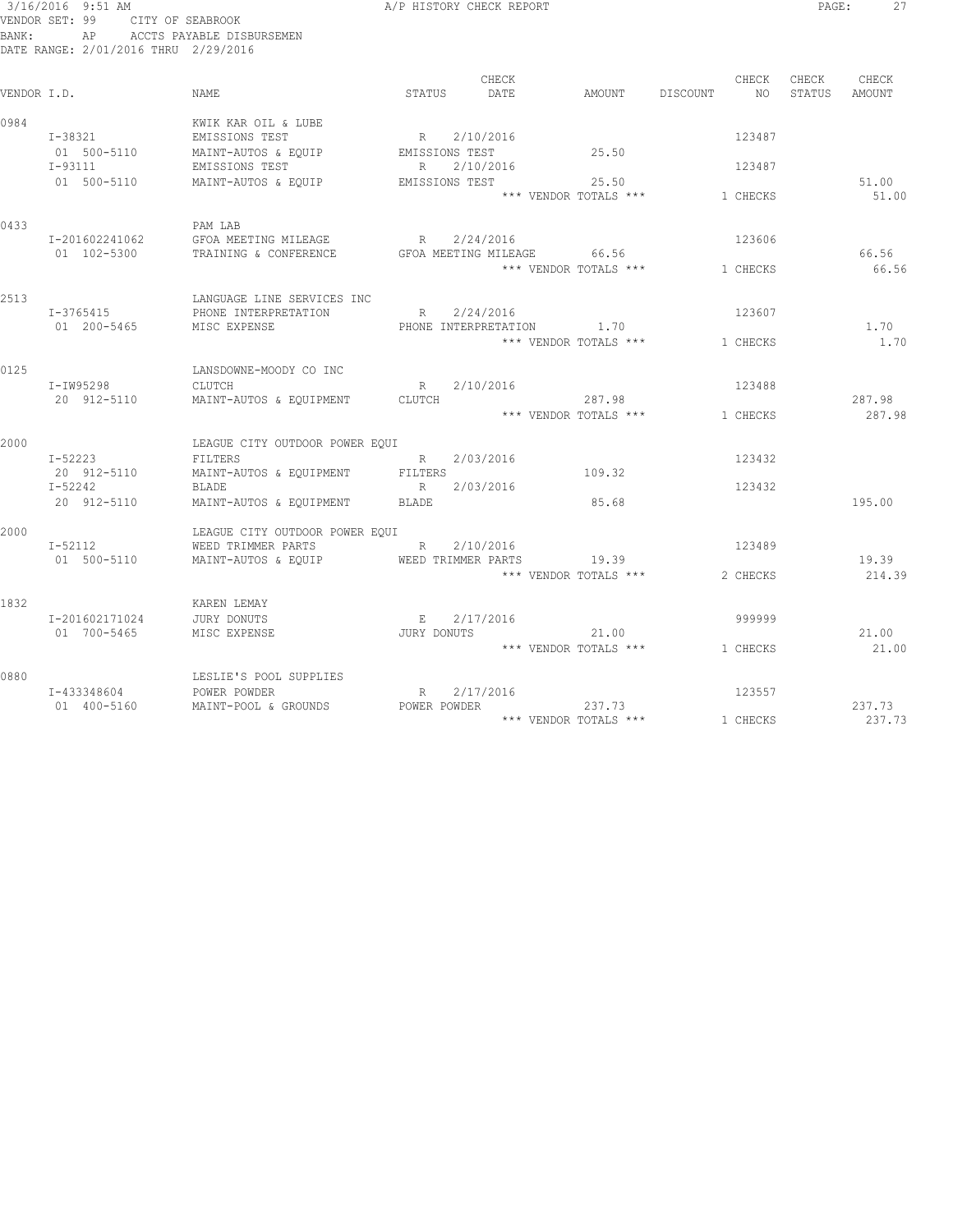| BANK:       | 3/16/2016 9:51 AM<br>VENDOR SET: 99<br>AP<br>DATE RANGE: 2/01/2016 THRU 2/29/2016 | CITY OF SEABROOK<br>ACCTS PAYABLE DISBURSEMEN                                                            | A/P HISTORY CHECK REPORT                        |                                   |                                 |          |                          | PAGE:           | 27               |
|-------------|-----------------------------------------------------------------------------------|----------------------------------------------------------------------------------------------------------|-------------------------------------------------|-----------------------------------|---------------------------------|----------|--------------------------|-----------------|------------------|
| VENDOR I.D. |                                                                                   | NAME                                                                                                     | STATUS                                          | CHECK<br>DATE                     | AMOUNT                          | DISCOUNT | CHECK<br>NO <sub>1</sub> | CHECK<br>STATUS | CHECK<br>AMOUNT  |
| 0984        | I-38321<br>01 500-5110<br>I-93111<br>01 500-5110                                  | KWIK KAR OIL & LUBE<br>EMISSIONS TEST<br>MAINT-AUTOS & EQUIP<br>EMISSIONS TEST<br>MAINT-AUTOS & EQUIP    | R 2/10/2016<br>EMISSIONS TEST<br>EMISSIONS TEST | R 2/10/2016                       | 25.50<br>25.50                  |          | 123487<br>123487         |                 | 51.00            |
| 0433        |                                                                                   | PAM LAB                                                                                                  |                                                 |                                   | *** VENDOR TOTALS ***           |          | 1 CHECKS                 |                 | 51.00            |
|             | I-201602241062<br>01 102-5300                                                     | GFOA MEETING MILEAGE<br>TRAINING & CONFERENCE                                                            | R<br>GFOA MEETING MILEAGE                       | 2/24/2016                         | 66.56<br>*** VENDOR TOTALS ***  |          | 123606<br>1 CHECKS       |                 | 66.56<br>66.56   |
| 2513        | I-3765415<br>01 200-5465                                                          | LANGUAGE LINE SERVICES INC<br>PHONE INTERPRETATION<br>MISC EXPENSE                                       | R                                               | 2/24/2016<br>PHONE INTERPRETATION | 1.70<br>*** VENDOR TOTALS ***   |          | 123607<br>1 CHECKS       |                 | 1.70<br>1.70     |
| 0125        | I-IW95298<br>20 912-5110                                                          | LANSDOWNE-MOODY CO INC<br>CLUTCH<br>MAINT-AUTOS & EQUIPMENT                                              | R<br>CLUTCH                                     | 2/10/2016                         | 287.98<br>*** VENDOR TOTALS *** |          | 123488<br>1 CHECKS       |                 | 287.98<br>287.98 |
| 2000        | $I - 52223$<br>20 912-5110<br>I-52242<br>20 912-5110                              | LEAGUE CITY OUTDOOR POWER EQUI<br>FILTERS<br>MAINT-AUTOS & EQUIPMENT<br>BLADE<br>MAINT-AUTOS & EQUIPMENT | R<br>FILTERS<br>R<br>BLADE                      | 2/03/2016<br>2/03/2016            | 109.32<br>85.68                 |          | 123432<br>123432         |                 | 195.00           |
| 2000        | I-52112<br>01 500-5110                                                            | LEAGUE CITY OUTDOOR POWER EQUI<br>WEED TRIMMER PARTS<br>MAINT-AUTOS & EQUIP                              | R<br>WEED TRIMMER PARTS                         | 2/10/2016                         | 19.39<br>*** VENDOR TOTALS ***  |          | 123489<br>2 CHECKS       |                 | 19.39<br>214.39  |
| 1832        | I-201602171024<br>01 700-5465                                                     | KAREN LEMAY<br>JURY DONUTS<br>MISC EXPENSE                                                               | E<br>JURY DONUTS                                | 2/17/2016                         | 21.00<br>*** VENDOR TOTALS ***  |          | 999999<br>1 CHECKS       |                 | 21.00<br>21.00   |
| 0880        | I-433348604<br>01 400-5160                                                        | LESLIE'S POOL SUPPLIES<br>POWER POWDER<br>MAINT-POOL & GROUNDS                                           | R<br>POWER POWDER                               | 2/17/2016                         | 237.73<br>*** VENDOR TOTALS *** |          | 123557<br>1 CHECKS       |                 | 237.73<br>237.73 |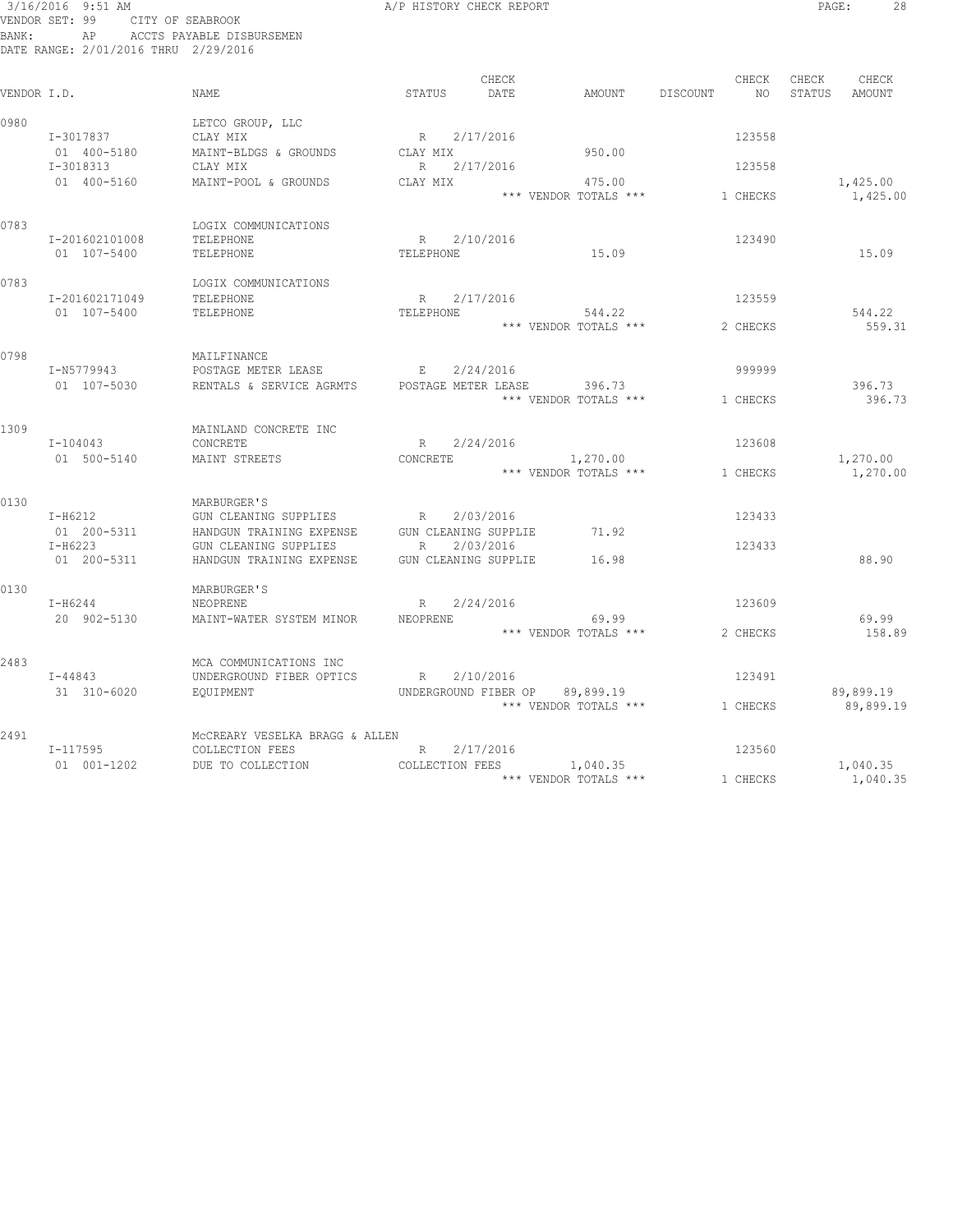#### 3/16/2016 9:51 AM A/P HISTORY CHECK REPORT PAGE: 28 VENDOR SET: 99 CITY OF SEABROOK BANK: AP ACCTS PAYABLE DISBURSEMEN DATE RANGE: 2/01/2016 THRU 2/29/2016

|             |                |                                |                     | CHECK                |                                |          | CHECK    | CHECK  | CHECK     |
|-------------|----------------|--------------------------------|---------------------|----------------------|--------------------------------|----------|----------|--------|-----------|
| VENDOR I.D. |                | <b>NAME</b>                    | STATUS              | DATE                 | AMOUNT                         | DISCOUNT | NO       | STATUS | AMOUNT    |
| 0980        |                | LETCO GROUP, LLC               |                     |                      |                                |          |          |        |           |
|             | I-3017837      | CLAY MIX                       | R 2/17/2016         |                      |                                |          | 123558   |        |           |
|             | 01 400-5180    | MAINT-BLDGS & GROUNDS          | CLAY MIX            |                      | 950.00                         |          |          |        |           |
|             | I-3018313      | CLAY MIX                       | R                   | 2/17/2016            |                                |          | 123558   |        |           |
|             | 01 400-5160    | MAINT-POOL & GROUNDS           | CLAY MIX            |                      | 475.00                         |          |          |        | 1,425.00  |
|             |                |                                |                     |                      | *** VENDOR TOTALS ***          |          | 1 CHECKS |        | 1,425.00  |
| 0783        |                | LOGIX COMMUNICATIONS           |                     |                      |                                |          |          |        |           |
|             | I-201602101008 | TELEPHONE                      | R                   | 2/10/2016            |                                |          | 123490   |        |           |
|             | 01 107-5400    | TELEPHONE                      | TELEPHONE           |                      | 15.09                          |          |          |        | 15.09     |
| 0783        |                | LOGIX COMMUNICATIONS           |                     |                      |                                |          |          |        |           |
|             | I-201602171049 | TELEPHONE                      | R                   | 2/17/2016            |                                |          | 123559   |        |           |
|             | 01 107-5400    | TELEPHONE                      | TELEPHONE           |                      | 544.22                         |          |          |        | 544.22    |
|             |                |                                |                     |                      | *** VENDOR TOTALS ***          |          | 2 CHECKS |        | 559.31    |
| 0798        |                | MAILFINANCE                    |                     |                      |                                |          |          |        |           |
|             | I-N5779943     | POSTAGE METER LEASE            | E                   | 2/24/2016            |                                |          | 999999   |        |           |
|             | 01 107-5030    | RENTALS & SERVICE AGRMTS       | POSTAGE METER LEASE |                      | 396.73                         |          |          |        | 396.73    |
|             |                |                                |                     |                      | *** VENDOR TOTALS ***          |          | 1 CHECKS |        | 396.73    |
| 1309        |                | MAINLAND CONCRETE INC          |                     |                      |                                |          |          |        |           |
|             | $I-104043$     | CONCRETE                       | R 2/24/2016         |                      |                                |          | 123608   |        |           |
|             | 01 500-5140    | MAINT STREETS                  | CONCRETE            |                      | 1,270.00                       |          |          |        | 1,270.00  |
|             |                |                                |                     |                      | *** VENDOR TOTALS ***          |          | 1 CHECKS |        | 1,270.00  |
| 0130        |                | MARBURGER'S                    |                     |                      |                                |          |          |        |           |
|             | I-H6212        | GUN CLEANING SUPPLIES          | R                   | 2/03/2016            |                                |          | 123433   |        |           |
|             | 01 200-5311    | HANDGUN TRAINING EXPENSE       |                     | GUN CLEANING SUPPLIE | 71.92                          |          |          |        |           |
|             | I-H6223        | GUN CLEANING SUPPLIES          | R                   | 2/03/2016            |                                |          | 123433   |        |           |
|             | 01 200-5311    | HANDGUN TRAINING EXPENSE       |                     | GUN CLEANING SUPPLIE | 16.98                          |          |          |        | 88.90     |
| 0130        |                | MARBURGER'S                    |                     |                      |                                |          |          |        |           |
|             | I-H6244        | NEOPRENE                       | R                   | 2/24/2016            |                                |          | 123609   |        |           |
|             | 20 902-5130    | MAINT-WATER SYSTEM MINOR       | NEOPRENE            |                      | 69.99                          |          |          |        | 69.99     |
|             |                |                                |                     |                      | *** VENDOR TOTALS ***          |          | 2 CHECKS |        | 158.89    |
| 2483        |                | MCA COMMUNICATIONS INC         |                     |                      |                                |          |          |        |           |
|             | I-44843        | UNDERGROUND FIBER OPTICS       | $R_{\parallel}$     | 2/10/2016            |                                |          | 123491   |        |           |
|             | 31 310-6020    | EQUIPMENT                      |                     |                      | UNDERGROUND FIBER OP 89,899.19 |          |          |        | 89,899.19 |
|             |                |                                |                     |                      | *** VENDOR TOTALS ***          |          | 1 CHECKS |        | 89,899.19 |
| 2491        |                | MCCREARY VESELKA BRAGG & ALLEN |                     |                      |                                |          |          |        |           |
|             | I-117595       | COLLECTION FEES                |                     | R 2/17/2016          |                                |          | 123560   |        |           |
|             | 01 001-1202    | DUE TO COLLECTION              | COLLECTION FEES     |                      | 1,040.35                       |          |          |        | 1,040.35  |
|             |                |                                |                     |                      | *** VENDOR TOTALS ***          |          | 1 CHECKS |        | 1,040.35  |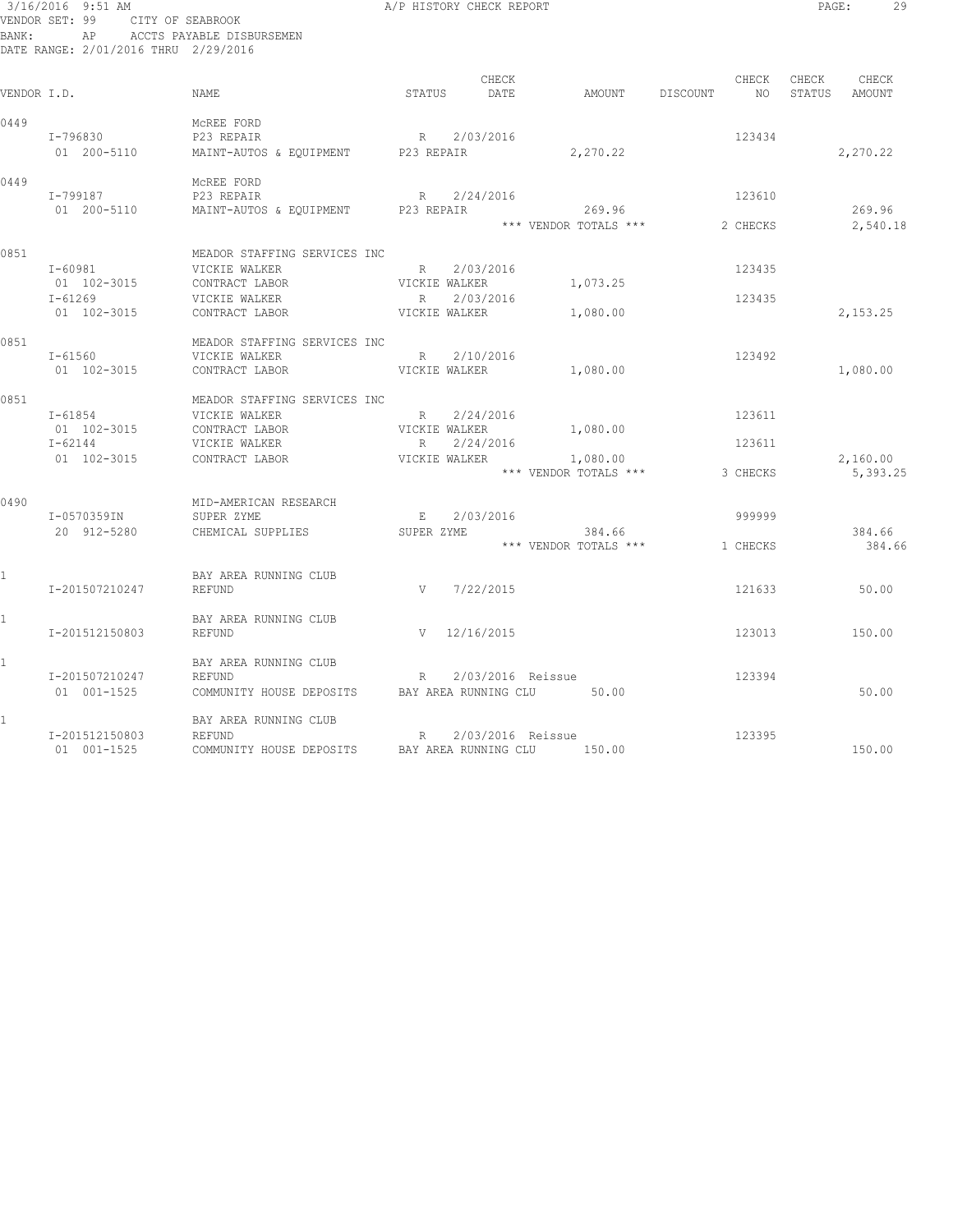| 3/16/2016 9:51 AM |      |                                      |
|-------------------|------|--------------------------------------|
|                   |      | VENDOR SET: 99     CITY OF SEABROOK  |
| BANK :            | AP D | ACCTS PAYABLE DISBURSEMEN            |
|                   |      | DATE RANGE: 2/01/2016 THRU 2/29/2016 |

| VENDOR I.D. |                                                      | <b>NAME</b>                                                                                        | STATUS           |                                                          | CHECK<br>DATE     | AMOUNT                                        | DISCOUNT | CHECK<br>NO                  | CHECK<br>STATUS | CHECK<br>AMOUNT      |
|-------------|------------------------------------------------------|----------------------------------------------------------------------------------------------------|------------------|----------------------------------------------------------|-------------------|-----------------------------------------------|----------|------------------------------|-----------------|----------------------|
| 0449        | I-796830<br>01 200-5110                              | MCREE FORD<br>P23 REPAIR<br>MAINT-AUTOS & EQUIPMENT P23 REPAIR                                     | R                | 2/03/2016                                                |                   | 2,270.22                                      |          | 123434                       |                 | 2,270.22             |
| 0449        | I-799187<br>01 200-5110                              | MCREE FORD<br>P23 REPAIR<br>MAINT-AUTOS & EQUIPMENT P23 REPAIR                                     |                  | R 2/24/2016                                              |                   | 269.96<br>*** VENDOR TOTALS ***               |          | 123610<br>2 CHECKS           |                 | 269.96<br>2,540.18   |
| 0851        | I-60981<br>01 102-3015<br>$I - 61269$                | MEADOR STAFFING SERVICES INC<br>VICKIE WALKER<br>CONTRACT LABOR<br>VICKIE WALKER                   | R<br>R           | 2/03/2016<br>VICKIE WALKER<br>2/03/2016                  |                   | 1,073.25                                      |          | 123435<br>123435             |                 |                      |
| 0851        | 01 102-3015<br>$I - 61560$<br>01 102-3015            | CONTRACT LABOR<br>MEADOR STAFFING SERVICES INC<br>VICKIE WALKER<br>CONTRACT LABOR                  | R                | VICKIE WALKER<br>2/10/2016<br>VICKIE WALKER              |                   | 1,080.00<br>1,080.00                          |          | 123492                       |                 | 2,153.25<br>1,080.00 |
| 0851        | I-61854<br>01 102-3015<br>$I - 62144$<br>01 102-3015 | MEADOR STAFFING SERVICES INC<br>VICKIE WALKER<br>CONTRACT LABOR<br>VICKIE WALKER<br>CONTRACT LABOR | R<br>R           | 2/24/2016<br>VICKIE WALKER<br>2/24/2016<br>VICKIE WALKER |                   | 1,080.00<br>1,080.00<br>*** VENDOR TOTALS *** |          | 123611<br>123611<br>3 CHECKS |                 | 2,160.00<br>5,393.25 |
| 0490        | I-0570359IN<br>20 912-5280                           | MID-AMERICAN RESEARCH<br>SUPER ZYME<br>CHEMICAL SUPPLIES                                           | E.<br>SUPER ZYME | 2/03/2016                                                |                   | 384.66<br>*** VENDOR TOTALS ***               |          | 999999<br>1 CHECKS           |                 | 384.66<br>384.66     |
|             | I-201507210247                                       | BAY AREA RUNNING CLUB<br>REFUND                                                                    | V                | 7/22/2015                                                |                   |                                               |          | 121633                       |                 | 50.00                |
|             | I-201512150803                                       | BAY AREA RUNNING CLUB<br>REFUND                                                                    | $\mathbf{V}$     | 12/16/2015                                               |                   |                                               |          | 123013                       |                 | 150.00               |
|             | I-201507210247<br>01 001-1525                        | BAY AREA RUNNING CLUB<br>REFUND<br>COMMUNITY HOUSE DEPOSITS                                        | R                | BAY AREA RUNNING CLU                                     | 2/03/2016 Reissue | 50.00                                         |          | 123394                       |                 | 50.00                |
|             | I-201512150803<br>01 001-1525                        | BAY AREA RUNNING CLUB<br>REFUND<br>COMMUNITY HOUSE DEPOSITS                                        | R                | BAY AREA RUNNING CLU                                     | 2/03/2016 Reissue | 150.00                                        |          | 123395                       |                 | 150.00               |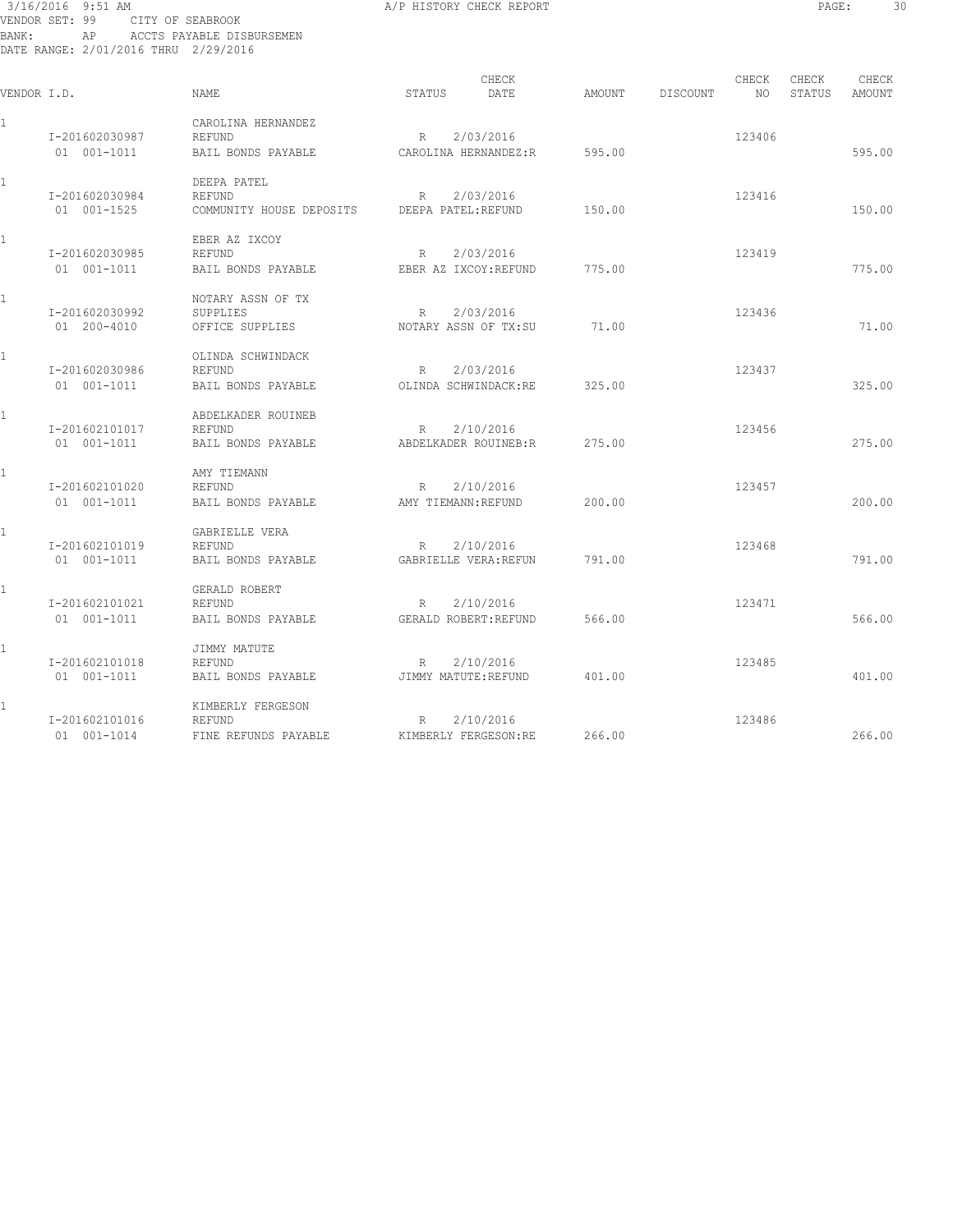#### 3/16/2016 9:51 AM A/P HISTORY CHECK REPORT PAGE: 30 VENDOR SET: 99 CITY OF SEABROOK BANK: AP ACCTS PAYABLE DISBURSEMEN DATE RANGE: 2/01/2016 THRU 2/29/2016

| VENDOR I.D.  |                               | NAME                                                     | CHECK<br>STATUS<br>DATE                               | AMOUNT | DISCOUNT | CHECK<br>NO | CHECK<br>STATUS | CHECK<br>AMOUNT |
|--------------|-------------------------------|----------------------------------------------------------|-------------------------------------------------------|--------|----------|-------------|-----------------|-----------------|
|              | I-201602030987<br>01 001-1011 | CAROLINA HERNANDEZ<br>REFUND<br>BAIL BONDS PAYABLE       | 2/03/2016<br>R<br>CAROLINA HERNANDEZ:R                | 595.00 |          | 123406      |                 | 595.00          |
|              | I-201602030984<br>01 001-1525 | DEEPA PATEL<br>REFUND<br>COMMUNITY HOUSE DEPOSITS        | 2/03/2016<br>R<br>DEEPA PATEL: REFUND                 | 150.00 |          | 123416      |                 | 150.00          |
| $\mathbf{1}$ | I-201602030985<br>01 001-1011 | EBER AZ IXCOY<br>REFUND<br>BAIL BONDS PAYABLE            | 2/03/2016<br>R<br>EBER AZ IXCOY: REFUND               | 775.00 |          | 123419      |                 | 775.00          |
|              | I-201602030992<br>01 200-4010 | NOTARY ASSN OF TX<br>SUPPLIES<br>OFFICE SUPPLIES         | 2/03/2016<br>R<br>NOTARY ASSN OF TX:SU                | 71.00  |          | 123436      |                 | 71.00           |
| $\mathbf{1}$ | I-201602030986<br>01 001-1011 | OLINDA SCHWINDACK<br><b>REFUND</b><br>BAIL BONDS PAYABLE | 2/03/2016<br>R<br>OLINDA SCHWINDACK:RE                | 325.00 |          | 123437      |                 | 325.00          |
|              | I-201602101017<br>01 001-1011 | ABDELKADER ROUINEB<br>REFUND<br>BAIL BONDS PAYABLE       | 2/10/2016<br>R<br>ABDELKADER ROUINEB:R                | 275.00 |          | 123456      |                 | 275.00          |
| $\mathbf{1}$ | I-201602101020<br>01 001-1011 | AMY TIEMANN<br><b>REFUND</b><br>BAIL BONDS PAYABLE       | 2/10/2016<br>R<br>AMY TIEMANN: REFUND                 | 200.00 |          | 123457      |                 | 200.00          |
|              | I-201602101019<br>01 001-1011 | GABRIELLE VERA<br><b>REFUND</b><br>BAIL BONDS PAYABLE    | 2/10/2016<br>R<br>GABRIELLE VERA: REFUN               | 791.00 |          | 123468      |                 | 791.00          |
|              | I-201602101021<br>01 001-1011 | GERALD ROBERT<br><b>REFUND</b><br>BAIL BONDS PAYABLE     | 2/10/2016<br>$R_{\parallel}$<br>GERALD ROBERT: REFUND | 566.00 |          | 123471      |                 | 566.00          |
| 1            | I-201602101018<br>01 001-1011 | JIMMY MATUTE<br>REFUND<br>BAIL BONDS PAYABLE             | 2/10/2016<br>R<br>JIMMY MATUTE: REFUND                | 401.00 |          | 123485      |                 | 401.00          |
| $\mathbf{1}$ | I-201602101016<br>01 001-1014 | KIMBERLY FERGESON<br>REFUND<br>FINE REFUNDS PAYABLE      | 2/10/2016<br>R<br>KIMBERLY FERGESON:RE                | 266.00 |          | 123486      |                 | 266.00          |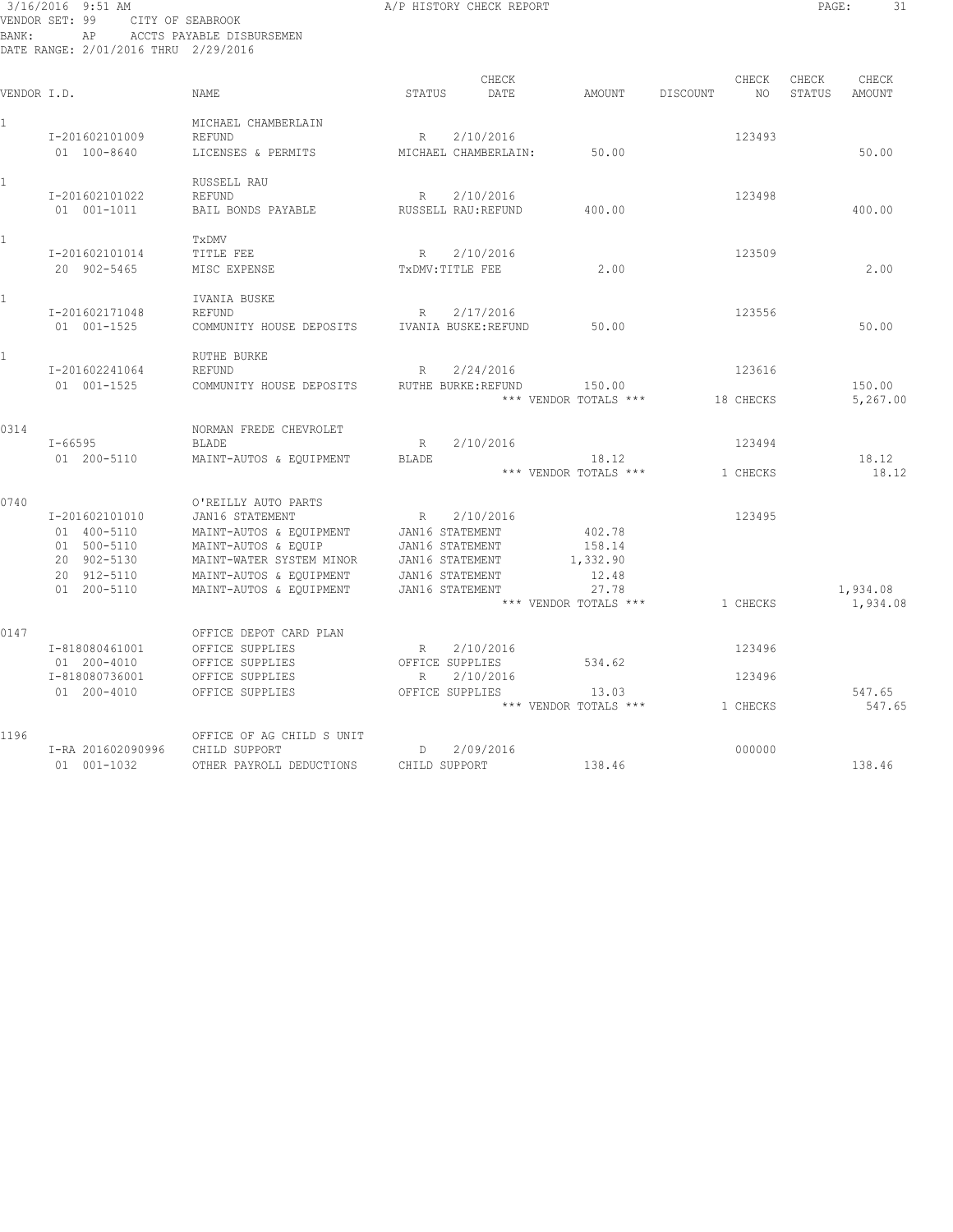#### 3/16/2016 9:51 AM A/P HISTORY CHECK REPORT PAGE: 31 VENDOR SET: 99 CITY OF SEABROOK BANK: AP ACCTS PAYABLE DISBURSEMEN DATE RANGE: 2/01/2016 THRU 2/29/2016

| VENDOR I.D. |                                                                                           | NAME                                                                                                                                                                       | CHECK<br>DATE<br>STATUS                                                                                       | AMOUNT                                                                  | CHECK<br>NO.<br>DISCOUNT     | CHECK<br>CHECK<br>STATUS<br>AMOUNT |
|-------------|-------------------------------------------------------------------------------------------|----------------------------------------------------------------------------------------------------------------------------------------------------------------------------|---------------------------------------------------------------------------------------------------------------|-------------------------------------------------------------------------|------------------------------|------------------------------------|
|             | I-201602101009<br>01 100-8640                                                             | MICHAEL CHAMBERLAIN<br>REFUND<br>LICENSES & PERMITS                                                                                                                        | 2/10/2016<br>R<br>MICHAEL CHAMBERLAIN:                                                                        | 50.00                                                                   | 123493                       | 50.00                              |
|             | I-201602101022<br>01 001-1011                                                             | RUSSELL RAU<br><b>REFUND</b><br>BAIL BONDS PAYABLE                                                                                                                         | 2/10/2016<br>$\, {\mathbb R}$<br>RUSSELL RAU: REFUND                                                          | 400.00                                                                  | 123498                       | 400.00                             |
|             | I-201602101014<br>20 902-5465                                                             | TxDMV<br>TITLE FEE<br>MISC EXPENSE                                                                                                                                         | 2/10/2016<br>R<br>TXDMV:TITLE FEE                                                                             | 2.00                                                                    | 123509                       | 2.00                               |
|             | I-201602171048<br>01 001-1525                                                             | IVANIA BUSKE<br>REFUND<br>COMMUNITY HOUSE DEPOSITS                                                                                                                         | 2/17/2016<br>$\mathbb{R}$<br>IVANIA BUSKE: REFUND                                                             | 50.00                                                                   | 123556                       | 50.00                              |
|             | I-201602241064<br>01 001-1525                                                             | RUTHE BURKE<br>REFUND<br>COMMUNITY HOUSE DEPOSITS                                                                                                                          | 2/24/2016<br>$\mathbb{R}$<br>RUTHE BURKE: REFUND                                                              | 150.00<br>*** VENDOR TOTALS ***                                         | 123616<br>18 CHECKS          | 150.00<br>5,267.00                 |
| 0314        | $I - 66595$<br>01 200-5110                                                                | NORMAN FREDE CHEVROLET<br><b>BLADE</b><br>MAINT-AUTOS & EQUIPMENT                                                                                                          | 2/10/2016<br>$\mathbb{R}$<br><b>BLADE</b>                                                                     | 18.12<br>*** VENDOR TOTALS ***                                          | 123494<br>1 CHECKS           | 18.12<br>18.12                     |
| 0740        | I-201602101010<br>01 400-5110<br>01 500-5110<br>20 902-5130<br>20 912-5110<br>01 200-5110 | O'REILLY AUTO PARTS<br>JAN16 STATEMENT<br>MAINT-AUTOS & EQUIPMENT<br>MAINT-AUTOS & EQUIP<br>MAINT-WATER SYSTEM MINOR<br>MAINT-AUTOS & EQUIPMENT<br>MAINT-AUTOS & EQUIPMENT | R<br>2/10/2016<br>JAN16 STATEMENT<br>JAN16 STATEMENT<br>JAN16 STATEMENT<br>JAN16 STATEMENT<br>JAN16 STATEMENT | 402.78<br>158.14<br>1,332.90<br>12.48<br>27.78<br>*** VENDOR TOTALS *** | 123495<br>1 CHECKS           | 1,934.08<br>1,934.08               |
| 0147        | I-818080461001<br>01 200-4010<br>I-818080736001<br>$01 200 - 4010$                        | OFFICE DEPOT CARD PLAN<br>OFFICE SUPPLIES<br>OFFICE SUPPLIES<br>OFFICE SUPPLIES<br>OFFICE SUPPLIES                                                                         | 2/10/2016<br>R<br>OFFICE SUPPLIES<br>2/10/2016<br>R<br>OFFICE SUPPLIES                                        | 534.62<br>13.03<br>*** VENDOR TOTALS ***                                | 123496<br>123496<br>1 CHECKS | 547.65<br>547.65                   |
| 1196        | I-RA 201602090996<br>01 001-1032                                                          | OFFICE OF AG CHILD S UNIT<br>CHILD SUPPORT<br>OTHER PAYROLL DEDUCTIONS                                                                                                     | 2/09/2016<br>D<br>CHILD SUPPORT                                                                               | 138.46                                                                  | 000000                       | 138.46                             |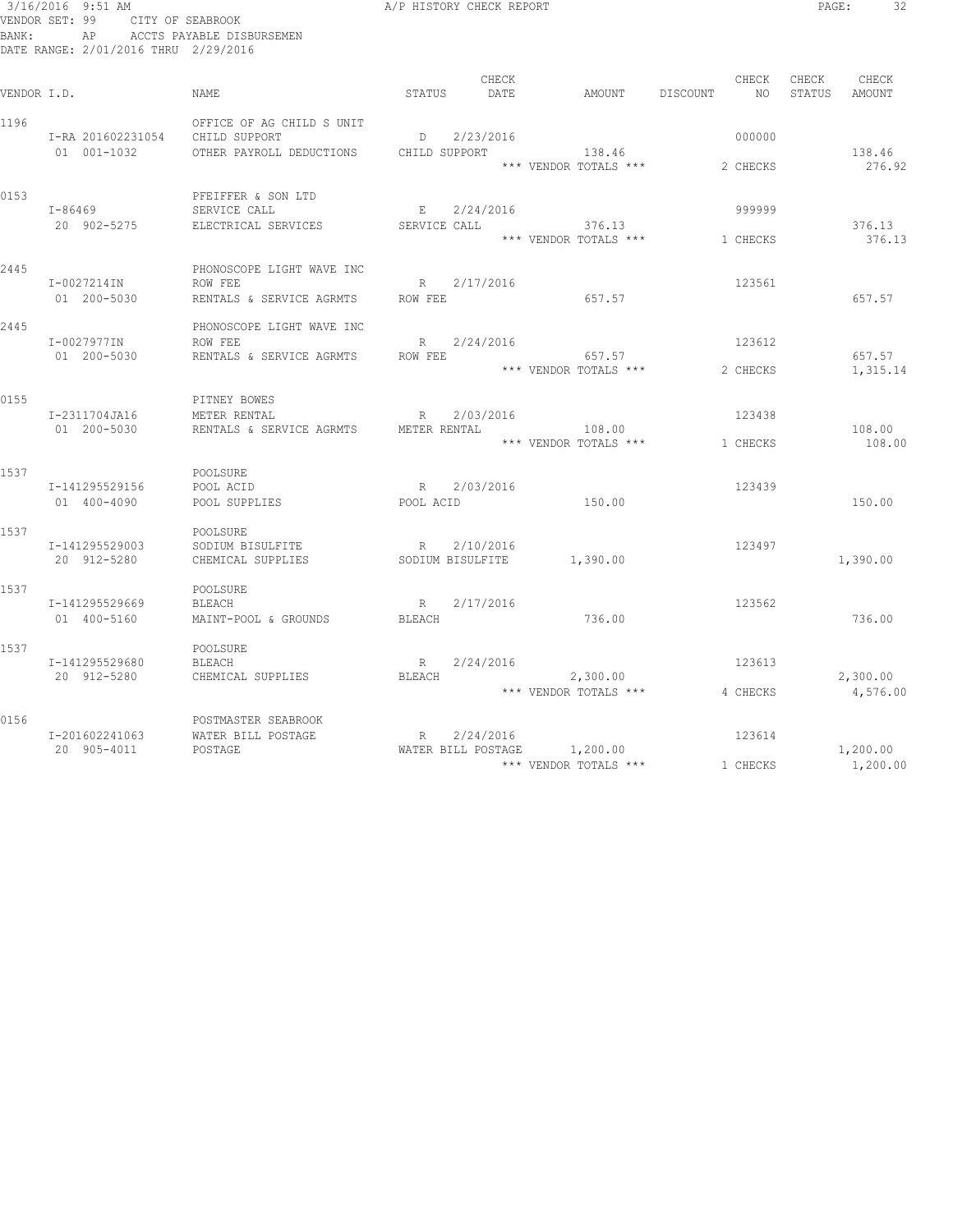#### 3/16/2016 9:51 AM A/P HISTORY CHECK REPORT PAGE: 32 VENDOR SET: 99 CITY OF SEABROOK BANK: AP ACCTS PAYABLE DISBURSEMEN DATE RANGE: 2/01/2016 THRU 2/29/2016

| VENDOR I.D. |                                  | NAME                                                                   | STATUS                       | CHECK<br>DATE | AMOUNT                            | DISCOUNT | CHECK<br>NO        | CHECK<br>STATUS | CHECK<br>AMOUNT      |
|-------------|----------------------------------|------------------------------------------------------------------------|------------------------------|---------------|-----------------------------------|----------|--------------------|-----------------|----------------------|
| 1196        | I-RA 201602231054<br>01 001-1032 | OFFICE OF AG CHILD S UNIT<br>CHILD SUPPORT<br>OTHER PAYROLL DEDUCTIONS | D<br>CHILD SUPPORT           | 2/23/2016     | 138.46<br>*** VENDOR TOTALS ***   |          | 000000<br>2 CHECKS |                 | 138.46<br>276.92     |
| 0153        | $I - 86469$<br>20 902-5275       | PFEIFFER & SON LTD<br>SERVICE CALL<br>ELECTRICAL SERVICES              | $\mathbf{E}$<br>SERVICE CALL | 2/24/2016     | 376.13<br>*** VENDOR TOTALS ***   |          | 999999<br>1 CHECKS |                 | 376.13<br>376.13     |
| 2445        | I-0027214IN<br>01 200-5030       | PHONOSCOPE LIGHT WAVE INC<br>ROW FEE<br>RENTALS & SERVICE AGRMTS       | R<br>ROW FEE                 | 2/17/2016     | 657.57                            |          | 123561             |                 | 657.57               |
| 2445        | I-0027977IN<br>01 200-5030       | PHONOSCOPE LIGHT WAVE INC<br>ROW FEE<br>RENTALS & SERVICE AGRMTS       | R<br>ROW FEE                 | 2/24/2016     | 657.57<br>*** VENDOR TOTALS ***   |          | 123612<br>2 CHECKS |                 | 657.57<br>1,315.14   |
| 0155        | I-2311704JA16<br>01 200-5030     | PITNEY BOWES<br>METER RENTAL<br>RENTALS & SERVICE AGRMTS               | R<br>METER RENTAL            | 2/03/2016     | 108.00<br>*** VENDOR TOTALS ***   |          | 123438<br>1 CHECKS |                 | 108.00<br>108.00     |
| 1537        | I-141295529156<br>01 400-4090    | POOLSURE<br>POOL ACID<br>POOL SUPPLIES                                 | R<br>POOL ACID               | 2/03/2016     | 150.00                            |          | 123439             |                 | 150.00               |
| 1537        | I-141295529003<br>20 912-5280    | POOLSURE<br>SODIUM BISULFITE<br>CHEMICAL SUPPLIES                      | R<br>SODIUM BISULFITE        | 2/10/2016     | 1,390.00                          |          | 123497             |                 | 1,390.00             |
| 1537        | I-141295529669<br>01 400-5160    | POOLSURE<br>BLEACH<br>MAINT-POOL & GROUNDS                             | R<br>BLEACH                  | 2/17/2016     | 736.00                            |          | 123562             |                 | 736.00               |
| 1537        | I-141295529680<br>20 912-5280    | POOLSURE<br><b>BLEACH</b><br>CHEMICAL SUPPLIES                         | R<br>BLEACH                  | 2/24/2016     | 2,300.00<br>*** VENDOR TOTALS *** |          | 123613<br>4 CHECKS |                 | 2,300.00<br>4,576.00 |
| 0156        | I-201602241063<br>20 905-4011    | POSTMASTER SEABROOK<br>WATER BILL POSTAGE<br>POSTAGE                   | R<br>WATER BILL POSTAGE      | 2/24/2016     | 1,200.00<br>*** VENDOR TOTALS *** |          | 123614<br>1 CHECKS |                 | 1,200.00<br>1,200.00 |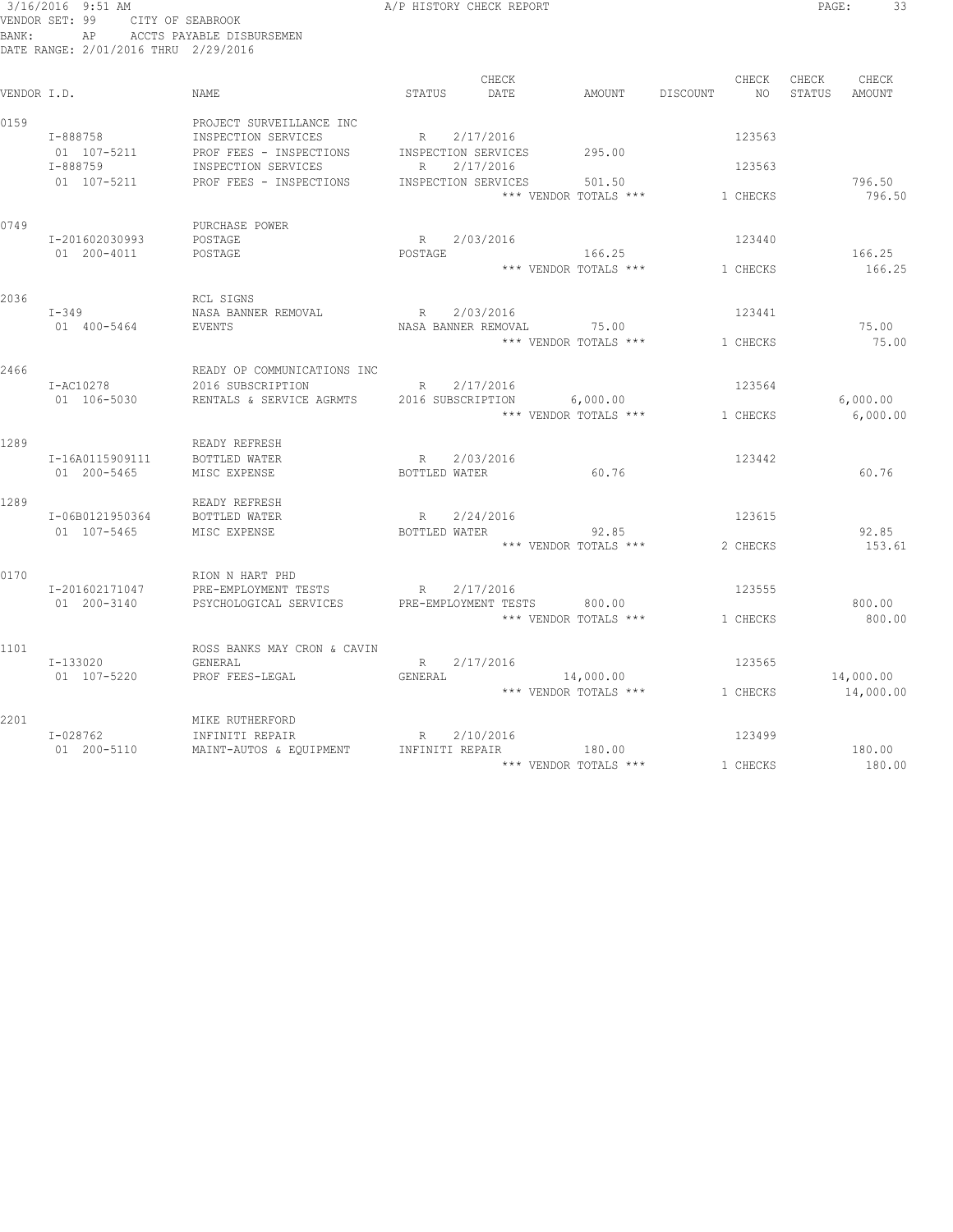3/16/2016 9:51 AM A/P HISTORY CHECK REPORT PAGE: 33 VENDOR SET: 99 CITY OF SEABROOK BANK: AP ACCTS PAYABLE DISBURSEMEN DATE RANGE: 2/01/2016 THRU 2/29/2016

| VENDOR I.D. |                                         | NAME                                                                                                                  | STATUS                           | CHECK<br>DATE                     | AMOUNT                             | DISCOUNT | CHECK<br>NO <sub>N</sub> | CHECK<br>STATUS | CHECK<br>AMOUNT        |
|-------------|-----------------------------------------|-----------------------------------------------------------------------------------------------------------------------|----------------------------------|-----------------------------------|------------------------------------|----------|--------------------------|-----------------|------------------------|
| 0159        | $I - 888758$<br>01 107-5211<br>I-888759 | PROJECT SURVEILLANCE INC<br>INSPECTION SERVICES<br>PROF FEES - INSPECTIONS INSPECTION SERVICES<br>INSPECTION SERVICES | R<br>R                           | 2/17/2016<br>2/17/2016            | 295.00                             |          | 123563<br>123563         |                 |                        |
|             | 01 107-5211                             | PROF FEES - INSPECTIONS                                                                                               |                                  | INSPECTION SERVICES               | 501.50<br>*** VENDOR TOTALS ***    |          | 1 CHECKS                 |                 | 796.50<br>796.50       |
| 0749        | I-201602030993<br>01 200-4011           | PURCHASE POWER<br>POSTAGE<br>POSTAGE                                                                                  | POSTAGE                          | R 2/03/2016                       | 166.25<br>*** VENDOR TOTALS ***    |          | 123440<br>1 CHECKS       |                 | 166.25<br>166.25       |
| 2036        | $I - 349$<br>01 400-5464                | RCL SIGNS<br>NASA BANNER REMOVAL<br>EVENTS                                                                            | R 2/03/2016                      | NASA BANNER REMOVAL               | 75.00<br>*** VENDOR TOTALS ***     |          | 123441<br>1 CHECKS       |                 | 75.00<br>75.00         |
| 2466        | I-AC10278<br>01 106-5030                | READY OP COMMUNICATIONS INC<br>2016 SUBSCRIPTION<br>RENTALS & SERVICE AGRMTS                                          | R 2/17/2016<br>2016 SUBSCRIPTION |                                   | 6,000.00<br>*** VENDOR TOTALS ***  |          | 123564<br>1 CHECKS       |                 | 6,000.00<br>6,000.00   |
| 1289        | I-16A0115909111<br>01 200-5465          | READY REFRESH<br>BOTTLED WATER<br>MISC EXPENSE                                                                        | R<br>BOTTLED WATER               | 2/03/2016                         | 60.76                              |          | 123442                   |                 | 60.76                  |
| 1289        | I-06B0121950364<br>01 107-5465          | READY REFRESH<br>BOTTLED WATER<br>MISC EXPENSE                                                                        | $R_{\perp}$<br>BOTTLED WATER     | 2/24/2016                         | 92.85<br>*** VENDOR TOTALS ***     |          | 123615<br>2 CHECKS       |                 | 92.85<br>153.61        |
| 0170        | I-201602171047<br>01 200-3140           | RION N HART PHD<br>PRE-EMPLOYMENT TESTS<br>PSYCHOLOGICAL SERVICES                                                     | R                                | 2/17/2016<br>PRE-EMPLOYMENT TESTS | 800.00<br>*** VENDOR TOTALS ***    |          | 123555<br>1 CHECKS       |                 | 800.00<br>800.00       |
| 1101        | I-133020<br>01 107-5220                 | ROSS BANKS MAY CRON & CAVIN<br>GENERAL<br>PROF FEES-LEGAL                                                             | R<br>GENERAL                     | 2/17/2016                         | 14,000.00<br>*** VENDOR TOTALS *** |          | 123565<br>1 CHECKS       |                 | 14,000.00<br>14,000.00 |
| 2201        | I-028762<br>01 200-5110                 | MIKE RUTHERFORD<br>INFINITI REPAIR<br>MAINT-AUTOS & EQUIPMENT                                                         | INFINITI REPAIR                  | R 2/10/2016                       | 180.00<br>*** VENDOR TOTALS ***    |          | 123499<br>1 CHECKS       |                 | 180.00<br>180.00       |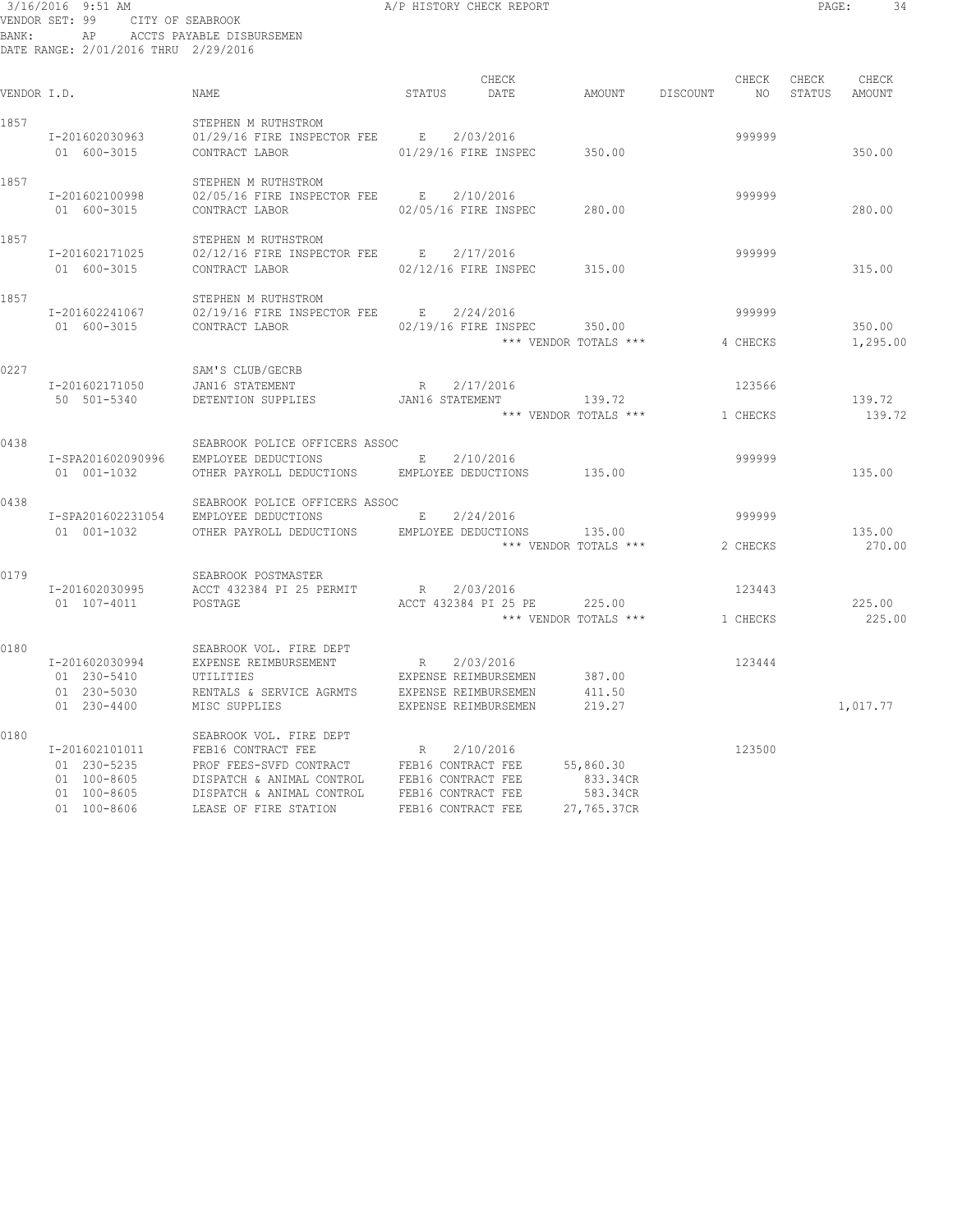#### 3/16/2016 9:51 AM A/P HISTORY CHECK REPORT PAGE: 34 VENDOR SET: 99 CITY OF SEABROOK BANK: AP ACCTS PAYABLE DISBURSEMEN DATE RANGE: 2/01/2016 THRU 2/29/2016

| VENDOR I.D. |                                                                            | NAME                                                                                                                                                        | STATUS                                                                                    | CHECK<br>DATE                      | AMOUNT                                           | DISCOUNT | CHECK<br>NO        | CHECK<br>STATUS | CHECK<br>AMOUNT    |
|-------------|----------------------------------------------------------------------------|-------------------------------------------------------------------------------------------------------------------------------------------------------------|-------------------------------------------------------------------------------------------|------------------------------------|--------------------------------------------------|----------|--------------------|-----------------|--------------------|
| 1857        | I-201602030963<br>01 600-3015                                              | STEPHEN M RUTHSTROM<br>01/29/16 FIRE INSPECTOR FEE<br>CONTRACT LABOR                                                                                        | $\mathbb E$<br>01/29/16 FIRE INSPEC                                                       | 2/03/2016                          | 350.00                                           |          | 999999             |                 | 350.00             |
| 1857        | I-201602100998<br>01 600-3015                                              | STEPHEN M RUTHSTROM<br>02/05/16 FIRE INSPECTOR FEE<br>CONTRACT LABOR                                                                                        | $F_{\rm c}$<br>02/05/16 FIRE INSPEC                                                       | 2/10/2016                          | 280.00                                           |          | 999999             |                 | 280.00             |
| 1857        | I-201602171025<br>01 600-3015                                              | STEPHEN M RUTHSTROM<br>02/12/16 FIRE INSPECTOR FEE<br>CONTRACT LABOR                                                                                        | E<br>02/12/16 FIRE INSPEC                                                                 | 2/17/2016                          | 315.00                                           |          | 999999             |                 | 315.00             |
| 1857        | I-201602241067<br>01 600-3015                                              | STEPHEN M RUTHSTROM<br>02/19/16 FIRE INSPECTOR FEE<br>CONTRACT LABOR                                                                                        | E<br>02/19/16 FIRE INSPEC                                                                 | 2/24/2016<br>*** VENDOR TOTALS *** | 350.00                                           |          | 999999<br>4 CHECKS |                 | 350.00<br>1,295.00 |
| 0227        | I-201602171050<br>50 501-5340                                              | SAM'S CLUB/GECRB<br>JAN16 STATEMENT<br>DETENTION SUPPLIES                                                                                                   | R<br>JAN16 STATEMENT                                                                      | 2/17/2016<br>*** VENDOR TOTALS *** | 139.72                                           |          | 123566<br>1 CHECKS |                 | 139.72<br>139.72   |
| 0438        | I-SPA201602090996<br>01 001-1032                                           | SEABROOK POLICE OFFICERS ASSOC<br>EMPLOYEE DEDUCTIONS<br>OTHER PAYROLL DEDUCTIONS                                                                           | E<br>EMPLOYEE DEDUCTIONS                                                                  | 2/10/2016                          | 135.00                                           |          | 999999             |                 | 135.00             |
| 0438        | I-SPA201602231054<br>01 001-1032                                           | SEABROOK POLICE OFFICERS ASSOC<br>EMPLOYEE DEDUCTIONS<br>OTHER PAYROLL DEDUCTIONS                                                                           | E<br>EMPLOYEE DEDUCTIONS                                                                  | 2/24/2016<br>*** VENDOR TOTALS *** | 135.00                                           |          | 999999<br>2 CHECKS |                 | 135.00<br>270.00   |
| 0179        | I-201602030995<br>01 107-4011                                              | SEABROOK POSTMASTER<br>ACCT 432384 PI 25 PERMIT<br>POSTAGE                                                                                                  | R<br>ACCT 432384 PI 25 PE                                                                 | 2/03/2016<br>*** VENDOR TOTALS *** | 225.00                                           |          | 123443<br>1 CHECKS |                 | 225.00<br>225.00   |
| 0180        | I-201602030994<br>01 230-5410<br>01 230-5030<br>$01 230 - 4400$            | SEABROOK VOL. FIRE DEPT<br>EXPENSE REIMBURSEMENT<br>UTILITIES<br>RENTALS & SERVICE AGRMTS<br>MISC SUPPLIES                                                  | R<br>EXPENSE REIMBURSEMEN<br>EXPENSE REIMBURSEMEN<br>EXPENSE REIMBURSEMEN                 | 2/03/2016                          | 387.00<br>411.50<br>219.27                       |          | 123444             |                 | 1,017.77           |
| 0180        | I-201602101011<br>01 230-5235<br>01 100-8605<br>01 100-8605<br>01 100-8606 | SEABROOK VOL. FIRE DEPT<br>FEB16 CONTRACT FEE<br>PROF FEES-SVFD CONTRACT<br>DISPATCH & ANIMAL CONTROL<br>DISPATCH & ANIMAL CONTROL<br>LEASE OF FIRE STATION | R<br>FEB16 CONTRACT FEE<br>FEB16 CONTRACT FEE<br>FEB16 CONTRACT FEE<br>FEB16 CONTRACT FEE | 2/10/2016                          | 55,860.30<br>833.34CR<br>583.34CR<br>27,765.37CR |          | 123500             |                 |                    |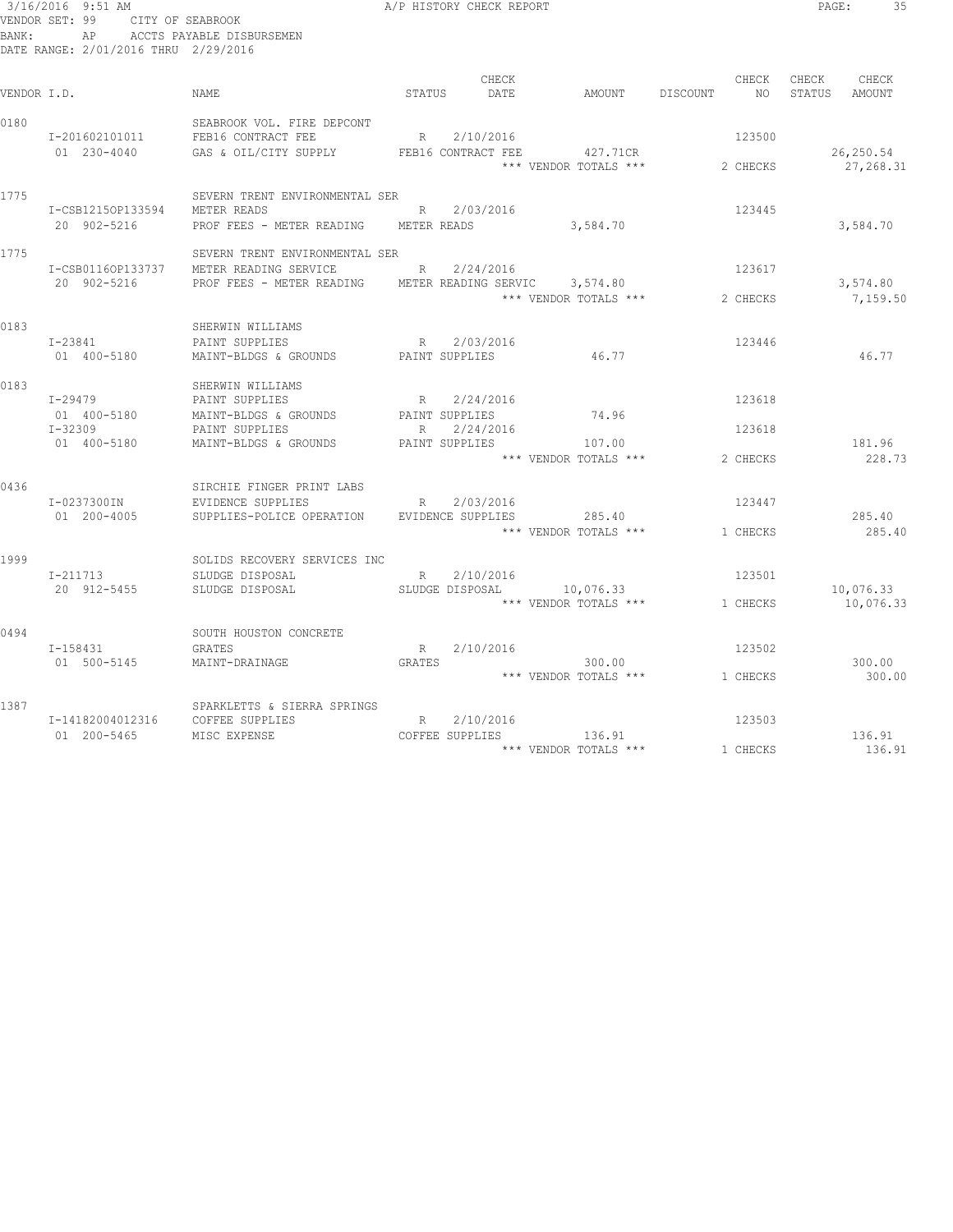#### 3/16/2016 9:51 AM A/P HISTORY CHECK REPORT PAGE: 35 VENDOR SET: 99 CITY OF SEABROOK BANK: AP ACCTS PAYABLE DISBURSEMEN DATE RANGE: 2/01/2016 THRU 2/29/2016

| VENDOR I.D. |                                                      | NAME                                                                                                      | STATUS      | CHECK<br>DATE                                                | AMOUNT                                             | DISCOUNT NO | CHECK                        | CHECK<br>STATUS | CHECK<br>AMOUNT         |
|-------------|------------------------------------------------------|-----------------------------------------------------------------------------------------------------------|-------------|--------------------------------------------------------------|----------------------------------------------------|-------------|------------------------------|-----------------|-------------------------|
| 0180        | I-201602101011<br>01 230-4040                        | SEABROOK VOL. FIRE DEPCONT<br>FEB16 CONTRACT FEE<br>GAS & OIL/CITY SUPPLY FEB16 CONTRACT FEE              | R           | 2/10/2016                                                    | 427.71CR<br>*** VENDOR TOTALS ***                  |             | 123500<br>2 CHECKS           |                 | 26,250.54<br>27, 268.31 |
| 1775        | I-CSB12150P133594<br>20 902-5216                     | SEVERN TRENT ENVIRONMENTAL SER<br>METER READS<br>PROF FEES - METER READING METER READS                    |             | R 2/03/2016                                                  | 3,584.70                                           |             | 123445                       |                 | 3,584.70                |
| 1775        | I-CSB0116OP133737<br>20 902-5216                     | SEVERN TRENT ENVIRONMENTAL SER<br>METER READING SERVICE<br>PROF FEES - METER READING METER READING SERVIC | R           | 2/24/2016                                                    | 3,574.80<br>*** VENDOR TOTALS ***                  |             | 123617<br>2 CHECKS           |                 | 3,574.80<br>7,159.50    |
| 0183        | I-23841<br>01 400-5180                               | SHERWIN WILLIAMS<br>PAINT SUPPLIES<br>MAINT-BLDGS & GROUNDS PAINT SUPPLIES                                |             | R 2/03/2016                                                  | 46.77                                              |             | 123446                       |                 | 46.77                   |
| 0183        | I-29479<br>01 400-5180<br>$I - 32309$<br>01 400-5180 | SHERWIN WILLIAMS<br>PAINT SUPPLIES<br>MAINT-BLDGS & GROUNDS<br>PAINT SUPPLIES<br>MAINT-BLDGS & GROUNDS    | R           | R 2/24/2016<br>PAINT SUPPLIES<br>2/24/2016<br>PAINT SUPPLIES | 74.96<br>107.00<br>*** VENDOR TOTALS ***           |             | 123618<br>123618<br>2 CHECKS |                 | 181.96<br>228.73        |
| 0436        | I-0237300IN<br>01 200-4005                           | SIRCHIE FINGER PRINT LABS<br>EVIDENCE SUPPLIES<br>SUPPLIES-POLICE OPERATION                               |             | R 2/03/2016<br>EVIDENCE SUPPLIES                             | 285.40<br>*** VENDOR TOTALS ***                    |             | 123447<br>1 CHECKS           |                 | 285.40<br>285.40        |
| 1999        | I-211713<br>20 912-5455                              | SOLIDS RECOVERY SERVICES INC<br>SLUDGE DISPOSAL<br>SLUDGE DISPOSAL                                        |             | R 2/10/2016                                                  | SLUDGE DISPOSAL 10,076.33<br>*** VENDOR TOTALS *** |             | 123501<br>1 CHECKS           |                 | 10,076.33<br>10,076.33  |
| 0494        | I-158431<br>01 500-5145                              | SOUTH HOUSTON CONCRETE<br>GRATES<br>MAINT-DRAINAGE                                                        | R<br>GRATES | 2/10/2016                                                    | 300.00<br>*** VENDOR TOTALS ***                    |             | 123502<br>1 CHECKS           |                 | 300.00<br>300.00        |
| 1387        | I-14182004012316<br>01 200-5465                      | SPARKLETTS & SIERRA SPRINGS<br>COFFEE SUPPLIES<br>MISC EXPENSE                                            | R           | 2/10/2016<br>COFFEE SUPPLIES                                 | 136.91<br>*** VENDOR TOTALS *** 1 CHECKS           |             | 123503                       |                 | 136.91<br>136.91        |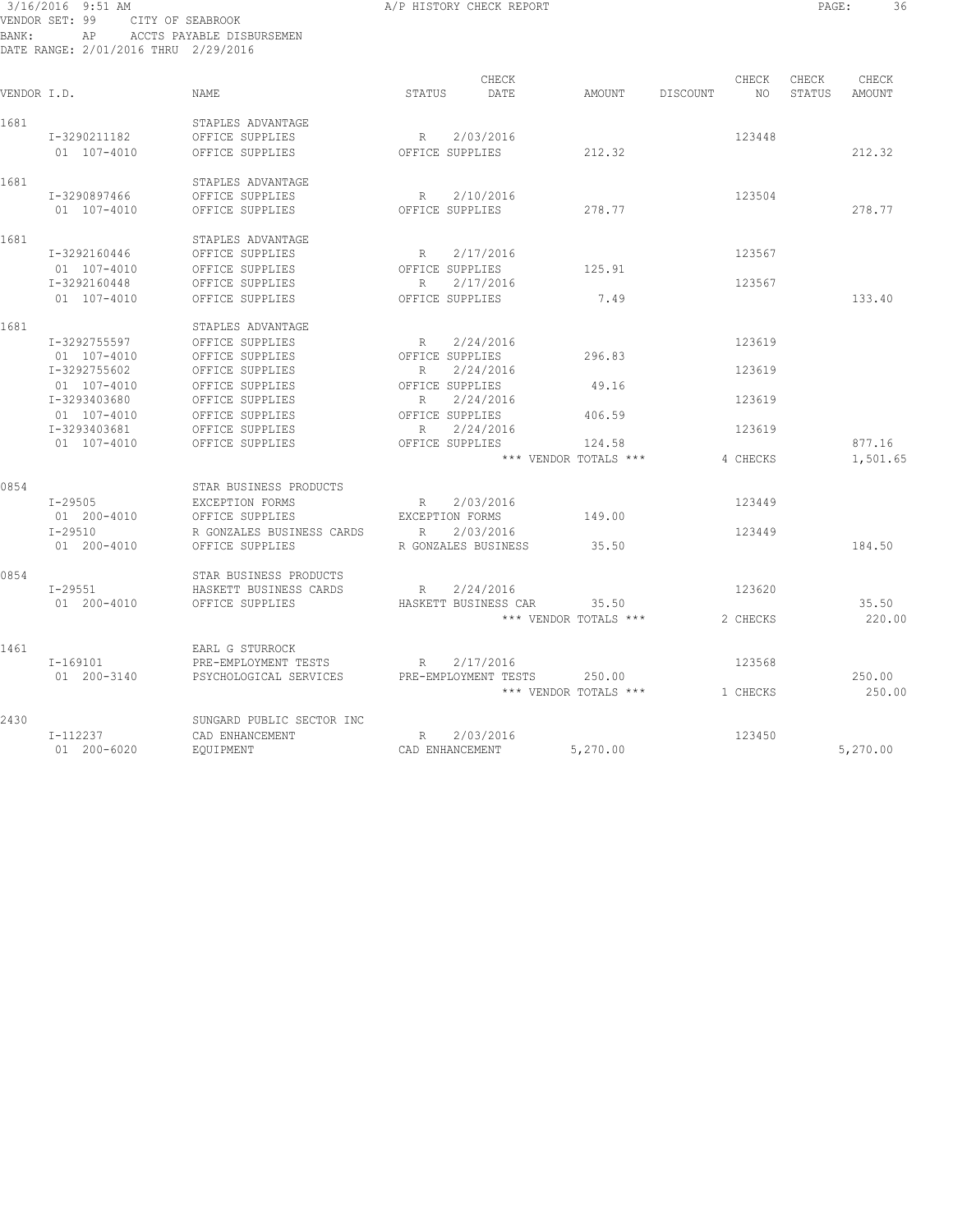#### 3/16/2016 9:51 AM A/P HISTORY CHECK REPORT PAGE: 36 VENDOR SET: 99 CITY OF SEABROOK BANK: AP ACCTS PAYABLE DISBURSEMEN DATE RANGE: 2/01/2016 THRU 2/29/2016

| VENDOR I.D. |              | NAME                      | CHECK<br>STATUS<br>DATE  | AMOUNT                | CHECK<br>DISCOUNT<br>NO | CHECK<br>STATUS | CHECK<br>AMOUNT |
|-------------|--------------|---------------------------|--------------------------|-----------------------|-------------------------|-----------------|-----------------|
|             |              |                           |                          |                       |                         |                 |                 |
| 1681        |              | STAPLES ADVANTAGE         |                          |                       |                         |                 |                 |
|             | I-3290211182 | OFFICE SUPPLIES           | 2/03/2016<br>R           |                       | 123448                  |                 |                 |
|             | 01 107-4010  | OFFICE SUPPLIES           | OFFICE SUPPLIES          | 212.32                |                         |                 | 212.32          |
| 1681        |              | STAPLES ADVANTAGE         |                          |                       |                         |                 |                 |
|             | I-3290897466 | OFFICE SUPPLIES           | R 2/10/2016              |                       | 123504                  |                 |                 |
|             | 01 107-4010  | OFFICE SUPPLIES           | OFFICE SUPPLIES          | 278.77                |                         |                 | 278.77          |
| 1681        |              | STAPLES ADVANTAGE         |                          |                       |                         |                 |                 |
|             | I-3292160446 | OFFICE SUPPLIES           | 2/17/2016<br>R           |                       | 123567                  |                 |                 |
|             | 01 107-4010  | OFFICE SUPPLIES           | OFFICE SUPPLIES          | 125.91                |                         |                 |                 |
|             | I-3292160448 | OFFICE SUPPLIES           | 2/17/2016<br>R           |                       | 123567                  |                 |                 |
|             | 01 107-4010  | OFFICE SUPPLIES           | OFFICE SUPPLIES          | 7.49                  |                         |                 | 133.40          |
| 1681        |              | STAPLES ADVANTAGE         |                          |                       |                         |                 |                 |
|             | I-3292755597 | OFFICE SUPPLIES           | 2/24/2016<br>R           |                       | 123619                  |                 |                 |
|             | 01 107-4010  | OFFICE SUPPLIES           | OFFICE SUPPLIES          | 296.83                |                         |                 |                 |
|             | I-3292755602 | OFFICE SUPPLIES           | 2/24/2016<br>$R_{\perp}$ |                       | 123619                  |                 |                 |
|             | 01 107-4010  | OFFICE SUPPLIES           | OFFICE SUPPLIES          | 49.16                 |                         |                 |                 |
|             | I-3293403680 | OFFICE SUPPLIES           | 2/24/2016<br>R           |                       | 123619                  |                 |                 |
|             | 01 107-4010  | OFFICE SUPPLIES           | OFFICE SUPPLIES          | 406.59                |                         |                 |                 |
|             | I-3293403681 | OFFICE SUPPLIES           | 2/24/2016<br>R           |                       | 123619                  |                 |                 |
|             | 01 107-4010  | OFFICE SUPPLIES           | OFFICE SUPPLIES          | 124.58                |                         |                 | 877.16          |
|             |              |                           |                          | *** VENDOR TOTALS *** | 4 CHECKS                |                 | 1,501.65        |
| 0854        |              | STAR BUSINESS PRODUCTS    |                          |                       |                         |                 |                 |
|             | I-29505      | EXCEPTION FORMS           | R<br>2/03/2016           |                       | 123449                  |                 |                 |
|             | 01 200-4010  | OFFICE SUPPLIES           | EXCEPTION FORMS          | 149.00                |                         |                 |                 |
|             | $T - 29510$  | R GONZALES BUSINESS CARDS | 2/03/2016<br>$R_{\perp}$ |                       | 123449                  |                 |                 |
|             | 01 200-4010  | OFFICE SUPPLIES           | R GONZALES BUSINESS      | 35.50                 |                         |                 | 184.50          |
|             |              |                           |                          |                       |                         |                 |                 |
| 0854        |              | STAR BUSINESS PRODUCTS    |                          |                       |                         |                 |                 |
|             | I-29551      | HASKETT BUSINESS CARDS    | 2/24/2016<br>R           |                       | 123620                  |                 |                 |
|             | 01 200-4010  | OFFICE SUPPLIES           | HASKETT BUSINESS CAR     | 35.50                 |                         |                 | 35.50           |
|             |              |                           |                          | *** VENDOR TOTALS *** | 2 CHECKS                |                 | 220.00          |
| 1461        |              | EARL G STURROCK           |                          |                       |                         |                 |                 |
|             | $I-169101$   | PRE-EMPLOYMENT TESTS      | 2/17/2016<br>R           |                       | 123568                  |                 |                 |
|             | 01 200-3140  | PSYCHOLOGICAL SERVICES    | PRE-EMPLOYMENT TESTS     | 250.00                |                         |                 | 250.00          |
|             |              |                           |                          | *** VENDOR TOTALS *** | 1 CHECKS                |                 | 250.00          |
| 2430        |              | SUNGARD PUBLIC SECTOR INC |                          |                       |                         |                 |                 |
|             | I-112237     | CAD ENHANCEMENT           | 2/03/2016<br>R           |                       | 123450                  |                 |                 |
|             | 01 200-6020  | EOUIPMENT                 | CAD ENHANCEMENT          | 5,270.00              |                         |                 | 5,270.00        |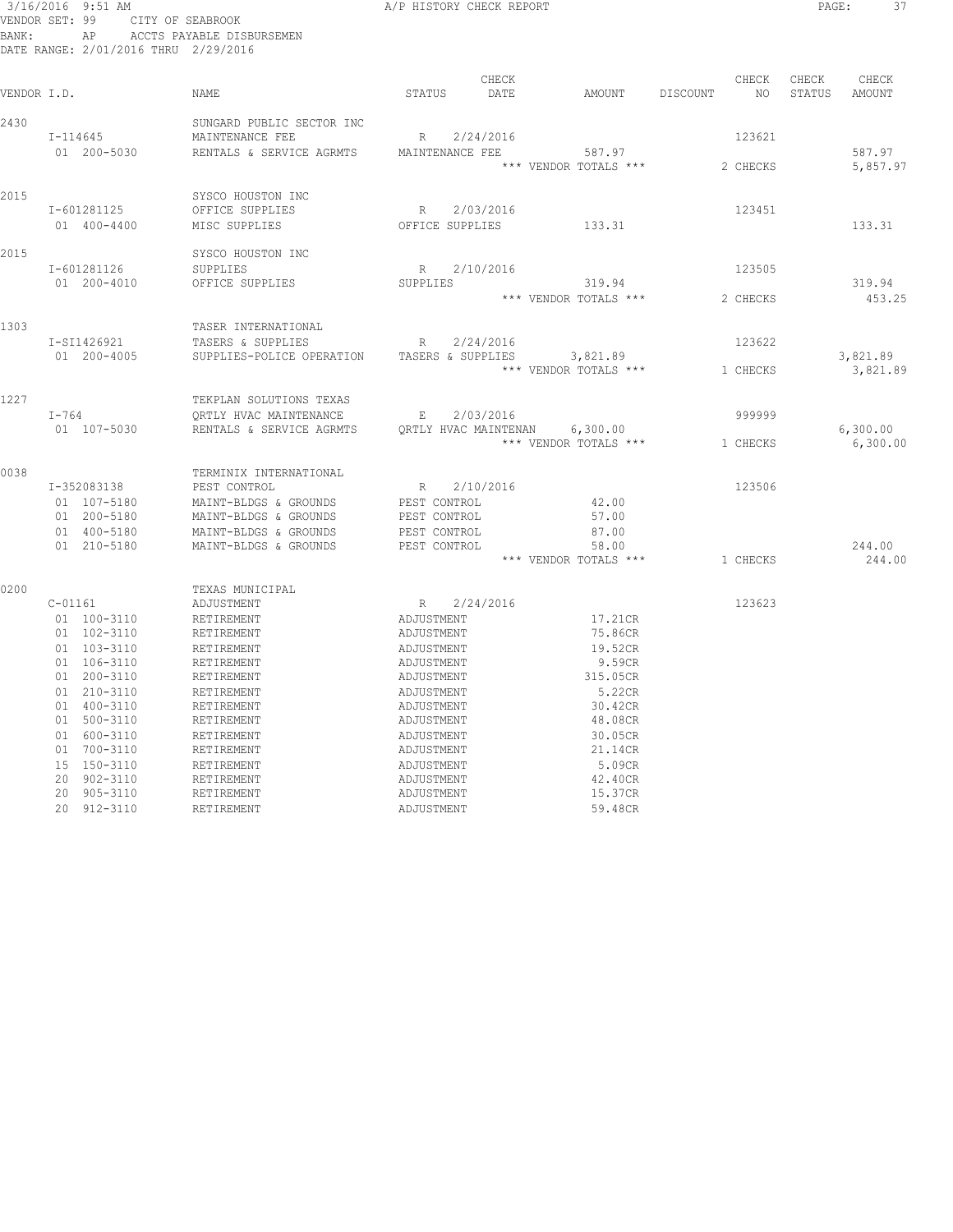#### 3/16/2016 9:51 AM A/P HISTORY CHECK REPORT PAGE: 37 VENDOR SET: 99 CITY OF SEABROOK BANK: AP ACCTS PAYABLE DISBURSEMEN DATE RANGE: 2/01/2016 THRU 2/29/2016

| VENDOR I.D. |                                                                                                                                                                                                                                    | NAME                                                                                                                                                                                                                              | CHECK<br>DATE<br>STATUS                                                                                                                                                                                            | AMOUNT                                                                                                                                               | CHECK<br>DISCOUNT<br>NO. | CHECK<br>CHECK<br>STATUS<br>AMOUNT |
|-------------|------------------------------------------------------------------------------------------------------------------------------------------------------------------------------------------------------------------------------------|-----------------------------------------------------------------------------------------------------------------------------------------------------------------------------------------------------------------------------------|--------------------------------------------------------------------------------------------------------------------------------------------------------------------------------------------------------------------|------------------------------------------------------------------------------------------------------------------------------------------------------|--------------------------|------------------------------------|
| 2430        | I-114645<br>01 200-5030                                                                                                                                                                                                            | SUNGARD PUBLIC SECTOR INC<br>MAINTENANCE FEE<br>RENTALS & SERVICE AGRMTS                                                                                                                                                          | 2/24/2016<br>R<br>MAINTENANCE FEE                                                                                                                                                                                  | 587.97<br>*** VENDOR TOTALS ***                                                                                                                      | 123621<br>2 CHECKS       | 587.97<br>5,857.97                 |
| 2015        | I-601281125<br>01 400-4400                                                                                                                                                                                                         | SYSCO HOUSTON INC<br>OFFICE SUPPLIES<br>MISC SUPPLIES                                                                                                                                                                             | 2/03/2016<br>R<br>OFFICE SUPPLIES                                                                                                                                                                                  | 133.31                                                                                                                                               | 123451                   | 133.31                             |
| 2015        | I-601281126<br>01 200-4010                                                                                                                                                                                                         | SYSCO HOUSTON INC<br>SUPPLIES<br>OFFICE SUPPLIES                                                                                                                                                                                  | 2/10/2016<br>R<br>SUPPLIES                                                                                                                                                                                         | 319.94<br>*** VENDOR TOTALS ***                                                                                                                      | 123505<br>2 CHECKS       | 319.94<br>453.25                   |
| 1303        | I-SI1426921<br>01 200-4005                                                                                                                                                                                                         | TASER INTERNATIONAL<br>TASERS & SUPPLIES<br>SUPPLIES-POLICE OPERATION                                                                                                                                                             | 2/24/2016<br>$\mathbb{R}$<br>TASERS & SUPPLIES                                                                                                                                                                     | 3,821.89<br>*** VENDOR TOTALS ***                                                                                                                    | 123622<br>1 CHECKS       | 3,821.89<br>3,821.89               |
| 1227        | $I - 764$<br>01 107-5030                                                                                                                                                                                                           | TEKPLAN SOLUTIONS TEXAS<br>QRTLY HVAC MAINTENANCE<br>RENTALS & SERVICE AGRMTS                                                                                                                                                     | 2/03/2016<br>E<br>ORTLY HVAC MAINTENAN                                                                                                                                                                             | 6,300.00<br>*** VENDOR TOTALS ***                                                                                                                    | 999999<br>1 CHECKS       | 6,300.00<br>6,300.00               |
| 0038        | I-352083138<br>01 107-5180<br>01 200-5180<br>01 400-5180<br>01 210-5180                                                                                                                                                            | TERMINIX INTERNATIONAL<br>PEST CONTROL<br>MAINT-BLDGS & GROUNDS<br>MAINT-BLDGS & GROUNDS<br>MAINT-BLDGS & GROUNDS<br>MAINT-BLDGS & GROUNDS                                                                                        | 2/10/2016<br>R<br>PEST CONTROL<br>PEST CONTROL<br>PEST CONTROL<br>PEST CONTROL                                                                                                                                     | 42.00<br>57.00<br>87.00<br>58.00<br>*** VENDOR TOTALS ***                                                                                            | 123506<br>1 CHECKS       | 244.00<br>244.00                   |
| 0200        | $C-01161$<br>01 100-3110<br>01 102-3110<br>01 103-3110<br>01 106-3110<br>01 200-3110<br>01 210-3110<br>01 400-3110<br>01 500-3110<br>01 600-3110<br>01 700-3110<br>15 150-3110<br>20 902-3110<br>20<br>905-3110<br>2.0<br>912-3110 | TEXAS MUNICIPAL<br>ADJUSTMENT<br>RETIREMENT<br>RETIREMENT<br>RETIREMENT<br>RETIREMENT<br>RETIREMENT<br>RETIREMENT<br>RETIREMENT<br>RETIREMENT<br>RETIREMENT<br>RETIREMENT<br>RETIREMENT<br>RETIREMENT<br>RETIREMENT<br>RETIREMENT | 2/24/2016<br>R<br>ADJUSTMENT<br>ADJUSTMENT<br>ADJUSTMENT<br>ADJUSTMENT<br>ADJUSTMENT<br>ADJUSTMENT<br>ADJUSTMENT<br>ADJUSTMENT<br>ADJUSTMENT<br>ADJUSTMENT<br>ADJUSTMENT<br>ADJUSTMENT<br>ADJUSTMENT<br>ADJUSTMENT | 17.21CR<br>75.86CR<br>19.52CR<br>9.59CR<br>315.05CR<br>5.22CR<br>30.42CR<br>48.08CR<br>30.05CR<br>21.14CR<br>5.09CR<br>42.40CR<br>15.37CR<br>59.48CR | 123623                   |                                    |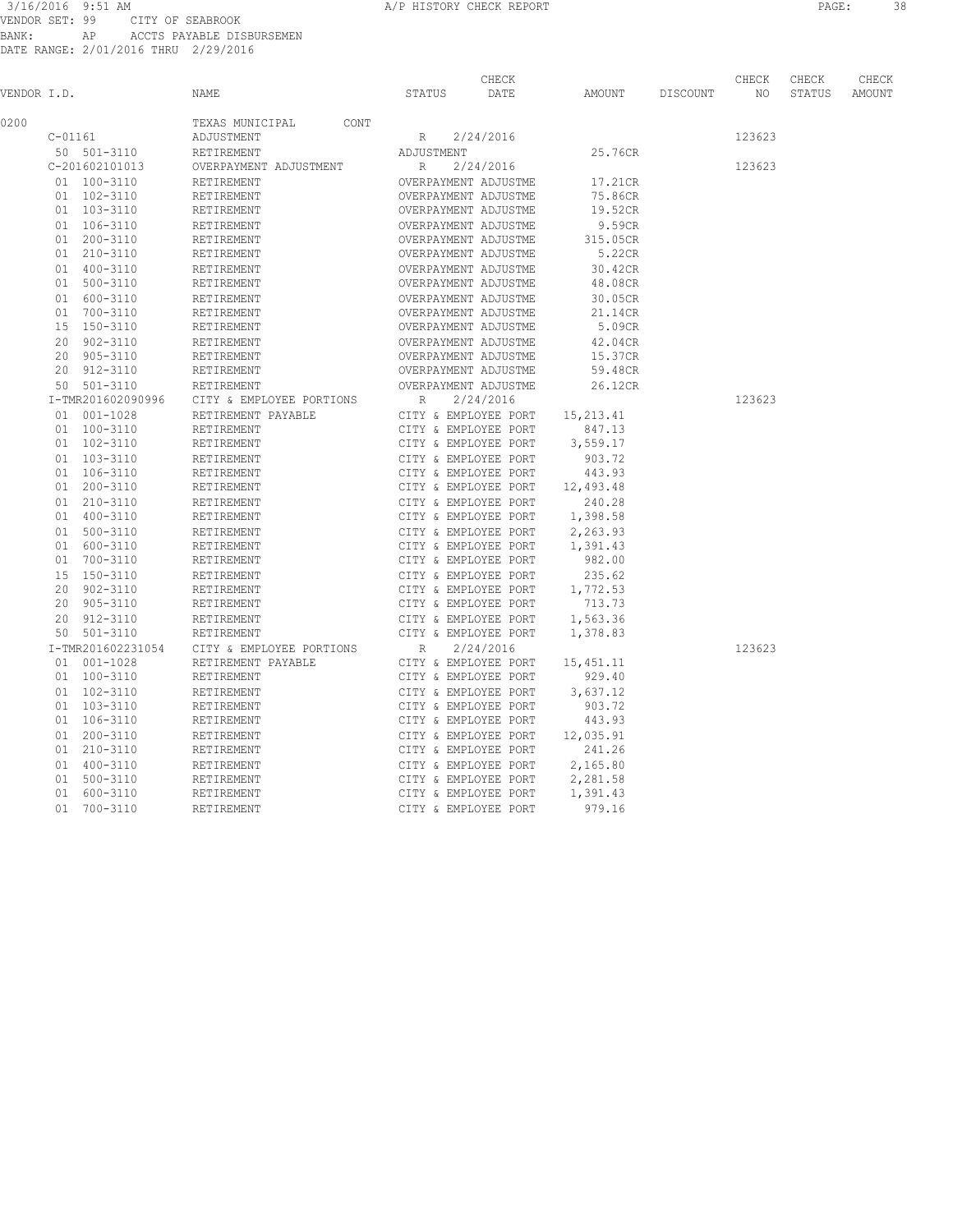#### 3/16/2016 9:51 AM A/P HISTORY CHECK REPORT PAGE: 38 VENDOR SET: 99 CITY OF SEABROOK BANK: AP ACCTS PAYABLE DISBURSEMEN DATE RANGE: 2/01/2016 THRU 2/29/2016

|             |           |                   |                                                |                      | CHECK     |            |          | CHECK  | CHECK  | CHECK  |
|-------------|-----------|-------------------|------------------------------------------------|----------------------|-----------|------------|----------|--------|--------|--------|
| VENDOR I.D. |           |                   | NAME                                           | STATUS               | DATE      | AMOUNT     | DISCOUNT | NO     | STATUS | AMOUNT |
| 0200        |           |                   | TEXAS MUNICIPAL<br>CONT                        |                      |           |            |          |        |        |        |
|             | $C-01161$ |                   | ADJUSTMENT                                     | R                    | 2/24/2016 |            |          | 123623 |        |        |
|             |           | 50 501-3110       | RETIREMENT                                     | ADJUSTMENT           |           | 25.76CR    |          |        |        |        |
|             |           | C-201602101013    | OVERPAYMENT ADJUSTMENT                         | R                    | 2/24/2016 |            |          | 123623 |        |        |
|             |           | 01 100-3110       | RETIREMENT                                     | OVERPAYMENT ADJUSTME |           | 17.21CR    |          |        |        |        |
|             |           | 01 102-3110       | RETIREMENT                                     | OVERPAYMENT ADJUSTME |           | 75.86CR    |          |        |        |        |
|             |           | 01 103-3110       | RETIREMENT                                     | OVERPAYMENT ADJUSTME |           | 19.52CR    |          |        |        |        |
|             |           | 01 106-3110       | RETIREMENT                                     | OVERPAYMENT ADJUSTME |           | 9.59CR     |          |        |        |        |
|             |           | 01 200-3110       | RETIREMENT                                     | OVERPAYMENT ADJUSTME |           | 315.05CR   |          |        |        |        |
|             |           | 01 210-3110       | RETIREMENT                                     | OVERPAYMENT ADJUSTME |           | 5.22CR     |          |        |        |        |
|             |           | 01 400-3110       | RETIREMENT                                     | OVERPAYMENT ADJUSTME |           | 30.42CR    |          |        |        |        |
|             |           | 01 500-3110       | RETIREMENT                                     | OVERPAYMENT ADJUSTME |           | 48.08CR    |          |        |        |        |
|             |           | 01 600-3110       | RETIREMENT                                     | OVERPAYMENT ADJUSTME |           | 30.05CR    |          |        |        |        |
|             |           | 01 700-3110       | RETIREMENT                                     | OVERPAYMENT ADJUSTME |           | 21.14CR    |          |        |        |        |
|             |           | 15 150-3110       | RETIREMENT                                     | OVERPAYMENT ADJUSTME |           | 5.09CR     |          |        |        |        |
|             |           | 20 902-3110       | RETIREMENT                                     | OVERPAYMENT ADJUSTME |           | 42.04CR    |          |        |        |        |
|             |           | 20 905-3110       | RETIREMENT                                     | OVERPAYMENT ADJUSTME |           | 15.37CR    |          |        |        |        |
|             |           | 20 912-3110       | RETIREMENT                                     | OVERPAYMENT ADJUSTME |           | 59.48CR    |          |        |        |        |
|             |           | 50 501-3110       | RETIREMENT                                     | OVERPAYMENT ADJUSTME |           | 26.12CR    |          |        |        |        |
|             |           | I-TMR201602090996 | CITY & EMPLOYEE PORTIONS                       | R                    | 2/24/2016 |            |          | 123623 |        |        |
|             |           | 01 001-1028       | RETIREMENT PAYABLE                             | CITY & EMPLOYEE PORT |           | 15, 213.41 |          |        |        |        |
|             |           | 01 100-3110       | RETIREMENT                                     | CITY & EMPLOYEE PORT |           | 847.13     |          |        |        |        |
|             |           | 01 102-3110       | RETIREMENT                                     | CITY & EMPLOYEE PORT |           | 3,559.17   |          |        |        |        |
|             |           | 01 103-3110       | RETIREMENT                                     | CITY & EMPLOYEE PORT |           | 903.72     |          |        |        |        |
|             |           | 01 106-3110       | RETIREMENT                                     | CITY & EMPLOYEE PORT |           | 443.93     |          |        |        |        |
|             |           | 01 200-3110       | RETIREMENT                                     | CITY & EMPLOYEE PORT |           | 12,493.48  |          |        |        |        |
|             |           | 01 210-3110       | RETIREMENT                                     | CITY & EMPLOYEE PORT |           | 240.28     |          |        |        |        |
|             |           | 01 400-3110       | RETIREMENT                                     | CITY & EMPLOYEE PORT |           | 1,398.58   |          |        |        |        |
|             |           | 01 500-3110       | RETIREMENT                                     | CITY & EMPLOYEE PORT |           | 2,263.93   |          |        |        |        |
|             |           | 01 600-3110       | RETIREMENT                                     | CITY & EMPLOYEE PORT |           | 1,391.43   |          |        |        |        |
|             |           | 01 700-3110       | RETIREMENT                                     | CITY & EMPLOYEE PORT |           | 982.00     |          |        |        |        |
|             |           | 15 150-3110       |                                                | CITY & EMPLOYEE PORT |           | 235.62     |          |        |        |        |
|             |           | 20 902-3110       | RETIREMENT<br>RETIREMENT                       | CITY & EMPLOYEE PORT |           | 1,772.53   |          |        |        |        |
|             |           | 20 905-3110       | RETIREMENT                                     | CITY & EMPLOYEE PORT |           | 713.73     |          |        |        |        |
|             |           | 20 912-3110       | RETIREMENT                                     | CITY & EMPLOYEE PORT |           | 1,563.36   |          |        |        |        |
|             |           | 50 501-3110       | RETIREMENT                                     | CITY & EMPLOYEE PORT |           | 1,378.83   |          |        |        |        |
|             |           | I-TMR201602231054 |                                                | R                    | 2/24/2016 |            |          | 123623 |        |        |
|             |           | 01 001-1028       | CITY & EMPLOYEE PORTIONS<br>RETIREMENT PAYABLE | CITY & EMPLOYEE PORT |           | 15,451.11  |          |        |        |        |
|             |           | 01 100-3110       | RETIREMENT                                     | CITY & EMPLOYEE PORT |           | 929.40     |          |        |        |        |
|             |           |                   |                                                |                      |           |            |          |        |        |        |
|             |           | 01 102-3110       | RETIREMENT                                     | CITY & EMPLOYEE PORT |           | 3,637.12   |          |        |        |        |
|             |           | 01 103-3110       | RETIREMENT                                     | CITY & EMPLOYEE PORT |           | 903.72     |          |        |        |        |
|             |           | 01 106-3110       | RETIREMENT                                     | CITY & EMPLOYEE PORT |           | 443.93     |          |        |        |        |
|             |           | 01 200-3110       | RETIREMENT                                     | CITY & EMPLOYEE PORT |           | 12,035.91  |          |        |        |        |
|             |           | 01 210-3110       | RETIREMENT                                     | CITY & EMPLOYEE PORT |           | 241.26     |          |        |        |        |
|             |           | 01 400-3110       | RETIREMENT                                     | CITY & EMPLOYEE PORT |           | 2,165.80   |          |        |        |        |
|             |           | 01 500-3110       | RETIREMENT                                     | CITY & EMPLOYEE PORT |           | 2,281.58   |          |        |        |        |
|             |           | 01 600-3110       | RETIREMENT                                     | CITY & EMPLOYEE PORT |           | 1,391.43   |          |        |        |        |
|             |           | 01 700-3110       | RETIREMENT                                     | CITY & EMPLOYEE PORT |           | 979.16     |          |        |        |        |
|             |           |                   |                                                |                      |           |            |          |        |        |        |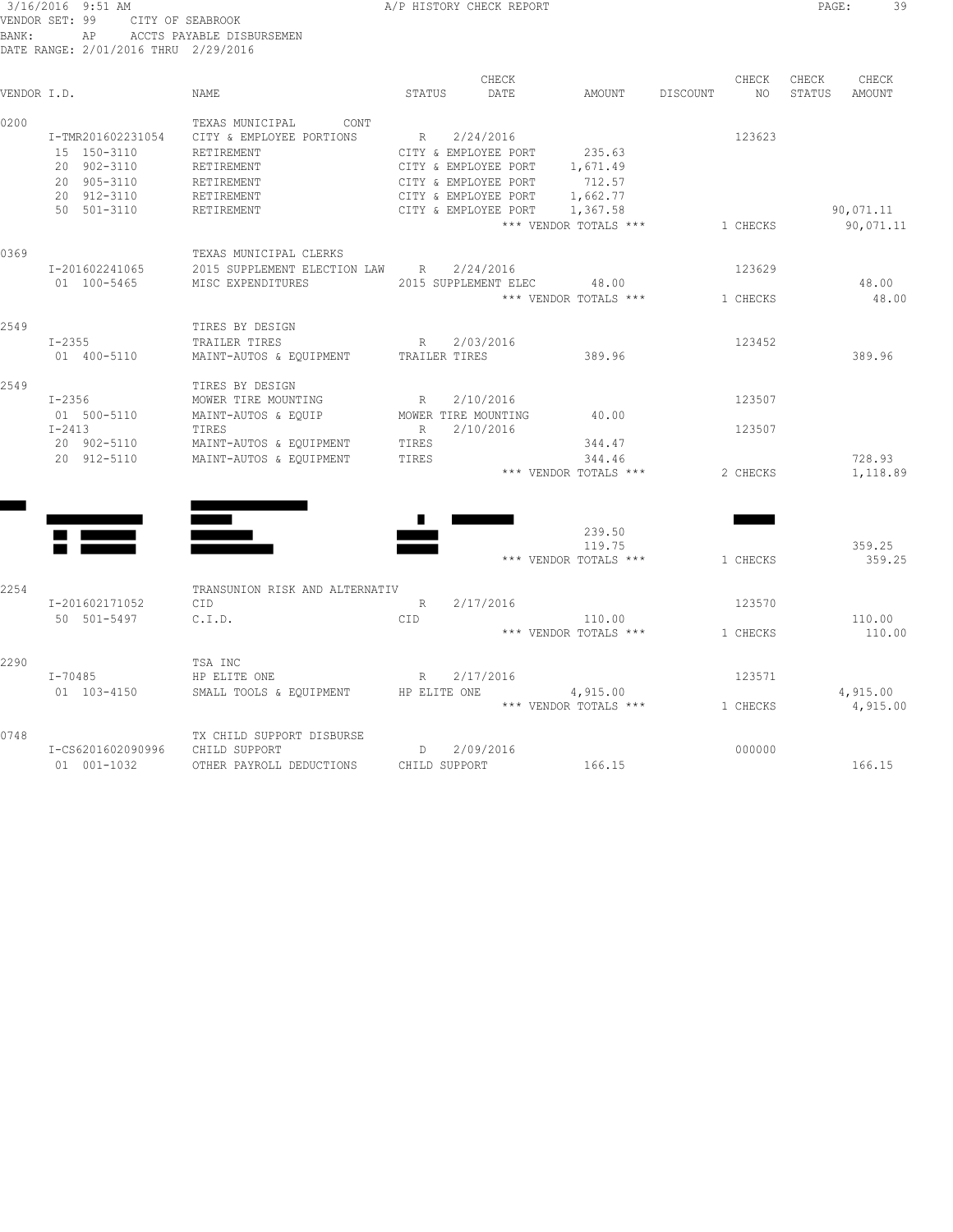#### 3/16/2016 9:51 AM A/P HISTORY CHECK REPORT PAGE: 39 VENDOR SET: 99 CITY OF SEABROOK BANK: AP ACCTS PAYABLE DISBURSEMEN DATE RANGE: 2/01/2016 THRU 2/29/2016

|             |                   |                                |                      | CHECK     |                                 |          | CHECK    | CHECK  | CHECK            |
|-------------|-------------------|--------------------------------|----------------------|-----------|---------------------------------|----------|----------|--------|------------------|
| VENDOR I.D. |                   | NAME                           | STATUS               | DATE      | AMOUNT                          | DISCOUNT | NO.      | STATUS | AMOUNT           |
| 0200        |                   | TEXAS MUNICIPAL<br>CONT        |                      |           |                                 |          |          |        |                  |
|             | I-TMR201602231054 | CITY & EMPLOYEE PORTIONS       | R                    | 2/24/2016 |                                 |          | 123623   |        |                  |
|             | 15 150-3110       | RETIREMENT                     | CITY & EMPLOYEE PORT |           | 235.63                          |          |          |        |                  |
|             | 20 902-3110       | RETIREMENT                     | CITY & EMPLOYEE PORT |           | 1,671.49                        |          |          |        |                  |
|             | 20 905-3110       | RETIREMENT                     | CITY & EMPLOYEE PORT |           | 712.57                          |          |          |        |                  |
|             | 20 912-3110       | RETIREMENT                     | CITY & EMPLOYEE PORT |           | 1,662.77                        |          |          |        |                  |
|             | 50 501-3110       | RETIREMENT                     | CITY & EMPLOYEE PORT |           | 1,367.58                        |          |          |        | 90,071.11        |
|             |                   |                                |                      |           | *** VENDOR TOTALS ***           |          | 1 CHECKS |        | 90,071.11        |
| 0369        |                   | TEXAS MUNICIPAL CLERKS         |                      |           |                                 |          |          |        |                  |
|             | I-201602241065    | 2015 SUPPLEMENT ELECTION LAW   | R                    | 2/24/2016 |                                 |          | 123629   |        |                  |
|             | 01 100-5465       | MISC EXPENDITURES              | 2015 SUPPLEMENT ELEC |           | 48.00                           |          |          |        | 48.00            |
|             |                   |                                |                      |           | *** VENDOR TOTALS ***           |          | 1 CHECKS |        | 48.00            |
| 2549        |                   | TIRES BY DESIGN                |                      |           |                                 |          |          |        |                  |
|             | $I - 2355$        | TRAILER TIRES                  | R                    | 2/03/2016 |                                 |          | 123452   |        |                  |
|             | 01 400-5110       | MAINT-AUTOS & EQUIPMENT        | TRAILER TIRES        |           | 389.96                          |          |          |        | 389.96           |
| 2549        |                   | TIRES BY DESIGN                |                      |           |                                 |          |          |        |                  |
|             | $I - 2356$        | MOWER TIRE MOUNTING            | R                    | 2/10/2016 |                                 |          | 123507   |        |                  |
|             | 01 500-5110       | MAINT-AUTOS & EQUIP            | MOWER TIRE MOUNTING  |           | 40.00                           |          |          |        |                  |
|             | $I - 2413$        | TIRES                          | R                    | 2/10/2016 |                                 |          | 123507   |        |                  |
|             | 20 902-5110       | MAINT-AUTOS & EQUIPMENT        | TIRES                |           | 344.47                          |          |          |        |                  |
|             | 20 912-5110       | MAINT-AUTOS & EQUIPMENT        | TIRES                |           | 344.46                          |          |          |        | 728.93           |
|             |                   |                                |                      |           | *** VENDOR TOTALS ***           |          | 2 CHECKS |        | 1,118.89         |
|             |                   |                                |                      |           |                                 |          |          |        |                  |
|             |                   |                                | ш                    |           |                                 |          |          |        |                  |
|             |                   |                                |                      |           | 239.50                          |          |          |        |                  |
|             |                   |                                |                      |           | 119.75<br>*** VENDOR TOTALS *** |          | 1 CHECKS |        | 359.25<br>359.25 |
|             |                   |                                |                      |           |                                 |          |          |        |                  |
| 2254        |                   | TRANSUNION RISK AND ALTERNATIV |                      |           |                                 |          |          |        |                  |
|             | I-201602171052    | CID                            | $\mathbb R$          | 2/17/2016 |                                 |          | 123570   |        |                  |
|             | 50 501-5497       | C.I.D.                         | CID                  |           | 110.00                          |          |          |        | 110.00           |
|             |                   |                                |                      |           | *** VENDOR TOTALS ***           |          | 1 CHECKS |        | 110.00           |
| 2290        |                   | TSA INC                        |                      |           |                                 |          |          |        |                  |
|             | $I - 70485$       | HP ELITE ONE                   | R                    | 2/17/2016 |                                 |          | 123571   |        |                  |
|             | 01 103-4150       | SMALL TOOLS & EQUIPMENT        | HP ELITE ONE         |           | 4,915.00                        |          |          |        | 4,915.00         |
|             |                   |                                |                      |           | *** VENDOR TOTALS ***           |          | 1 CHECKS |        | 4,915.00         |
| 0748        |                   | TX CHILD SUPPORT DISBURSE      |                      |           |                                 |          |          |        |                  |
|             | I-CS6201602090996 | CHILD SUPPORT                  | D                    | 2/09/2016 |                                 |          | 000000   |        |                  |
|             | 01 001-1032       | OTHER PAYROLL DEDUCTIONS       | CHILD SUPPORT        |           | 166.15                          |          |          |        | 166.15           |
|             |                   |                                |                      |           |                                 |          |          |        |                  |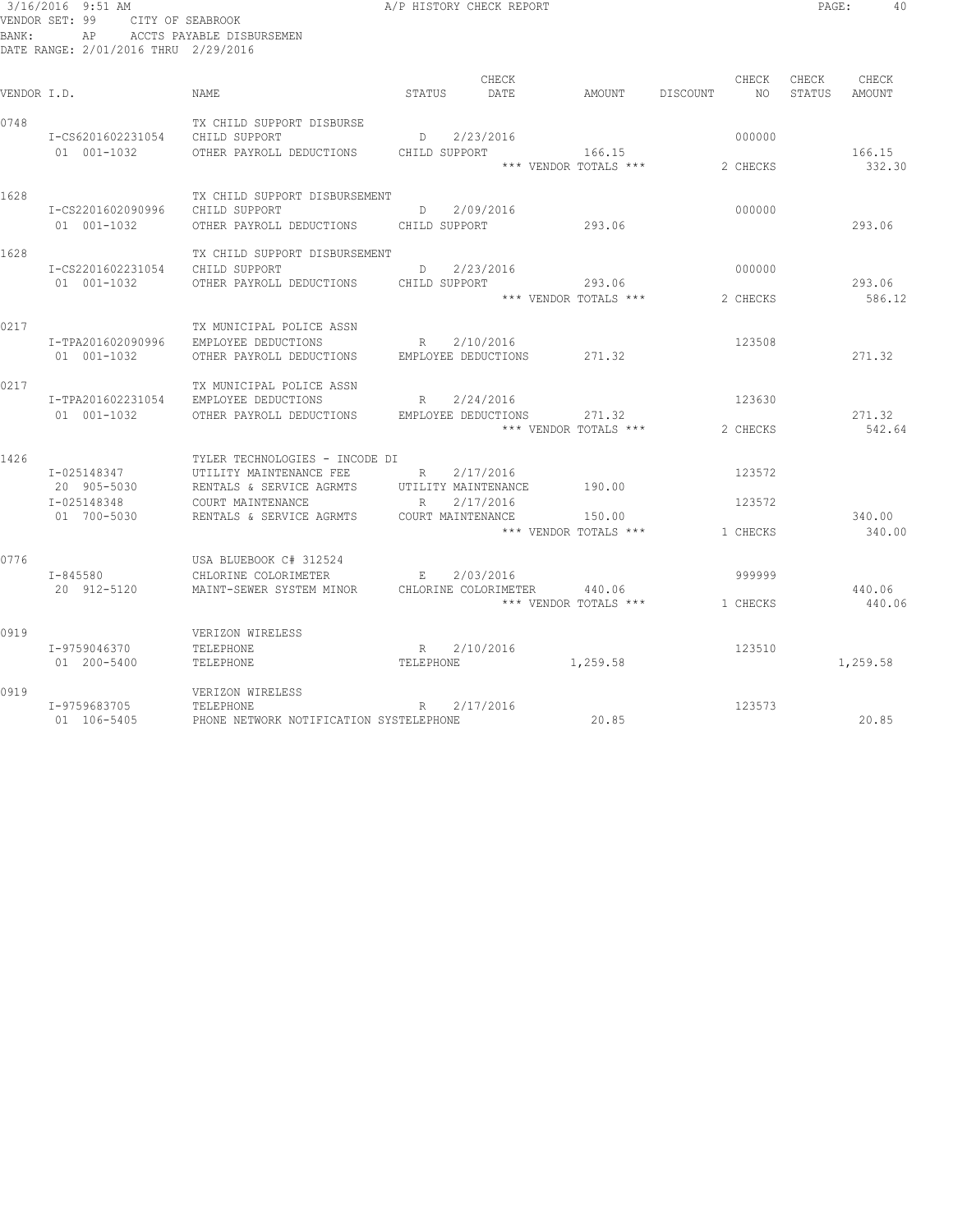#### 3/16/2016 9:51 AM A/P HISTORY CHECK REPORT PAGE: 40 VENDOR SET: 99 CITY OF SEABROOK BANK: AP ACCTS PAYABLE DISBURSEMEN DATE RANGE: 2/01/2016 THRU 2/29/2016

| VENDOR I.D. |                                                          | NAME                                                                                                                                   | STATUS             | CHECK<br>DATE                                                      | AMOUNT                                    | DISCOUNT | CHECK<br>NO.                 | CHECK<br>STATUS | CHECK<br>AMOUNT  |
|-------------|----------------------------------------------------------|----------------------------------------------------------------------------------------------------------------------------------------|--------------------|--------------------------------------------------------------------|-------------------------------------------|----------|------------------------------|-----------------|------------------|
| 0748        | I-CS6201602231054<br>01 001-1032                         | TX CHILD SUPPORT DISBURSE<br>CHILD SUPPORT<br>OTHER PAYROLL DEDUCTIONS                                                                 | D<br>CHILD SUPPORT | 2/23/2016                                                          | 166.15<br>*** VENDOR TOTALS ***           |          | 000000<br>2 CHECKS           |                 | 166.15<br>332.30 |
| 1628        | I-CS2201602090996<br>01 001-1032                         | TX CHILD SUPPORT DISBURSEMENT<br>CHILD SUPPORT<br>OTHER PAYROLL DEDUCTIONS                                                             | D<br>CHILD SUPPORT | 2/09/2016                                                          | 293.06                                    |          | 000000                       |                 | 293.06           |
| 1628        | I-CS2201602231054<br>01 001-1032                         | TX CHILD SUPPORT DISBURSEMENT<br>CHILD SUPPORT<br>OTHER PAYROLL DEDUCTIONS                                                             | D<br>CHILD SUPPORT | 2/23/2016                                                          | 293.06<br>*** VENDOR TOTALS ***           |          | 000000<br>2 CHECKS           |                 | 293.06<br>586.12 |
| 0217        | I-TPA201602090996<br>01 001-1032                         | TX MUNICIPAL POLICE ASSN<br>EMPLOYEE DEDUCTIONS<br>OTHER PAYROLL DEDUCTIONS                                                            | R                  | 2/10/2016<br>EMPLOYEE DEDUCTIONS                                   | 271.32                                    |          | 123508                       |                 | 271.32           |
| 0217        | I-TPA201602231054<br>01 001-1032                         | TX MUNICIPAL POLICE ASSN<br>EMPLOYEE DEDUCTIONS<br>OTHER PAYROLL DEDUCTIONS                                                            | R                  | 2/24/2016<br>EMPLOYEE DEDUCTIONS                                   | 271.32<br>*** VENDOR TOTALS ***           |          | 123630<br>2 CHECKS           |                 | 271.32<br>542.64 |
| 1426        | I-025148347<br>20 905-5030<br>I-025148348<br>01 700-5030 | TYLER TECHNOLOGIES - INCODE DI<br>UTILITY MAINTENANCE FEE<br>RENTALS & SERVICE AGRMTS<br>COURT MAINTENANCE<br>RENTALS & SERVICE AGRMTS | $\mathbb{R}$<br>R  | 2/17/2016<br>UTILITY MAINTENANCE<br>2/17/2016<br>COURT MAINTENANCE | 190.00<br>150.00<br>*** VENDOR TOTALS *** |          | 123572<br>123572<br>1 CHECKS |                 | 340.00<br>340.00 |
| 0776        | I-845580<br>20 912-5120                                  | USA BLUEBOOK C# 312524<br>CHLORINE COLORIMETER<br>MAINT-SEWER SYSTEM MINOR                                                             | E                  | 2/03/2016<br>CHLORINE COLORIMETER                                  | 440.06<br>*** VENDOR TOTALS ***           |          | 999999<br>1 CHECKS           |                 | 440.06<br>440.06 |
| 0919        | I-9759046370<br>01 200-5400                              | VERIZON WIRELESS<br>TELEPHONE<br>TELEPHONE                                                                                             | R<br>TELEPHONE     | 2/10/2016                                                          | 1,259.58                                  |          | 123510                       |                 | 1,259.58         |
| 0919        | I-9759683705<br>01 106-5405                              | VERIZON WIRELESS<br>TELEPHONE<br>PHONE NETWORK NOTIFICATION SYSTELEPHONE                                                               | R                  | 2/17/2016                                                          | 20.85                                     |          | 123573                       |                 | 20.85            |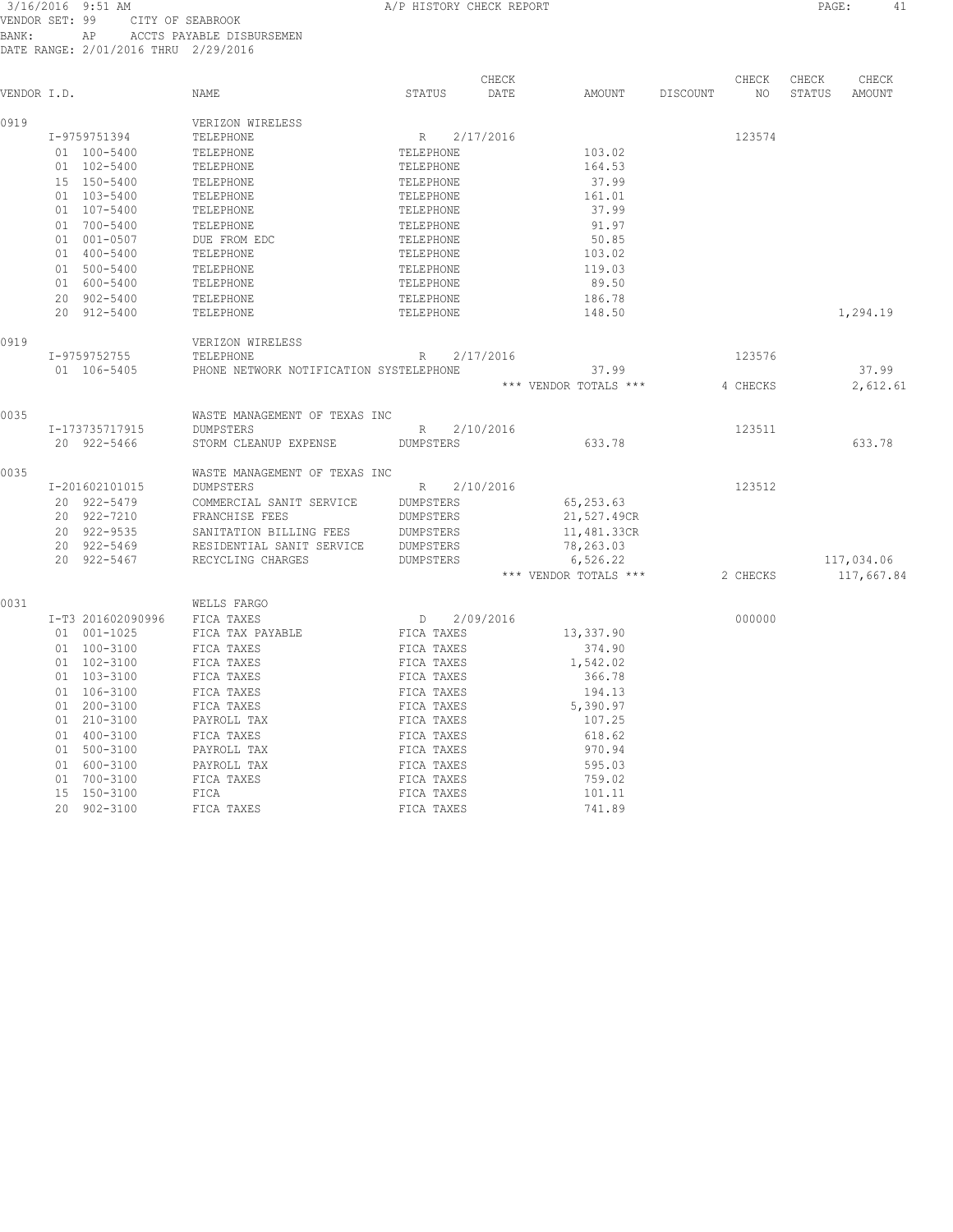#### 3/16/2016 9:51 AM A/P HISTORY CHECK REPORT PAGE: 41 VENDOR SET: 99 CITY OF SEABROOK BANK: AP ACCTS PAYABLE DISBURSEMEN DATE RANGE: 2/01/2016 THRU 2/29/2016

| VENDOR I.D. |                   | <b>NAME</b>                             | STATUS            | CHECK<br>DATE | AMOUNT                | DISCOUNT | CHECK<br>NO | CHECK<br>STATUS | CHECK<br>AMOUNT |
|-------------|-------------------|-----------------------------------------|-------------------|---------------|-----------------------|----------|-------------|-----------------|-----------------|
| 0919        |                   | VERIZON WIRELESS                        |                   |               |                       |          |             |                 |                 |
|             | I-9759751394      | TELEPHONE                               | R                 | 2/17/2016     |                       |          | 123574      |                 |                 |
|             | 01 100-5400       | TELEPHONE                               | TELEPHONE         |               | 103.02                |          |             |                 |                 |
|             | 01 102-5400       | TELEPHONE                               | TELEPHONE         |               | 164.53                |          |             |                 |                 |
|             | 15 150-5400       | TELEPHONE                               | TELEPHONE         |               | 37.99                 |          |             |                 |                 |
|             | 01 103-5400       | TELEPHONE                               | TELEPHONE         |               | 161.01                |          |             |                 |                 |
|             | 01 107-5400       | TELEPHONE                               | TELEPHONE         |               | 37.99                 |          |             |                 |                 |
|             | 01 700-5400       | TELEPHONE                               | TELEPHONE         |               | 91.97                 |          |             |                 |                 |
|             | 01 001-0507       | DUE FROM EDC                            | TELEPHONE         |               | 50.85                 |          |             |                 |                 |
|             | 01 400-5400       | TELEPHONE                               | TELEPHONE         |               | 103.02                |          |             |                 |                 |
|             | 01 500-5400       | TELEPHONE                               | TELEPHONE         |               | 119.03                |          |             |                 |                 |
|             | 01 600-5400       | TELEPHONE                               | TELEPHONE         |               | 89.50                 |          |             |                 |                 |
|             | 20 902-5400       | TELEPHONE                               | TELEPHONE         |               | 186.78                |          |             |                 |                 |
|             | 20 912-5400       | TELEPHONE                               | TELEPHONE         |               | 148.50                |          |             |                 | 1,294.19        |
| 0919        |                   | VERIZON WIRELESS                        |                   |               |                       |          |             |                 |                 |
|             | I-9759752755      | TELEPHONE                               | R                 | 2/17/2016     |                       |          | 123576      |                 |                 |
|             | 01 106-5405       | PHONE NETWORK NOTIFICATION SYSTELEPHONE |                   |               | 37.99                 |          |             |                 | 37.99           |
|             |                   |                                         |                   |               | *** VENDOR TOTALS *** |          | 4 CHECKS    |                 | 2,612.61        |
|             |                   |                                         |                   |               |                       |          |             |                 |                 |
| 0035        |                   | WASTE MANAGEMENT OF TEXAS INC           |                   |               |                       |          |             |                 |                 |
|             | I-173735717915    | <b>DUMPSTERS</b>                        | R                 | 2/10/2016     |                       |          | 123511      |                 |                 |
|             | 20 922-5466       | STORM CLEANUP EXPENSE                   | DUMPSTERS         |               | 633.78                |          |             |                 | 633.78          |
| 0035        |                   | WASTE MANAGEMENT OF TEXAS INC           |                   |               |                       |          |             |                 |                 |
|             | I-201602101015    | DUMPSTERS                               | R                 | 2/10/2016     |                       |          | 123512      |                 |                 |
|             | 20 922-5479       | COMMERCIAL SANIT SERVICE                | DUMPSTERS         |               | 65,253.63             |          |             |                 |                 |
|             | 20 922-7210       | FRANCHISE FEES                          | DUMPSTERS         |               | 21,527.49CR           |          |             |                 |                 |
|             | 20 922-9535       | SANITATION BILLING FEES                 | DUMPSTERS         |               | 11,481.33CR           |          |             |                 |                 |
|             | 20 922-5469       | RESIDENTIAL SANIT SERVICE               | DUMPSTERS         |               | 78,263.03             |          |             |                 |                 |
|             | 20 922-5467       | RECYCLING CHARGES                       | DUMPSTERS         |               | 6,526.22              |          |             |                 | 117,034.06      |
|             |                   |                                         |                   |               | *** VENDOR TOTALS *** |          | 2 CHECKS    |                 | 117,667.84      |
|             |                   |                                         |                   |               |                       |          |             |                 |                 |
| 0031        |                   | WELLS FARGO                             |                   |               |                       |          |             |                 |                 |
|             | I-T3 201602090996 | FICA TAXES                              | $D \qquad \qquad$ | 2/09/2016     |                       |          | 000000      |                 |                 |
|             | 01 001-1025       | FICA TAX PAYABLE                        | FICA TAXES        |               | 13,337.90             |          |             |                 |                 |
|             | 01 100-3100       | FICA TAXES                              | FICA TAXES        |               | 374.90                |          |             |                 |                 |
|             | 01 102-3100       | FICA TAXES                              | FICA TAXES        |               | 1,542.02              |          |             |                 |                 |
|             | 01 103-3100       | FICA TAXES                              | FICA TAXES        |               | 366.78                |          |             |                 |                 |
|             | 01 106-3100       | FICA TAXES                              | FICA TAXES        |               | 194.13                |          |             |                 |                 |
|             | 01 200-3100       | FICA TAXES                              | FICA TAXES        |               | 5,390.97              |          |             |                 |                 |
|             | 01 210-3100       | PAYROLL TAX                             | FICA TAXES        |               | 107.25                |          |             |                 |                 |
|             | 01 400-3100       | FICA TAXES                              | FICA TAXES        |               | 618.62                |          |             |                 |                 |
|             | 01 500-3100       | PAYROLL TAX                             | FICA TAXES        |               | 970.94                |          |             |                 |                 |
|             | 01 600-3100       | PAYROLL TAX                             | FICA TAXES        |               | 595.03                |          |             |                 |                 |
|             | 01 700-3100       | FICA TAXES                              | FICA TAXES        |               | 759.02                |          |             |                 |                 |
|             | 15 150-3100       | FICA                                    | FICA TAXES        |               | 101.11                |          |             |                 |                 |
|             | 20<br>902-3100    | FICA TAXES                              | FICA TAXES        |               | 741.89                |          |             |                 |                 |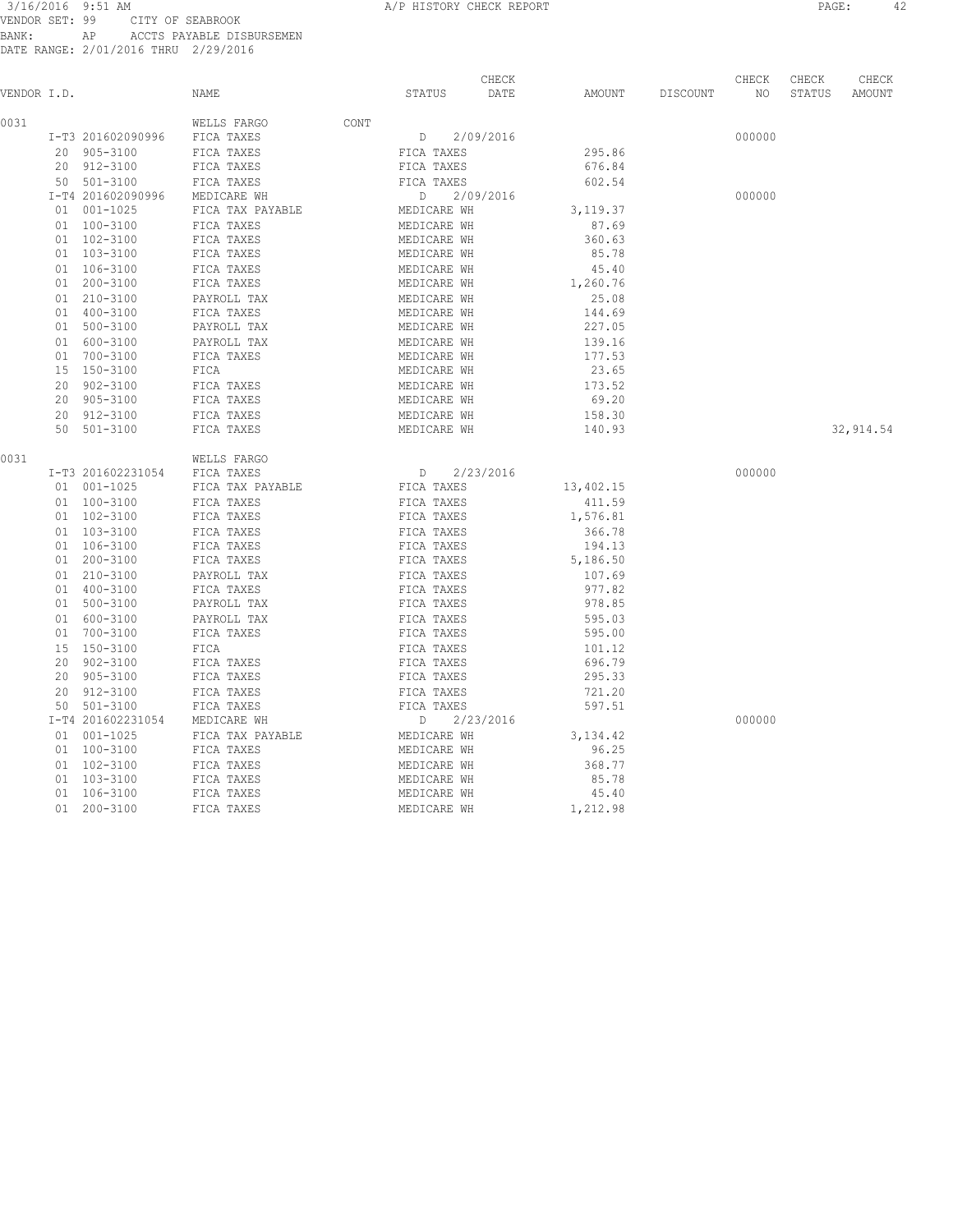#### 3/16/2016 9:51 AM A/P HISTORY CHECK REPORT PAGE: 42 VENDOR SET: 99 CITY OF SEABROOK BANK: AP ACCTS PAYABLE DISBURSEMEN DATE RANGE: 2/01/2016 THRU 2/29/2016

|             |    |                   |                  |      |             | CHECK     |           |          | CHECK  | CHECK  | CHECK      |
|-------------|----|-------------------|------------------|------|-------------|-----------|-----------|----------|--------|--------|------------|
| VENDOR I.D. |    |                   | NAME             |      | STATUS      | DATE      | AMOUNT    | DISCOUNT | NO     | STATUS | AMOUNT     |
| 0031        |    |                   | WELLS FARGO      | CONT |             |           |           |          |        |        |            |
|             |    | I-T3 201602090996 | FICA TAXES       |      | D           | 2/09/2016 |           |          | 000000 |        |            |
|             |    | 20 905-3100       | FICA TAXES       |      | FICA TAXES  |           | 295.86    |          |        |        |            |
|             |    | 20 912-3100       | FICA TAXES       |      | FICA TAXES  |           | 676.84    |          |        |        |            |
|             |    | 50 501-3100       | FICA TAXES       |      | FICA TAXES  |           | 602.54    |          |        |        |            |
|             |    | I-T4 201602090996 | MEDICARE WH      |      | D           | 2/09/2016 |           |          | 000000 |        |            |
|             |    | 01 001-1025       | FICA TAX PAYABLE |      | MEDICARE WH |           | 3,119.37  |          |        |        |            |
|             |    | 01 100-3100       | FICA TAXES       |      | MEDICARE WH |           | 87.69     |          |        |        |            |
|             |    | 01 102-3100       | FICA TAXES       |      | MEDICARE WH |           | 360.63    |          |        |        |            |
|             |    | 01 103-3100       | FICA TAXES       |      | MEDICARE WH |           | 85.78     |          |        |        |            |
|             |    | 01 106-3100       | FICA TAXES       |      | MEDICARE WH |           | 45.40     |          |        |        |            |
|             |    | 01 200-3100       | FICA TAXES       |      | MEDICARE WH |           | 1,260.76  |          |        |        |            |
|             |    | 01 210-3100       | PAYROLL TAX      |      | MEDICARE WH |           | 25.08     |          |        |        |            |
|             |    | 01 400-3100       | FICA TAXES       |      | MEDICARE WH |           | 144.69    |          |        |        |            |
|             |    | 01 500-3100       | PAYROLL TAX      |      | MEDICARE WH |           | 227.05    |          |        |        |            |
|             |    | 01 600-3100       | PAYROLL TAX      |      | MEDICARE WH |           | 139.16    |          |        |        |            |
|             |    | 01 700-3100       | FICA TAXES       |      | MEDICARE WH |           | 177.53    |          |        |        |            |
|             |    | 15 150-3100       | FICA             |      | MEDICARE WH |           | 23.65     |          |        |        |            |
|             | 20 | 902-3100          | FICA TAXES       |      | MEDICARE WH |           | 173.52    |          |        |        |            |
|             | 20 | 905-3100          | FICA TAXES       |      | MEDICARE WH |           | 69.20     |          |        |        |            |
|             | 20 | 912-3100          | FICA TAXES       |      | MEDICARE WH |           | 158.30    |          |        |        |            |
|             |    | 50 501-3100       | FICA TAXES       |      | MEDICARE WH |           | 140.93    |          |        |        | 32, 914.54 |
|             |    |                   |                  |      |             |           |           |          |        |        |            |
| 0031        |    |                   | WELLS FARGO      |      |             |           |           |          |        |        |            |
|             |    | I-T3 201602231054 | FICA TAXES       |      | D           | 2/23/2016 |           |          | 000000 |        |            |
|             |    | 01 001-1025       | FICA TAX PAYABLE |      | FICA TAXES  |           | 13,402.15 |          |        |        |            |
|             |    | 01 100-3100       | FICA TAXES       |      | FICA TAXES  |           | 411.59    |          |        |        |            |
|             |    | 01 102-3100       | FICA TAXES       |      | FICA TAXES  |           | 1,576.81  |          |        |        |            |
|             |    | 01 103-3100       | FICA TAXES       |      | FICA TAXES  |           | 366.78    |          |        |        |            |
|             |    | 01 106-3100       | FICA TAXES       |      | FICA TAXES  |           | 194.13    |          |        |        |            |
|             |    | 01 200-3100       | FICA TAXES       |      | FICA TAXES  |           | 5,186.50  |          |        |        |            |
|             |    | 01 210-3100       | PAYROLL TAX      |      | FICA TAXES  |           | 107.69    |          |        |        |            |
|             |    | 01 400-3100       | FICA TAXES       |      | FICA TAXES  |           | 977.82    |          |        |        |            |
|             |    | 01 500-3100       | PAYROLL TAX      |      | FICA TAXES  |           | 978.85    |          |        |        |            |
|             |    | 01 600-3100       | PAYROLL TAX      |      | FICA TAXES  |           | 595.03    |          |        |        |            |
|             |    | 01 700-3100       | FICA TAXES       |      | FICA TAXES  |           | 595.00    |          |        |        |            |
|             |    | 15 150-3100       | FICA             |      | FICA TAXES  |           | 101.12    |          |        |        |            |
|             |    | 20 902-3100       | FICA TAXES       |      | FICA TAXES  |           | 696.79    |          |        |        |            |
|             |    | 20 905-3100       | FICA TAXES       |      | FICA TAXES  |           | 295.33    |          |        |        |            |
|             | 20 | 912-3100          | FICA TAXES       |      | FICA TAXES  |           | 721.20    |          |        |        |            |
|             |    | 50 501-3100       | FICA TAXES       |      | FICA TAXES  |           | 597.51    |          |        |        |            |
|             |    | I-T4 201602231054 | MEDICARE WH      |      | D           | 2/23/2016 |           |          | 000000 |        |            |
|             |    | 01 001-1025       | FICA TAX PAYABLE |      | MEDICARE WH |           | 3,134.42  |          |        |        |            |
|             |    | 01 100-3100       | FICA TAXES       |      | MEDICARE WH |           | 96.25     |          |        |        |            |
|             |    | 01 102-3100       | FICA TAXES       |      | MEDICARE WH |           | 368.77    |          |        |        |            |
|             |    | 01 103-3100       | FICA TAXES       |      | MEDICARE WH |           | 85.78     |          |        |        |            |
|             |    | 01 106-3100       | FICA TAXES       |      | MEDICARE WH |           | 45.40     |          |        |        |            |
|             |    | 01 200-3100       | FICA TAXES       |      | MEDICARE WH |           | 1,212.98  |          |        |        |            |
|             |    |                   |                  |      |             |           |           |          |        |        |            |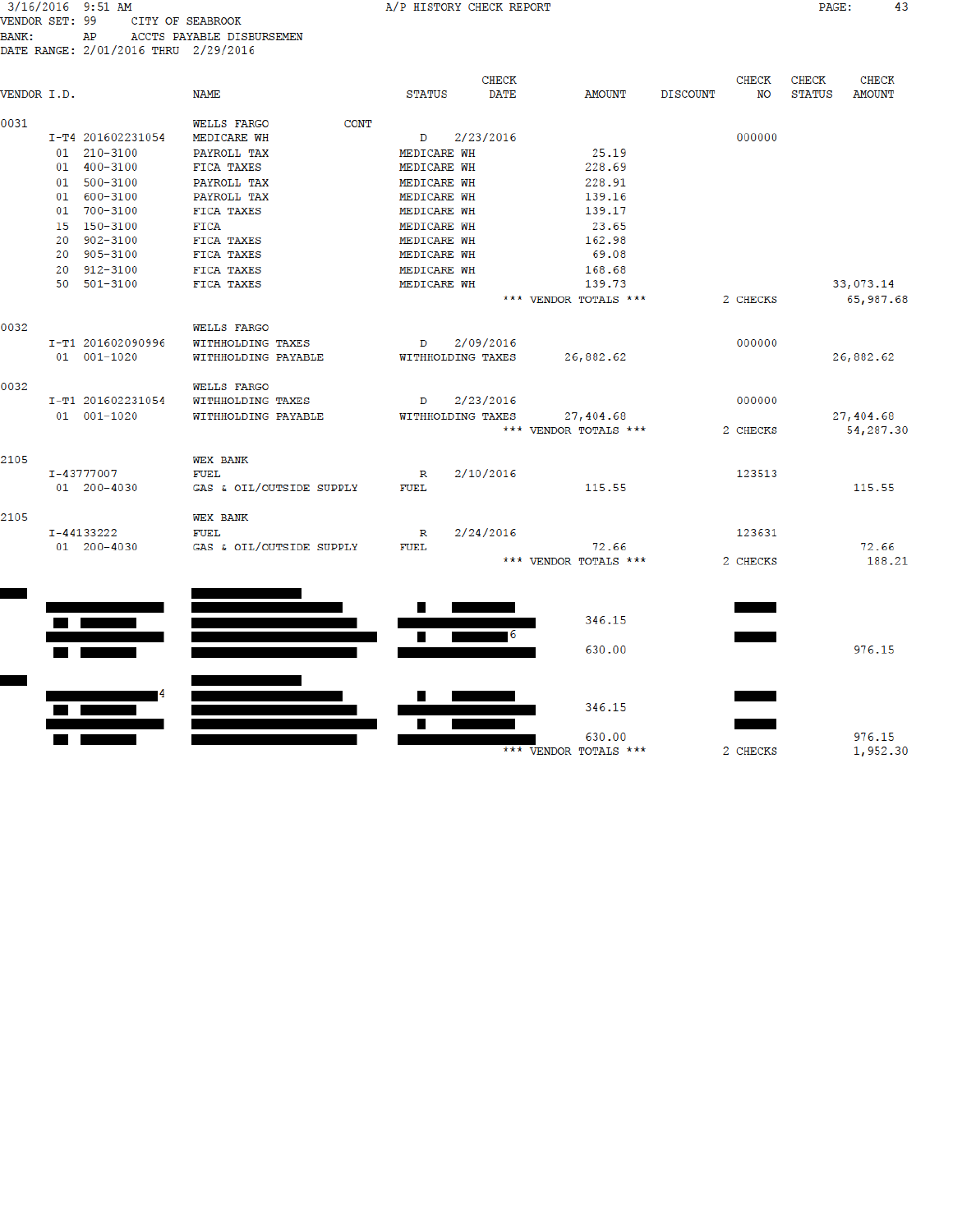# 3/16/2016 9:51 AM<br>VENDOR SET: 99 CITY OF SEABROOK<br>BANK: AP ACCTS PAYABLE DISBURSEMEN<br>DATE RANGE: 2/01/2016 THRU 2/29/2016

| VENDOR I.D. |                                                                                                                                                                         | <b>NAME</b>                                                                                                                                                                                                                  | <b>CHECK</b><br><b>DATE</b><br><b>STATUS</b>                                                                                                                         | <b>AMOUNT</b>                                                                                 | <b>CHECK</b><br><b>DISCOUNT</b><br><b>NO</b> | <b>CHECK</b><br><b>CHECK</b><br><b>STATUS</b><br><b>AMOUNT</b> |
|-------------|-------------------------------------------------------------------------------------------------------------------------------------------------------------------------|------------------------------------------------------------------------------------------------------------------------------------------------------------------------------------------------------------------------------|----------------------------------------------------------------------------------------------------------------------------------------------------------------------|-----------------------------------------------------------------------------------------------|----------------------------------------------|----------------------------------------------------------------|
| 0031        | I-T4 201602231054<br>01 210-3100<br>01 400-3100<br>01 500-3100<br>01 600-3100<br>01 700-3100<br>15 150-3100<br>20 902-3100<br>20 905-3100<br>20 912-3100<br>50 501-3100 | <b>WELLS FARGO</b><br><b>CONT</b><br>MEDICARE WH<br>PAYROLL TAX<br><b>FICA TAXES</b><br>PAYROLL TAX<br>PAYROLL TAX<br><b>FICA TAXES</b><br><b>FICA</b><br><b>FICA TAXES</b><br>FICA TAXES<br>FICA TAXES<br><b>FICA TAXES</b> | 2/23/2016<br>D<br>MEDICARE WH<br>MEDICARE WH<br>MEDICARE WH<br>MEDICARE WH<br>MEDICARE WH<br>MEDICARE WH<br>MEDICARE WH<br>MEDICARE WH<br>MEDICARE WH<br>MEDICARE WH | 25.19<br>228.69<br>228.91<br>139.16<br>139.17<br>23.65<br>162.98<br>69.08<br>168.68<br>139.73 | 000000                                       | 33,073.14                                                      |
|             |                                                                                                                                                                         |                                                                                                                                                                                                                              |                                                                                                                                                                      | *** VENDOR TOTALS ***                                                                         | 2 CHECKS                                     | 65,987.68                                                      |
| 0032        | I-T1 201602090996<br>01 001-1020                                                                                                                                        | <b>WELLS FARGO</b><br><b>WITHHOLDING TAXES</b><br>WITHHOLDING PAYABLE                                                                                                                                                        | 2/09/2016<br>D<br>WITHHOLDING TAXES                                                                                                                                  | 26,882.62                                                                                     | 000000                                       | 26,882.62                                                      |
| 0032        | I-T1 201602231054<br>$01 001 - 1020$                                                                                                                                    | <b>WELLS FARGO</b><br><b>WITHHOLDING TAXES</b><br>WITHHOLDING PAYABLE                                                                                                                                                        | 2/23/2016<br>D<br>WITHHOLDING TAXES                                                                                                                                  | 27,404.68<br>*** VENDOR TOTALS ***                                                            | 000000<br>2 CHECKS                           | 27,404.68<br>54,287.30                                         |
| 2105        | I-43777007<br>01 200-4030                                                                                                                                               | <b>WEX BANK</b><br><b>FUEL</b><br>GAS & OIL/OUTSIDE SUPPLY                                                                                                                                                                   | R<br>2/10/2016<br><b>FUEL</b>                                                                                                                                        | 115.55                                                                                        | 123513                                       | 115.55                                                         |
| 2105        | I-44133222<br>01 200-4030                                                                                                                                               | <b>WEX BANK</b><br><b>FUEL</b><br>GAS & OIL/OUTSIDE SUPPLY                                                                                                                                                                   | 2/24/2016<br>$\mathbb R$<br><b>FUEL</b>                                                                                                                              | 72.66<br>*** VENDOR TOTALS ***                                                                | 123631<br>2 CHECKS                           | 72.66<br>188.21                                                |
|             |                                                                                                                                                                         |                                                                                                                                                                                                                              |                                                                                                                                                                      | 346.15<br>630.00                                                                              |                                              | 976.15                                                         |
|             | 4                                                                                                                                                                       |                                                                                                                                                                                                                              |                                                                                                                                                                      | 346.15<br>630.00<br>*** VENDOR TOTALS ***                                                     | 2 CHECKS                                     | 976.15<br>1,952.30                                             |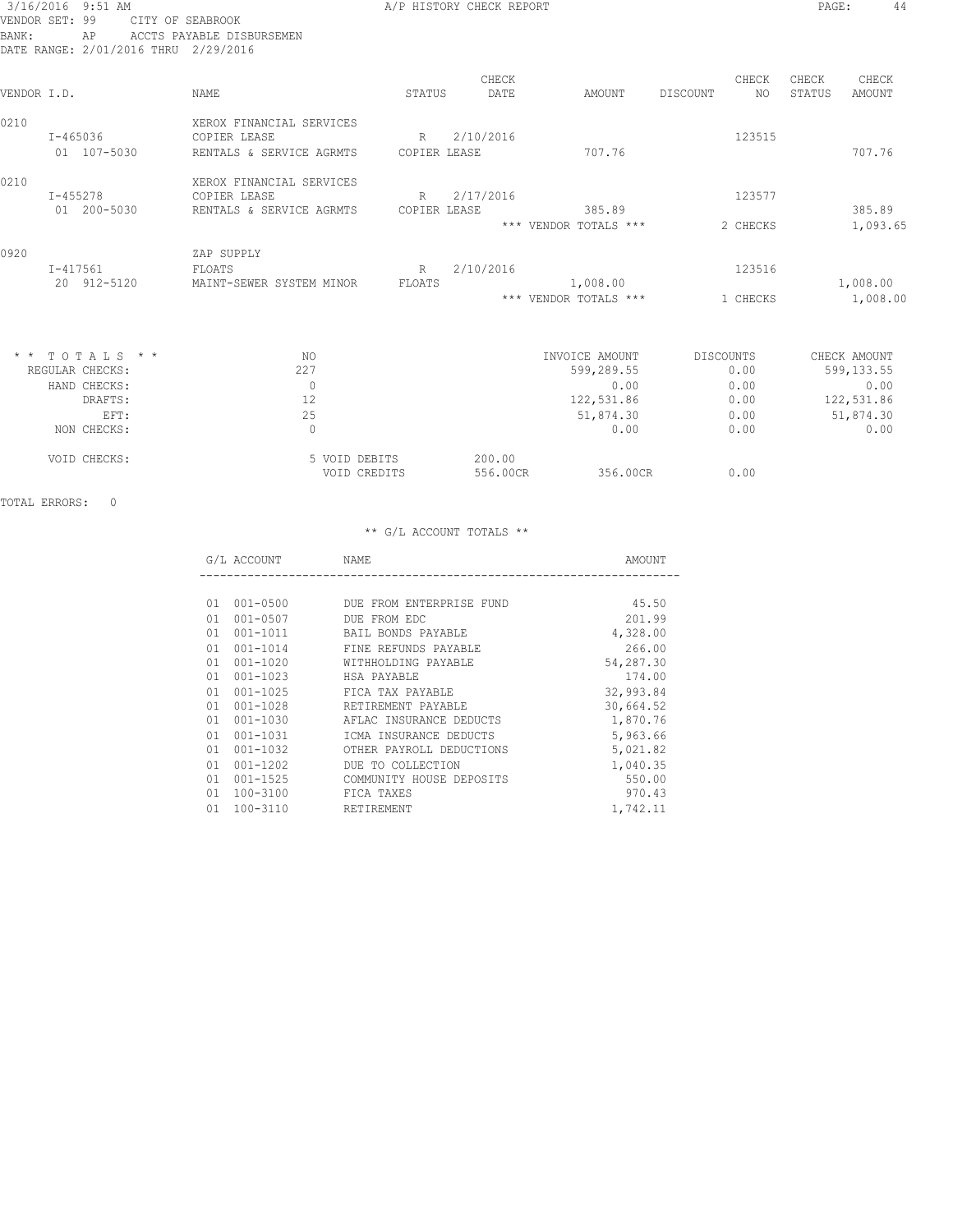#### 3/16/2016 9:51 AM A/P HISTORY CHECK REPORT PAGE: 44 VENDOR SET: 99 CITY OF SEABROOK BANK: AP ACCTS PAYABLE DISBURSEMEN DATE RANGE: 2/01/2016 THRU 2/29/2016

| VENDOR I.D. |                                                                                       | NAME                                                                 | STATUS            | CHECK<br>DATE      | AMOUNT                                                                  | CHECK<br>NO.<br>DISCOUNT                          | CHECK<br>CHECK<br>STATUS<br><b>AMOUNT</b>                              |
|-------------|---------------------------------------------------------------------------------------|----------------------------------------------------------------------|-------------------|--------------------|-------------------------------------------------------------------------|---------------------------------------------------|------------------------------------------------------------------------|
| 0210        | $I - 465036$<br>01 107-5030                                                           | XEROX FINANCIAL SERVICES<br>COPIER LEASE<br>RENTALS & SERVICE AGRMTS | R<br>COPIER LEASE | 2/10/2016          | 707.76                                                                  | 123515                                            | 707.76                                                                 |
| 0210        | I-455278<br>01 200-5030                                                               | XEROX FINANCIAL SERVICES<br>COPIER LEASE<br>RENTALS & SERVICE AGRMTS | R<br>COPIER LEASE | 2/17/2016          | 385.89<br>*** VENDOR TOTALS ***                                         | 123577<br>2 CHECKS                                | 385.89<br>1,093.65                                                     |
| 0920        | $I - 417561$<br>20 912-5120                                                           | ZAP SUPPLY<br>FLOATS<br>MAINT-SEWER SYSTEM MINOR                     | R<br>FLOATS       | 2/10/2016          | 1,008.00<br>*** VENDOR TOTALS ***                                       | 123516<br>1 CHECKS                                | 1,008.00<br>1,008.00                                                   |
|             | $*$ * TOTALS * *<br>REGULAR CHECKS:<br>HAND CHECKS:<br>DRAFTS:<br>EFT:<br>NON CHECKS: | NO<br>227<br>$\mathbf{0}$<br>12<br>25<br>$\Omega$                    |                   |                    | INVOICE AMOUNT<br>599,289.55<br>0.00<br>122,531.86<br>51,874.30<br>0.00 | DISCOUNTS<br>0.00<br>0.00<br>0.00<br>0.00<br>0.00 | CHECK AMOUNT<br>599, 133.55<br>0.00<br>122,531.86<br>51,874.30<br>0.00 |
|             | VOID CHECKS:                                                                          | 5 VOID DEBITS<br>VOID CREDITS                                        |                   | 200.00<br>556.00CR | 356.00CR                                                                | 0.00                                              |                                                                        |

TOTAL ERRORS: 0

| G/L ACCOUNT |              | NAME |                          | AMOUNT    |
|-------------|--------------|------|--------------------------|-----------|
|             |              |      |                          |           |
| 01          | $001 - 0500$ |      | DUE FROM ENTERPRISE FUND | 45.50     |
| 01          | 001-0507     |      | DUE FROM EDC             | 201.99    |
| 01          | $001 - 1011$ |      | BAIL BONDS PAYABLE       | 4,328.00  |
| 01          | $001 - 1014$ |      | FINE REFUNDS PAYABLE     | 266.00    |
| 01          | $001 - 1020$ |      | WITHHOLDING PAYABLE      | 54,287.30 |
| 01          | $001 - 1023$ |      | HSA PAYABLE              | 174.00    |
| 01          | $001 - 1025$ |      | FICA TAX PAYABLE         | 32,993.84 |
| 01          | $001 - 1028$ |      | RETIREMENT PAYABLE       | 30,664.52 |
| 01          | 001-1030     |      | AFLAC INSURANCE DEDUCTS  | 1,870.76  |
| 01          | 001-1031     |      | ICMA INSURANCE DEDUCTS   | 5,963.66  |
| 01          | $001 - 1032$ |      | OTHER PAYROLL DEDUCTIONS | 5,021.82  |
| 01          | $001 - 1202$ |      | DUE TO COLLECTION        | 1,040.35  |
| 01          | $001 - 1525$ |      | COMMUNITY HOUSE DEPOSITS | 550.00    |
| 01          | 100-3100     |      | FICA TAXES               | 970.43    |
| 01          | 100-3110     |      | RETIREMENT               | 1,742.11  |
|             |              |      |                          |           |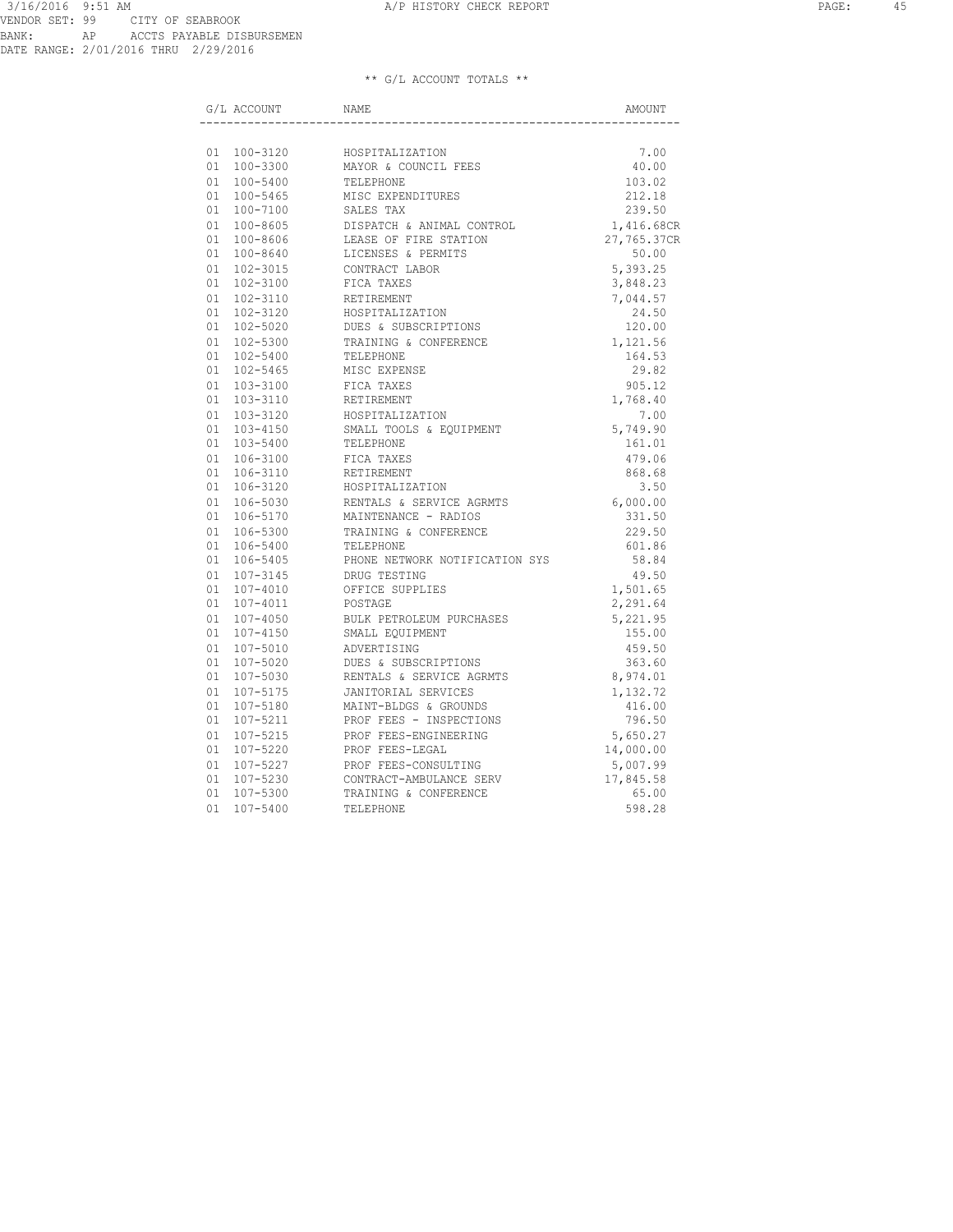|  | G/L ACCOUNT     | NAME                           | AMOUNT      |
|--|-----------------|--------------------------------|-------------|
|  |                 |                                |             |
|  | 01 100-3120     | HOSPITALIZATION                | 7.00        |
|  | 01 100-3300     | MAYOR & COUNCIL FEES           | 40.00       |
|  | 01 100-5400     | TELEPHONE                      | 103.02      |
|  | 01 100-5465     | MISC EXPENDITURES              | 212.18      |
|  | 01 100-7100     | SALES TAX                      | 239.50      |
|  | 01 100-8605     | DISPATCH & ANIMAL CONTROL      | 1,416.68CR  |
|  | 01 100-8606     | LEASE OF FIRE STATION          | 27,765.37CR |
|  | 01 100-8640     | LICENSES & PERMITS             | 50.00       |
|  | 01 102-3015     | CONTRACT LABOR                 | 5,393.25    |
|  | 01 102-3100     | FICA TAXES                     | 3,848.23    |
|  | 01 102-3110     | RETIREMENT                     | 7,044.57    |
|  | 01 102-3120     | HOSPITALIZATION                | 24.50       |
|  | 01 102-5020     | DUES & SUBSCRIPTIONS           | 120.00      |
|  | 01 102-5300     | TRAINING & CONFERENCE          | 1,121.56    |
|  | 01 102-5400     | TELEPHONE                      | 164.53      |
|  | 01 102-5465     | MISC EXPENSE                   | 29.82       |
|  | 01 103-3100     | FICA TAXES                     | 905.12      |
|  | 01 103-3110     | RETIREMENT                     | 1,768.40    |
|  | 01 103-3120     | HOSPITALIZATION                | 7.00        |
|  | 01 103-4150     | SMALL TOOLS & EQUIPMENT        | 5,749.90    |
|  | 01 103-5400     | TELEPHONE                      | 161.01      |
|  | 01 106-3100     | FICA TAXES                     | 479.06      |
|  | 01 106-3110     | RETIREMENT                     | 868.68      |
|  | 01 106-3120     | HOSPITALIZATION                | 3.50        |
|  | 01 106-5030     | RENTALS & SERVICE AGRMTS       | 6,000.00    |
|  | 01 106-5170     | MAINTENANCE - RADIOS           | 331.50      |
|  | 01 106-5300     | TRAINING & CONFERENCE          | 229.50      |
|  | 01 106-5400     | TELEPHONE                      | 601.86      |
|  | 01 106-5405     | PHONE NETWORK NOTIFICATION SYS | 58.84       |
|  | 01 107-3145     | DRUG TESTING                   | 49.50       |
|  | 01 107-4010     | OFFICE SUPPLIES                | 1,501.65    |
|  | 01 107-4011     | POSTAGE                        | 2,291.64    |
|  | $01 107 - 4050$ | BULK PETROLEUM PURCHASES       | 5,221.95    |
|  | 01 107-4150     | SMALL EQUIPMENT                | 155.00      |
|  | 01 107-5010     | ADVERTISING                    | 459.50      |
|  | 01 107-5020     | DUES & SUBSCRIPTIONS           | 363.60      |
|  | 01 107-5030     | RENTALS & SERVICE AGRMTS       | 8,974.01    |
|  | 01 107-5175     | JANITORIAL SERVICES            | 1,132.72    |
|  | 01 107-5180     | MAINT-BLDGS & GROUNDS          | 416.00      |
|  | 01 107-5211     | PROF FEES - INSPECTIONS        | 796.50      |
|  | 01 107-5215     | PROF FEES-ENGINEERING          | 5,650.27    |
|  | 01 107-5220     | PROF FEES-LEGAL                | 14,000.00   |
|  | 01 107-5227     | PROF FEES-CONSULTING           | 5,007.99    |
|  | 01 107-5230     | CONTRACT-AMBULANCE SERV        | 17,845.58   |
|  | 01 107-5300     | TRAINING & CONFERENCE          | 65.00       |
|  | 01 107-5400     | TELEPHONE                      | 598.28      |
|  |                 |                                |             |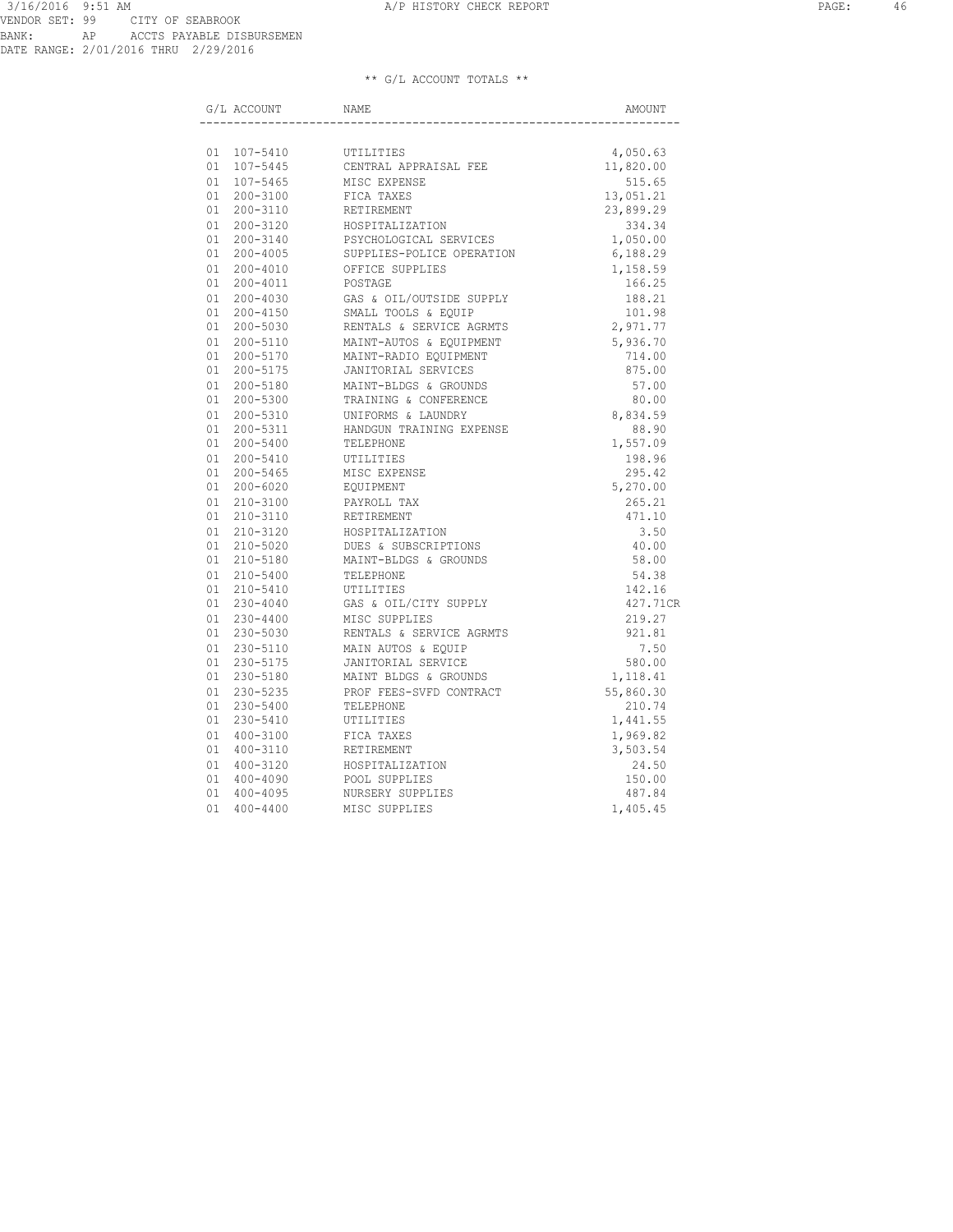|  | G/L ACCOUNT | NAME                              | AMOUNT    |
|--|-------------|-----------------------------------|-----------|
|  |             |                                   |           |
|  | 01 107-5410 | UTILITIES                         | 4,050.63  |
|  | 01 107-5445 | CENTRAL APPRAISAL FEE             | 11,820.00 |
|  | 01 107-5465 | MISC EXPENSE                      | 515.65    |
|  | 01 200-3100 | FICA TAXES                        | 13,051.21 |
|  | 01 200-3110 | RETIREMENT                        | 23,899.29 |
|  | 01 200-3120 | HOSPITALIZATION                   | 334.34    |
|  | 01 200-3140 | PSYCHOLOGICAL SERVICES            | 1,050.00  |
|  | 01 200-4005 | SUPPLIES-POLICE OPERATION         | 6,188.29  |
|  | 01 200-4010 | OFFICE SUPPLIES                   | 1,158.59  |
|  | 01 200-4011 | POSTAGE                           | 166.25    |
|  | 01 200-4030 | GAS & OIL/OUTSIDE SUPPLY          | 188.21    |
|  | 01 200-4150 | SMALL TOOLS & EQUIP               | 101.98    |
|  | 01 200-5030 | RENTALS & SERVICE AGRMTS          | 2,971.77  |
|  | 01 200-5110 | MAINT-AUTOS & EQUIPMENT           | 5,936.70  |
|  | 01 200-5170 | MAINT-RADIO EQUIPMENT             | 714.00    |
|  | 01 200-5175 | JANITORIAL SERVICES               | 875.00    |
|  | 01 200-5180 | MAINT-BLDGS & GROUNDS             | 57.00     |
|  | 01 200-5300 | TRAINING & CONFERENCE             | 80.00     |
|  | 01 200-5310 | UNIFORMS & LAUNDRY                | 8,834.59  |
|  | 01 200-5311 | HANDGUN TRAINING EXPENSE          | 88.90     |
|  | 01 200-5400 | TELEPHONE                         | 1,557.09  |
|  | 01 200-5410 | UTILITIES                         | 198.96    |
|  | 01 200-5465 | MISC EXPENSE                      | 295.42    |
|  | 01 200-6020 | EQUIPMENT                         | 5,270.00  |
|  | 01 210-3100 | PAYROLL TAX                       | 265.21    |
|  | 01 210-3110 | RETIREMENT                        | 471.10    |
|  | 01 210-3120 | HOSPITALIZATION                   | 3.50      |
|  | 01 210-5020 | DUES & SUBSCRIPTIONS              | 40.00     |
|  | 01 210-5180 | MAINT-BLDGS & GROUNDS             | 58.00     |
|  | 01 210-5400 | TELEPHONE                         | 54.38     |
|  | 01 210-5410 | UTILITIES                         | 142.16    |
|  | 01 230-4040 | GAS & OIL/CITY SUPPLY             | 427.71CR  |
|  | 01 230-4400 | MISC SUPPLIES                     | 219.27    |
|  | 01 230-5030 | RENTALS & SERVICE AGRMTS          | 921.81    |
|  | 01 230-5110 | MAIN AUTOS & EQUIP                | 7.50      |
|  | 01 230-5175 | JANITORIAL SERVICE                | 580.00    |
|  | 01 230-5180 | MAINT BLDGS & GROUNDS             | 1,118.41  |
|  | 01 230-5235 | PROF FEES-SVFD CONTRACT           | 55,860.30 |
|  | 01 230-5400 | TELEPHONE                         | 210.74    |
|  | 01 230-5410 | UTILITIES                         | 1,441.55  |
|  | 01 400-3100 | FICA TAXES                        | 1,969.82  |
|  | 01 400-3110 | RETIREMENT                        | 3,503.54  |
|  | 01 400-3120 | HOSPITALIZATION                   | 24.50     |
|  | 01 400-4090 | POOL SUPPLIES                     | 150.00    |
|  | 01 400-4095 | NURSERY SUPPLIES<br>MISC SUPPLIES | 487.84    |
|  | 01 400-4400 |                                   | 1,405.45  |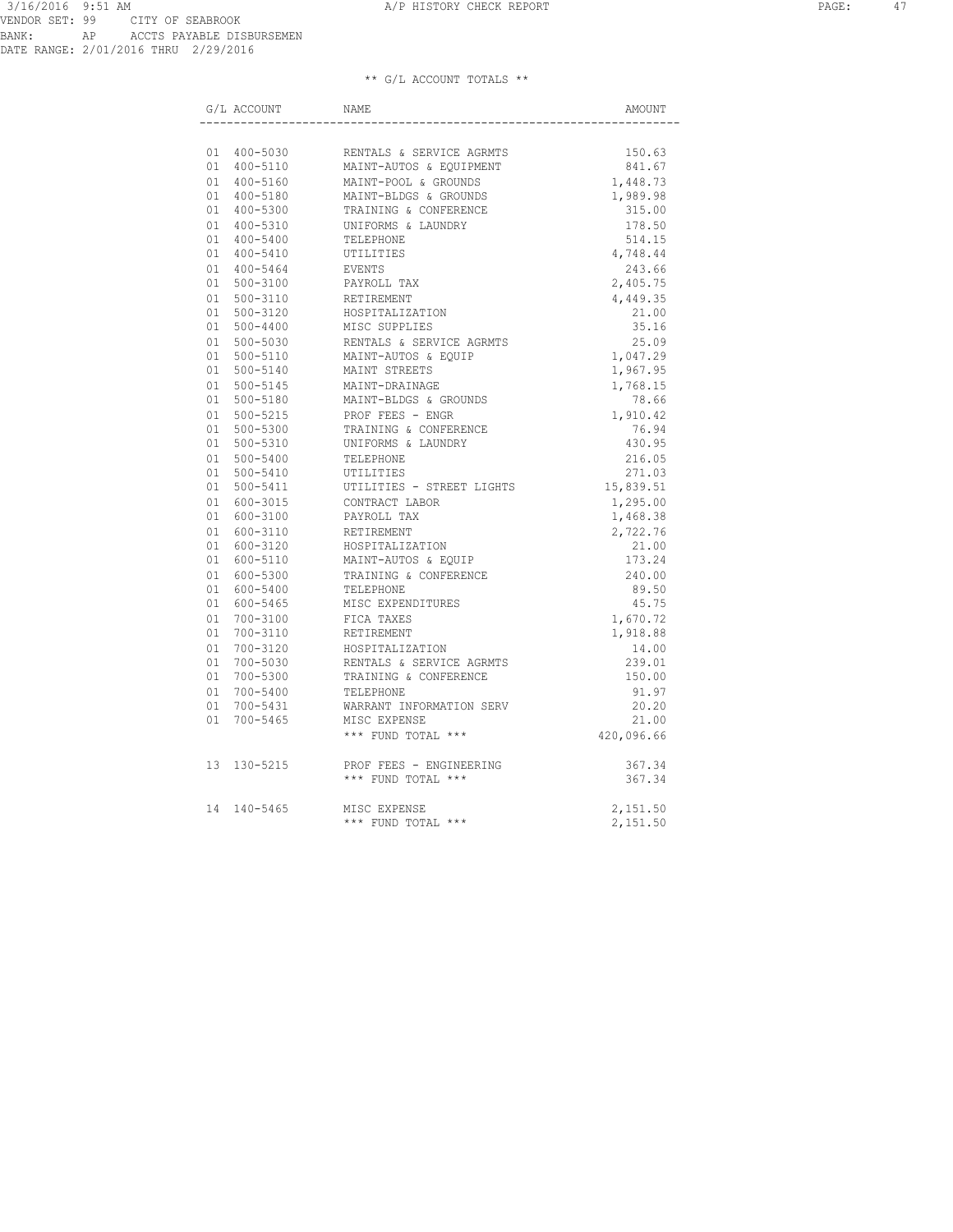| G/L ACCOUNT | NAME                                                                          | AMOUNT                                        |
|-------------|-------------------------------------------------------------------------------|-----------------------------------------------|
|             |                                                                               |                                               |
|             | 01 400-5030 RENTALS & SERVICE AGRMTS<br>01 400-5110 MAINT-AUTOS & EQUIPMENT   | 150.63                                        |
|             |                                                                               | 841.67                                        |
|             | 01  400-5160   MAINT-POOL & GROUNDS<br>01  400-5180   MAINT-BLDGS & GROUNDS   | 1,448.73                                      |
|             |                                                                               | 1,989.98                                      |
| 01 400-5300 | TRAINING & CONFERENCE                                                         | 315.00                                        |
| 01 400-5310 | UNIFORMS & LAUNDRY                                                            | 178.50                                        |
| 01 400-5400 | TELEPHONE                                                                     | 514.15                                        |
| 01 400-5410 | UTILITIES                                                                     | 4,748.44                                      |
| 01 400-5464 | EVENTS                                                                        | 243.66<br>243.66<br>2,405.75                  |
| 01 500-3100 | PAYROLL TAX                                                                   |                                               |
| 01 500-3110 | RETIREMENT<br>HOSPITALIZATION                                                 | 4,449.35                                      |
| 01 500-3120 |                                                                               | 21.00                                         |
| 01 500-4400 | MISC SUPPLIES<br>RENTALS & SERVICE AGRMTS                                     | 35.16                                         |
| 01 500-5030 |                                                                               | $25.09$<br>$1,047.29$                         |
| 01 500-5110 | MAINT-AUTOS & EQUIP<br>MAINT STREETS                                          |                                               |
| 01 500-5140 |                                                                               | 1,967.95                                      |
| 01 500-5145 | MAINT-DRAINAGE<br>MAINT-BLDGS & GROUNDS                                       | 1,768.15<br>78.66                             |
| 01 500-5180 |                                                                               |                                               |
| 01 500-5215 | PROF FEES - ENGR<br>TRAINING & CONFERENCE                                     | $1,910.42$<br>$76.94$<br>$430.95$<br>$216.05$ |
| 01 500-5300 |                                                                               |                                               |
| 01 500-5310 | UNIFORMS & LAUNDRY                                                            |                                               |
| 01 500-5400 | TELEPHONE                                                                     | 216.05                                        |
| 01 500-5410 | UTILITIES                                                                     | 271.03                                        |
| 01 500-5411 | UTILITIES - STREET LIGHTS 15,839.51                                           |                                               |
| 01 600-3015 | CONTRACT LABOR                                                                | 1,295.00                                      |
| 01 600-3100 | PAYROLL TAX                                                                   | 1,468.38                                      |
| 01 600-3110 | RETIREMENT                                                                    | 2,722.76                                      |
| 01 600-3120 | HOSPITALIZATION                                                               | 21.00                                         |
| 01 600-5110 | MAINT-AUTOS & EQUIP                                                           | 173.24                                        |
| 01 600-5300 | TRAINING & CONFERENCE                                                         | 240.00                                        |
| 01 600-5400 | TELEPHONE                                                                     | 89.50                                         |
| 01 600-5465 | MISC EXPENDITURES                                                             | 45.75                                         |
| 01 700-3100 | FICA TAXES                                                                    | 1,670.72                                      |
|             | 01 700-3110 RETIREMENT                                                        | 1,918.88                                      |
| 01 700-3120 | HOSPITALIZATION                                                               | 14.00<br>14.00<br>239.01                      |
| 01 700-5030 | NESTALLAND & SERVICE AGRMTS<br>TRAINING & CONFERENCE<br>TRAINING & CONFERENCE |                                               |
| 01 700-5300 | TRAINING & CONFERENCE                                                         | 150.00                                        |
| 01 700-5400 | TELEPHONE                                                                     | 91.97                                         |
| 01 700-5431 | WARRANT INFORMATION SERV                                                      | 20.20                                         |
|             | 01 700-5465 MISC EXPENSE                                                      | $21.00$<br>420,096.66                         |
|             | $\star\star\star$ FUND TOTAL $\star\star\star$                                |                                               |
| 13 130-5215 | PROF FEES - ENGINEERING<br>*** FUND TOTAL ***                                 | 367.34                                        |
|             |                                                                               | 367.34                                        |
|             | MISC EXPENSE<br>*** FUND TOTAL ***<br>14 140-5465 MISC EXPENSE                | 2,151.50                                      |
|             |                                                                               | 2,151.50                                      |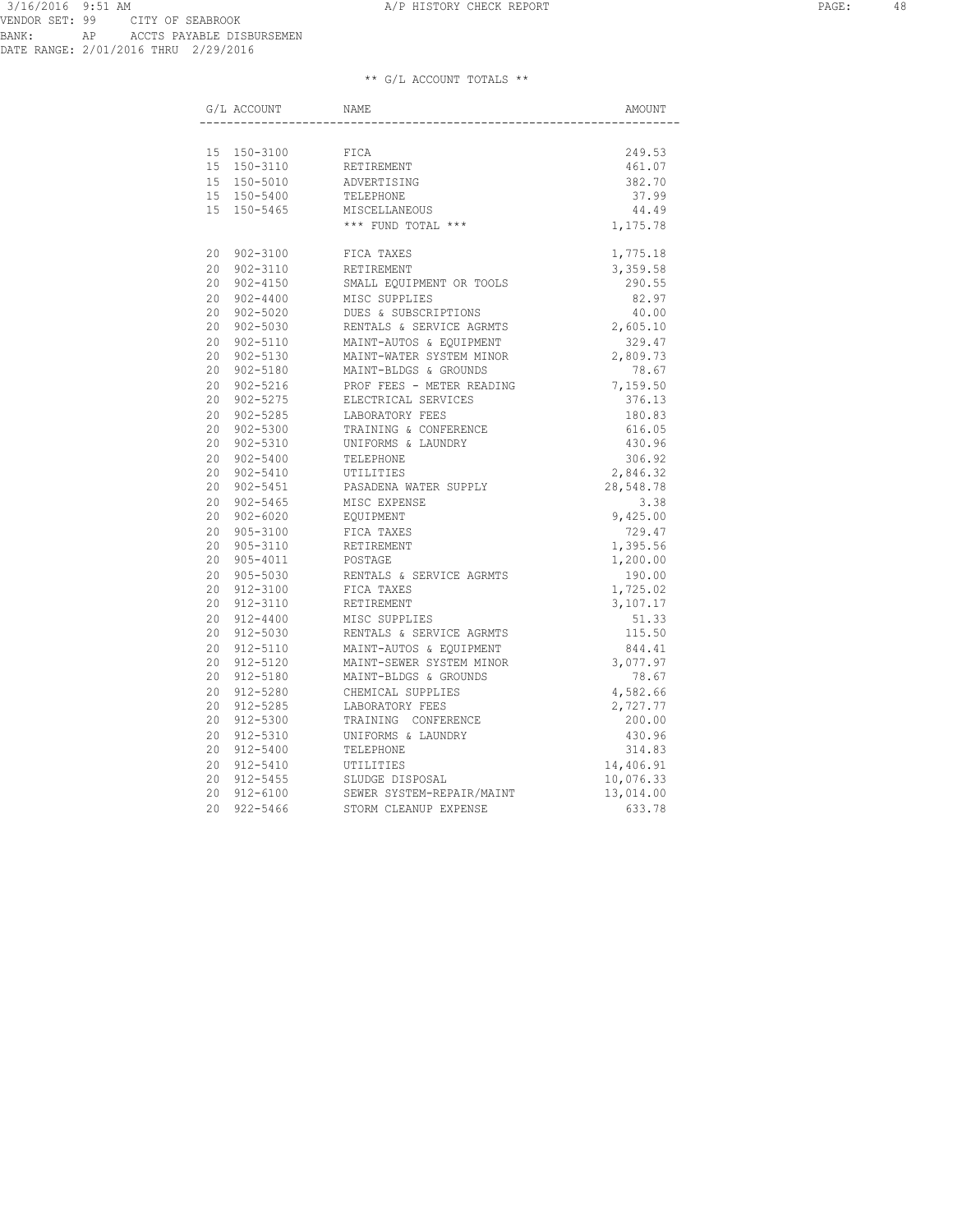|                 | G/L ACCOUNT  | NAME                      | AMOUNT    |
|-----------------|--------------|---------------------------|-----------|
|                 |              |                           |           |
|                 | 15 150-3100  | FICA                      | 249.53    |
|                 | 15 150-3110  | RETIREMENT                | 461.07    |
|                 | 15 150-5010  | ADVERTISING               | 382.70    |
|                 | 15 150-5400  | TELEPHONE                 | 37.99     |
|                 | 15 150-5465  | MISCELLANEOUS             | 44.49     |
|                 |              | *** FUND TOTAL ***        | 1,175.78  |
|                 | 20 902-3100  | FICA TAXES                | 1,775.18  |
|                 | 20 902-3110  | RETIREMENT                | 3,359.58  |
|                 | 20 902-4150  | SMALL EQUIPMENT OR TOOLS  | 290.55    |
|                 | 20 902-4400  | MISC SUPPLIES             | 82.97     |
|                 | 20 902-5020  | DUES & SUBSCRIPTIONS      | 40.00     |
|                 | 20 902-5030  | RENTALS & SERVICE AGRMTS  | 2,605.10  |
| 20              | 902-5110     | MAINT-AUTOS & EQUIPMENT   | 329.47    |
|                 | 20 902-5130  | MAINT-WATER SYSTEM MINOR  | 2,809.73  |
|                 | 20 902-5180  | MAINT-BLDGS & GROUNDS     | 78.67     |
| $2.0 -$         | 902-5216     | PROF FEES - METER READING | 7,159.50  |
| 20 <sub>o</sub> | 902-5275     | ELECTRICAL SERVICES       | 376.13    |
|                 | 20 902-5285  | LABORATORY FEES           | 180.83    |
|                 | 20 902-5300  | TRAINING & CONFERENCE     | 616.05    |
| 20 <sub>o</sub> | 902-5310     | UNIFORMS & LAUNDRY        | 430.96    |
|                 | 20 902-5400  | TELEPHONE                 | 306.92    |
|                 | 20 902-5410  | UTILITIES                 | 2,846.32  |
|                 | 20 902-5451  | PASADENA WATER SUPPLY     | 28,548.78 |
|                 | 20 902-5465  | MISC EXPENSE              | 3.38      |
|                 | 20 902-6020  | EOUIPMENT                 | 9,425.00  |
|                 | 20 905-3100  | FICA TAXES                | 729.47    |
|                 | 20 905-3110  | RETIREMENT                | 1,395.56  |
|                 | 20 905-4011  | POSTAGE                   | 1,200.00  |
|                 | 20 905-5030  | RENTALS & SERVICE AGRMTS  | 190.00    |
|                 | 20 912-3100  | FICA TAXES                | 1,725.02  |
|                 | 20 912-3110  | RETIREMENT                | 3,107.17  |
|                 | 20 912-4400  | MISC SUPPLIES             | 51.33     |
|                 | 20 912-5030  | RENTALS & SERVICE AGRMTS  | 115.50    |
| 20              | 912-5110     | MAINT-AUTOS & EQUIPMENT   | 844.41    |
|                 | 20 912-5120  | MAINT-SEWER SYSTEM MINOR  | 3,077.97  |
|                 | 20 912-5180  | MAINT-BLDGS & GROUNDS     | 78.67     |
| $20 -$          | $912 - 5280$ | CHEMICAL SUPPLIES         | 4,582.66  |
| 20              | 912-5285     | LABORATORY FEES           | 2,727.77  |
|                 | 20 912-5300  | TRAINING CONFERENCE       | 200.00    |
| $2.0 -$         | 912-5310     | UNIFORMS & LAUNDRY        | 430.96    |
| 20              | 912-5400     | TELEPHONE                 | 314.83    |
| 20              | 912-5410     | UTILITIES                 | 14,406.91 |
| 20              | 912-5455     | SLUDGE DISPOSAL           | 10,076.33 |
|                 | 20 912-6100  | SEWER SYSTEM-REPAIR/MAINT | 13,014.00 |
| 20              | $922 - 5466$ | STORM CLEANUP EXPENSE     | 633.78    |
|                 |              |                           |           |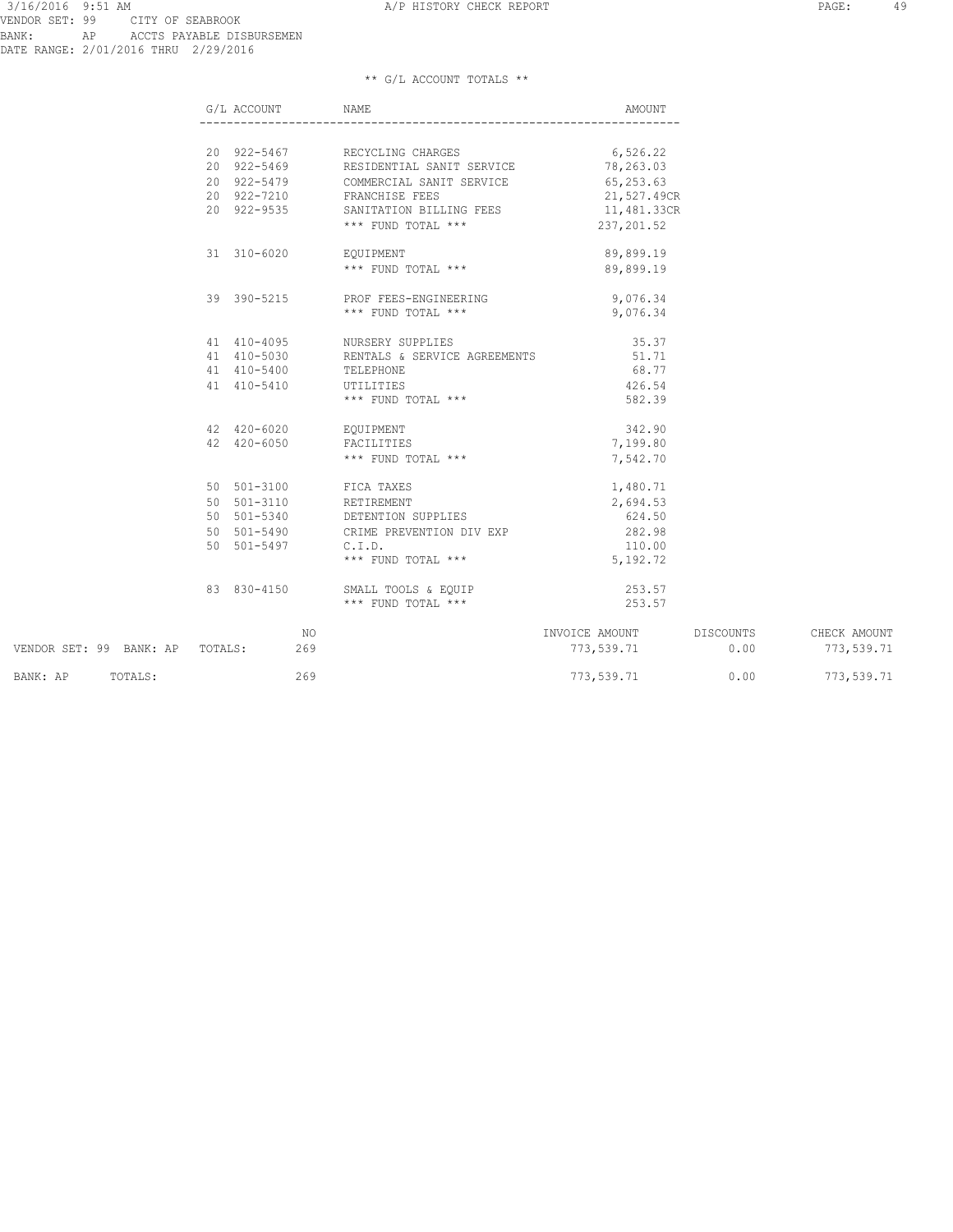|                                 | G/L ACCOUNT | NAME                               | AMOUNT         |           |              |
|---------------------------------|-------------|------------------------------------|----------------|-----------|--------------|
|                                 |             |                                    |                |           |              |
|                                 | 20 922-5467 | RECYCLING CHARGES                  | 6,526.22       |           |              |
|                                 | 20 922-5469 | RESIDENTIAL SANIT SERVICE          | 78,263.03      |           |              |
|                                 | 20 922-5479 | COMMERCIAL SANIT SERVICE 65,253.63 |                |           |              |
|                                 | 20 922-7210 | FRANCHISE FEES                     | 21,527.49CR    |           |              |
|                                 | 20 922-9535 | SANITATION BILLING FEES            | 11,481.33CR    |           |              |
|                                 |             | *** FUND TOTAL ***                 | 237, 201.52    |           |              |
|                                 | 31 310-6020 | EOUIPMENT                          | 89,899.19      |           |              |
|                                 |             | *** FUND TOTAL ***                 | 89,899.19      |           |              |
|                                 | 39 390-5215 | PROF FEES-ENGINEERING              | 9,076.34       |           |              |
|                                 |             | *** FUND TOTAL ***                 | 9,076.34       |           |              |
|                                 | 41 410-4095 | NURSERY SUPPLIES                   | 35.37          |           |              |
|                                 | 41 410-5030 | RENTALS & SERVICE AGREEMENTS       | 51.71          |           |              |
|                                 | 41 410-5400 | TELEPHONE                          | 68.77          |           |              |
|                                 | 41 410-5410 | UTILITIES                          | 426.54         |           |              |
|                                 |             | *** FUND TOTAL ***                 | 582.39         |           |              |
|                                 | 42 420-6020 | EQUIPMENT                          | 342.90         |           |              |
|                                 | 42 420-6050 | FACILITIES                         | 7,199.80       |           |              |
|                                 |             | *** FUND TOTAL ***                 | 7,542.70       |           |              |
|                                 | 50 501-3100 | FICA TAXES                         | 1,480.71       |           |              |
|                                 | 50 501-3110 | RETIREMENT                         | 2,694.53       |           |              |
|                                 | 50 501-5340 | DETENTION SUPPLIES                 | 624.50         |           |              |
|                                 | 50 501-5490 | CRIME PREVENTION DIV EXP           | 282.98         |           |              |
|                                 | 50 501-5497 | C.I.D.                             | 110.00         |           |              |
|                                 |             | *** FUND TOTAL ***                 | 5,192.72       |           |              |
|                                 | 83 830-4150 | SMALL TOOLS & EQUIP                | 253.57         |           |              |
|                                 |             | *** FUND TOTAL ***                 | 253.57         |           |              |
|                                 | NO          |                                    | INVOICE AMOUNT | DISCOUNTS | CHECK AMOUNT |
| VENDOR SET: 99 BANK: AP TOTALS: | 269         |                                    | 773,539.71     | 0.00      | 773,539.71   |
| TOTALS:<br>BANK: AP             | 269         |                                    | 773,539.71     | 0.00      | 773,539.71   |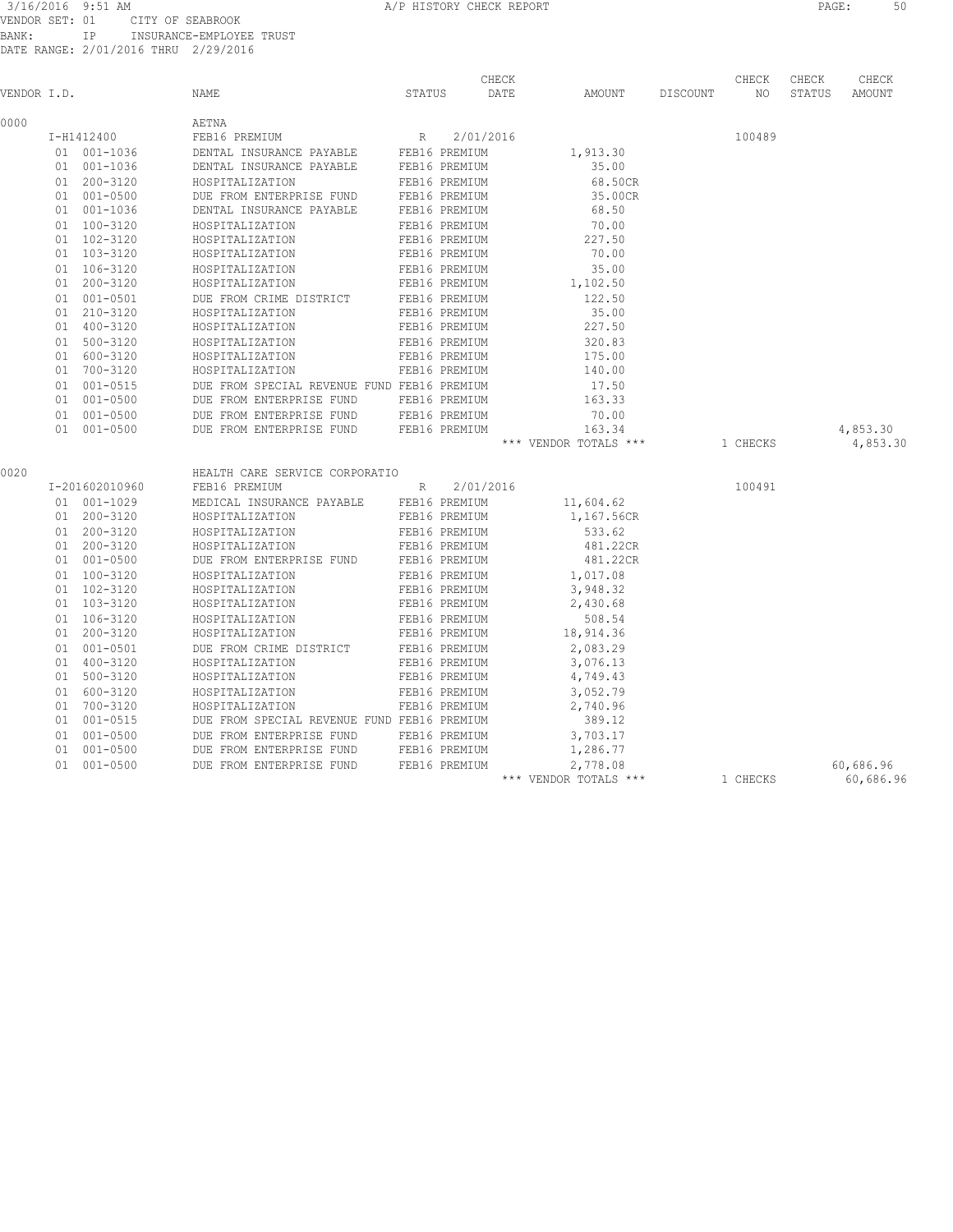#### 3/16/2016 9:51 AM A/P HISTORY CHECK REPORT PAGE: 50 VENDOR SET: 01 CITY OF SEABROOK BANK: IP INSURANCE-EMPLOYEE TRUST DATE RANGE: 2/01/2016 THRU 2/29/2016

|             |                |                                             |        |               | CHECK                 |          | CHECK    | CHECK  | CHECK     |
|-------------|----------------|---------------------------------------------|--------|---------------|-----------------------|----------|----------|--------|-----------|
| VENDOR I.D. |                | NAME                                        | STATUS |               | DATE<br>AMOUNT        | DISCOUNT | NO       | STATUS | AMOUNT    |
| 0000        |                | AETNA                                       |        |               |                       |          |          |        |           |
|             | I-H1412400     | FEB16 PREMIUM                               | R      | 2/01/2016     |                       |          | 100489   |        |           |
|             | 01 001-1036    | DENTAL INSURANCE PAYABLE                    |        | FEB16 PREMIUM | 1,913.30              |          |          |        |           |
|             | 01 001-1036    | DENTAL INSURANCE PAYABLE                    |        | FEB16 PREMIUM | 35.00                 |          |          |        |           |
|             | 01 200-3120    | HOSPITALIZATION                             |        | FEB16 PREMIUM | 68.50CR               |          |          |        |           |
|             | 01 001-0500    | DUE FROM ENTERPRISE FUND                    |        | FEB16 PREMIUM | 35.00CR               |          |          |        |           |
|             | 01 001-1036    | DENTAL INSURANCE PAYABLE                    |        | FEB16 PREMIUM | 68.50                 |          |          |        |           |
|             | 01 100-3120    | HOSPITALIZATION                             |        | FEB16 PREMIUM | 70.00                 |          |          |        |           |
|             | 01 102-3120    | HOSPITALIZATION                             |        | FEB16 PREMIUM | 227.50                |          |          |        |           |
|             | 01 103-3120    | HOSPITALIZATION                             |        | FEB16 PREMIUM | 70.00                 |          |          |        |           |
|             | 01 106-3120    | HOSPITALIZATION                             |        | FEB16 PREMIUM | 35.00                 |          |          |        |           |
|             | 01 200-3120    | HOSPITALIZATION                             |        | FEB16 PREMIUM | 1,102.50              |          |          |        |           |
|             | 01 001-0501    | DUE FROM CRIME DISTRICT                     |        | FEB16 PREMIUM | 122.50                |          |          |        |           |
|             | 01 210-3120    | HOSPITALIZATION                             |        | FEB16 PREMIUM | 35.00                 |          |          |        |           |
|             | 01 400-3120    | HOSPITALIZATION                             |        | FEB16 PREMIUM | 227.50                |          |          |        |           |
|             | 01 500-3120    | HOSPITALIZATION                             |        | FEB16 PREMIUM | 320.83                |          |          |        |           |
|             | 01 600-3120    | HOSPITALIZATION                             |        | FEB16 PREMIUM | 175.00                |          |          |        |           |
|             | 01 700-3120    | HOSPITALIZATION                             |        | FEB16 PREMIUM | 140.00                |          |          |        |           |
|             | 01 001-0515    | DUE FROM SPECIAL REVENUE FUND FEB16 PREMIUM |        |               | 17.50                 |          |          |        |           |
|             | 01 001-0500    | DUE FROM ENTERPRISE FUND                    |        | FEB16 PREMIUM | 163.33                |          |          |        |           |
|             | 01 001-0500    | DUE FROM ENTERPRISE FUND                    |        | FEB16 PREMIUM | 70.00                 |          |          |        |           |
|             | 01 001-0500    | DUE FROM ENTERPRISE FUND                    |        | FEB16 PREMIUM | 163.34                |          |          |        | 4,853.30  |
|             |                |                                             |        |               | *** VENDOR TOTALS *** |          | 1 CHECKS |        | 4,853.30  |
| 0020        |                | HEALTH CARE SERVICE CORPORATIO              |        |               |                       |          |          |        |           |
|             | I-201602010960 | FEB16 PREMIUM                               | R      | 2/01/2016     |                       |          | 100491   |        |           |
|             | 01 001-1029    | MEDICAL INSURANCE PAYABLE                   |        | FEB16 PREMIUM | 11,604.62             |          |          |        |           |
|             | 01 200-3120    | HOSPITALIZATION                             |        | FEB16 PREMIUM | 1,167.56CR            |          |          |        |           |
|             | 01 200-3120    | HOSPITALIZATION                             |        | FEB16 PREMIUM | 533.62                |          |          |        |           |
|             | 01 200-3120    | HOSPITALIZATION                             |        | FEB16 PREMIUM | 481.22CR              |          |          |        |           |
|             | 01 001-0500    | DUE FROM ENTERPRISE FUND                    |        | FEB16 PREMIUM | 481.22CR              |          |          |        |           |
|             | 01 100-3120    | HOSPITALIZATION                             |        | FEB16 PREMIUM | 1,017.08              |          |          |        |           |
|             | 01 102-3120    | HOSPITALIZATION                             |        | FEB16 PREMIUM | 3,948.32              |          |          |        |           |
|             | 01 103-3120    | HOSPITALIZATION                             |        | FEB16 PREMIUM | 2,430.68              |          |          |        |           |
|             | 01 106-3120    | HOSPITALIZATION                             |        | FEB16 PREMIUM | 508.54                |          |          |        |           |
|             | 01 200-3120    | HOSPITALIZATION                             |        | FEB16 PREMIUM | 18,914.36             |          |          |        |           |
|             | 01 001-0501    | DUE FROM CRIME DISTRICT                     |        | FEB16 PREMIUM | 2,083.29              |          |          |        |           |
|             | 01 400-3120    | HOSPITALIZATION                             |        | FEB16 PREMIUM | 3,076.13              |          |          |        |           |
|             | 01 500-3120    | HOSPITALIZATION                             |        | FEB16 PREMIUM | 4,749.43              |          |          |        |           |
|             | 01 600-3120    | HOSPITALIZATION                             |        | FEB16 PREMIUM | 3,052.79              |          |          |        |           |
|             | 01 700-3120    | HOSPITALIZATION                             |        | FEB16 PREMIUM | 2,740.96              |          |          |        |           |
|             | 01 001-0515    | DUE FROM SPECIAL REVENUE FUND FEB16 PREMIUM |        |               | 389.12                |          |          |        |           |
|             | 01 001-0500    | DUE FROM ENTERPRISE FUND                    |        | FEB16 PREMIUM | 3,703.17              |          |          |        |           |
|             | 01 001-0500    | DUE FROM ENTERPRISE FUND                    |        | FEB16 PREMIUM | 1,286.77              |          |          |        |           |
|             | 01 001-0500    | DUE FROM ENTERPRISE FUND                    |        | FEB16 PREMIUM | 2,778.08              |          |          |        | 60,686.96 |
|             |                |                                             |        |               | *** VENDOR TOTALS *** |          | 1 CHECKS |        | 60,686.96 |
|             |                |                                             |        |               |                       |          |          |        |           |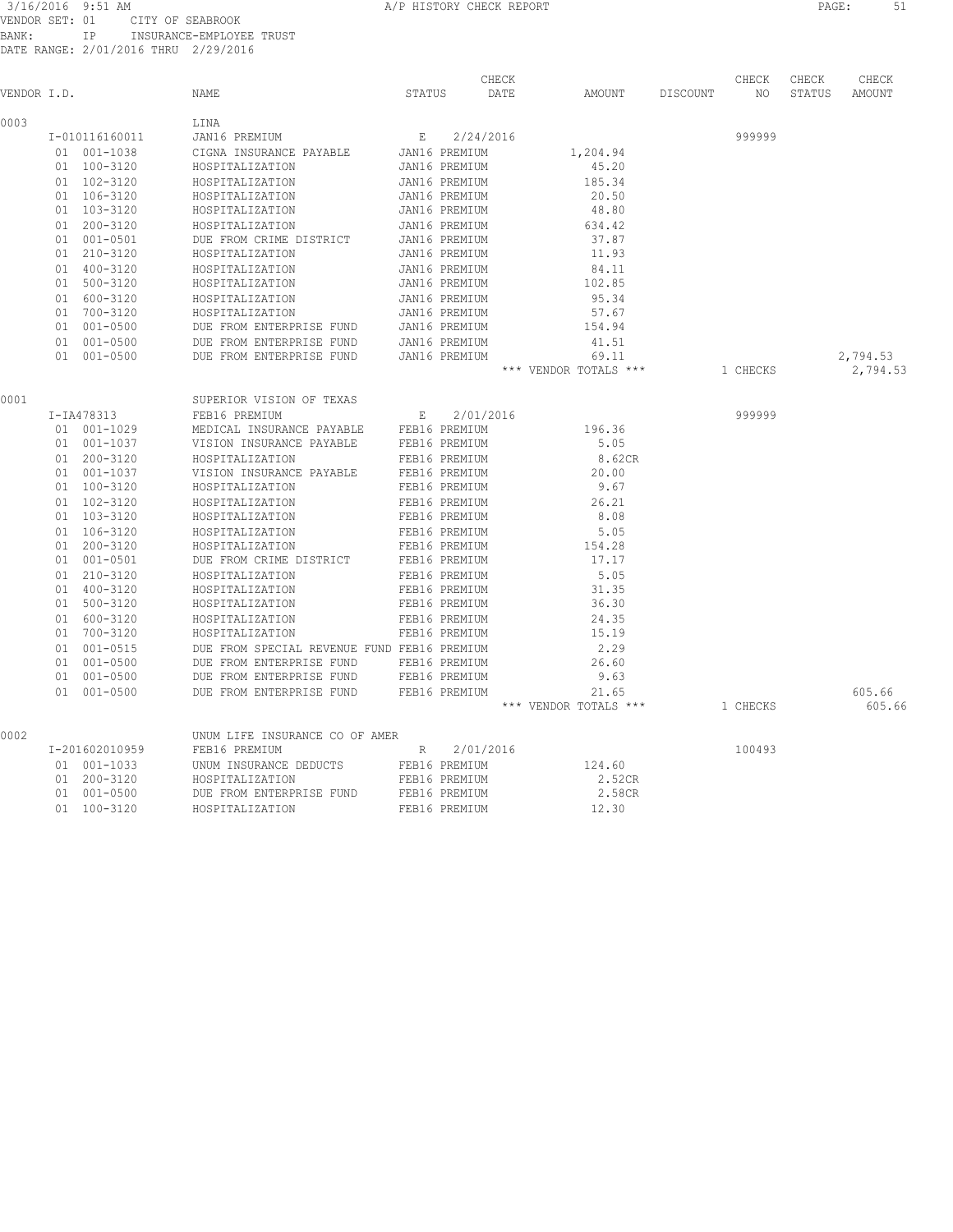#### 3/16/2016 9:51 AM A/P HISTORY CHECK REPORT PAGE: 51 VENDOR SET: 01 CITY OF SEABROOK BANK: IP INSURANCE-EMPLOYEE TRUST DATE RANGE: 2/01/2016 THRU 2/29/2016

|             |                    |                                             |             |               | CHECK |                                |          | CHECK    | CHECK  | CHECK            |
|-------------|--------------------|---------------------------------------------|-------------|---------------|-------|--------------------------------|----------|----------|--------|------------------|
| VENDOR I.D. |                    | <b>NAME</b>                                 | STATUS      |               | DATE  | AMOUNT                         | DISCOUNT | ΝO       | STATUS | <b>AMOUNT</b>    |
| 0003        |                    | LINA                                        |             |               |       |                                |          |          |        |                  |
|             | I-010116160011     | JAN16 PREMIUM                               | Ε           | 2/24/2016     |       |                                |          | 999999   |        |                  |
|             | 01 001-1038        | CIGNA INSURANCE PAYABLE                     |             | JAN16 PREMIUM |       | 1,204.94                       |          |          |        |                  |
|             | 01 100-3120        | HOSPITALIZATION                             |             | JAN16 PREMIUM |       | 45.20                          |          |          |        |                  |
|             | 01 102-3120        | HOSPITALIZATION                             |             | JAN16 PREMIUM |       | 185.34                         |          |          |        |                  |
|             | 01 106-3120        | HOSPITALIZATION                             |             | JAN16 PREMIUM |       | 20.50                          |          |          |        |                  |
|             | 01 103-3120        | HOSPITALIZATION                             |             | JAN16 PREMIUM |       | 48.80                          |          |          |        |                  |
|             | 01 200-3120        | HOSPITALIZATION                             |             | JAN16 PREMIUM |       | 634.42                         |          |          |        |                  |
|             | 01 001-0501        | DUE FROM CRIME DISTRICT                     |             | JAN16 PREMIUM |       | 37.87                          |          |          |        |                  |
|             | 01 210-3120        | HOSPITALIZATION                             |             | JAN16 PREMIUM |       | 11.93                          |          |          |        |                  |
|             | 01 400-3120        | HOSPITALIZATION                             |             | JAN16 PREMIUM |       | 84.11                          |          |          |        |                  |
|             | 01 500-3120        | HOSPITALIZATION                             |             | JAN16 PREMIUM |       | 102.85                         |          |          |        |                  |
|             | 01 600-3120        | HOSPITALIZATION                             |             | JAN16 PREMIUM |       | 95.34                          |          |          |        |                  |
|             | 01 700-3120        | HOSPITALIZATION                             |             | JAN16 PREMIUM |       | 57.67                          |          |          |        |                  |
|             | 01 001-0500        | DUE FROM ENTERPRISE FUND                    |             | JAN16 PREMIUM |       | 154.94                         |          |          |        |                  |
|             | $001 - 0500$<br>01 | DUE FROM ENTERPRISE FUND                    |             | JAN16 PREMIUM |       | 41.51                          |          |          |        |                  |
|             | $001 - 0500$<br>01 | DUE FROM ENTERPRISE FUND                    |             | JAN16 PREMIUM |       | 69.11                          |          |          |        | 2,794.53         |
|             |                    |                                             |             |               |       | *** VENDOR TOTALS ***          |          | 1 CHECKS |        | 2,794.53         |
| 0001        |                    | SUPERIOR VISION OF TEXAS                    |             |               |       |                                |          |          |        |                  |
|             | I-IA478313         | FEB16 PREMIUM                               | $\mathbb E$ | 2/01/2016     |       |                                |          | 999999   |        |                  |
|             | 01 001-1029        | MEDICAL INSURANCE PAYABLE                   |             | FEB16 PREMIUM |       | 196.36                         |          |          |        |                  |
|             | 01 001-1037        | VISION INSURANCE PAYABLE                    |             | FEB16 PREMIUM |       | 5.05                           |          |          |        |                  |
|             | 01 200-3120        | HOSPITALIZATION                             |             | FEB16 PREMIUM |       | 8.62CR                         |          |          |        |                  |
|             | 01 001-1037        | VISION INSURANCE PAYABLE                    |             | FEB16 PREMIUM |       | 20.00                          |          |          |        |                  |
|             | 01 100-3120        | HOSPITALIZATION                             |             | FEB16 PREMIUM |       | 9.67                           |          |          |        |                  |
|             | 01 102-3120        | HOSPITALIZATION                             |             | FEB16 PREMIUM |       | 26.21                          |          |          |        |                  |
|             | 01 103-3120        | HOSPITALIZATION                             |             | FEB16 PREMIUM |       | 8.08                           |          |          |        |                  |
|             | 01 106-3120        | HOSPITALIZATION                             |             | FEB16 PREMIUM |       | 5.05                           |          |          |        |                  |
|             | 01 200-3120        | HOSPITALIZATION                             |             | FEB16 PREMIUM |       | 154.28                         |          |          |        |                  |
|             | 01 001-0501        | DUE FROM CRIME DISTRICT                     |             | FEB16 PREMIUM |       | 17.17                          |          |          |        |                  |
|             | 01 210-3120        | HOSPITALIZATION                             |             | FEB16 PREMIUM |       | 5.05                           |          |          |        |                  |
|             | 01 400-3120        | HOSPITALIZATION                             |             | FEB16 PREMIUM |       | 31.35                          |          |          |        |                  |
|             | 01 500-3120        | HOSPITALIZATION                             |             | FEB16 PREMIUM |       | 36.30                          |          |          |        |                  |
|             | 01 600-3120        | HOSPITALIZATION                             |             | FEB16 PREMIUM |       | 24.35                          |          |          |        |                  |
|             | 01 700-3120        | HOSPITALIZATION                             |             | FEB16 PREMIUM |       | 15.19                          |          |          |        |                  |
|             | 01 001-0515        | DUE FROM SPECIAL REVENUE FUND FEB16 PREMIUM |             |               |       | 2.29                           |          |          |        |                  |
|             | 01 001-0500        | DUE FROM ENTERPRISE FUND                    |             | FEB16 PREMIUM |       | 26.60                          |          |          |        |                  |
|             | 001-0500<br>01     | DUE FROM ENTERPRISE FUND                    |             | FEB16 PREMIUM |       | 9.63                           |          |          |        |                  |
|             | 01<br>$001 - 0500$ | DUE FROM ENTERPRISE FUND                    |             | FEB16 PREMIUM |       | 21.65<br>*** VENDOR TOTALS *** |          | 1 CHECKS |        | 605.66<br>605.66 |
|             |                    |                                             |             |               |       |                                |          |          |        |                  |
| 0002        |                    | UNUM LIFE INSURANCE CO OF AMER              |             |               |       |                                |          |          |        |                  |
|             | I-201602010959     | FEB16 PREMIUM                               | R           | 2/01/2016     |       |                                |          | 100493   |        |                  |
|             | 01 001-1033        | UNUM INSURANCE DEDUCTS                      |             | FEB16 PREMIUM |       | 124.60                         |          |          |        |                  |
|             | 01 200-3120        | HOSPITALIZATION                             |             | FEB16 PREMIUM |       | 2.52CR                         |          |          |        |                  |
|             | 01 001-0500        | DUE FROM ENTERPRISE FUND                    |             | FEB16 PREMIUM |       | 2.58CR                         |          |          |        |                  |
|             | 01 100-3120        | HOSPITALIZATION                             |             | FEB16 PREMIUM |       | 12.30                          |          |          |        |                  |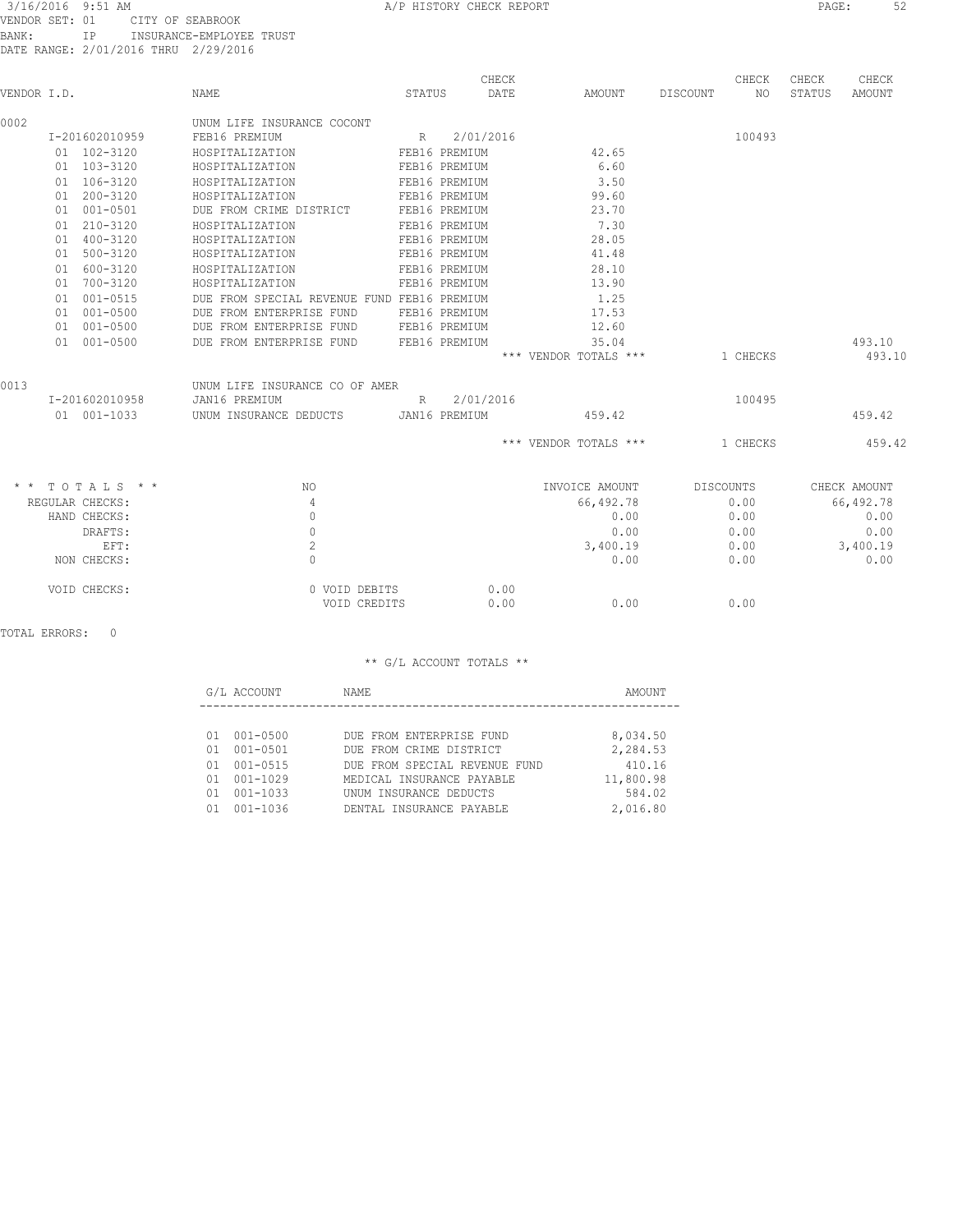#### 3/16/2016 9:51 AM A/P HISTORY CHECK REPORT PAGE: 52 VENDOR SET: 01 CITY OF SEABROOK BANK: IP INSURANCE-EMPLOYEE TRUST DATE RANGE: 2/01/2016 THRU 2/29/2016

|             |                  |                                             |               |               | CHECK        |                       |          | CHECK     | CHECK  | CHECK        |
|-------------|------------------|---------------------------------------------|---------------|---------------|--------------|-----------------------|----------|-----------|--------|--------------|
| VENDOR T.D. |                  | <b>NAME</b>                                 | STATUS        |               | DATE         | AMOUNT                | DISCOUNT | NO.       | STATUS | AMOUNT       |
| 0002        |                  | UNUM LIFE INSURANCE COCONT                  |               |               |              |                       |          |           |        |              |
|             | I-201602010959   | FEB16 PREMIUM                               |               | R 2/01/2016   |              |                       |          | 100493    |        |              |
|             | 01 102-3120      | HOSPITALIZATION                             |               | FEB16 PREMIUM |              | 42.65                 |          |           |        |              |
|             | 01 103-3120      | HOSPITALIZATION                             |               | FEB16 PREMIUM |              | 6.60                  |          |           |        |              |
|             | $01 106 - 3120$  | <b>HOSPITALIZATION</b>                      |               | FEB16 PREMIUM |              | 3.50                  |          |           |        |              |
|             | 01 200-3120      | HOSPITALIZATION                             |               | FEB16 PREMIUM |              | 99.60                 |          |           |        |              |
|             | 01 001-0501      | DUE FROM CRIME DISTRICT                     |               | FEB16 PREMIUM |              | 23.70                 |          |           |        |              |
|             | 01 210-3120      | <b>HOSPITALIZATION</b>                      |               | FEB16 PREMIUM |              | 7.30                  |          |           |        |              |
|             | 01 400-3120      | HOSPITALIZATION                             |               | FEB16 PREMIUM |              | 28.05                 |          |           |        |              |
|             | 01 500-3120      | HOSPITALIZATION                             |               | FEB16 PREMIUM |              | 41.48                 |          |           |        |              |
|             | 01 600-3120      | HOSPITALIZATION                             |               | FEB16 PREMIUM |              | 28.10                 |          |           |        |              |
|             | 01 700-3120      | HOSPITALIZATION                             |               | FEB16 PREMIUM |              | 13.90                 |          |           |        |              |
|             | 01 001-0515      | DUE FROM SPECIAL REVENUE FUND FEB16 PREMIUM |               |               |              | 1.25                  |          |           |        |              |
|             | 01 001-0500      | DUE FROM ENTERPRISE FUND                    |               | FEB16 PREMIUM |              | 17.53                 |          |           |        |              |
|             | 01 001-0500      | DUE FROM ENTERPRISE FUND                    |               | FEB16 PREMIUM |              | 12.60                 |          |           |        |              |
|             | $01 001 - 0500$  | DUE FROM ENTERPRISE FUND                    |               | FEB16 PREMIUM |              | 35.04                 |          |           |        | 493.10       |
|             |                  |                                             |               |               |              | *** VENDOR TOTALS *** |          | 1 CHECKS  |        | 493.10       |
| 0013        |                  | UNUM LIFE INSURANCE CO OF AMER              |               |               |              |                       |          |           |        |              |
|             | I-201602010958   | JAN16 PREMIUM                               | R             | 2/01/2016     |              |                       |          | 100495    |        |              |
|             | 01 001-1033      | UNUM INSURANCE DEDUCTS                      | JAN16 PREMIUM |               |              | 459.42                |          |           |        | 459.42       |
|             |                  |                                             |               |               |              | *** VENDOR TOTALS *** |          | 1 CHECKS  |        | 459.42       |
|             | $*$ * TOTALS * * | NO.                                         |               |               |              | INVOICE AMOUNT        |          | DISCOUNTS |        | CHECK AMOUNT |
|             | REGULAR CHECKS:  | $\overline{4}$                              |               |               |              | 66,492.78             |          | 0.00      |        | 66,492.78    |
|             | HAND CHECKS:     | $\Omega$                                    |               |               |              | 0.00                  |          | 0.00      |        | 0.00         |
|             | DRAFTS:          | $\mathbf{0}$                                |               |               |              | 0.00                  |          | 0.00      |        | 0.00         |
|             | EFT:             | $\overline{c}$                              |               |               |              | 3,400.19              |          | 0.00      |        | 3,400.19     |
|             | NON CHECKS:      | $\Omega$                                    |               |               |              | 0.00                  |          | 0.00      |        | 0.00         |
|             | VOID CHECKS:     | 0 VOID DEBITS<br>VOID CREDITS               |               |               | 0.00<br>0.00 | 0.00                  |          | 0.00      |        |              |

TOTAL ERRORS: 0

|     | G/L ACCOUNT  | NAME                          | AMOUNT    |
|-----|--------------|-------------------------------|-----------|
|     |              |                               |           |
| 01. | $001 - 0500$ | DUE FROM ENTERPRISE FUND      | 8,034.50  |
| 01. | 001-0501     | DUE FROM CRIME DISTRICT       | 2,284.53  |
| 01. | $001 - 0515$ | DUE FROM SPECIAL REVENUE FUND | 410.16    |
| 01. | $001 - 1029$ | MEDICAL INSURANCE PAYABLE     | 11,800.98 |
| 01. | $001 - 1033$ | UNUM INSURANCE DEDUCTS        | 584.02    |
|     | $001 - 1036$ | DENTAL INSURANCE PAYABLE      | 2,016.80  |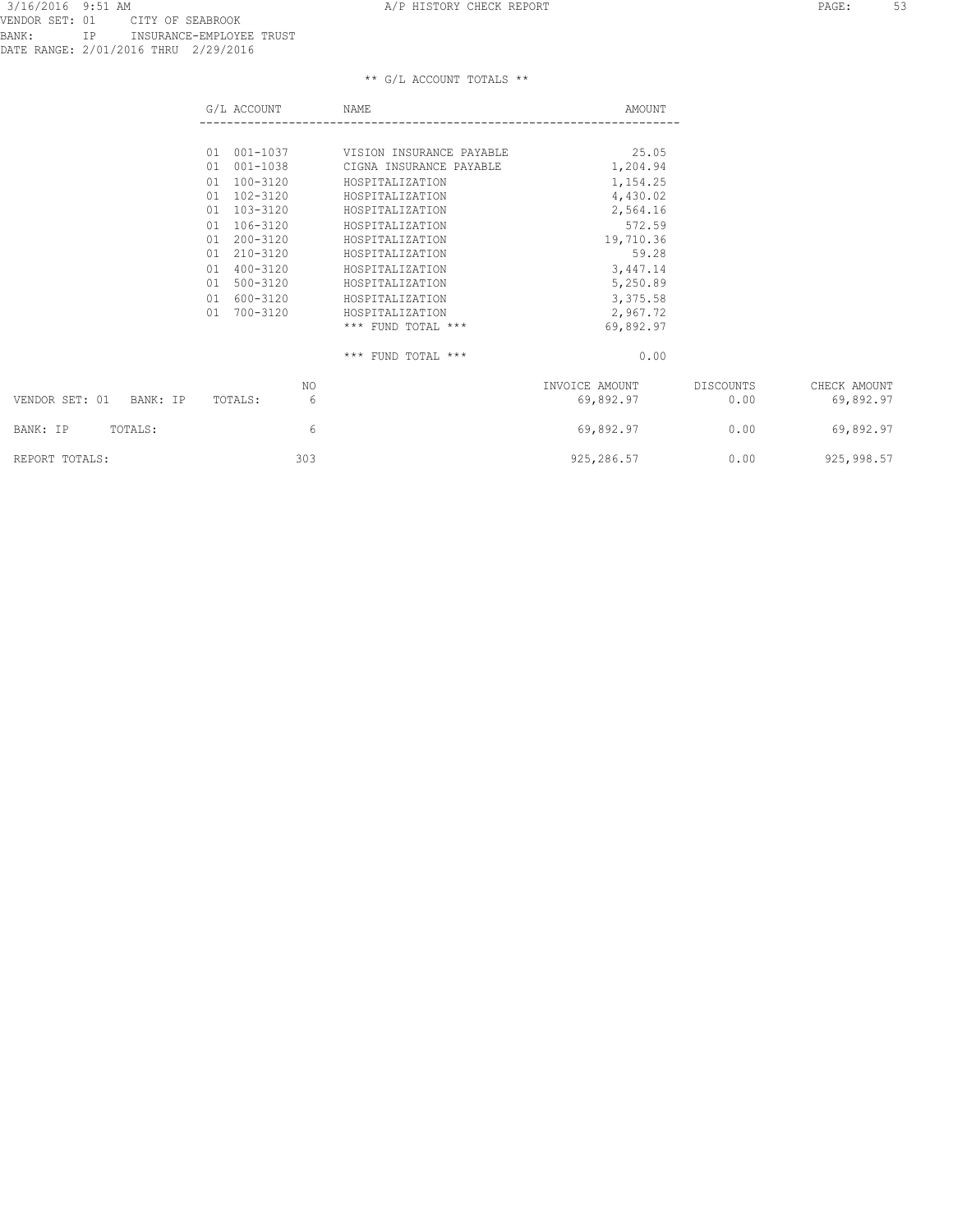|                            | G/L ACCOUNT        | NAME                     | AMOUNT         |           |              |
|----------------------------|--------------------|--------------------------|----------------|-----------|--------------|
|                            |                    |                          |                |           |              |
|                            | 01 001-1037        | VISION INSURANCE PAYABLE | 25.05          |           |              |
|                            | 001-1038<br>01     | CIGNA INSURANCE PAYABLE  | 1,204.94       |           |              |
|                            | 100-3120<br>01     | HOSPITALIZATION          | 1,154.25       |           |              |
|                            | 01 102-3120        | HOSPITALIZATION          | 4,430.02       |           |              |
|                            | 103-3120<br>01     | HOSPITALIZATION          | 2,564.16       |           |              |
|                            | 106-3120<br>01     | HOSPITALIZATION          | 572.59         |           |              |
|                            | 200-3120<br>01     | HOSPITALIZATION          | 19,710.36      |           |              |
|                            | 01 210-3120        | HOSPITALIZATION          | 59.28          |           |              |
|                            | $400 - 3120$<br>01 | HOSPITALIZATION          | 3,447.14       |           |              |
|                            | 500-3120<br>01     | HOSPITALIZATION          | 5,250.89       |           |              |
|                            | 600-3120<br>01     | HOSPITALIZATION          | 3,375.58       |           |              |
|                            | 700-3120<br>01     | HOSPITALIZATION          | 2,967.72       |           |              |
|                            |                    | $***$ FUND TOTAL $***$   | 69,892.97      |           |              |
|                            |                    | $***$ FUND TOTAL $***$   | 0.00           |           |              |
|                            | NO.                |                          | INVOICE AMOUNT | DISCOUNTS | CHECK AMOUNT |
| VENDOR SET: 01<br>BANK: IP | 6<br>TOTALS:       |                          | 69,892.97      | 0.00      | 69,892.97    |
| TOTALS:<br>BANK: IP        | 6                  |                          | 69,892.97      | 0.00      | 69,892.97    |
| REPORT TOTALS:             | 303                |                          | 925, 286.57    | 0.00      | 925,998.57   |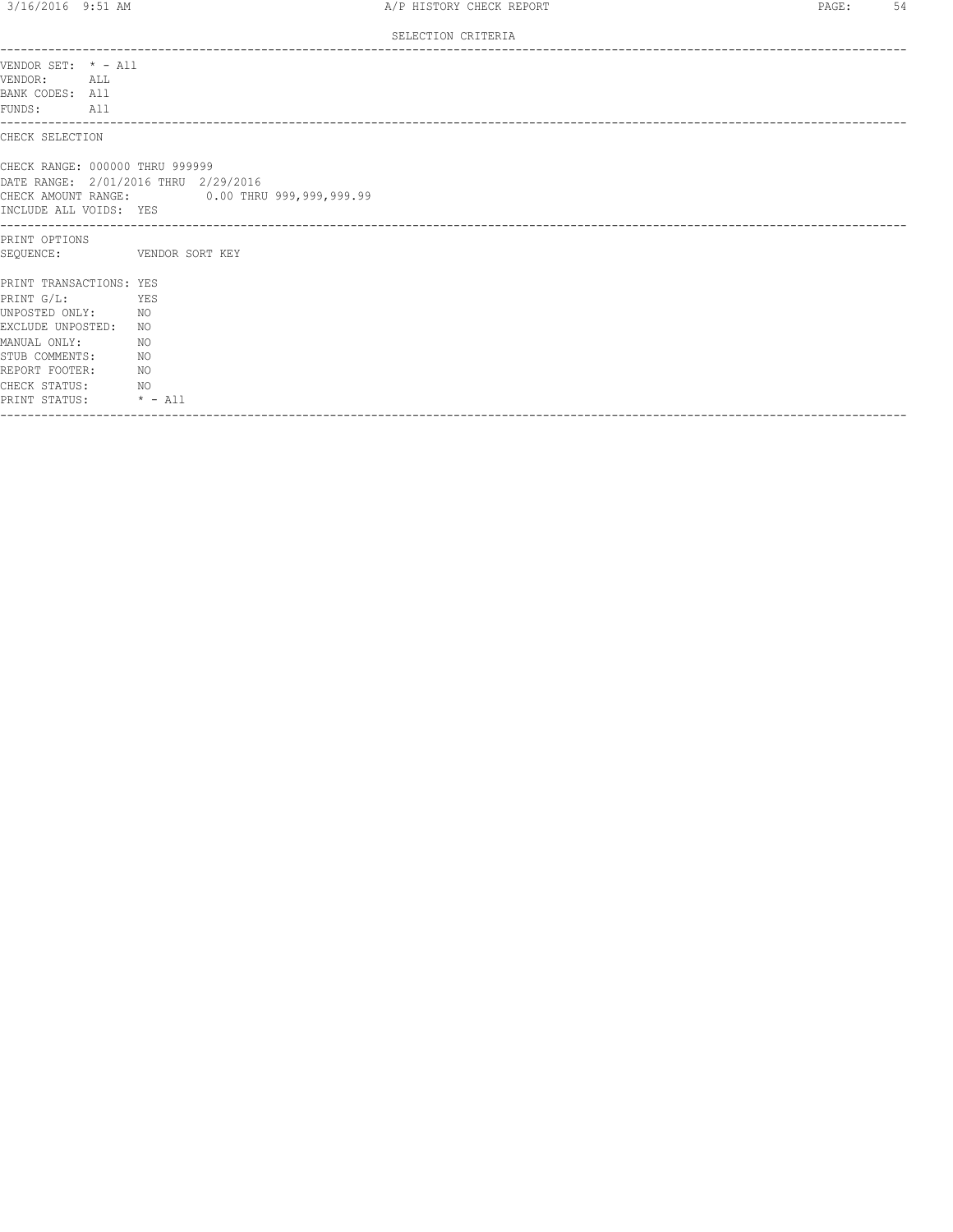SELECTION CRITERIA

| VENDOR SET: * - All<br>VENDOR:<br>ALL<br>BANK CODES: All<br>All<br>FUNDS:<br>------------                                                                                                     |                                                                                      |
|-----------------------------------------------------------------------------------------------------------------------------------------------------------------------------------------------|--------------------------------------------------------------------------------------|
| CHECK SELECTION                                                                                                                                                                               |                                                                                      |
| CHECK RANGE: 000000 THRU 999999<br>INCLUDE ALL VOIDS: YES                                                                                                                                     | DATE RANGE: 2/01/2016 THRU 2/29/2016<br>CHECK AMOUNT RANGE: 0.00 THRU 999,999,999.99 |
| PRINT OPTIONS<br>SEQUENCE: VENDOR SORT KEY                                                                                                                                                    |                                                                                      |
| PRINT TRANSACTIONS: YES<br>PRINT G/L:<br>UNPOSTED ONLY:<br>EXCLUDE UNPOSTED:<br>MANUAL ONLY:<br>STUB COMMENTS:<br>REPORT FOOTER:<br>CHECK STATUS:<br>NO <sub>N</sub><br>PRINT STATUS: * - All | <b>EXAMPLE YES</b><br>NO<br>NO.<br>NO<br>NO<br>NO <sub>N</sub>                       |
|                                                                                                                                                                                               |                                                                                      |